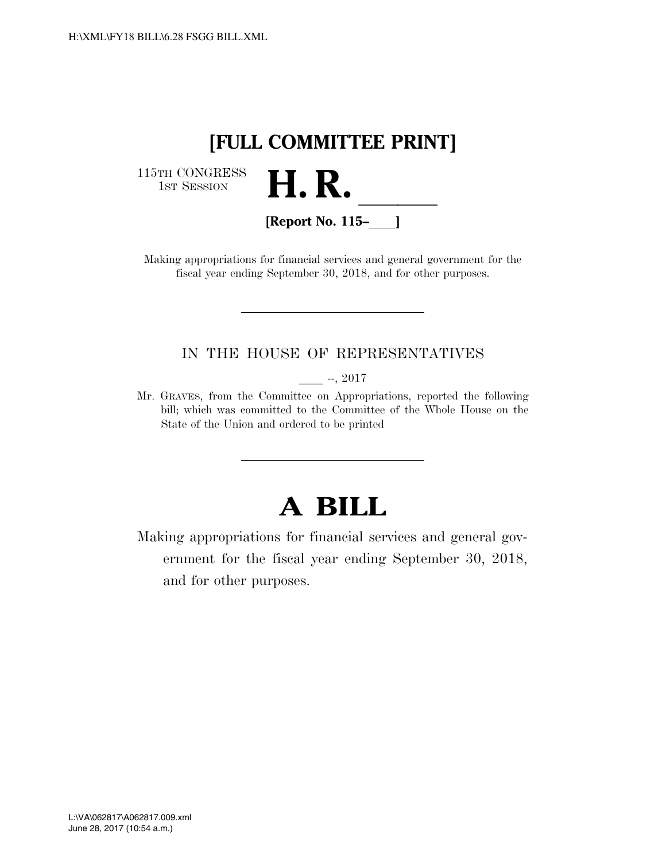

115TH CONGRESS<br>1st Session



**[Report No. 115–**ll**]** 

Making appropriations for financial services and general government for the fiscal year ending September 30, 2018, and for other purposes.

### IN THE HOUSE OF REPRESENTATIVES

 $-$ , 2017

Mr. GRAVES, from the Committee on Appropriations, reported the following bill; which was committed to the Committee of the Whole House on the State of the Union and ordered to be printed

# **A BILL**

Making appropriations for financial services and general government for the fiscal year ending September 30, 2018, and for other purposes.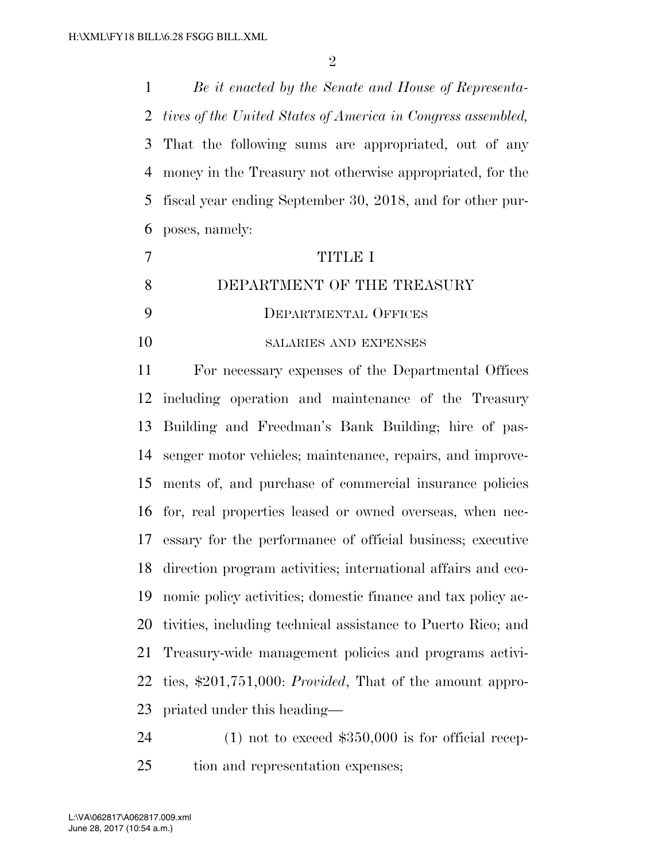*Be it enacted by the Senate and House of Representa- tives of the United States of America in Congress assembled,*  That the following sums are appropriated, out of any money in the Treasury not otherwise appropriated, for the fiscal year ending September 30, 2018, and for other pur-poses, namely:

|    | TITIRI                       |
|----|------------------------------|
|    | DEPARTMENT OF THE TREASURY   |
|    | DEPARTMENTAL OFFICES         |
| 10 | <b>SALARIES AND EXPENSES</b> |

 For necessary expenses of the Departmental Offices including operation and maintenance of the Treasury Building and Freedman's Bank Building; hire of pas- senger motor vehicles; maintenance, repairs, and improve- ments of, and purchase of commercial insurance policies for, real properties leased or owned overseas, when nec- essary for the performance of official business; executive direction program activities; international affairs and eco- nomic policy activities; domestic finance and tax policy ac- tivities, including technical assistance to Puerto Rico; and Treasury-wide management policies and programs activi- ties, \$201,751,000: *Provided*, That of the amount appro-priated under this heading—

 (1) not to exceed \$350,000 is for official recep-tion and representation expenses;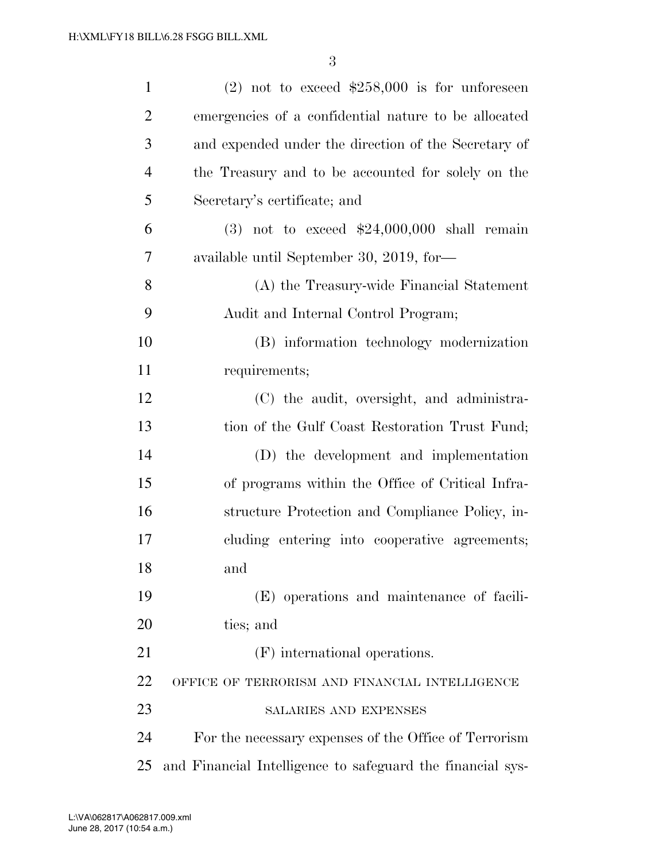| $\mathbf{1}$   | $(2)$ not to exceed \$258,000 is for unforeseen            |
|----------------|------------------------------------------------------------|
| $\overline{2}$ | emergencies of a confidential nature to be allocated       |
| 3              | and expended under the direction of the Secretary of       |
| $\overline{4}$ | the Treasury and to be accounted for solely on the         |
| 5              | Secretary's certificate; and                               |
| 6              | $(3)$ not to exceed \$24,000,000 shall remain              |
| 7              | available until September 30, 2019, for-                   |
| 8              | (A) the Treasury-wide Financial Statement                  |
| 9              | Audit and Internal Control Program;                        |
| 10             | (B) information technology modernization                   |
| 11             | requirements;                                              |
| 12             | (C) the audit, oversight, and administra-                  |
| 13             | tion of the Gulf Coast Restoration Trust Fund;             |
| 14             | (D) the development and implementation                     |
| 15             | of programs within the Office of Critical Infra-           |
| 16             | structure Protection and Compliance Policy, in-            |
| 17             | cluding entering into cooperative agreements;              |
| 18             | and                                                        |
| 19             | (E) operations and maintenance of facili-                  |
| 20             | ties; and                                                  |
| 21             | (F) international operations.                              |
| 22             | OFFICE OF TERRORISM AND FINANCIAL INTELLIGENCE             |
| 23             | SALARIES AND EXPENSES                                      |
| 24             | For the necessary expenses of the Office of Terrorism      |
| 25             | and Financial Intelligence to safeguard the financial sys- |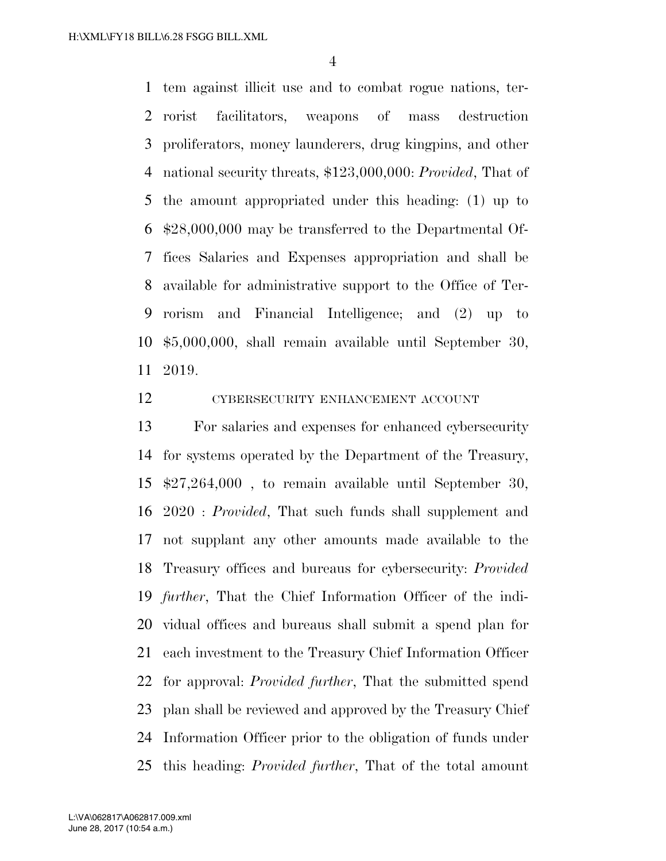tem against illicit use and to combat rogue nations, ter- rorist facilitators, weapons of mass destruction proliferators, money launderers, drug kingpins, and other national security threats, \$123,000,000: *Provided*, That of the amount appropriated under this heading: (1) up to \$28,000,000 may be transferred to the Departmental Of- fices Salaries and Expenses appropriation and shall be available for administrative support to the Office of Ter- rorism and Financial Intelligence; and (2) up to \$5,000,000, shall remain available until September 30, 2019.

CYBERSECURITY ENHANCEMENT ACCOUNT

 For salaries and expenses for enhanced cybersecurity for systems operated by the Department of the Treasury, \$27,264,000 , to remain available until September 30, 2020 : *Provided*, That such funds shall supplement and not supplant any other amounts made available to the Treasury offices and bureaus for cybersecurity: *Provided further*, That the Chief Information Officer of the indi- vidual offices and bureaus shall submit a spend plan for each investment to the Treasury Chief Information Officer for approval: *Provided further*, That the submitted spend plan shall be reviewed and approved by the Treasury Chief Information Officer prior to the obligation of funds under this heading: *Provided further*, That of the total amount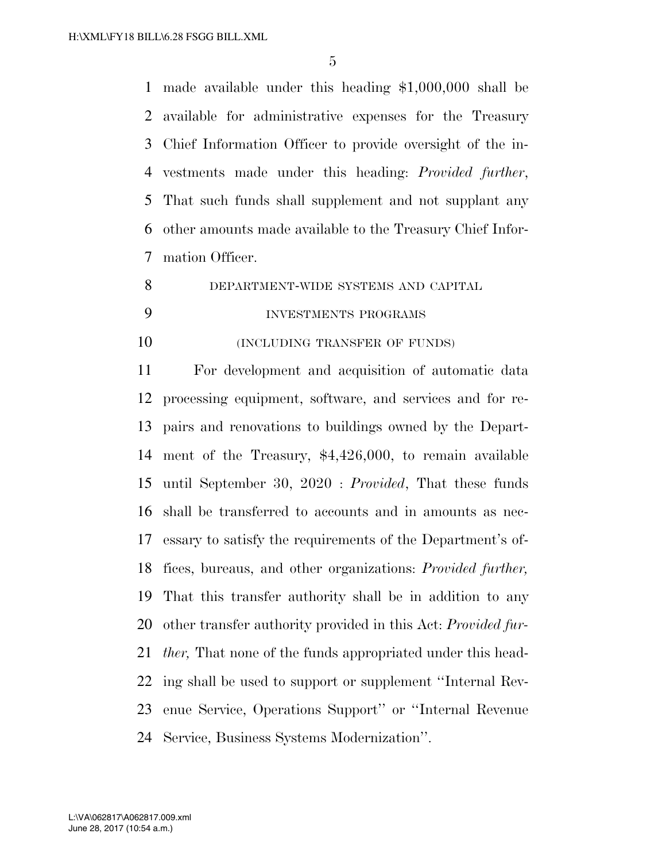made available under this heading \$1,000,000 shall be available for administrative expenses for the Treasury Chief Information Officer to provide oversight of the in- vestments made under this heading: *Provided further*, That such funds shall supplement and not supplant any other amounts made available to the Treasury Chief Infor-mation Officer.

DEPARTMENT-WIDE SYSTEMS AND CAPITAL

## INVESTMENTS PROGRAMS

**(INCLUDING TRANSFER OF FUNDS)** 

 For development and acquisition of automatic data processing equipment, software, and services and for re- pairs and renovations to buildings owned by the Depart- ment of the Treasury, \$4,426,000, to remain available until September 30, 2020 : *Provided*, That these funds shall be transferred to accounts and in amounts as nec- essary to satisfy the requirements of the Department's of- fices, bureaus, and other organizations: *Provided further,*  That this transfer authority shall be in addition to any other transfer authority provided in this Act: *Provided fur- ther,* That none of the funds appropriated under this head- ing shall be used to support or supplement ''Internal Rev- enue Service, Operations Support'' or ''Internal Revenue Service, Business Systems Modernization''.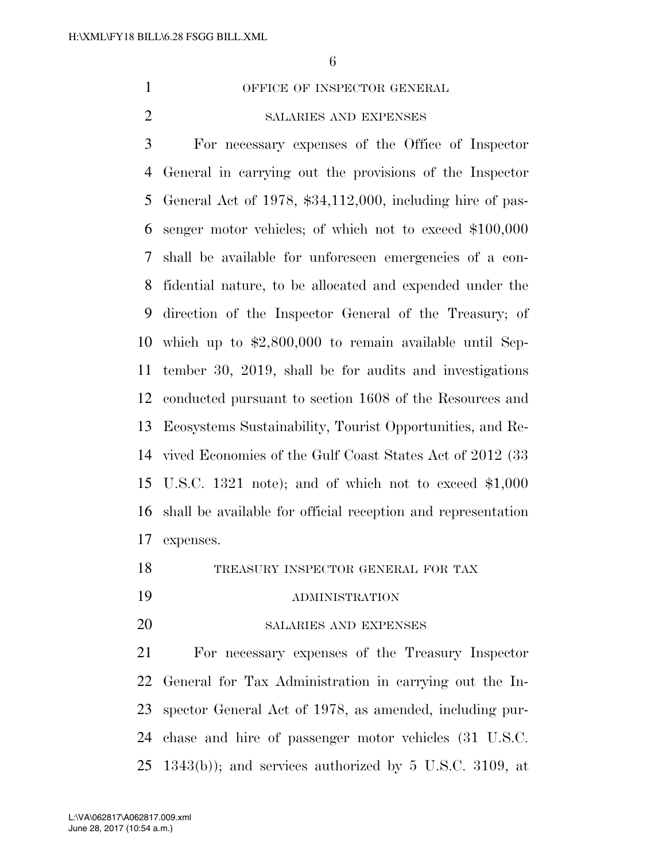1 OFFICE OF INSPECTOR GENERAL

## SALARIES AND EXPENSES

 For necessary expenses of the Office of Inspector General in carrying out the provisions of the Inspector General Act of 1978, \$34,112,000, including hire of pas- senger motor vehicles; of which not to exceed \$100,000 shall be available for unforeseen emergencies of a con- fidential nature, to be allocated and expended under the direction of the Inspector General of the Treasury; of which up to \$2,800,000 to remain available until Sep- tember 30, 2019, shall be for audits and investigations conducted pursuant to section 1608 of the Resources and Ecosystems Sustainability, Tourist Opportunities, and Re- vived Economies of the Gulf Coast States Act of 2012 (33 U.S.C. 1321 note); and of which not to exceed \$1,000 shall be available for official reception and representation expenses.

- TREASURY INSPECTOR GENERAL FOR TAX
- ADMINISTRATION
- SALARIES AND EXPENSES

 For necessary expenses of the Treasury Inspector General for Tax Administration in carrying out the In- spector General Act of 1978, as amended, including pur- chase and hire of passenger motor vehicles (31 U.S.C.  $25 \text{ } 1343(b)$ ; and services authorized by  $5 \text{ } U.S.C.$   $3109$ , at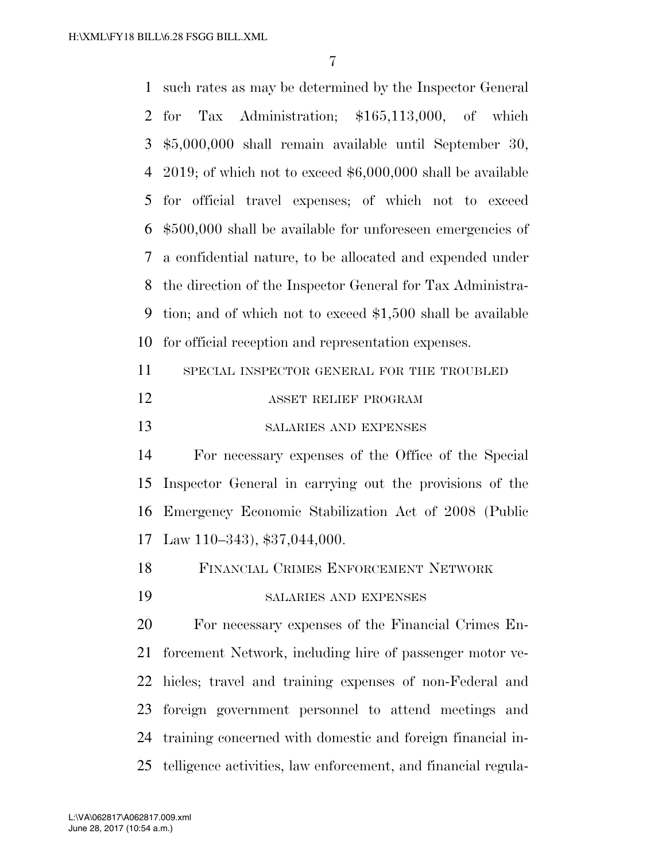| $\mathbf{1}$   | such rates as may be determined by the Inspector General      |  |  |
|----------------|---------------------------------------------------------------|--|--|
| 2              | Tax Administration; \$165,113,000, of which<br>for            |  |  |
| 3              | $$5,000,000$ shall remain available until September 30,       |  |  |
| $\overline{4}$ | 2019; of which not to exceed $$6,000,000$ shall be available  |  |  |
| 5              | for official travel expenses; of which not to exceed          |  |  |
| 6              | $$500,000$ shall be available for unforeseen emergencies of   |  |  |
| 7              | a confidential nature, to be allocated and expended under     |  |  |
| 8              | the direction of the Inspector General for Tax Administra-    |  |  |
| 9              | tion; and of which not to exceed \$1,500 shall be available   |  |  |
| 10             | for official reception and representation expenses.           |  |  |
| 11             | SPECIAL INSPECTOR GENERAL FOR THE TROUBLED                    |  |  |
| 12             | ASSET RELIEF PROGRAM                                          |  |  |
| 13             | SALARIES AND EXPENSES                                         |  |  |
| 14             | For necessary expenses of the Office of the Special           |  |  |
| 15             | Inspector General in carrying out the provisions of the       |  |  |
| 16             | Emergency Economic Stabilization Act of 2008 (Public          |  |  |
| 17             | Law 110-343), \$37,044,000.                                   |  |  |
| 18             | FINANCIAL CRIMES ENFORCEMENT NETWORK                          |  |  |
| 19             | SALARIES AND EXPENSES                                         |  |  |
| 20             | For necessary expenses of the Financial Crimes En-            |  |  |
| 21             | forcement Network, including hire of passenger motor ve-      |  |  |
| 22             | hicles; travel and training expenses of non-Federal and       |  |  |
| 23             | foreign government personnel to attend meetings and           |  |  |
| 24             | training concerned with domestic and foreign financial in-    |  |  |
| 25             | telligence activities, law enforcement, and financial regula- |  |  |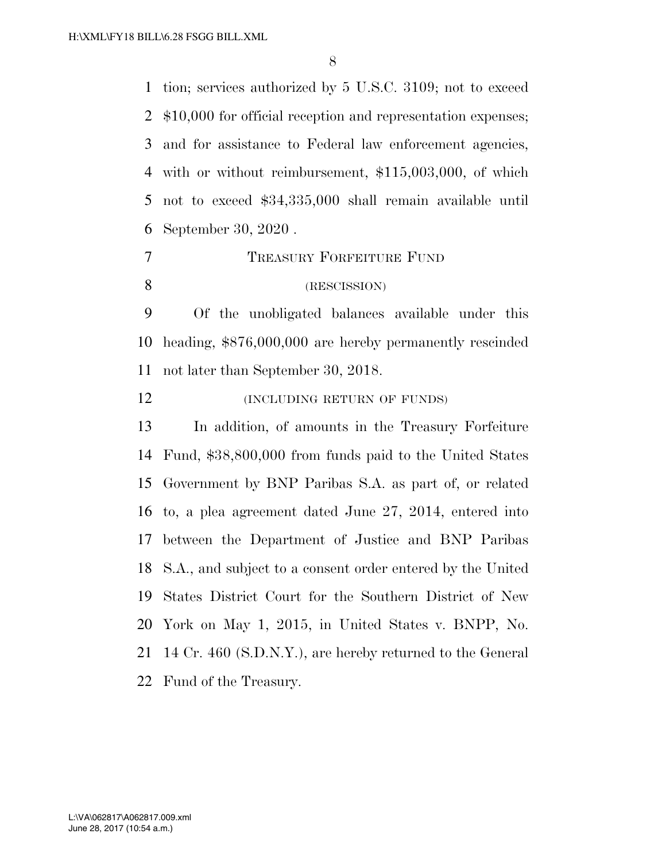tion; services authorized by 5 U.S.C. 3109; not to exceed \$10,000 for official reception and representation expenses; and for assistance to Federal law enforcement agencies, with or without reimbursement, \$115,003,000, of which not to exceed \$34,335,000 shall remain available until September 30, 2020 .

#### TREASURY FORFEITURE FUND

## (RESCISSION)

 Of the unobligated balances available under this heading, \$876,000,000 are hereby permanently rescinded not later than September 30, 2018.

**(INCLUDING RETURN OF FUNDS)** 

 In addition, of amounts in the Treasury Forfeiture Fund, \$38,800,000 from funds paid to the United States Government by BNP Paribas S.A. as part of, or related to, a plea agreement dated June 27, 2014, entered into between the Department of Justice and BNP Paribas S.A., and subject to a consent order entered by the United States District Court for the Southern District of New York on May 1, 2015, in United States v. BNPP, No. 14 Cr. 460 (S.D.N.Y.), are hereby returned to the General Fund of the Treasury.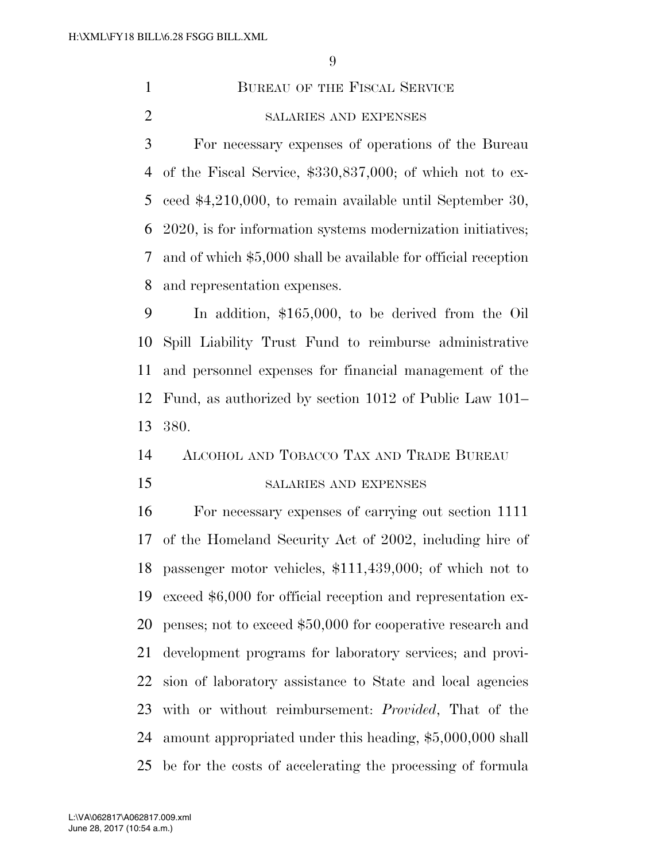1 BUREAU OF THE FISCAL SERVICE SALARIES AND EXPENSES

 For necessary expenses of operations of the Bureau of the Fiscal Service, \$330,837,000; of which not to ex- ceed \$4,210,000, to remain available until September 30, 2020, is for information systems modernization initiatives; and of which \$5,000 shall be available for official reception and representation expenses.

 In addition, \$165,000, to be derived from the Oil Spill Liability Trust Fund to reimburse administrative and personnel expenses for financial management of the Fund, as authorized by section 1012 of Public Law 101– 380.

#### ALCOHOL AND TOBACCO TAX AND TRADE BUREAU

## SALARIES AND EXPENSES

 For necessary expenses of carrying out section 1111 of the Homeland Security Act of 2002, including hire of passenger motor vehicles, \$111,439,000; of which not to exceed \$6,000 for official reception and representation ex- penses; not to exceed \$50,000 for cooperative research and development programs for laboratory services; and provi- sion of laboratory assistance to State and local agencies with or without reimbursement: *Provided*, That of the amount appropriated under this heading, \$5,000,000 shall be for the costs of accelerating the processing of formula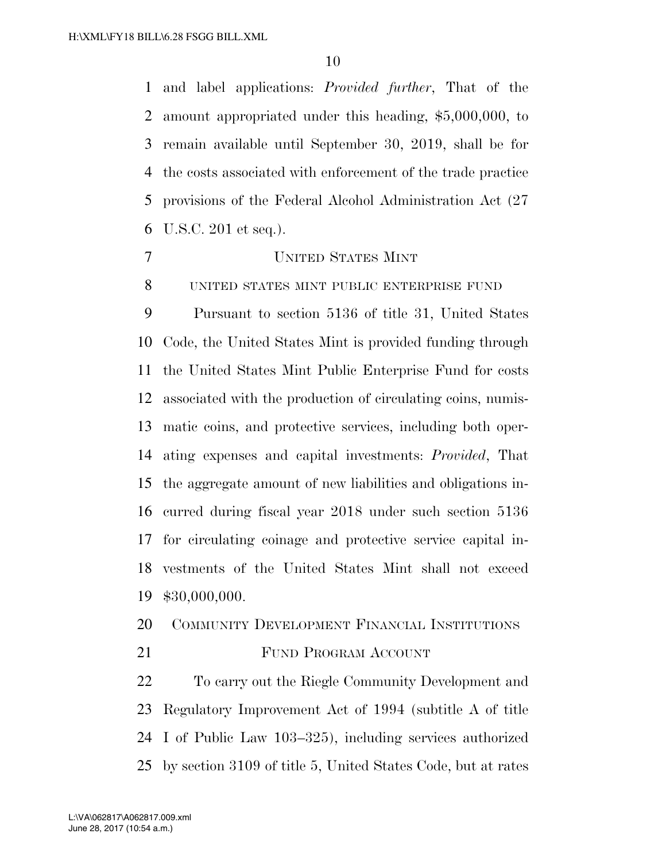and label applications: *Provided further*, That of the amount appropriated under this heading, \$5,000,000, to remain available until September 30, 2019, shall be for the costs associated with enforcement of the trade practice provisions of the Federal Alcohol Administration Act (27 U.S.C. 201 et seq.).

UNITED STATES MINT

UNITED STATES MINT PUBLIC ENTERPRISE FUND

 Pursuant to section 5136 of title 31, United States Code, the United States Mint is provided funding through the United States Mint Public Enterprise Fund for costs associated with the production of circulating coins, numis- matic coins, and protective services, including both oper- ating expenses and capital investments: *Provided*, That the aggregate amount of new liabilities and obligations in- curred during fiscal year 2018 under such section 5136 for circulating coinage and protective service capital in- vestments of the United States Mint shall not exceed \$30,000,000.

- COMMUNITY DEVELOPMENT FINANCIAL INSTITUTIONS
- 21 FUND PROGRAM ACCOUNT

 To carry out the Riegle Community Development and Regulatory Improvement Act of 1994 (subtitle A of title I of Public Law 103–325), including services authorized by section 3109 of title 5, United States Code, but at rates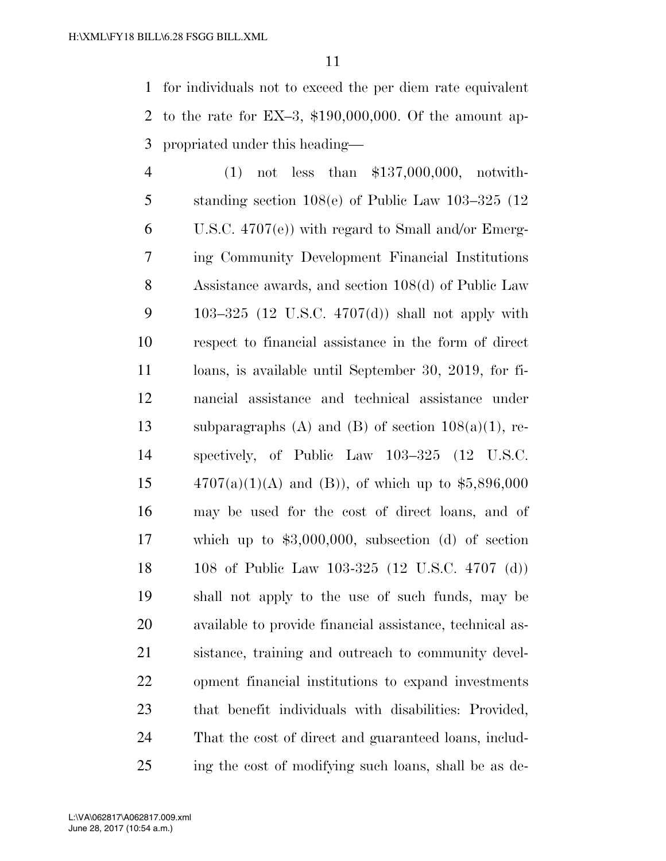for individuals not to exceed the per diem rate equivalent to the rate for EX–3, \$190,000,000. Of the amount ap-propriated under this heading—

 (1) not less than \$137,000,000, notwith- standing section 108(e) of Public Law 103–325 (12 U.S.C. 4707(e)) with regard to Small and/or Emerg- ing Community Development Financial Institutions Assistance awards, and section 108(d) of Public Law 103–325 (12 U.S.C. 4707(d)) shall not apply with respect to financial assistance in the form of direct loans, is available until September 30, 2019, for fi- nancial assistance and technical assistance under 13 subparagraphs (A) and (B) of section  $108(a)(1)$ , re- spectively, of Public Law 103–325 (12 U.S.C.  $4707(a)(1)(A)$  and (B)), of which up to \$5,896,000 may be used for the cost of direct loans, and of which up to \$3,000,000, subsection (d) of section 108 of Public Law 103-325 (12 U.S.C. 4707 (d)) shall not apply to the use of such funds, may be available to provide financial assistance, technical as- sistance, training and outreach to community devel- opment financial institutions to expand investments that benefit individuals with disabilities: Provided, That the cost of direct and guaranteed loans, includ-ing the cost of modifying such loans, shall be as de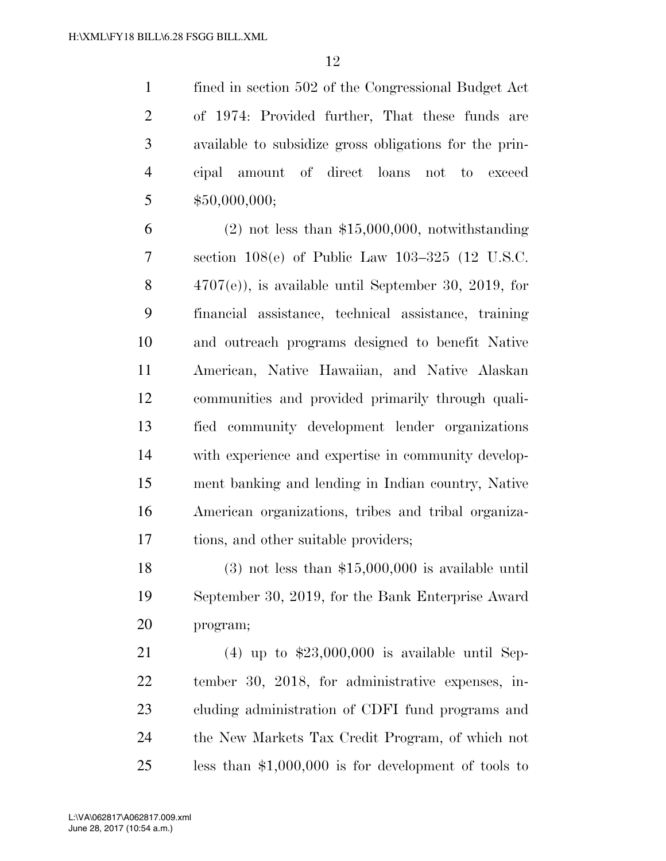fined in section 502 of the Congressional Budget Act of 1974: Provided further, That these funds are available to subsidize gross obligations for the prin- cipal amount of direct loans not to exceed \$50,000,000;

 (2) not less than \$15,000,000, notwithstanding section 108(e) of Public Law 103–325 (12 U.S.C. 4707(e)), is available until September 30, 2019, for financial assistance, technical assistance, training and outreach programs designed to benefit Native American, Native Hawaiian, and Native Alaskan communities and provided primarily through quali- fied community development lender organizations with experience and expertise in community develop- ment banking and lending in Indian country, Native American organizations, tribes and tribal organiza-tions, and other suitable providers;

 (3) not less than \$15,000,000 is available until September 30, 2019, for the Bank Enterprise Award program;

 (4) up to \$23,000,000 is available until Sep- tember 30, 2018, for administrative expenses, in- cluding administration of CDFI fund programs and the New Markets Tax Credit Program, of which not less than \$1,000,000 is for development of tools to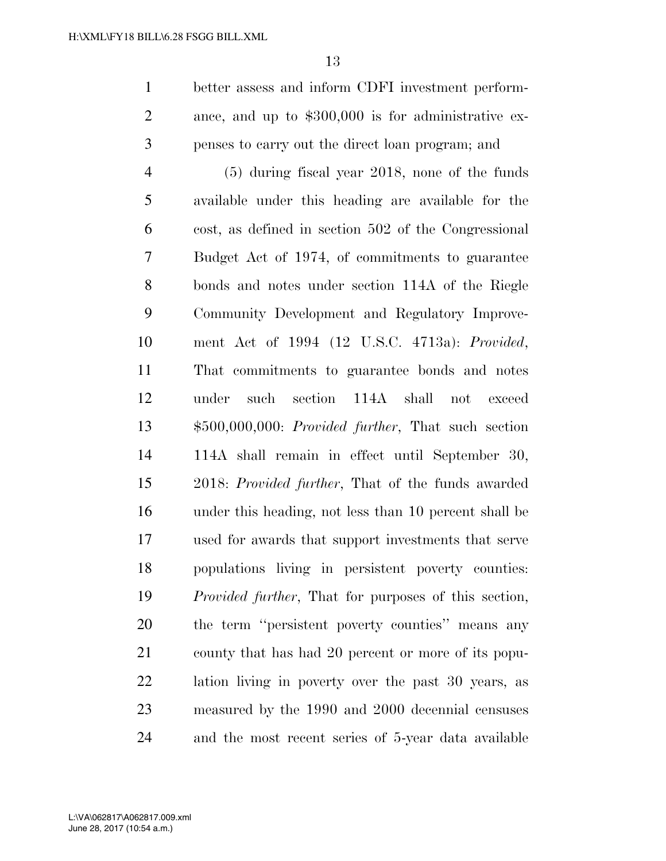better assess and inform CDFI investment perform- ance, and up to \$300,000 is for administrative ex-penses to carry out the direct loan program; and

 (5) during fiscal year 2018, none of the funds available under this heading are available for the cost, as defined in section 502 of the Congressional Budget Act of 1974, of commitments to guarantee bonds and notes under section 114A of the Riegle Community Development and Regulatory Improve- ment Act of 1994 (12 U.S.C. 4713a): *Provided*, That commitments to guarantee bonds and notes under such section 114A shall not exceed \$500,000,000: *Provided further*, That such section 114A shall remain in effect until September 30, 2018: *Provided further*, That of the funds awarded under this heading, not less than 10 percent shall be used for awards that support investments that serve populations living in persistent poverty counties: *Provided further*, That for purposes of this section, the term ''persistent poverty counties'' means any county that has had 20 percent or more of its popu- lation living in poverty over the past 30 years, as measured by the 1990 and 2000 decennial censuses and the most recent series of 5-year data available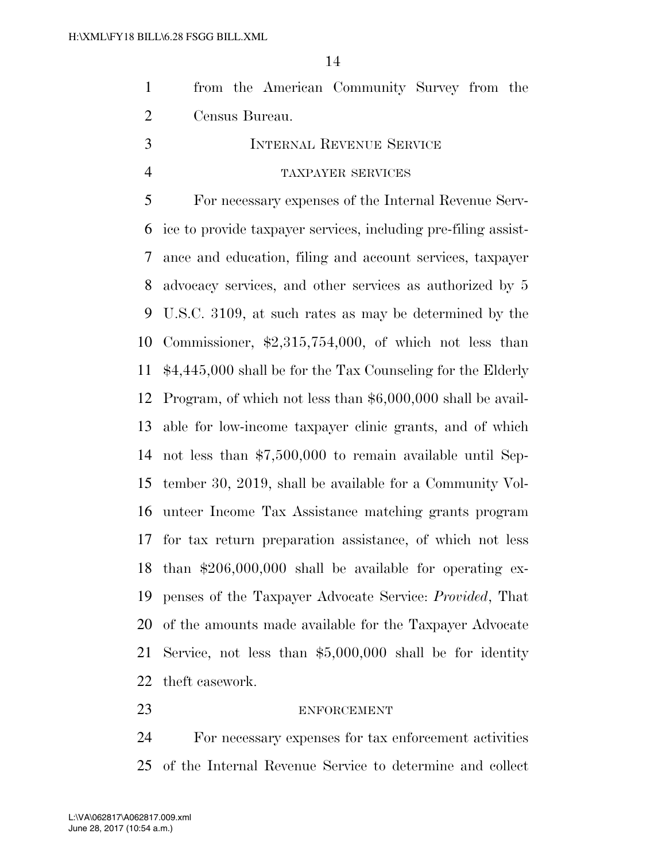| from the American Community Survey from the |  |  |
|---------------------------------------------|--|--|
| Census Bureau.                              |  |  |

 INTERNAL REVENUE SERVICE TAXPAYER SERVICES

 For necessary expenses of the Internal Revenue Serv- ice to provide taxpayer services, including pre-filing assist- ance and education, filing and account services, taxpayer advocacy services, and other services as authorized by 5 U.S.C. 3109, at such rates as may be determined by the Commissioner, \$2,315,754,000, of which not less than \$4,445,000 shall be for the Tax Counseling for the Elderly Program, of which not less than \$6,000,000 shall be avail- able for low-income taxpayer clinic grants, and of which not less than \$7,500,000 to remain available until Sep- tember 30, 2019, shall be available for a Community Vol- unteer Income Tax Assistance matching grants program for tax return preparation assistance, of which not less than \$206,000,000 shall be available for operating ex- penses of the Taxpayer Advocate Service: *Provided*, That of the amounts made available for the Taxpayer Advocate Service, not less than \$5,000,000 shall be for identity theft casework.

#### ENFORCEMENT

 For necessary expenses for tax enforcement activities of the Internal Revenue Service to determine and collect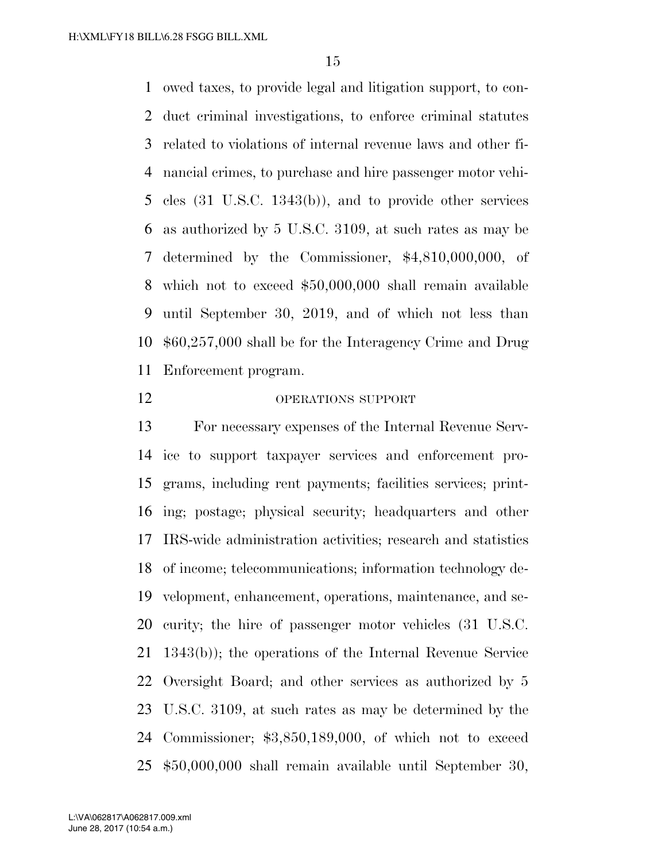owed taxes, to provide legal and litigation support, to con- duct criminal investigations, to enforce criminal statutes related to violations of internal revenue laws and other fi- nancial crimes, to purchase and hire passenger motor vehi- cles (31 U.S.C. 1343(b)), and to provide other services as authorized by 5 U.S.C. 3109, at such rates as may be determined by the Commissioner, \$4,810,000,000, of which not to exceed \$50,000,000 shall remain available until September 30, 2019, and of which not less than \$60,257,000 shall be for the Interagency Crime and Drug Enforcement program.

#### OPERATIONS SUPPORT

 For necessary expenses of the Internal Revenue Serv- ice to support taxpayer services and enforcement pro- grams, including rent payments; facilities services; print- ing; postage; physical security; headquarters and other IRS-wide administration activities; research and statistics of income; telecommunications; information technology de- velopment, enhancement, operations, maintenance, and se- curity; the hire of passenger motor vehicles (31 U.S.C. 1343(b)); the operations of the Internal Revenue Service Oversight Board; and other services as authorized by 5 U.S.C. 3109, at such rates as may be determined by the Commissioner; \$3,850,189,000, of which not to exceed \$50,000,000 shall remain available until September 30,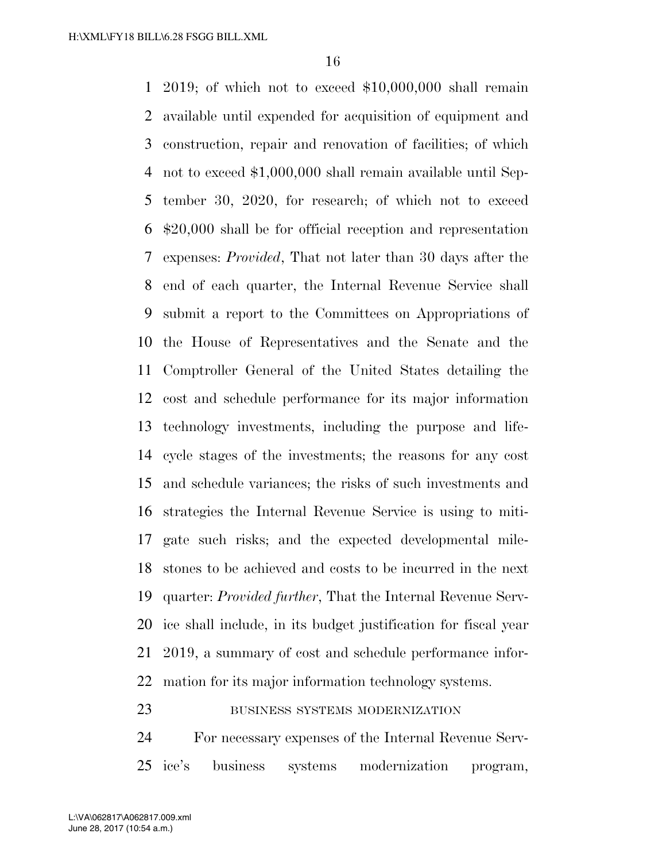2019; of which not to exceed \$10,000,000 shall remain available until expended for acquisition of equipment and construction, repair and renovation of facilities; of which not to exceed \$1,000,000 shall remain available until Sep- tember 30, 2020, for research; of which not to exceed \$20,000 shall be for official reception and representation expenses: *Provided*, That not later than 30 days after the end of each quarter, the Internal Revenue Service shall submit a report to the Committees on Appropriations of the House of Representatives and the Senate and the Comptroller General of the United States detailing the cost and schedule performance for its major information technology investments, including the purpose and life- cycle stages of the investments; the reasons for any cost and schedule variances; the risks of such investments and strategies the Internal Revenue Service is using to miti- gate such risks; and the expected developmental mile- stones to be achieved and costs to be incurred in the next quarter: *Provided further*, That the Internal Revenue Serv- ice shall include, in its budget justification for fiscal year 2019, a summary of cost and schedule performance infor-mation for its major information technology systems.

## 23 BUSINESS SYSTEMS MODERNIZATION

 For necessary expenses of the Internal Revenue Serv-ice's business systems modernization program,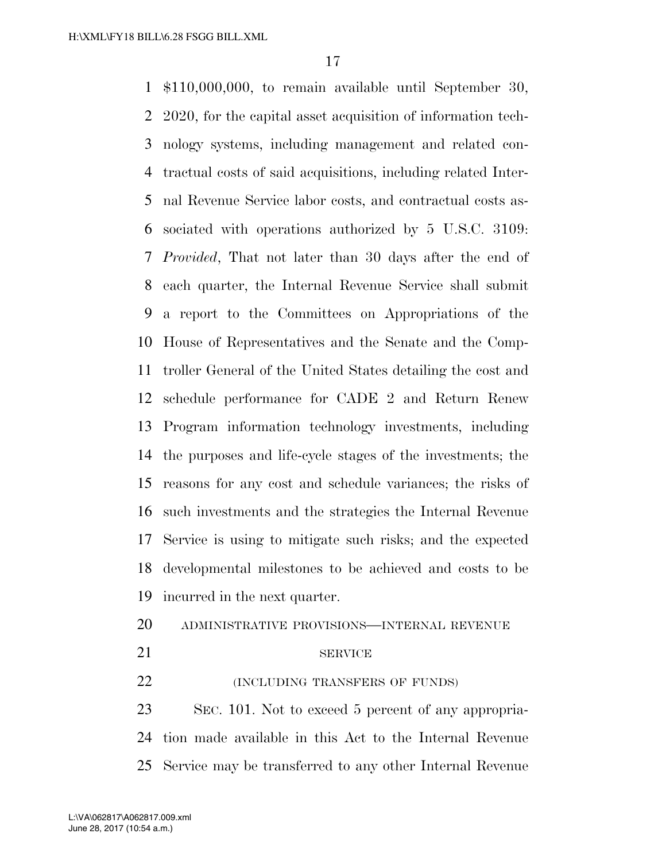\$110,000,000, to remain available until September 30, 2020, for the capital asset acquisition of information tech- nology systems, including management and related con- tractual costs of said acquisitions, including related Inter- nal Revenue Service labor costs, and contractual costs as- sociated with operations authorized by 5 U.S.C. 3109: *Provided*, That not later than 30 days after the end of each quarter, the Internal Revenue Service shall submit a report to the Committees on Appropriations of the House of Representatives and the Senate and the Comp- troller General of the United States detailing the cost and schedule performance for CADE 2 and Return Renew Program information technology investments, including the purposes and life-cycle stages of the investments; the reasons for any cost and schedule variances; the risks of such investments and the strategies the Internal Revenue Service is using to mitigate such risks; and the expected developmental milestones to be achieved and costs to be incurred in the next quarter.

- ADMINISTRATIVE PROVISIONS—INTERNAL REVENUE
- 

#### 21 SERVICE

**(INCLUDING TRANSFERS OF FUNDS)** 

 SEC. 101. Not to exceed 5 percent of any appropria- tion made available in this Act to the Internal Revenue Service may be transferred to any other Internal Revenue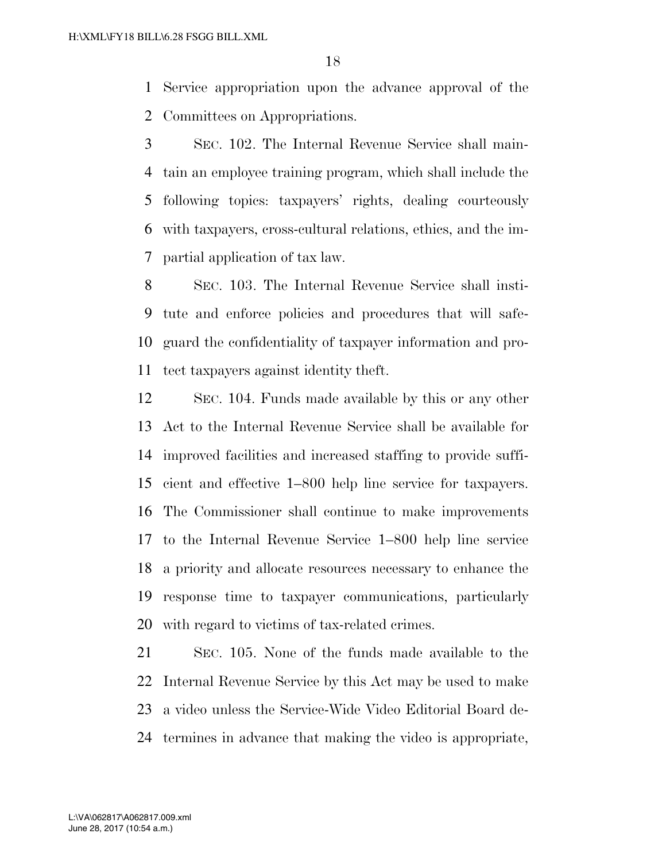Service appropriation upon the advance approval of the Committees on Appropriations.

 SEC. 102. The Internal Revenue Service shall main- tain an employee training program, which shall include the following topics: taxpayers' rights, dealing courteously with taxpayers, cross-cultural relations, ethics, and the im-partial application of tax law.

 SEC. 103. The Internal Revenue Service shall insti- tute and enforce policies and procedures that will safe- guard the confidentiality of taxpayer information and pro-tect taxpayers against identity theft.

 SEC. 104. Funds made available by this or any other Act to the Internal Revenue Service shall be available for improved facilities and increased staffing to provide suffi- cient and effective 1–800 help line service for taxpayers. The Commissioner shall continue to make improvements to the Internal Revenue Service 1–800 help line service a priority and allocate resources necessary to enhance the response time to taxpayer communications, particularly with regard to victims of tax-related crimes.

 SEC. 105. None of the funds made available to the Internal Revenue Service by this Act may be used to make a video unless the Service-Wide Video Editorial Board de-termines in advance that making the video is appropriate,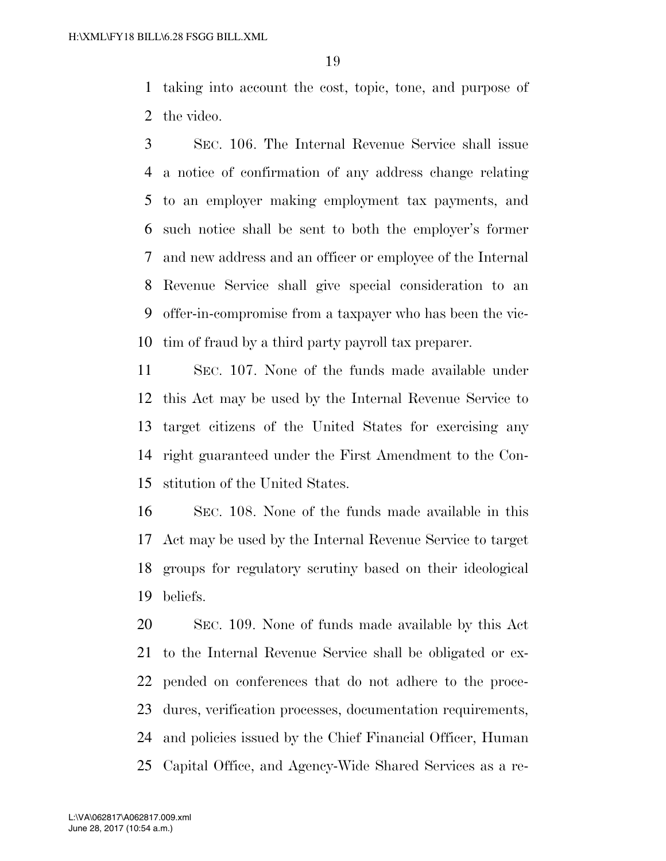taking into account the cost, topic, tone, and purpose of the video.

 SEC. 106. The Internal Revenue Service shall issue a notice of confirmation of any address change relating to an employer making employment tax payments, and such notice shall be sent to both the employer's former and new address and an officer or employee of the Internal Revenue Service shall give special consideration to an offer-in-compromise from a taxpayer who has been the vic-tim of fraud by a third party payroll tax preparer.

 SEC. 107. None of the funds made available under this Act may be used by the Internal Revenue Service to target citizens of the United States for exercising any right guaranteed under the First Amendment to the Con-stitution of the United States.

 SEC. 108. None of the funds made available in this Act may be used by the Internal Revenue Service to target groups for regulatory scrutiny based on their ideological beliefs.

 SEC. 109. None of funds made available by this Act to the Internal Revenue Service shall be obligated or ex- pended on conferences that do not adhere to the proce- dures, verification processes, documentation requirements, and policies issued by the Chief Financial Officer, Human Capital Office, and Agency-Wide Shared Services as a re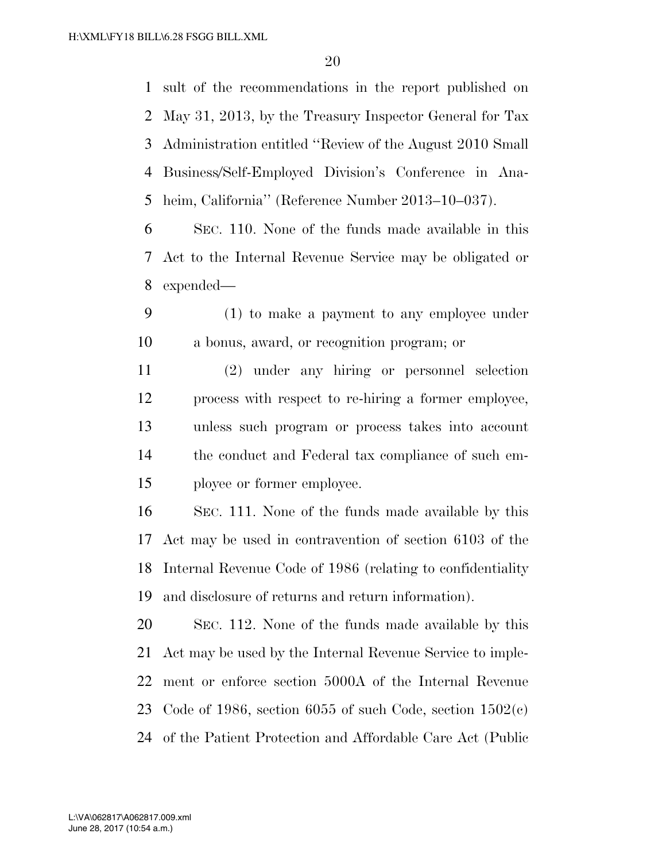sult of the recommendations in the report published on May 31, 2013, by the Treasury Inspector General for Tax Administration entitled ''Review of the August 2010 Small Business/Self-Employed Division's Conference in Ana-heim, California'' (Reference Number 2013–10–037).

 SEC. 110. None of the funds made available in this Act to the Internal Revenue Service may be obligated or expended—

 (1) to make a payment to any employee under a bonus, award, or recognition program; or

 (2) under any hiring or personnel selection process with respect to re-hiring a former employee, unless such program or process takes into account the conduct and Federal tax compliance of such em-ployee or former employee.

 SEC. 111. None of the funds made available by this Act may be used in contravention of section 6103 of the Internal Revenue Code of 1986 (relating to confidentiality and disclosure of returns and return information).

 SEC. 112. None of the funds made available by this Act may be used by the Internal Revenue Service to imple- ment or enforce section 5000A of the Internal Revenue Code of 1986, section 6055 of such Code, section 1502(c) of the Patient Protection and Affordable Care Act (Public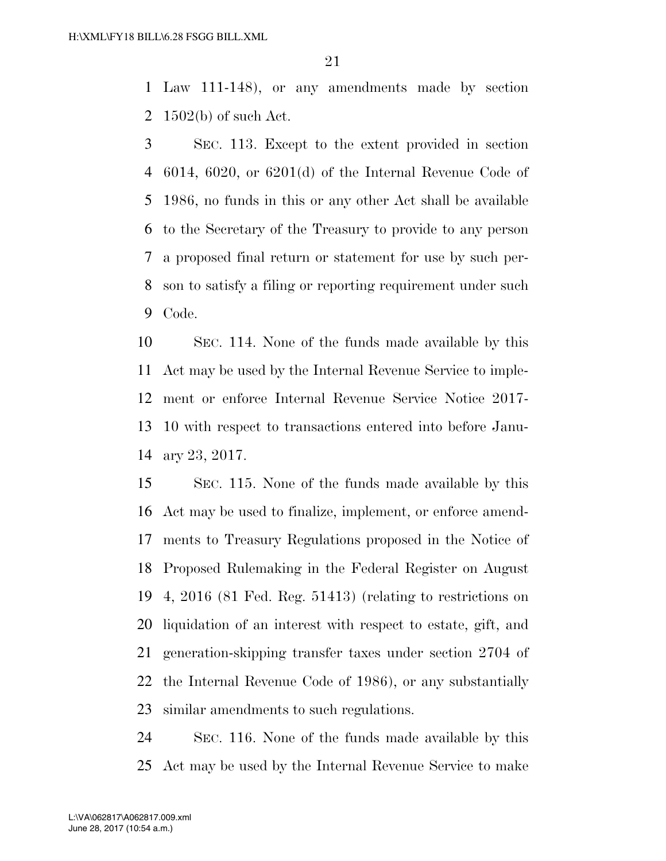Law 111-148), or any amendments made by section 1502(b) of such Act.

 SEC. 113. Except to the extent provided in section 6014, 6020, or 6201(d) of the Internal Revenue Code of 1986, no funds in this or any other Act shall be available to the Secretary of the Treasury to provide to any person a proposed final return or statement for use by such per- son to satisfy a filing or reporting requirement under such Code.

 SEC. 114. None of the funds made available by this Act may be used by the Internal Revenue Service to imple- ment or enforce Internal Revenue Service Notice 2017- 10 with respect to transactions entered into before Janu-ary 23, 2017.

 SEC. 115. None of the funds made available by this Act may be used to finalize, implement, or enforce amend- ments to Treasury Regulations proposed in the Notice of Proposed Rulemaking in the Federal Register on August 4, 2016 (81 Fed. Reg. 51413) (relating to restrictions on liquidation of an interest with respect to estate, gift, and generation-skipping transfer taxes under section 2704 of the Internal Revenue Code of 1986), or any substantially similar amendments to such regulations.

 SEC. 116. None of the funds made available by this Act may be used by the Internal Revenue Service to make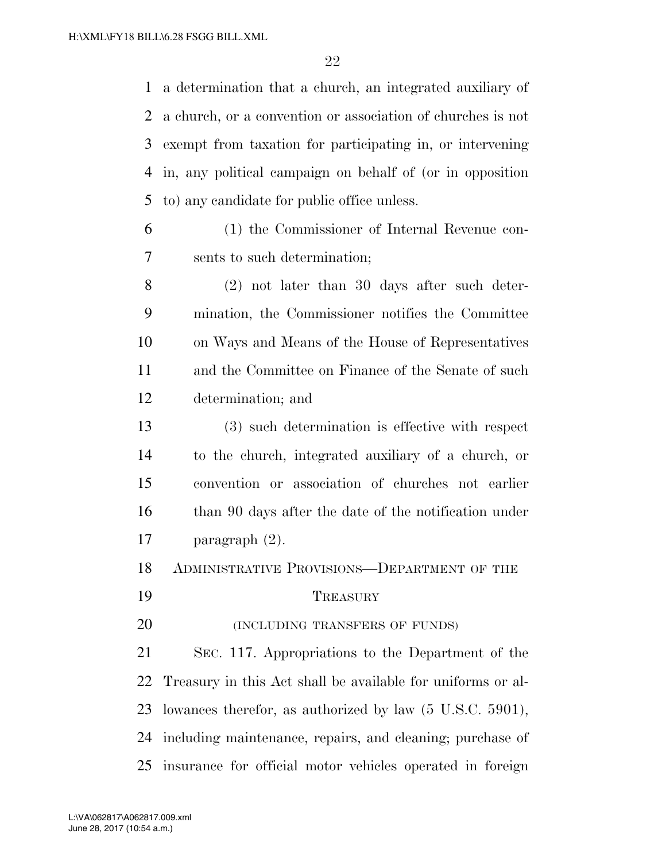a determination that a church, an integrated auxiliary of a church, or a convention or association of churches is not exempt from taxation for participating in, or intervening in, any political campaign on behalf of (or in opposition to) any candidate for public office unless.

- (1) the Commissioner of Internal Revenue con-sents to such determination;
- (2) not later than 30 days after such deter- mination, the Commissioner notifies the Committee on Ways and Means of the House of Representatives and the Committee on Finance of the Senate of such determination; and
- (3) such determination is effective with respect to the church, integrated auxiliary of a church, or convention or association of churches not earlier 16 than 90 days after the date of the notification under paragraph (2).
- ADMINISTRATIVE PROVISIONS—DEPARTMENT OF THE
- 19 TREASURY

**(INCLUDING TRANSFERS OF FUNDS)** 

 SEC. 117. Appropriations to the Department of the Treasury in this Act shall be available for uniforms or al- lowances therefor, as authorized by law (5 U.S.C. 5901), including maintenance, repairs, and cleaning; purchase of insurance for official motor vehicles operated in foreign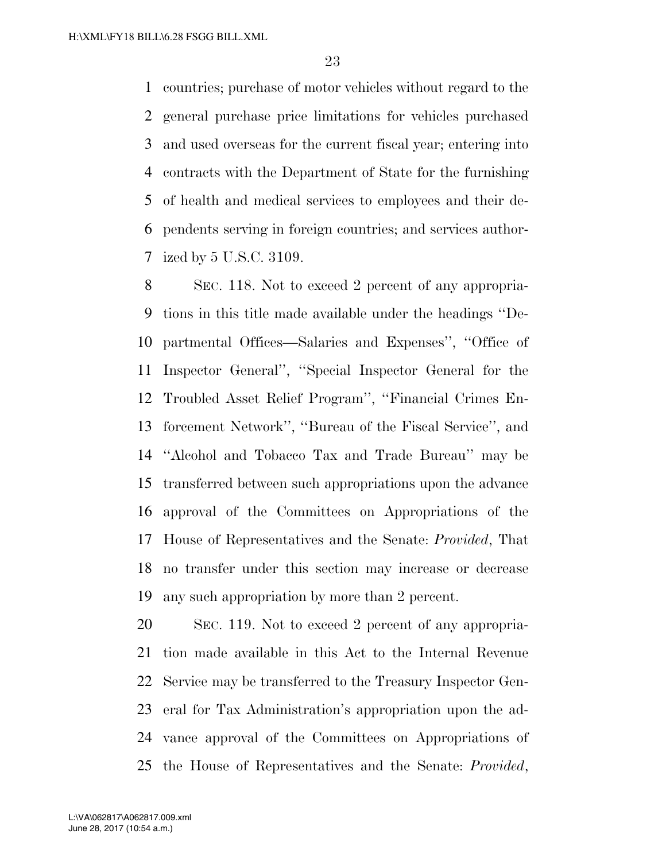countries; purchase of motor vehicles without regard to the general purchase price limitations for vehicles purchased and used overseas for the current fiscal year; entering into contracts with the Department of State for the furnishing of health and medical services to employees and their de- pendents serving in foreign countries; and services author-ized by 5 U.S.C. 3109.

 SEC. 118. Not to exceed 2 percent of any appropria- tions in this title made available under the headings ''De- partmental Offices—Salaries and Expenses'', ''Office of Inspector General'', ''Special Inspector General for the Troubled Asset Relief Program'', ''Financial Crimes En- forcement Network'', ''Bureau of the Fiscal Service'', and ''Alcohol and Tobacco Tax and Trade Bureau'' may be transferred between such appropriations upon the advance approval of the Committees on Appropriations of the House of Representatives and the Senate: *Provided*, That no transfer under this section may increase or decrease any such appropriation by more than 2 percent.

 SEC. 119. Not to exceed 2 percent of any appropria- tion made available in this Act to the Internal Revenue Service may be transferred to the Treasury Inspector Gen- eral for Tax Administration's appropriation upon the ad- vance approval of the Committees on Appropriations of the House of Representatives and the Senate: *Provided*,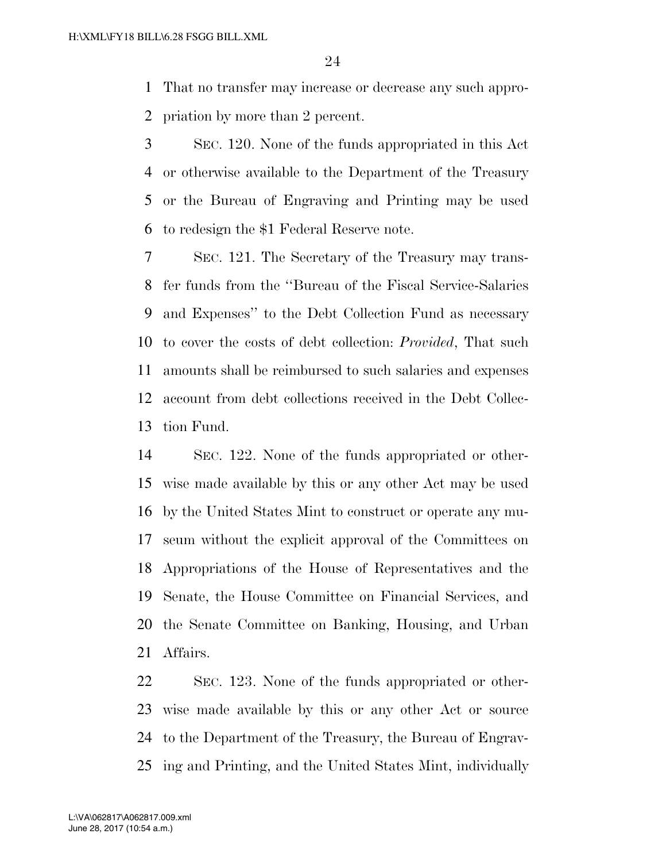That no transfer may increase or decrease any such appro-priation by more than 2 percent.

 SEC. 120. None of the funds appropriated in this Act or otherwise available to the Department of the Treasury or the Bureau of Engraving and Printing may be used to redesign the \$1 Federal Reserve note.

 SEC. 121. The Secretary of the Treasury may trans- fer funds from the ''Bureau of the Fiscal Service-Salaries and Expenses'' to the Debt Collection Fund as necessary to cover the costs of debt collection: *Provided*, That such amounts shall be reimbursed to such salaries and expenses account from debt collections received in the Debt Collec-tion Fund.

 SEC. 122. None of the funds appropriated or other- wise made available by this or any other Act may be used by the United States Mint to construct or operate any mu- seum without the explicit approval of the Committees on Appropriations of the House of Representatives and the Senate, the House Committee on Financial Services, and the Senate Committee on Banking, Housing, and Urban Affairs.

 SEC. 123. None of the funds appropriated or other- wise made available by this or any other Act or source to the Department of the Treasury, the Bureau of Engrav-ing and Printing, and the United States Mint, individually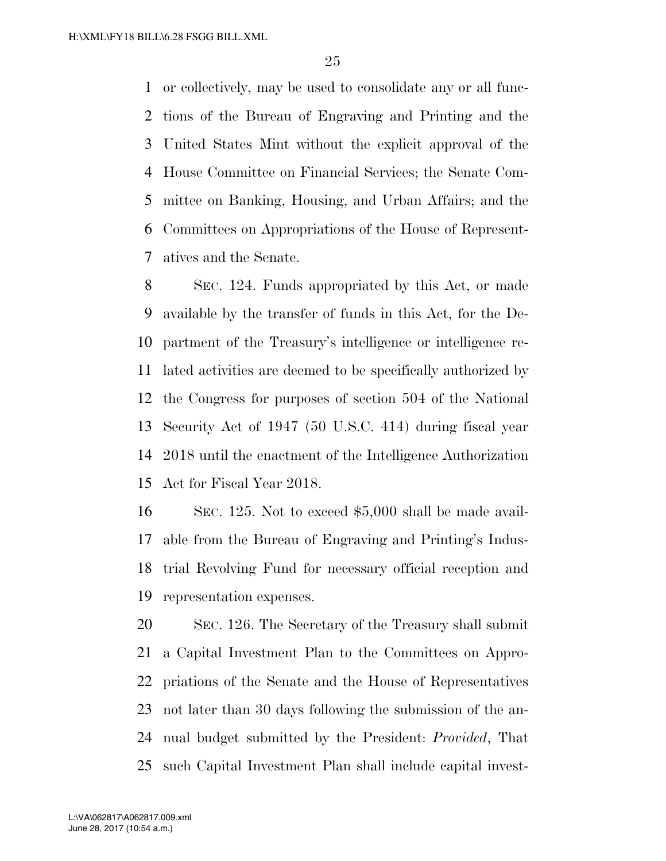or collectively, may be used to consolidate any or all func- tions of the Bureau of Engraving and Printing and the United States Mint without the explicit approval of the House Committee on Financial Services; the Senate Com- mittee on Banking, Housing, and Urban Affairs; and the Committees on Appropriations of the House of Represent-atives and the Senate.

 SEC. 124. Funds appropriated by this Act, or made available by the transfer of funds in this Act, for the De- partment of the Treasury's intelligence or intelligence re- lated activities are deemed to be specifically authorized by the Congress for purposes of section 504 of the National Security Act of 1947 (50 U.S.C. 414) during fiscal year 2018 until the enactment of the Intelligence Authorization Act for Fiscal Year 2018.

 SEC. 125. Not to exceed \$5,000 shall be made avail- able from the Bureau of Engraving and Printing's Indus- trial Revolving Fund for necessary official reception and representation expenses.

 SEC. 126. The Secretary of the Treasury shall submit a Capital Investment Plan to the Committees on Appro- priations of the Senate and the House of Representatives not later than 30 days following the submission of the an- nual budget submitted by the President: *Provided*, That such Capital Investment Plan shall include capital invest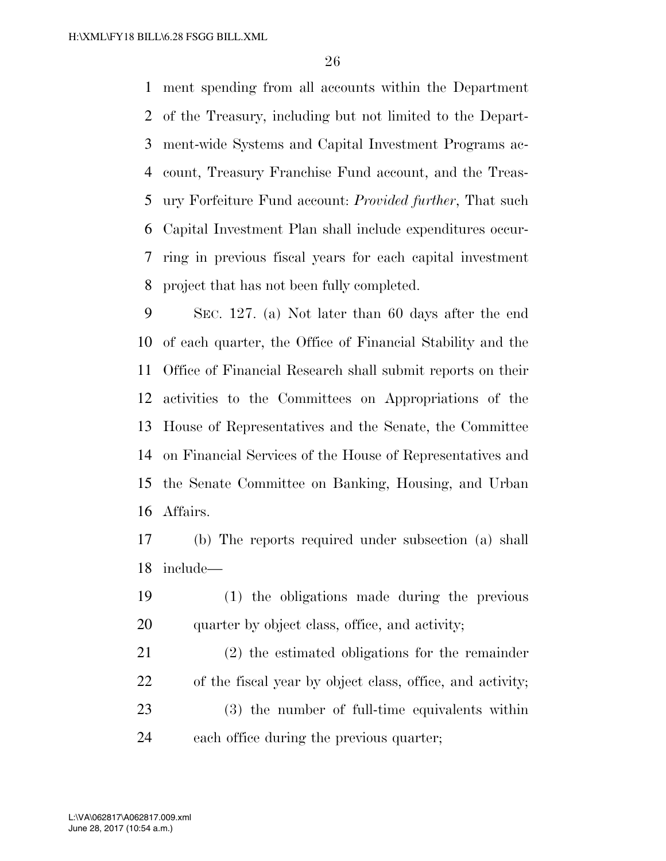ment spending from all accounts within the Department of the Treasury, including but not limited to the Depart- ment-wide Systems and Capital Investment Programs ac- count, Treasury Franchise Fund account, and the Treas- ury Forfeiture Fund account: *Provided further*, That such Capital Investment Plan shall include expenditures occur- ring in previous fiscal years for each capital investment project that has not been fully completed.

 SEC. 127. (a) Not later than 60 days after the end of each quarter, the Office of Financial Stability and the Office of Financial Research shall submit reports on their activities to the Committees on Appropriations of the House of Representatives and the Senate, the Committee on Financial Services of the House of Representatives and the Senate Committee on Banking, Housing, and Urban Affairs.

 (b) The reports required under subsection (a) shall include—

 (1) the obligations made during the previous 20 quarter by object class, office, and activity;

 (2) the estimated obligations for the remainder of the fiscal year by object class, office, and activity; (3) the number of full-time equivalents within each office during the previous quarter;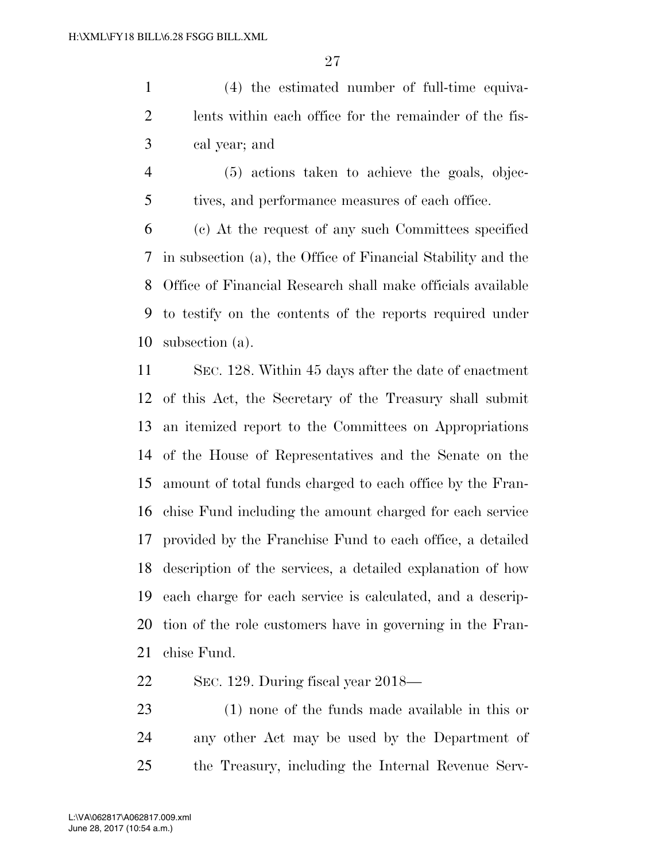(4) the estimated number of full-time equiva- lents within each office for the remainder of the fis-cal year; and

 (5) actions taken to achieve the goals, objec-tives, and performance measures of each office.

 (c) At the request of any such Committees specified in subsection (a), the Office of Financial Stability and the Office of Financial Research shall make officials available to testify on the contents of the reports required under subsection (a).

 SEC. 128. Within 45 days after the date of enactment of this Act, the Secretary of the Treasury shall submit an itemized report to the Committees on Appropriations of the House of Representatives and the Senate on the amount of total funds charged to each office by the Fran- chise Fund including the amount charged for each service provided by the Franchise Fund to each office, a detailed description of the services, a detailed explanation of how each charge for each service is calculated, and a descrip- tion of the role customers have in governing in the Fran-chise Fund.

SEC. 129. During fiscal year 2018—

 (1) none of the funds made available in this or any other Act may be used by the Department of the Treasury, including the Internal Revenue Serv-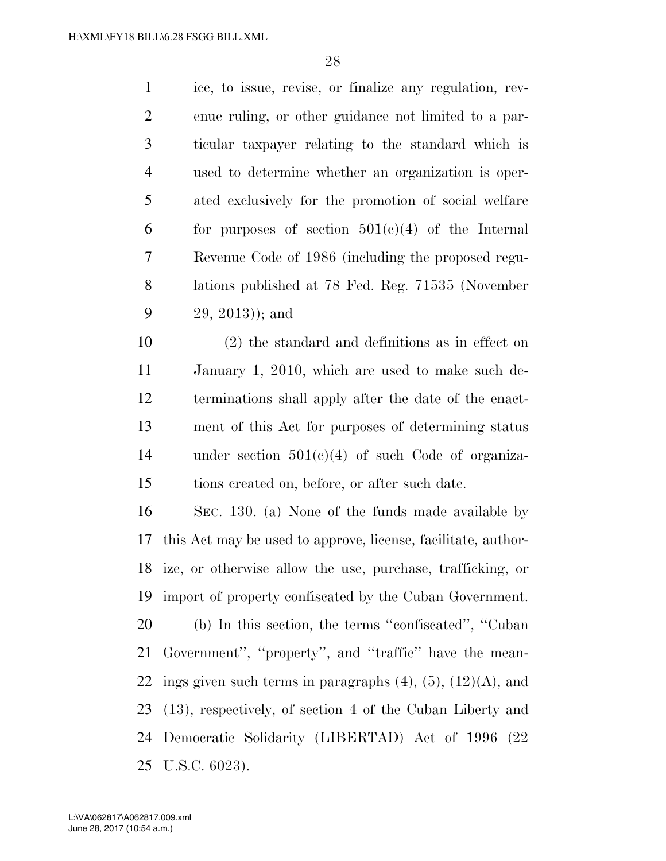ice, to issue, revise, or finalize any regulation, rev- enue ruling, or other guidance not limited to a par- ticular taxpayer relating to the standard which is used to determine whether an organization is oper- ated exclusively for the promotion of social welfare 6 for purposes of section  $501(e)(4)$  of the Internal Revenue Code of 1986 (including the proposed regu- lations published at 78 Fed. Reg. 71535 (November 29, 2013)); and

 (2) the standard and definitions as in effect on January 1, 2010, which are used to make such de- terminations shall apply after the date of the enact- ment of this Act for purposes of determining status under section 501(c)(4) of such Code of organiza-tions created on, before, or after such date.

 SEC. 130. (a) None of the funds made available by this Act may be used to approve, license, facilitate, author- ize, or otherwise allow the use, purchase, trafficking, or import of property confiscated by the Cuban Government. (b) In this section, the terms ''confiscated'', ''Cuban Government'', ''property'', and ''traffic'' have the mean-22 ings given such terms in paragraphs  $(4)$ ,  $(5)$ ,  $(12)(A)$ , and (13), respectively, of section 4 of the Cuban Liberty and Democratic Solidarity (LIBERTAD) Act of 1996 (22 U.S.C. 6023).

June 28, 2017 (10:54 a.m.) L:\VA\062817\A062817.009.xml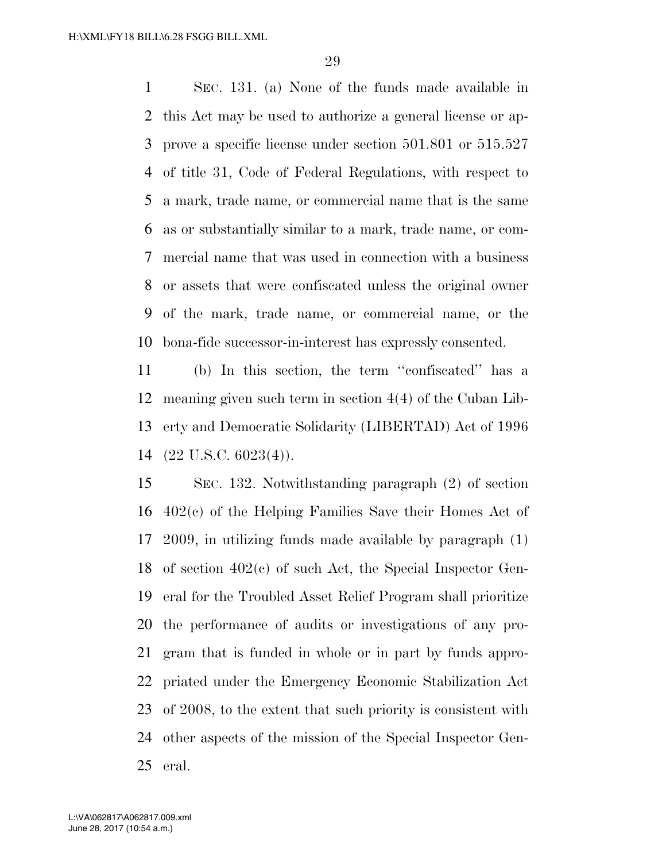SEC. 131. (a) None of the funds made available in this Act may be used to authorize a general license or ap- prove a specific license under section 501.801 or 515.527 of title 31, Code of Federal Regulations, with respect to a mark, trade name, or commercial name that is the same as or substantially similar to a mark, trade name, or com- mercial name that was used in connection with a business or assets that were confiscated unless the original owner of the mark, trade name, or commercial name, or the bona-fide successor-in-interest has expressly consented.

 (b) In this section, the term ''confiscated'' has a meaning given such term in section 4(4) of the Cuban Lib- erty and Democratic Solidarity (LIBERTAD) Act of 1996 (22 U.S.C. 6023(4)).

 SEC. 132. Notwithstanding paragraph (2) of section 402(c) of the Helping Families Save their Homes Act of 2009, in utilizing funds made available by paragraph (1) of section 402(c) of such Act, the Special Inspector Gen- eral for the Troubled Asset Relief Program shall prioritize the performance of audits or investigations of any pro- gram that is funded in whole or in part by funds appro- priated under the Emergency Economic Stabilization Act of 2008, to the extent that such priority is consistent with other aspects of the mission of the Special Inspector Gen-eral.

June 28, 2017 (10:54 a.m.) L:\VA\062817\A062817.009.xml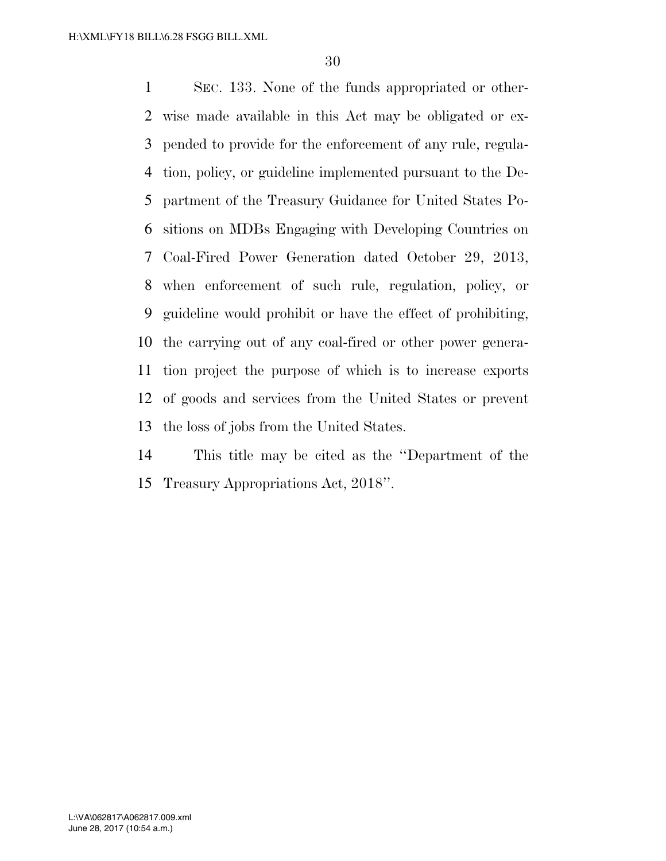SEC. 133. None of the funds appropriated or other- wise made available in this Act may be obligated or ex- pended to provide for the enforcement of any rule, regula- tion, policy, or guideline implemented pursuant to the De- partment of the Treasury Guidance for United States Po- sitions on MDBs Engaging with Developing Countries on Coal-Fired Power Generation dated October 29, 2013, when enforcement of such rule, regulation, policy, or guideline would prohibit or have the effect of prohibiting, the carrying out of any coal-fired or other power genera- tion project the purpose of which is to increase exports of goods and services from the United States or prevent the loss of jobs from the United States.

 This title may be cited as the ''Department of the Treasury Appropriations Act, 2018''.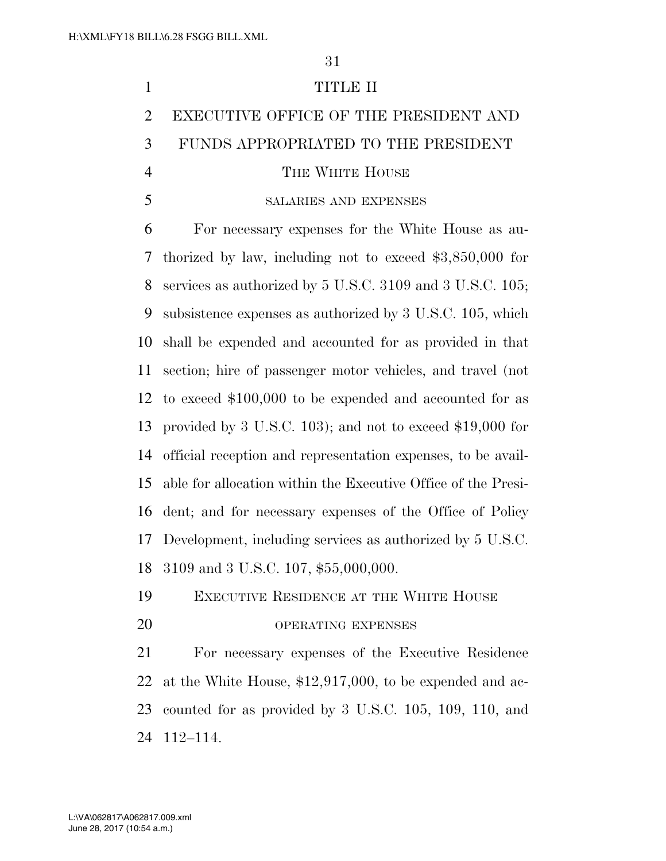## TITLE II EXECUTIVE OFFICE OF THE PRESIDENT AND FUNDS APPROPRIATED TO THE PRESIDENT 4 THE WHITE HOUSE SALARIES AND EXPENSES For necessary expenses for the White House as au- thorized by law, including not to exceed \$3,850,000 for services as authorized by 5 U.S.C. 3109 and 3 U.S.C. 105; subsistence expenses as authorized by 3 U.S.C. 105, which shall be expended and accounted for as provided in that section; hire of passenger motor vehicles, and travel (not to exceed \$100,000 to be expended and accounted for as provided by 3 U.S.C. 103); and not to exceed \$19,000 for official reception and representation expenses, to be avail- able for allocation within the Executive Office of the Presi- dent; and for necessary expenses of the Office of Policy Development, including services as authorized by 5 U.S.C. 3109 and 3 U.S.C. 107, \$55,000,000. EXECUTIVE RESIDENCE AT THE WHITE HOUSE 20 OPERATING EXPENSES For necessary expenses of the Executive Residence at the White House, \$12,917,000, to be expended and ac- counted for as provided by 3 U.S.C. 105, 109, 110, and 112–114.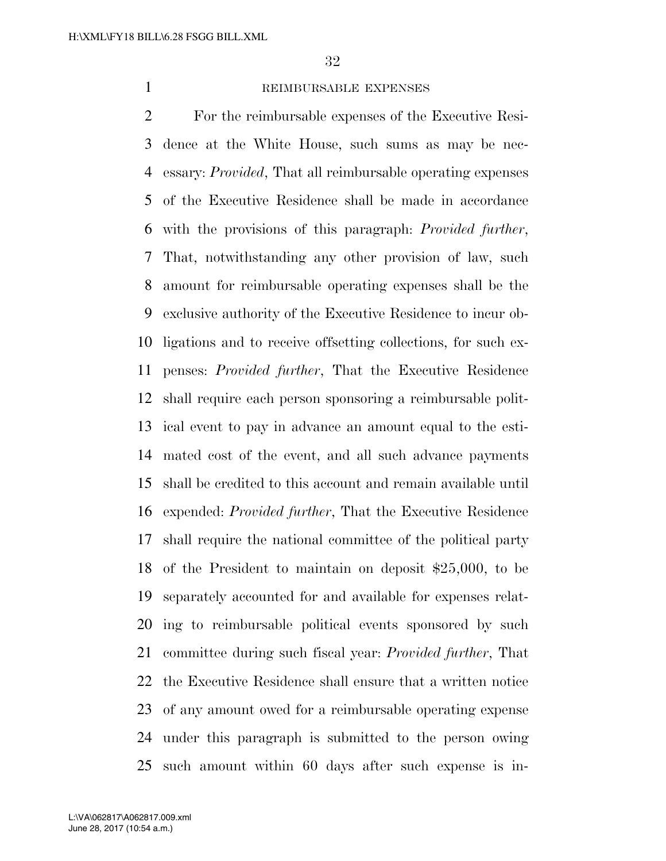#### REIMBURSABLE EXPENSES

 For the reimbursable expenses of the Executive Resi- dence at the White House, such sums as may be nec- essary: *Provided*, That all reimbursable operating expenses of the Executive Residence shall be made in accordance with the provisions of this paragraph: *Provided further*, That, notwithstanding any other provision of law, such amount for reimbursable operating expenses shall be the exclusive authority of the Executive Residence to incur ob- ligations and to receive offsetting collections, for such ex- penses: *Provided further*, That the Executive Residence shall require each person sponsoring a reimbursable polit- ical event to pay in advance an amount equal to the esti- mated cost of the event, and all such advance payments shall be credited to this account and remain available until expended: *Provided further*, That the Executive Residence shall require the national committee of the political party of the President to maintain on deposit \$25,000, to be separately accounted for and available for expenses relat- ing to reimbursable political events sponsored by such committee during such fiscal year: *Provided further*, That the Executive Residence shall ensure that a written notice of any amount owed for a reimbursable operating expense under this paragraph is submitted to the person owing such amount within 60 days after such expense is in-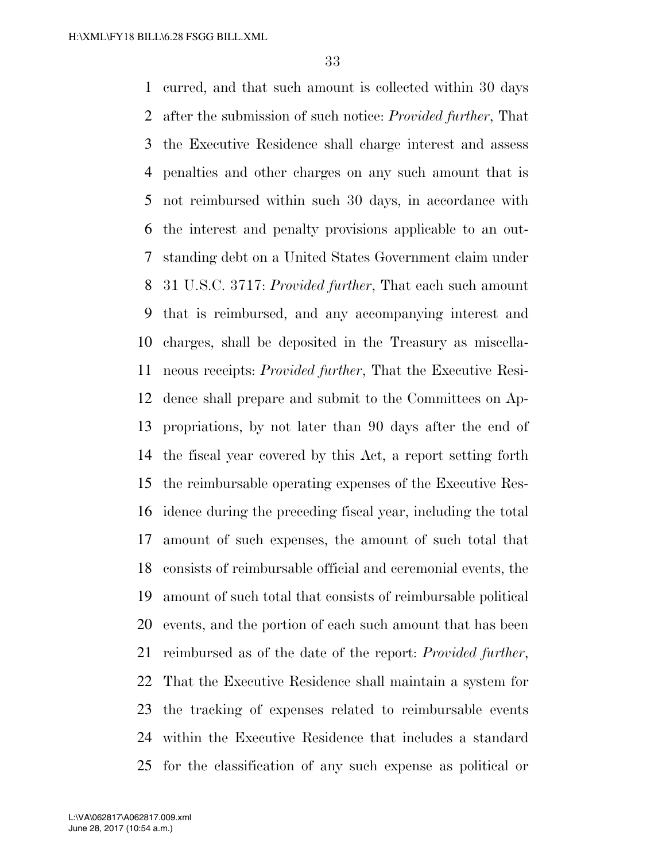curred, and that such amount is collected within 30 days after the submission of such notice: *Provided further*, That the Executive Residence shall charge interest and assess penalties and other charges on any such amount that is not reimbursed within such 30 days, in accordance with the interest and penalty provisions applicable to an out- standing debt on a United States Government claim under 31 U.S.C. 3717: *Provided further*, That each such amount that is reimbursed, and any accompanying interest and charges, shall be deposited in the Treasury as miscella- neous receipts: *Provided further*, That the Executive Resi- dence shall prepare and submit to the Committees on Ap- propriations, by not later than 90 days after the end of the fiscal year covered by this Act, a report setting forth the reimbursable operating expenses of the Executive Res- idence during the preceding fiscal year, including the total amount of such expenses, the amount of such total that consists of reimbursable official and ceremonial events, the amount of such total that consists of reimbursable political events, and the portion of each such amount that has been reimbursed as of the date of the report: *Provided further*, That the Executive Residence shall maintain a system for the tracking of expenses related to reimbursable events within the Executive Residence that includes a standard for the classification of any such expense as political or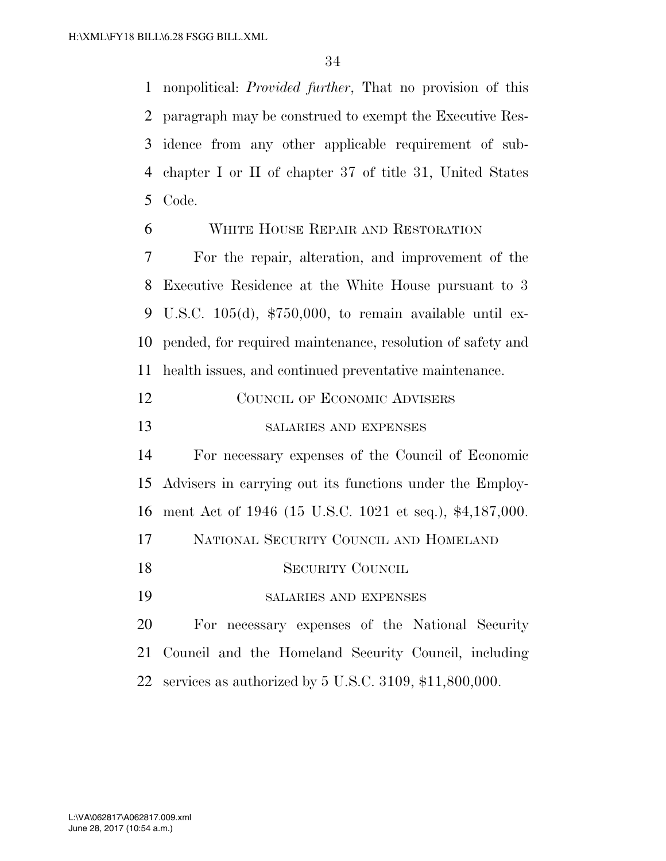nonpolitical: *Provided further*, That no provision of this paragraph may be construed to exempt the Executive Res- idence from any other applicable requirement of sub- chapter I or II of chapter 37 of title 31, United States Code.

WHITE HOUSE REPAIR AND RESTORATION

 For the repair, alteration, and improvement of the Executive Residence at the White House pursuant to 3 U.S.C. 105(d), \$750,000, to remain available until ex- pended, for required maintenance, resolution of safety and health issues, and continued preventative maintenance.

| 12 | COUNCIL OF ECONOMIC ADVISERS |
|----|------------------------------|
| 13 | SALARIES AND EXPENSES        |

 For necessary expenses of the Council of Economic Advisers in carrying out its functions under the Employ- ment Act of 1946 (15 U.S.C. 1021 et seq.), \$4,187,000. NATIONAL SECURITY COUNCIL AND HOMELAND

SECURITY COUNCIL

SALARIES AND EXPENSES

 For necessary expenses of the National Security Council and the Homeland Security Council, including services as authorized by 5 U.S.C. 3109, \$11,800,000.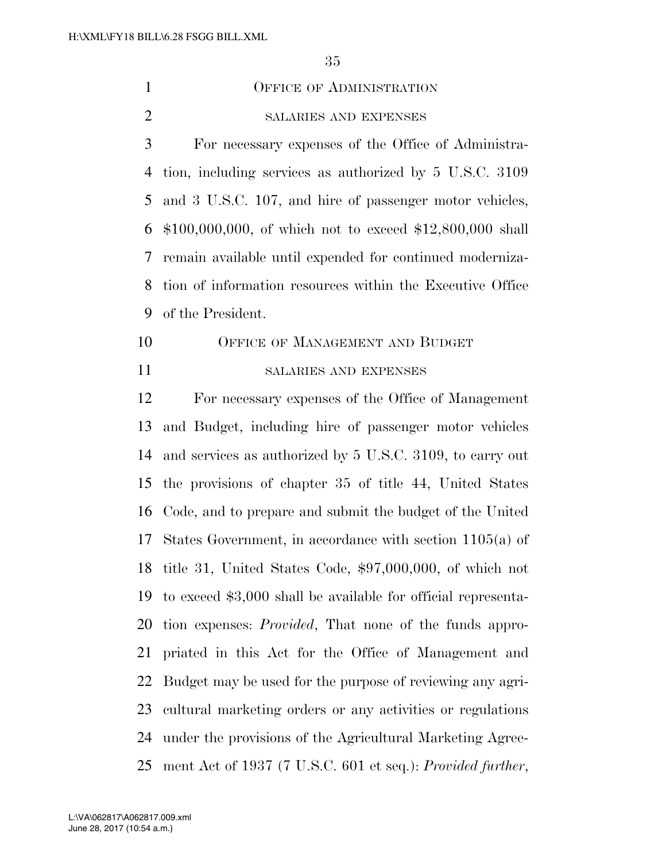| $\mathbf{1}$   | <b>OFFICE OF ADMINISTRATION</b>                                |
|----------------|----------------------------------------------------------------|
| $\overline{2}$ | SALARIES AND EXPENSES                                          |
| 3              | For necessary expenses of the Office of Administra-            |
| 4              | tion, including services as authorized by 5 U.S.C. 3109        |
| 5              | and 3 U.S.C. 107, and hire of passenger motor vehicles,        |
| 6              | $$100,000,000,$ of which not to exceed $$12,800,000$ shall     |
| 7              | remain available until expended for continued moderniza-       |
| 8              | tion of information resources within the Executive Office      |
| 9              | of the President.                                              |
| 10             | OFFICE OF MANAGEMENT AND BUDGET                                |
| 11             | SALARIES AND EXPENSES                                          |
| 12             | For necessary expenses of the Office of Management             |
| 13             | and Budget, including hire of passenger motor vehicles         |
| 14             | and services as authorized by 5 U.S.C. 3109, to carry out      |
| 15             | the provisions of chapter 35 of title 44, United States        |
| 16             | Code, and to prepare and submit the budget of the United       |
| 17             | States Government, in accordance with section $1105(a)$ of     |
|                | 18 title 31, United States Code, \$97,000,000, of which not    |
| 19             | to exceed \$3,000 shall be available for official representa-  |
| 20             | tion expenses: <i>Provided</i> , That none of the funds appro- |
| 21             | priated in this Act for the Office of Management and           |
| 22             | Budget may be used for the purpose of reviewing any agri-      |
| 23             | cultural marketing orders or any activities or regulations     |
| 24             | under the provisions of the Agricultural Marketing Agree-      |
| 25             | ment Act of 1937 (7 U.S.C. 601 et seq.): Provided further,     |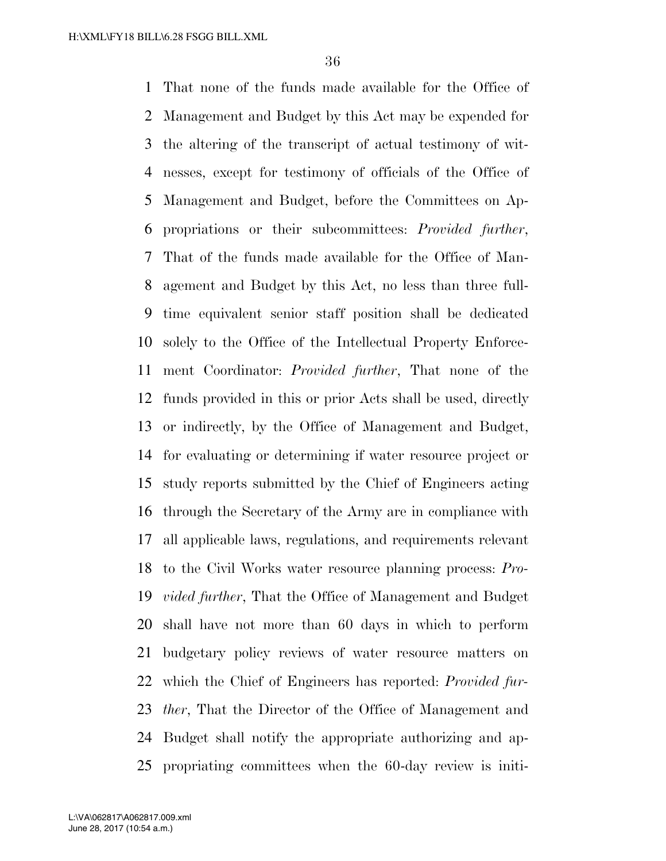That none of the funds made available for the Office of Management and Budget by this Act may be expended for the altering of the transcript of actual testimony of wit- nesses, except for testimony of officials of the Office of Management and Budget, before the Committees on Ap- propriations or their subcommittees: *Provided further*, That of the funds made available for the Office of Man- agement and Budget by this Act, no less than three full- time equivalent senior staff position shall be dedicated solely to the Office of the Intellectual Property Enforce- ment Coordinator: *Provided further*, That none of the funds provided in this or prior Acts shall be used, directly or indirectly, by the Office of Management and Budget, for evaluating or determining if water resource project or study reports submitted by the Chief of Engineers acting through the Secretary of the Army are in compliance with all applicable laws, regulations, and requirements relevant to the Civil Works water resource planning process: *Pro- vided further*, That the Office of Management and Budget shall have not more than 60 days in which to perform budgetary policy reviews of water resource matters on which the Chief of Engineers has reported: *Provided fur- ther*, That the Director of the Office of Management and Budget shall notify the appropriate authorizing and ap-propriating committees when the 60-day review is initi-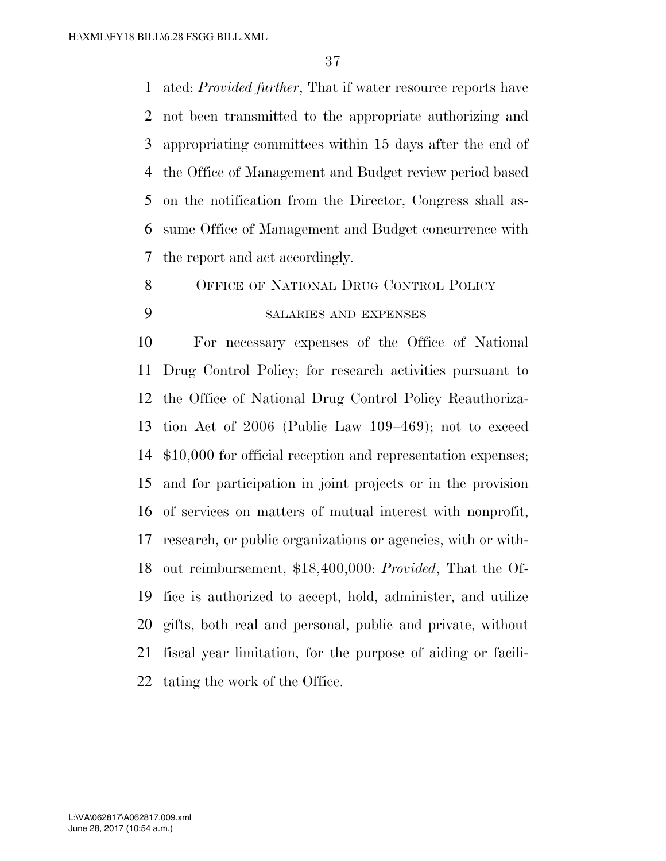ated: *Provided further*, That if water resource reports have not been transmitted to the appropriate authorizing and appropriating committees within 15 days after the end of the Office of Management and Budget review period based on the notification from the Director, Congress shall as- sume Office of Management and Budget concurrence with the report and act accordingly.

OFFICE OF NATIONAL DRUG CONTROL POLICY

## SALARIES AND EXPENSES

 For necessary expenses of the Office of National Drug Control Policy; for research activities pursuant to the Office of National Drug Control Policy Reauthoriza- tion Act of 2006 (Public Law 109–469); not to exceed \$10,000 for official reception and representation expenses; and for participation in joint projects or in the provision of services on matters of mutual interest with nonprofit, research, or public organizations or agencies, with or with- out reimbursement, \$18,400,000: *Provided*, That the Of- fice is authorized to accept, hold, administer, and utilize gifts, both real and personal, public and private, without fiscal year limitation, for the purpose of aiding or facili-tating the work of the Office.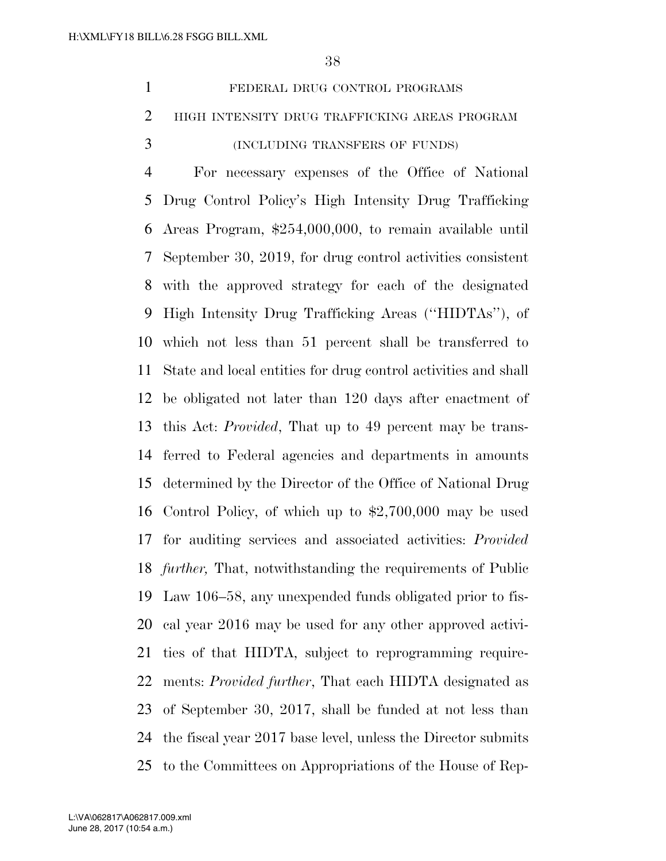|   | FEDERAL DRUG CONTROL PROGRAMS                   |
|---|-------------------------------------------------|
|   | 2 HIGH INTENSITY DRUG TRAFFICKING AREAS PROGRAM |
| 3 | (INCLUDING TRANSFERS OF FUNDS)                  |

 For necessary expenses of the Office of National Drug Control Policy's High Intensity Drug Trafficking Areas Program, \$254,000,000, to remain available until September 30, 2019, for drug control activities consistent with the approved strategy for each of the designated High Intensity Drug Trafficking Areas (''HIDTAs''), of which not less than 51 percent shall be transferred to State and local entities for drug control activities and shall be obligated not later than 120 days after enactment of this Act: *Provided*, That up to 49 percent may be trans- ferred to Federal agencies and departments in amounts determined by the Director of the Office of National Drug Control Policy, of which up to \$2,700,000 may be used for auditing services and associated activities: *Provided further,* That, notwithstanding the requirements of Public Law 106–58, any unexpended funds obligated prior to fis- cal year 2016 may be used for any other approved activi- ties of that HIDTA, subject to reprogramming require- ments: *Provided further*, That each HIDTA designated as of September 30, 2017, shall be funded at not less than the fiscal year 2017 base level, unless the Director submits to the Committees on Appropriations of the House of Rep-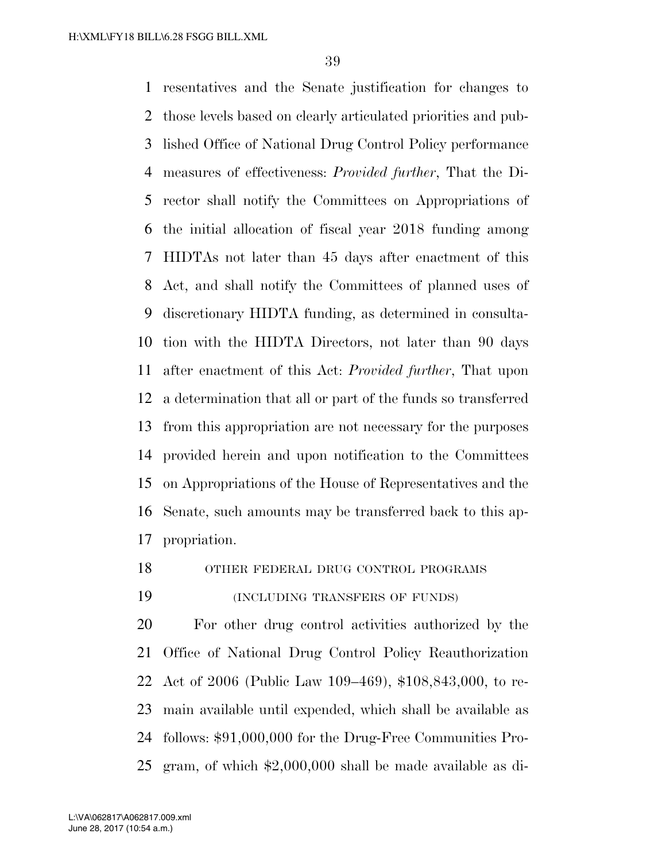resentatives and the Senate justification for changes to those levels based on clearly articulated priorities and pub- lished Office of National Drug Control Policy performance measures of effectiveness: *Provided further*, That the Di- rector shall notify the Committees on Appropriations of the initial allocation of fiscal year 2018 funding among HIDTAs not later than 45 days after enactment of this Act, and shall notify the Committees of planned uses of discretionary HIDTA funding, as determined in consulta- tion with the HIDTA Directors, not later than 90 days after enactment of this Act: *Provided further*, That upon a determination that all or part of the funds so transferred from this appropriation are not necessary for the purposes provided herein and upon notification to the Committees on Appropriations of the House of Representatives and the Senate, such amounts may be transferred back to this ap-propriation.

### OTHER FEDERAL DRUG CONTROL PROGRAMS

(INCLUDING TRANSFERS OF FUNDS)

 For other drug control activities authorized by the Office of National Drug Control Policy Reauthorization Act of 2006 (Public Law 109–469), \$108,843,000, to re- main available until expended, which shall be available as follows: \$91,000,000 for the Drug-Free Communities Pro-gram, of which \$2,000,000 shall be made available as di-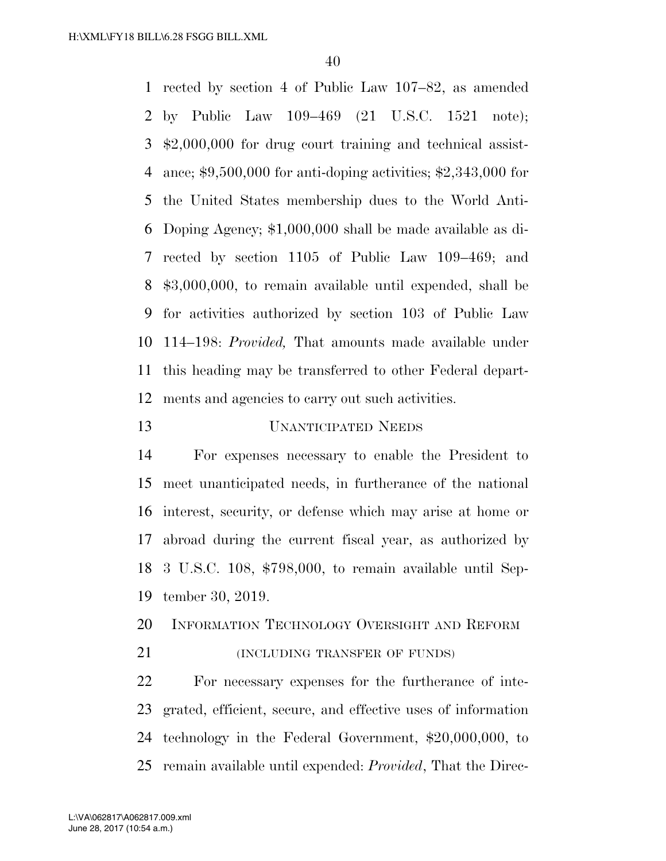rected by section 4 of Public Law 107–82, as amended by Public Law 109–469 (21 U.S.C. 1521 note); \$2,000,000 for drug court training and technical assist- ance; \$9,500,000 for anti-doping activities; \$2,343,000 for the United States membership dues to the World Anti- Doping Agency; \$1,000,000 shall be made available as di- rected by section 1105 of Public Law 109–469; and \$3,000,000, to remain available until expended, shall be for activities authorized by section 103 of Public Law 114–198: *Provided,* That amounts made available under this heading may be transferred to other Federal depart-ments and agencies to carry out such activities.

# UNANTICIPATED NEEDS

 For expenses necessary to enable the President to meet unanticipated needs, in furtherance of the national interest, security, or defense which may arise at home or abroad during the current fiscal year, as authorized by 3 U.S.C. 108, \$798,000, to remain available until Sep-tember 30, 2019.

INFORMATION TECHNOLOGY OVERSIGHT AND REFORM

**(INCLUDING TRANSFER OF FUNDS)** 

 For necessary expenses for the furtherance of inte- grated, efficient, secure, and effective uses of information technology in the Federal Government, \$20,000,000, to remain available until expended: *Provided*, That the Direc-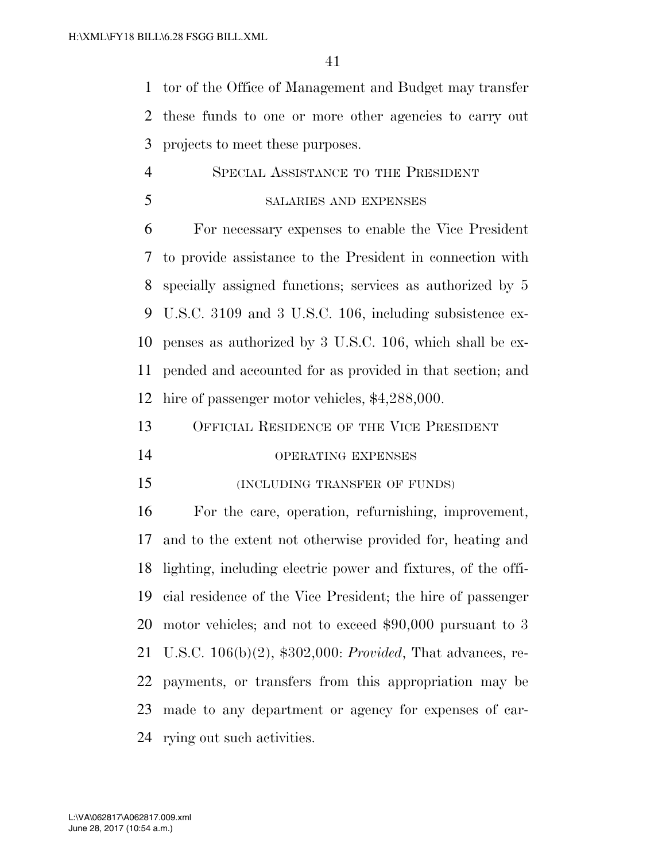tor of the Office of Management and Budget may transfer these funds to one or more other agencies to carry out projects to meet these purposes.

# SPECIAL ASSISTANCE TO THE PRESIDENT

SALARIES AND EXPENSES

 For necessary expenses to enable the Vice President to provide assistance to the President in connection with specially assigned functions; services as authorized by 5 U.S.C. 3109 and 3 U.S.C. 106, including subsistence ex- penses as authorized by 3 U.S.C. 106, which shall be ex- pended and accounted for as provided in that section; and hire of passenger motor vehicles, \$4,288,000.

OFFICIAL RESIDENCE OF THE VICE PRESIDENT

- OPERATING EXPENSES
- (INCLUDING TRANSFER OF FUNDS)

 For the care, operation, refurnishing, improvement, and to the extent not otherwise provided for, heating and lighting, including electric power and fixtures, of the offi- cial residence of the Vice President; the hire of passenger motor vehicles; and not to exceed \$90,000 pursuant to 3 U.S.C. 106(b)(2), \$302,000: *Provided*, That advances, re- payments, or transfers from this appropriation may be made to any department or agency for expenses of car-rying out such activities.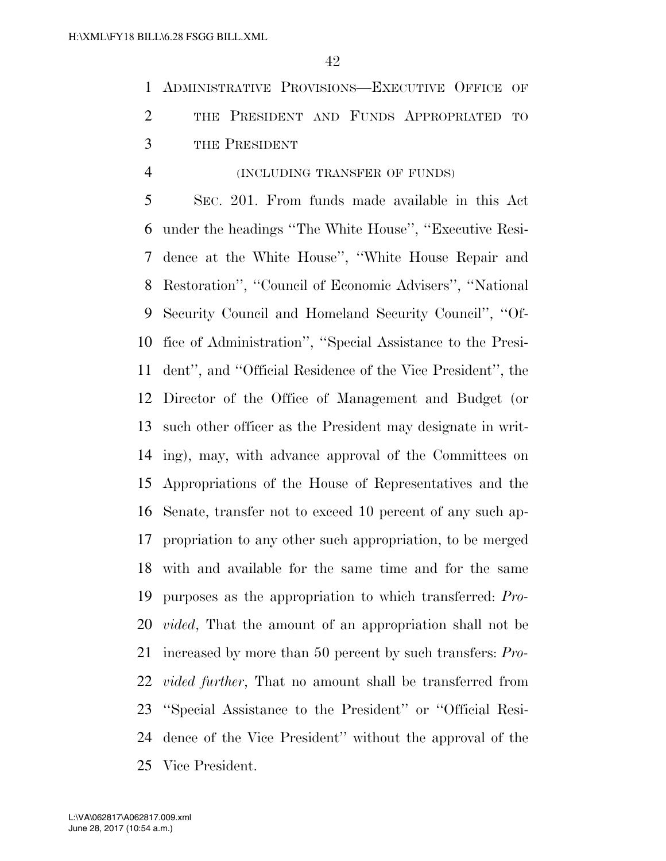ADMINISTRATIVE PROVISIONS—EXECUTIVE OFFICE OF 2 THE PRESIDENT AND FUNDS APPROPRIATED TO THE PRESIDENT

### (INCLUDING TRANSFER OF FUNDS)

 SEC. 201. From funds made available in this Act under the headings ''The White House'', ''Executive Resi- dence at the White House'', ''White House Repair and Restoration'', ''Council of Economic Advisers'', ''National Security Council and Homeland Security Council'', ''Of- fice of Administration'', ''Special Assistance to the Presi- dent'', and ''Official Residence of the Vice President'', the Director of the Office of Management and Budget (or such other officer as the President may designate in writ- ing), may, with advance approval of the Committees on Appropriations of the House of Representatives and the Senate, transfer not to exceed 10 percent of any such ap- propriation to any other such appropriation, to be merged with and available for the same time and for the same purposes as the appropriation to which transferred: *Pro- vided*, That the amount of an appropriation shall not be increased by more than 50 percent by such transfers: *Pro- vided further*, That no amount shall be transferred from ''Special Assistance to the President'' or ''Official Resi- dence of the Vice President'' without the approval of the Vice President.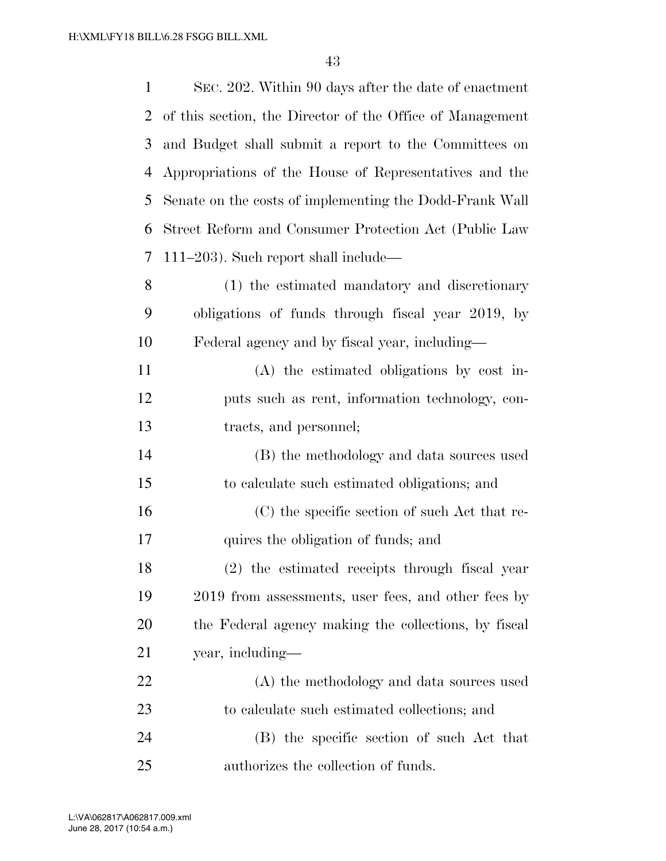| $\mathbf{1}$   | SEC. 202. Within 90 days after the date of enactment      |
|----------------|-----------------------------------------------------------|
| $\overline{2}$ | of this section, the Director of the Office of Management |
| 3              | and Budget shall submit a report to the Committees on     |
| $\overline{4}$ | Appropriations of the House of Representatives and the    |
| 5              | Senate on the costs of implementing the Dodd-Frank Wall   |
| 6              | Street Reform and Consumer Protection Act (Public Law     |
| 7              | $111-203$ ). Such report shall include—                   |
| 8              | (1) the estimated mandatory and discretionary             |
| 9              | obligations of funds through fiscal year 2019, by         |
| 10             | Federal agency and by fiscal year, including—             |
| 11             | (A) the estimated obligations by cost in-                 |
| 12             | puts such as rent, information technology, con-           |
| 13             | tracts, and personnel;                                    |
| 14             | (B) the methodology and data sources used                 |
| 15             | to calculate such estimated obligations; and              |
| 16             | (C) the specific section of such Act that re-             |
| 17             | quires the obligation of funds; and                       |
| 18             | (2) the estimated receipts through fiscal year            |
| 19             | 2019 from assessments, user fees, and other fees by       |
| 20             | the Federal agency making the collections, by fiscal      |
| 21             | year, including—                                          |
| 22             | (A) the methodology and data sources used                 |
| 23             | to calculate such estimated collections; and              |
| 24             | (B) the specific section of such Act that                 |
| 25             | authorizes the collection of funds.                       |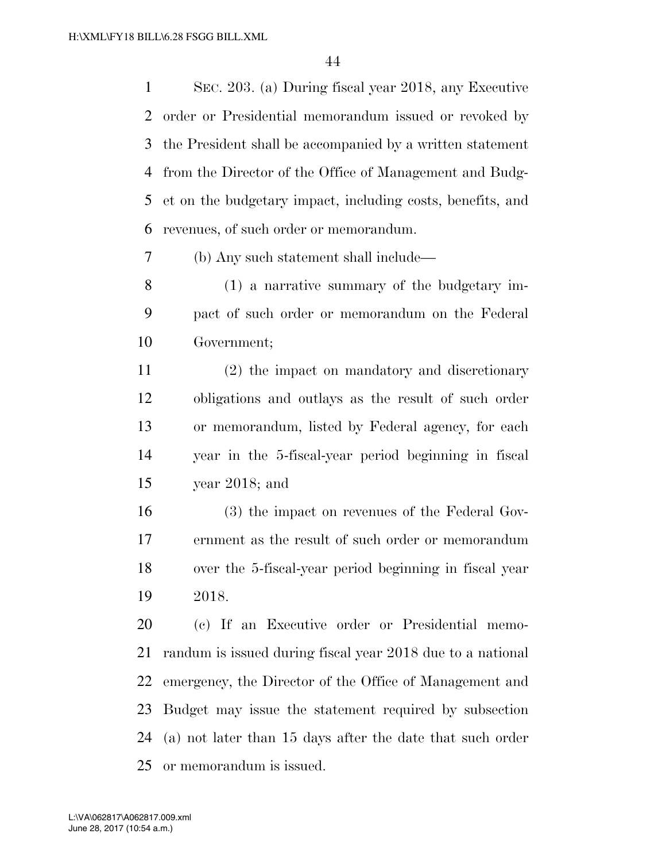SEC. 203. (a) During fiscal year 2018, any Executive order or Presidential memorandum issued or revoked by the President shall be accompanied by a written statement from the Director of the Office of Management and Budg- et on the budgetary impact, including costs, benefits, and revenues, of such order or memorandum.

(b) Any such statement shall include—

 (1) a narrative summary of the budgetary im- pact of such order or memorandum on the Federal Government;

 (2) the impact on mandatory and discretionary obligations and outlays as the result of such order or memorandum, listed by Federal agency, for each year in the 5-fiscal-year period beginning in fiscal year 2018; and

 (3) the impact on revenues of the Federal Gov- ernment as the result of such order or memorandum over the 5-fiscal-year period beginning in fiscal year 2018.

 (c) If an Executive order or Presidential memo- randum is issued during fiscal year 2018 due to a national emergency, the Director of the Office of Management and Budget may issue the statement required by subsection (a) not later than 15 days after the date that such order or memorandum is issued.

June 28, 2017 (10:54 a.m.) L:\VA\062817\A062817.009.xml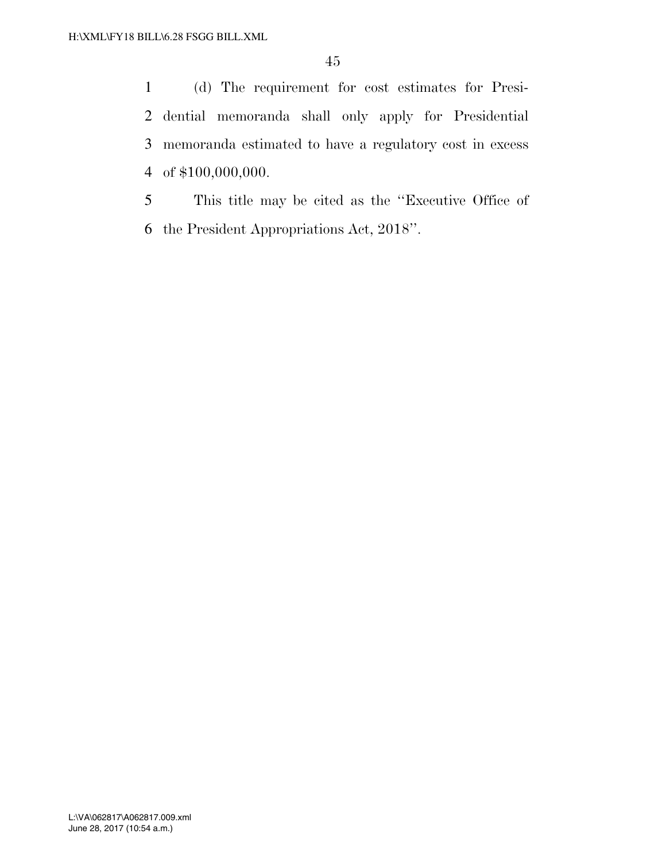(d) The requirement for cost estimates for Presi- dential memoranda shall only apply for Presidential memoranda estimated to have a regulatory cost in excess of \$100,000,000.

 This title may be cited as the ''Executive Office of the President Appropriations Act, 2018''.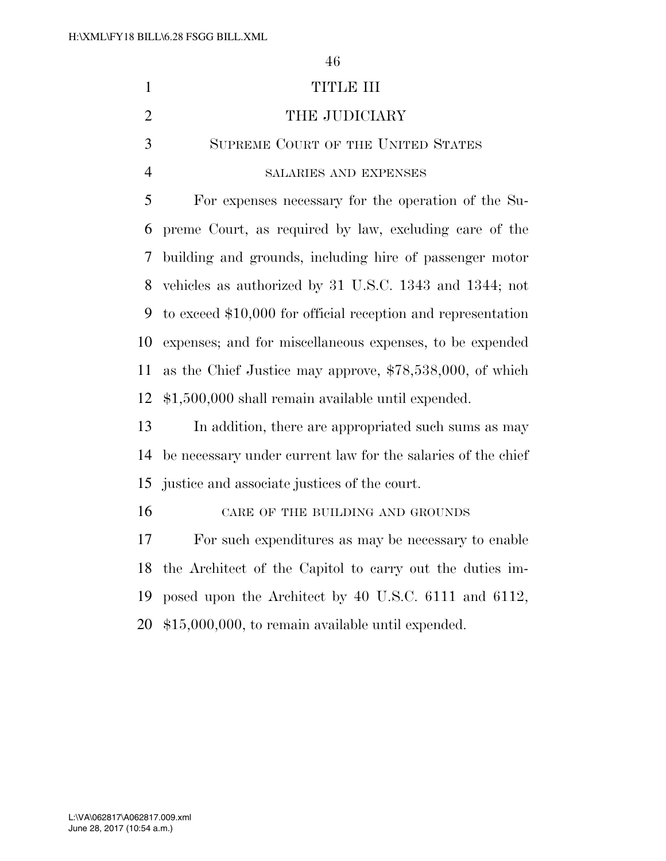1 TITLE III 2 THE JUDICIARY SUPREME COURT OF THE UNITED STATES SALARIES AND EXPENSES For expenses necessary for the operation of the Su- preme Court, as required by law, excluding care of the building and grounds, including hire of passenger motor vehicles as authorized by 31 U.S.C. 1343 and 1344; not to exceed \$10,000 for official reception and representation expenses; and for miscellaneous expenses, to be expended as the Chief Justice may approve, \$78,538,000, of which \$1,500,000 shall remain available until expended.

 In addition, there are appropriated such sums as may be necessary under current law for the salaries of the chief justice and associate justices of the court.

16 CARE OF THE BUILDING AND GROUNDS

 For such expenditures as may be necessary to enable the Architect of the Capitol to carry out the duties im- posed upon the Architect by 40 U.S.C. 6111 and 6112, \$15,000,000, to remain available until expended.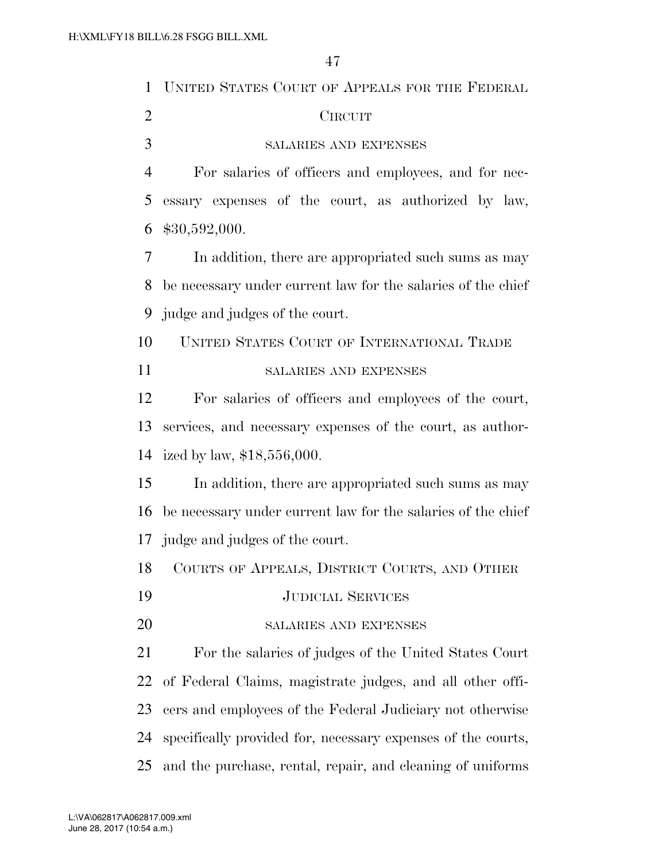| UNITED STATES COURT OF APPEALS FOR THE FEDERAL               |
|--------------------------------------------------------------|
| <b>CIRCUIT</b>                                               |
| SALARIES AND EXPENSES                                        |
| For salaries of officers and employees, and for nec-         |
| essary expenses of the court, as authorized by law,          |
| \$30,592,000.                                                |
| In addition, there are appropriated such sums as may         |
| be necessary under current law for the salaries of the chief |
| judge and judges of the court.                               |
| UNITED STATES COURT OF INTERNATIONAL TRADE                   |
| <b>SALARIES AND EXPENSES</b>                                 |
| For salaries of officers and employees of the court,         |
| services, and necessary expenses of the court, as author-    |
| ized by law, \$18,556,000.                                   |
| In addition, there are appropriated such sums as may         |
| be necessary under current law for the salaries of the chief |
| 17 judge and judges of the court.                            |
| COURTS OF APPEALS, DISTRICT COURTS, AND OTHER                |
| <b>JUDICIAL SERVICES</b>                                     |
| SALARIES AND EXPENSES                                        |
| For the salaries of judges of the United States Court        |
| of Federal Claims, magistrate judges, and all other offi-    |
| cers and employees of the Federal Judiciary not otherwise    |
| specifically provided for, necessary expenses of the courts, |
| and the purchase, rental, repair, and cleaning of uniforms   |
|                                                              |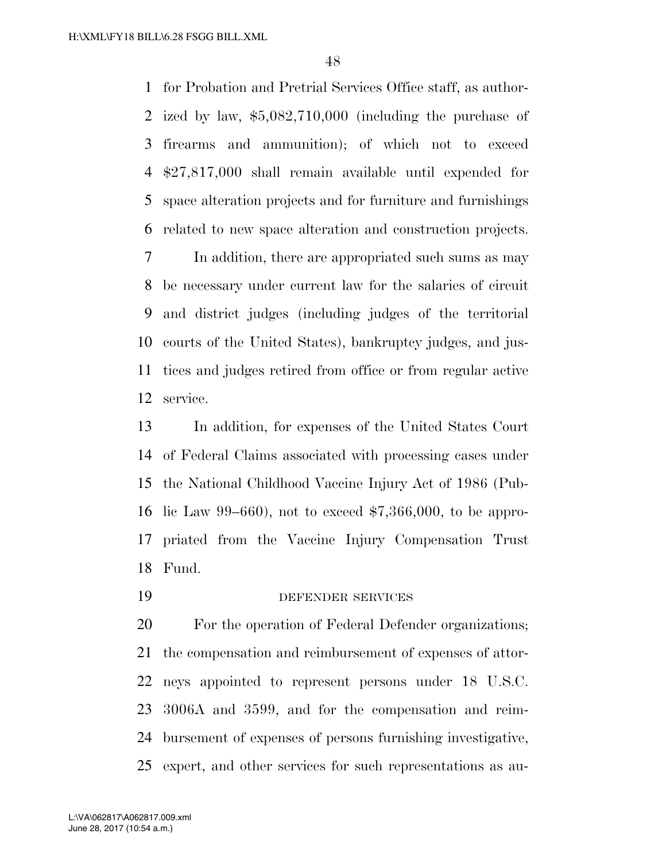for Probation and Pretrial Services Office staff, as author- ized by law, \$5,082,710,000 (including the purchase of firearms and ammunition); of which not to exceed \$27,817,000 shall remain available until expended for space alteration projects and for furniture and furnishings related to new space alteration and construction projects.

 In addition, there are appropriated such sums as may be necessary under current law for the salaries of circuit and district judges (including judges of the territorial courts of the United States), bankruptcy judges, and jus- tices and judges retired from office or from regular active service.

 In addition, for expenses of the United States Court of Federal Claims associated with processing cases under the National Childhood Vaccine Injury Act of 1986 (Pub- lic Law 99–660), not to exceed \$7,366,000, to be appro- priated from the Vaccine Injury Compensation Trust Fund.

DEFENDER SERVICES

 For the operation of Federal Defender organizations; the compensation and reimbursement of expenses of attor- neys appointed to represent persons under 18 U.S.C. 3006A and 3599, and for the compensation and reim- bursement of expenses of persons furnishing investigative, expert, and other services for such representations as au-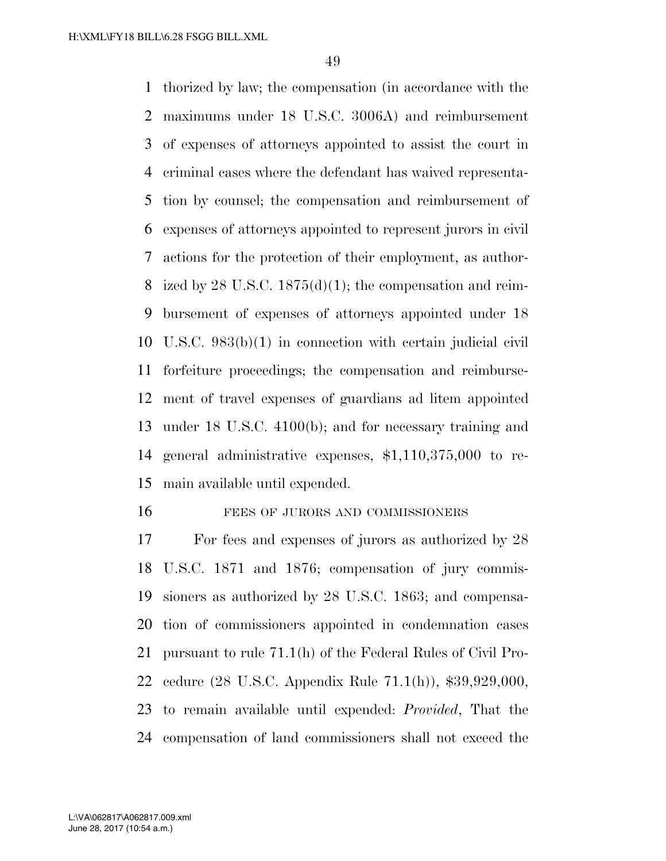thorized by law; the compensation (in accordance with the maximums under 18 U.S.C. 3006A) and reimbursement of expenses of attorneys appointed to assist the court in criminal cases where the defendant has waived representa- tion by counsel; the compensation and reimbursement of expenses of attorneys appointed to represent jurors in civil actions for the protection of their employment, as author-8 ized by 28 U.S.C.  $1875(d)(1)$ ; the compensation and reim- bursement of expenses of attorneys appointed under 18 U.S.C. 983(b)(1) in connection with certain judicial civil forfeiture proceedings; the compensation and reimburse- ment of travel expenses of guardians ad litem appointed under 18 U.S.C. 4100(b); and for necessary training and general administrative expenses, \$1,110,375,000 to re-main available until expended.

#### 16 FEES OF JURORS AND COMMISSIONERS

 For fees and expenses of jurors as authorized by 28 U.S.C. 1871 and 1876; compensation of jury commis- sioners as authorized by 28 U.S.C. 1863; and compensa- tion of commissioners appointed in condemnation cases pursuant to rule 71.1(h) of the Federal Rules of Civil Pro- cedure (28 U.S.C. Appendix Rule 71.1(h)), \$39,929,000, to remain available until expended: *Provided*, That the compensation of land commissioners shall not exceed the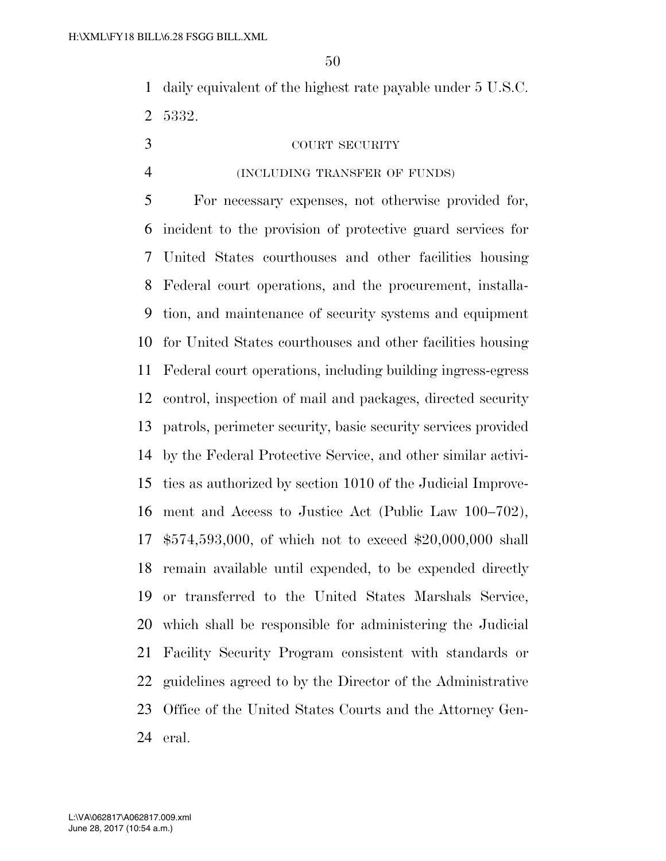daily equivalent of the highest rate payable under 5 U.S.C. 5332.

#### COURT SECURITY

(INCLUDING TRANSFER OF FUNDS)

 For necessary expenses, not otherwise provided for, incident to the provision of protective guard services for United States courthouses and other facilities housing Federal court operations, and the procurement, installa- tion, and maintenance of security systems and equipment for United States courthouses and other facilities housing Federal court operations, including building ingress-egress control, inspection of mail and packages, directed security patrols, perimeter security, basic security services provided by the Federal Protective Service, and other similar activi- ties as authorized by section 1010 of the Judicial Improve- ment and Access to Justice Act (Public Law 100–702), \$574,593,000, of which not to exceed \$20,000,000 shall remain available until expended, to be expended directly or transferred to the United States Marshals Service, which shall be responsible for administering the Judicial Facility Security Program consistent with standards or guidelines agreed to by the Director of the Administrative Office of the United States Courts and the Attorney Gen-eral.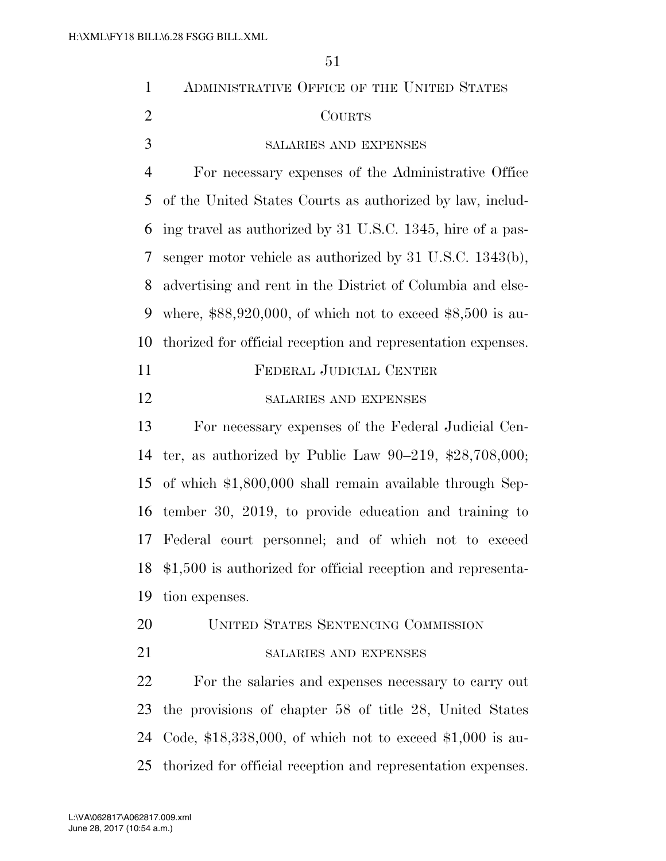| $\mathbf{1}$   | ADMINISTRATIVE OFFICE OF THE UNITED STATES                    |
|----------------|---------------------------------------------------------------|
| $\overline{2}$ | <b>COURTS</b>                                                 |
| 3              | SALARIES AND EXPENSES                                         |
| $\overline{4}$ | For necessary expenses of the Administrative Office           |
| 5              | of the United States Courts as authorized by law, includ-     |
| 6              | ing travel as authorized by 31 U.S.C. 1345, hire of a pas-    |
| 7              | senger motor vehicle as authorized by $31$ U.S.C. $1343(b)$ , |
| 8              | advertising and rent in the District of Columbia and else-    |
| 9              | where, $$88,920,000$ , of which not to exceed $$8,500$ is au- |
| 10             | thorized for official reception and representation expenses.  |
| 11             | FEDERAL JUDICIAL CENTER                                       |
| 12             | SALARIES AND EXPENSES                                         |
| 13             | For necessary expenses of the Federal Judicial Cen-           |
| 14             | ter, as authorized by Public Law $90-219$ , \$28,708,000;     |
| 15             | of which \$1,800,000 shall remain available through Sep-      |
| 16             | tember 30, 2019, to provide education and training to         |
| 17             | Federal court personnel; and of which not to exceed           |
| 18             | $$1,500$ is authorized for official reception and representa- |
| 19             | tion expenses.                                                |
| 20             | UNITED STATES SENTENCING COMMISSION                           |
| 21             | SALARIES AND EXPENSES                                         |
| 22             | For the salaries and expenses necessary to carry out          |
| 23             | the provisions of chapter 58 of title 28, United States       |
| 24             | Code, \$18,338,000, of which not to exceed $$1,000$ is au-    |
| 25             | thorized for official reception and representation expenses.  |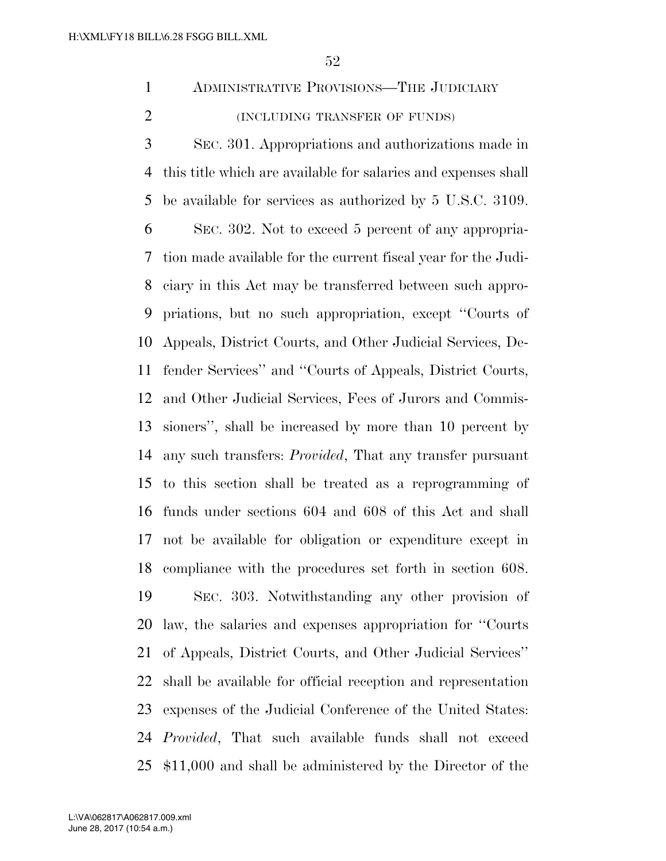- ADMINISTRATIVE PROVISIONS—THE JUDICIARY (INCLUDING TRANSFER OF FUNDS)
- SEC. 301. Appropriations and authorizations made in this title which are available for salaries and expenses shall be available for services as authorized by 5 U.S.C. 3109. SEC. 302. Not to exceed 5 percent of any appropria- tion made available for the current fiscal year for the Judi- ciary in this Act may be transferred between such appro- priations, but no such appropriation, except ''Courts of Appeals, District Courts, and Other Judicial Services, De- fender Services'' and ''Courts of Appeals, District Courts, and Other Judicial Services, Fees of Jurors and Commis- sioners'', shall be increased by more than 10 percent by any such transfers: *Provided*, That any transfer pursuant to this section shall be treated as a reprogramming of funds under sections 604 and 608 of this Act and shall not be available for obligation or expenditure except in compliance with the procedures set forth in section 608. SEC. 303. Notwithstanding any other provision of law, the salaries and expenses appropriation for ''Courts

 of Appeals, District Courts, and Other Judicial Services'' shall be available for official reception and representation expenses of the Judicial Conference of the United States: *Provided*, That such available funds shall not exceed \$11,000 and shall be administered by the Director of the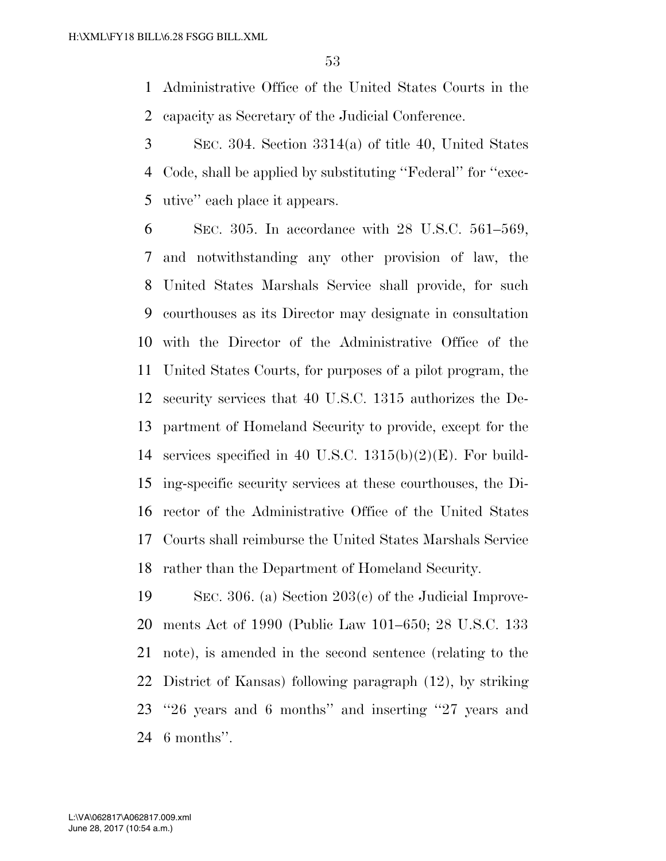Administrative Office of the United States Courts in the capacity as Secretary of the Judicial Conference.

 SEC. 304. Section 3314(a) of title 40, United States Code, shall be applied by substituting ''Federal'' for ''exec-utive'' each place it appears.

 SEC. 305. In accordance with 28 U.S.C. 561–569, and notwithstanding any other provision of law, the United States Marshals Service shall provide, for such courthouses as its Director may designate in consultation with the Director of the Administrative Office of the United States Courts, for purposes of a pilot program, the security services that 40 U.S.C. 1315 authorizes the De- partment of Homeland Security to provide, except for the services specified in 40 U.S.C. 1315(b)(2)(E). For build- ing-specific security services at these courthouses, the Di- rector of the Administrative Office of the United States Courts shall reimburse the United States Marshals Service rather than the Department of Homeland Security.

 SEC. 306. (a) Section 203(c) of the Judicial Improve- ments Act of 1990 (Public Law 101–650; 28 U.S.C. 133 note), is amended in the second sentence (relating to the District of Kansas) following paragraph (12), by striking ''26 years and 6 months'' and inserting ''27 years and 6 months''.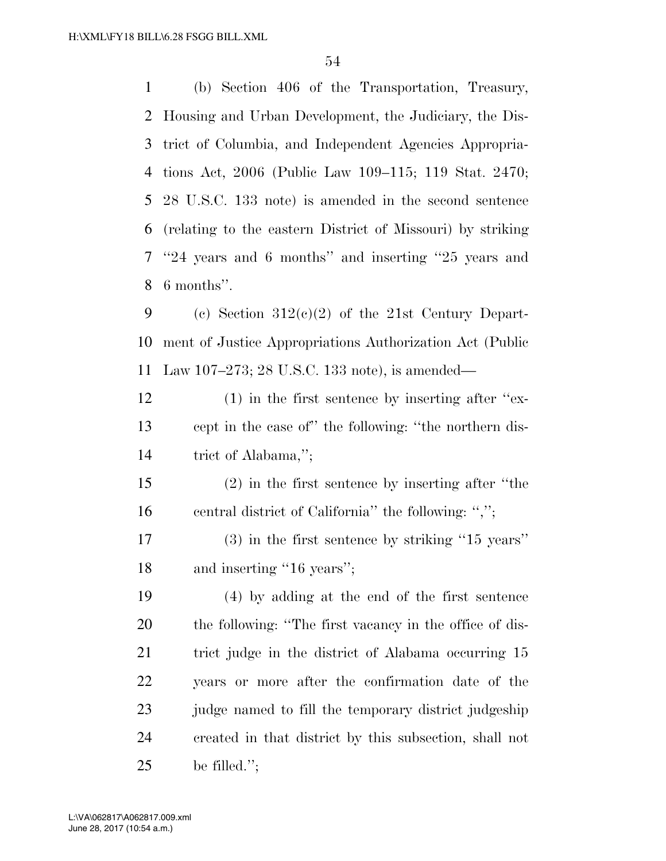(b) Section 406 of the Transportation, Treasury, Housing and Urban Development, the Judiciary, the Dis- trict of Columbia, and Independent Agencies Appropria- tions Act, 2006 (Public Law 109–115; 119 Stat. 2470; 28 U.S.C. 133 note) is amended in the second sentence (relating to the eastern District of Missouri) by striking ''24 years and 6 months'' and inserting ''25 years and 6 months''.

9 (c) Section  $312(c)(2)$  of the 21st Century Depart- ment of Justice Appropriations Authorization Act (Public Law 107–273; 28 U.S.C. 133 note), is amended—

 (1) in the first sentence by inserting after ''ex- cept in the case of'' the following: ''the northern dis-trict of Alabama,'';

 (2) in the first sentence by inserting after ''the 16 central district of California'' the following: ",";

 (3) in the first sentence by striking ''15 years'' 18 and inserting "16 years";

 (4) by adding at the end of the first sentence the following: ''The first vacancy in the office of dis-21 trict judge in the district of Alabama occurring 15 years or more after the confirmation date of the judge named to fill the temporary district judgeship created in that district by this subsection, shall not be filled.'';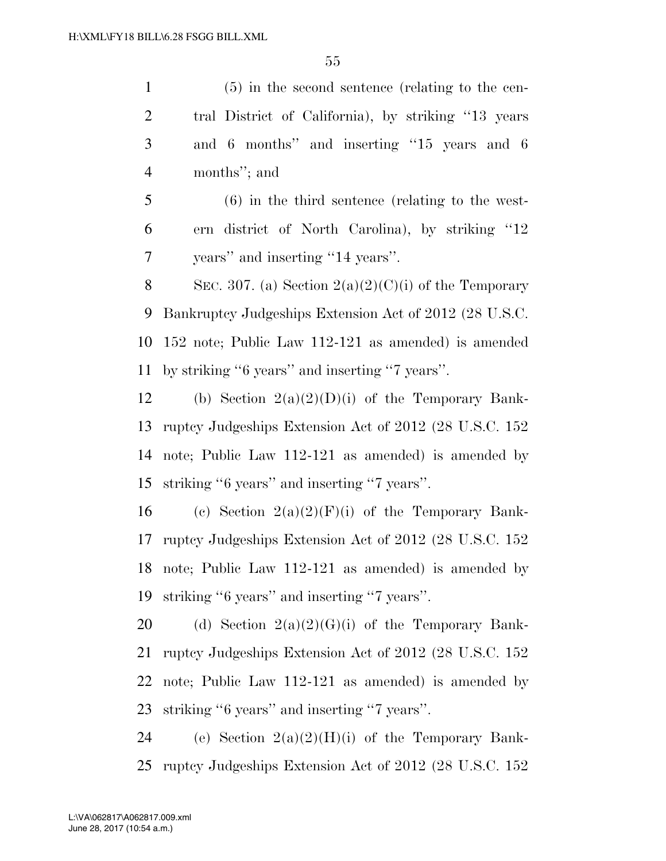(5) in the second sentence (relating to the cen- tral District of California), by striking ''13 years and 6 months'' and inserting ''15 years and 6 months''; and (6) in the third sentence (relating to the west- ern district of North Carolina), by striking ''12 years'' and inserting ''14 years''. 8 SEC. 307. (a) Section  $2(a)(2)(C)(i)$  of the Temporary Bankruptcy Judgeships Extension Act of 2012 (28 U.S.C. 152 note; Public Law 112-121 as amended) is amended by striking ''6 years'' and inserting ''7 years''. 12 (b) Section  $2(a)(2)(D)(i)$  of the Temporary Bank- ruptcy Judgeships Extension Act of 2012 (28 U.S.C. 152 note; Public Law 112-121 as amended) is amended by striking ''6 years'' and inserting ''7 years''. 16 (c) Section  $2(a)(2)(F)(i)$  of the Temporary Bank-

 ruptcy Judgeships Extension Act of 2012 (28 U.S.C. 152 note; Public Law 112-121 as amended) is amended by striking ''6 years'' and inserting ''7 years''.

20 (d) Section  $2(a)(2)(G)(i)$  of the Temporary Bank- ruptcy Judgeships Extension Act of 2012 (28 U.S.C. 152 note; Public Law 112-121 as amended) is amended by striking ''6 years'' and inserting ''7 years''.

24 (e) Section  $2(a)(2)(H)(i)$  of the Temporary Bank-ruptcy Judgeships Extension Act of 2012 (28 U.S.C. 152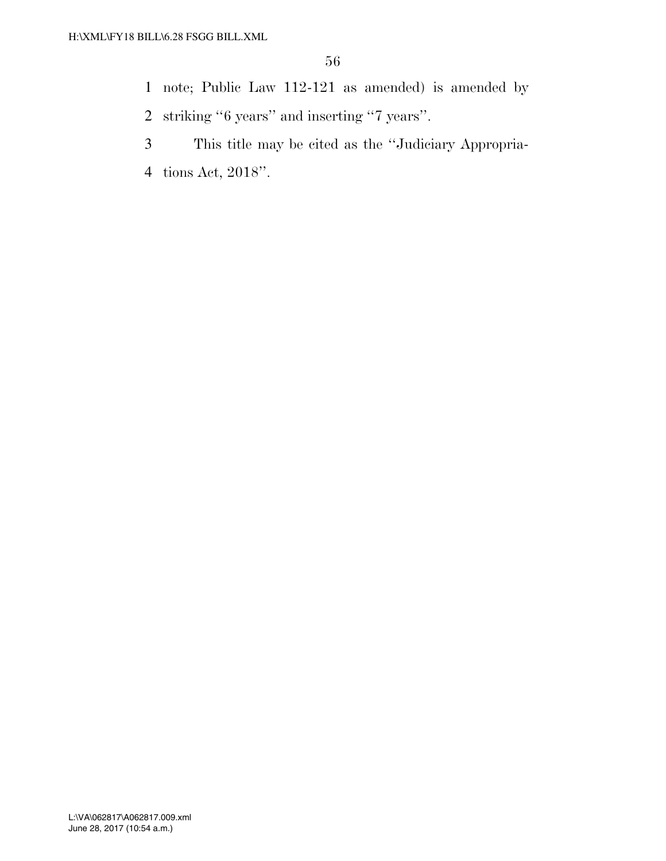- note; Public Law 112-121 as amended) is amended by
- striking ''6 years'' and inserting ''7 years''.
- This title may be cited as the ''Judiciary Appropria-
- tions Act, 2018''.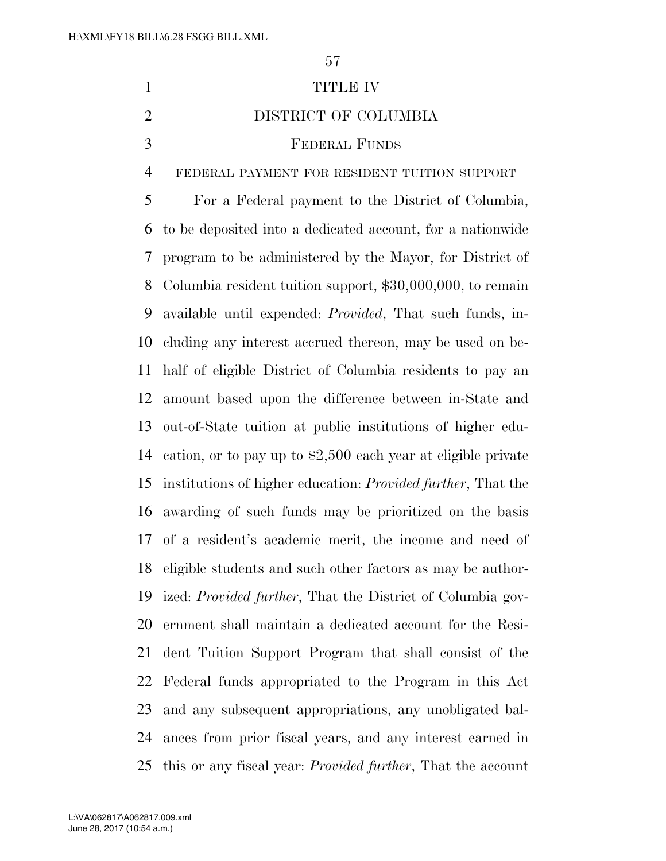TITLE IV DISTRICT OF COLUMBIA FEDERAL FUNDS FEDERAL PAYMENT FOR RESIDENT TUITION SUPPORT For a Federal payment to the District of Columbia, to be deposited into a dedicated account, for a nationwide program to be administered by the Mayor, for District of Columbia resident tuition support, \$30,000,000, to remain available until expended: *Provided*, That such funds, in- cluding any interest accrued thereon, may be used on be- half of eligible District of Columbia residents to pay an amount based upon the difference between in-State and out-of-State tuition at public institutions of higher edu- cation, or to pay up to \$2,500 each year at eligible private institutions of higher education: *Provided further*, That the awarding of such funds may be prioritized on the basis of a resident's academic merit, the income and need of eligible students and such other factors as may be author-ized: *Provided further*, That the District of Columbia gov-

 ernment shall maintain a dedicated account for the Resi- dent Tuition Support Program that shall consist of the Federal funds appropriated to the Program in this Act and any subsequent appropriations, any unobligated bal- ances from prior fiscal years, and any interest earned in this or any fiscal year: *Provided further*, That the account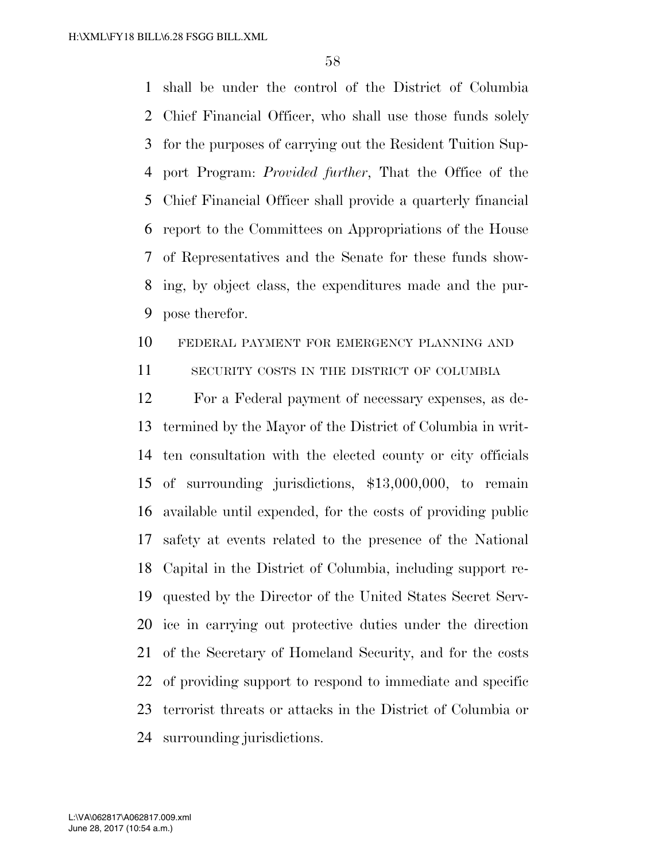shall be under the control of the District of Columbia Chief Financial Officer, who shall use those funds solely for the purposes of carrying out the Resident Tuition Sup- port Program: *Provided further*, That the Office of the Chief Financial Officer shall provide a quarterly financial report to the Committees on Appropriations of the House of Representatives and the Senate for these funds show- ing, by object class, the expenditures made and the pur-pose therefor.

#### FEDERAL PAYMENT FOR EMERGENCY PLANNING AND

11 SECURITY COSTS IN THE DISTRICT OF COLUMBIA

 For a Federal payment of necessary expenses, as de- termined by the Mayor of the District of Columbia in writ- ten consultation with the elected county or city officials of surrounding jurisdictions, \$13,000,000, to remain available until expended, for the costs of providing public safety at events related to the presence of the National Capital in the District of Columbia, including support re- quested by the Director of the United States Secret Serv- ice in carrying out protective duties under the direction of the Secretary of Homeland Security, and for the costs of providing support to respond to immediate and specific terrorist threats or attacks in the District of Columbia or surrounding jurisdictions.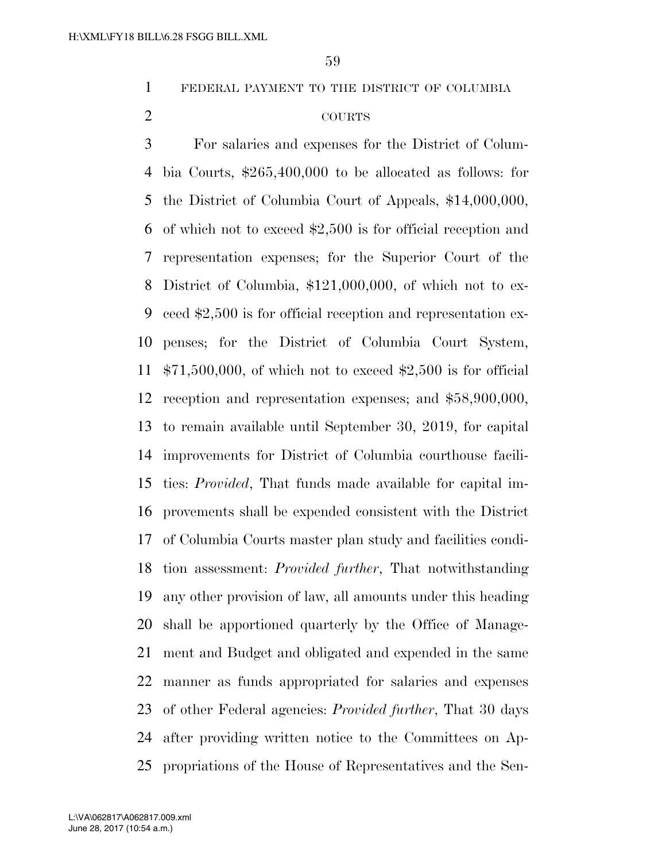FEDERAL PAYMENT TO THE DISTRICT OF COLUMBIA

## COURTS

 For salaries and expenses for the District of Colum- bia Courts, \$265,400,000 to be allocated as follows: for the District of Columbia Court of Appeals, \$14,000,000, of which not to exceed \$2,500 is for official reception and representation expenses; for the Superior Court of the District of Columbia, \$121,000,000, of which not to ex- ceed \$2,500 is for official reception and representation ex- penses; for the District of Columbia Court System, \$71,500,000, of which not to exceed \$2,500 is for official reception and representation expenses; and \$58,900,000, to remain available until September 30, 2019, for capital improvements for District of Columbia courthouse facili- ties: *Provided*, That funds made available for capital im- provements shall be expended consistent with the District of Columbia Courts master plan study and facilities condi- tion assessment: *Provided further*, That notwithstanding any other provision of law, all amounts under this heading shall be apportioned quarterly by the Office of Manage- ment and Budget and obligated and expended in the same manner as funds appropriated for salaries and expenses of other Federal agencies: *Provided further*, That 30 days after providing written notice to the Committees on Ap-propriations of the House of Representatives and the Sen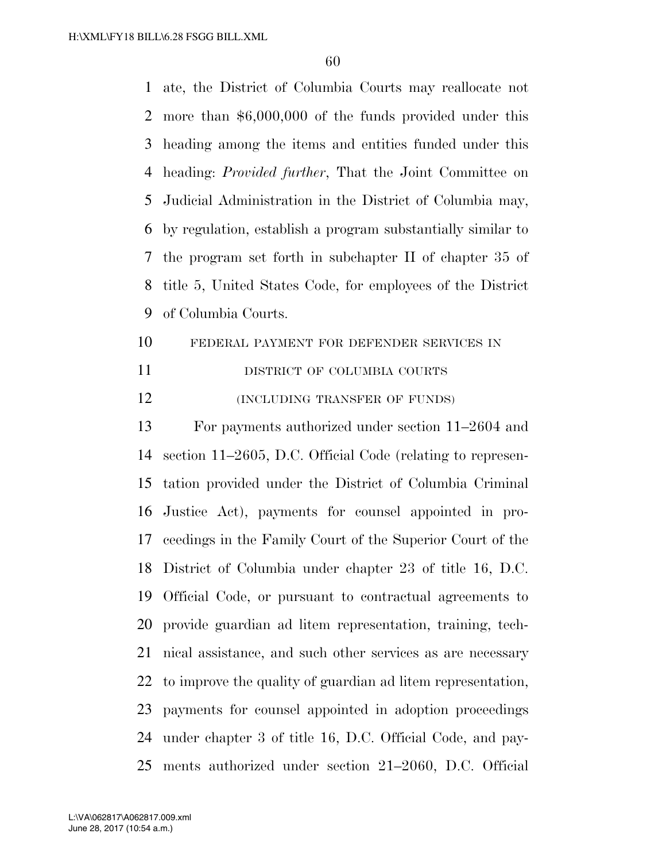ate, the District of Columbia Courts may reallocate not more than \$6,000,000 of the funds provided under this heading among the items and entities funded under this heading: *Provided further*, That the Joint Committee on Judicial Administration in the District of Columbia may, by regulation, establish a program substantially similar to the program set forth in subchapter II of chapter 35 of title 5, United States Code, for employees of the District of Columbia Courts.

- FEDERAL PAYMENT FOR DEFENDER SERVICES IN
- 11 DISTRICT OF COLUMBIA COURTS
- **(INCLUDING TRANSFER OF FUNDS)**

 For payments authorized under section 11–2604 and section 11–2605, D.C. Official Code (relating to represen- tation provided under the District of Columbia Criminal Justice Act), payments for counsel appointed in pro- ceedings in the Family Court of the Superior Court of the District of Columbia under chapter 23 of title 16, D.C. Official Code, or pursuant to contractual agreements to provide guardian ad litem representation, training, tech- nical assistance, and such other services as are necessary to improve the quality of guardian ad litem representation, payments for counsel appointed in adoption proceedings under chapter 3 of title 16, D.C. Official Code, and pay-ments authorized under section 21–2060, D.C. Official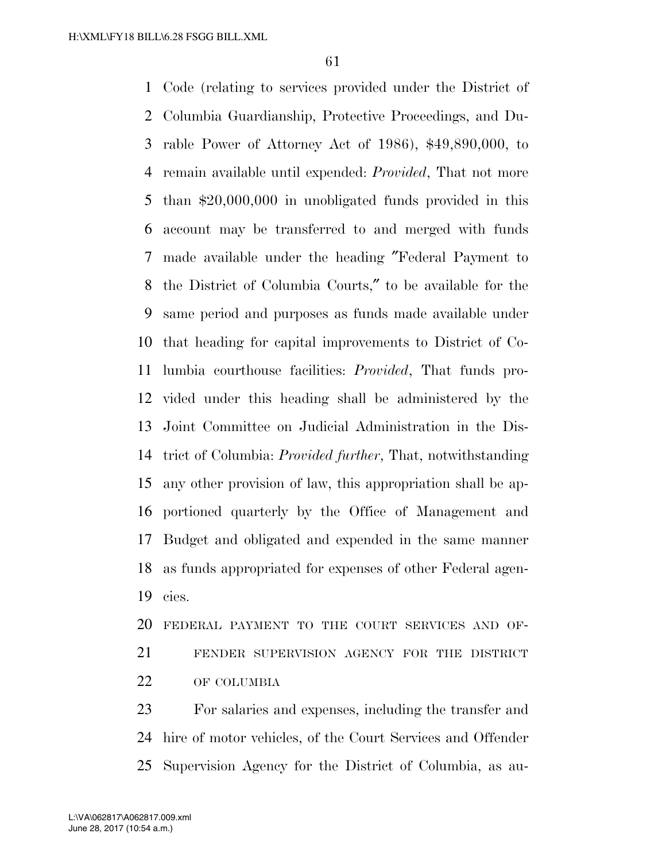Code (relating to services provided under the District of Columbia Guardianship, Protective Proceedings, and Du- rable Power of Attorney Act of 1986), \$49,890,000, to remain available until expended: *Provided*, That not more than \$20,000,000 in unobligated funds provided in this account may be transferred to and merged with funds made available under the heading ″Federal Payment to the District of Columbia Courts,″ to be available for the same period and purposes as funds made available under that heading for capital improvements to District of Co- lumbia courthouse facilities: *Provided*, That funds pro- vided under this heading shall be administered by the Joint Committee on Judicial Administration in the Dis- trict of Columbia: *Provided further*, That, notwithstanding any other provision of law, this appropriation shall be ap- portioned quarterly by the Office of Management and Budget and obligated and expended in the same manner as funds appropriated for expenses of other Federal agen-cies.

 FEDERAL PAYMENT TO THE COURT SERVICES AND OF- FENDER SUPERVISION AGENCY FOR THE DISTRICT OF COLUMBIA

 For salaries and expenses, including the transfer and hire of motor vehicles, of the Court Services and Offender Supervision Agency for the District of Columbia, as au-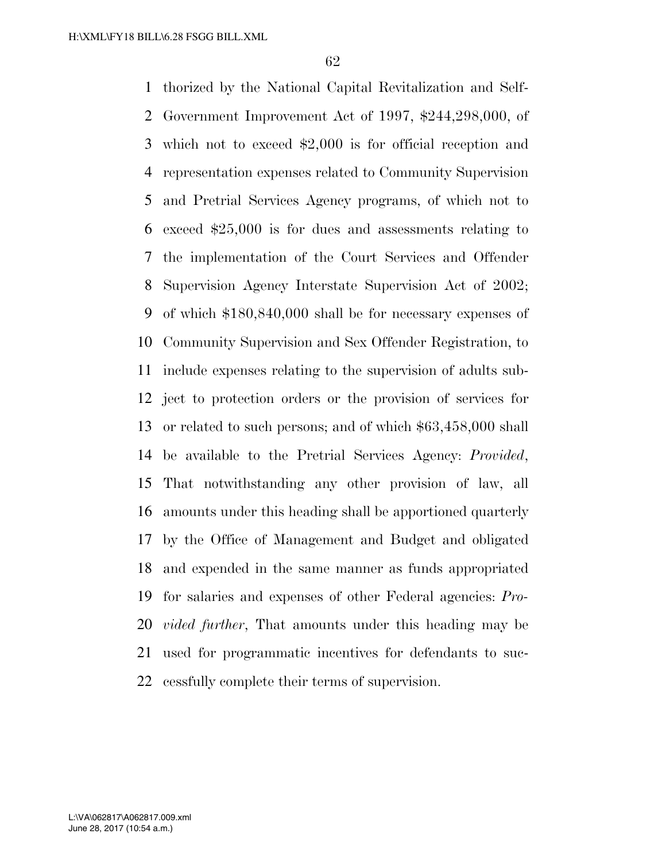thorized by the National Capital Revitalization and Self- Government Improvement Act of 1997, \$244,298,000, of which not to exceed \$2,000 is for official reception and representation expenses related to Community Supervision and Pretrial Services Agency programs, of which not to exceed \$25,000 is for dues and assessments relating to the implementation of the Court Services and Offender Supervision Agency Interstate Supervision Act of 2002; of which \$180,840,000 shall be for necessary expenses of Community Supervision and Sex Offender Registration, to include expenses relating to the supervision of adults sub- ject to protection orders or the provision of services for or related to such persons; and of which \$63,458,000 shall be available to the Pretrial Services Agency: *Provided*, That notwithstanding any other provision of law, all amounts under this heading shall be apportioned quarterly by the Office of Management and Budget and obligated and expended in the same manner as funds appropriated for salaries and expenses of other Federal agencies: *Pro- vided further*, That amounts under this heading may be used for programmatic incentives for defendants to suc-cessfully complete their terms of supervision.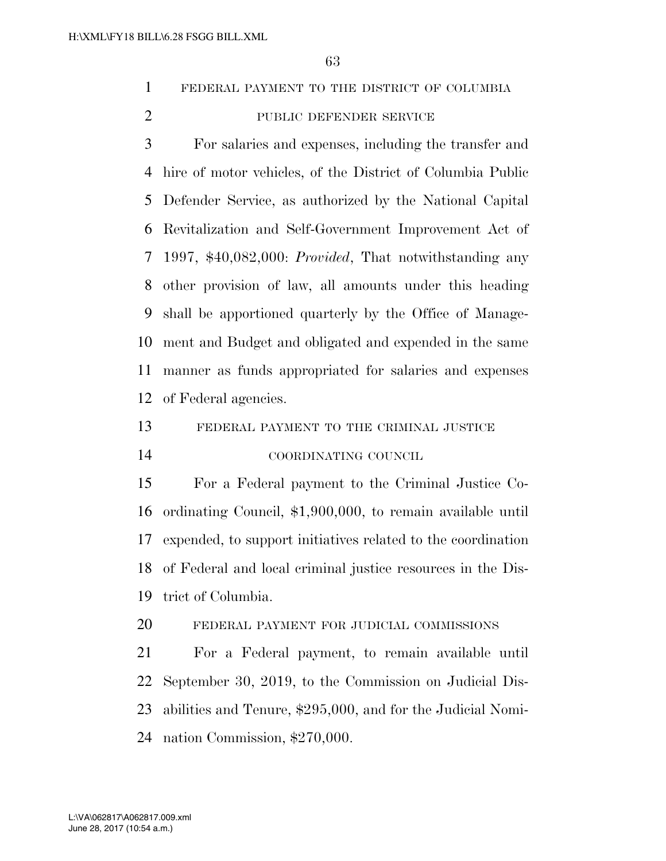FEDERAL PAYMENT TO THE DISTRICT OF COLUMBIA

#### 2 PUBLIC DEFENDER SERVICE

 For salaries and expenses, including the transfer and hire of motor vehicles, of the District of Columbia Public Defender Service, as authorized by the National Capital Revitalization and Self-Government Improvement Act of 1997, \$40,082,000: *Provided*, That notwithstanding any other provision of law, all amounts under this heading shall be apportioned quarterly by the Office of Manage- ment and Budget and obligated and expended in the same manner as funds appropriated for salaries and expenses of Federal agencies.

FEDERAL PAYMENT TO THE CRIMINAL JUSTICE

COORDINATING COUNCIL

 For a Federal payment to the Criminal Justice Co- ordinating Council, \$1,900,000, to remain available until expended, to support initiatives related to the coordination of Federal and local criminal justice resources in the Dis-trict of Columbia.

FEDERAL PAYMENT FOR JUDICIAL COMMISSIONS

 For a Federal payment, to remain available until September 30, 2019, to the Commission on Judicial Dis- abilities and Tenure, \$295,000, and for the Judicial Nomi-nation Commission, \$270,000.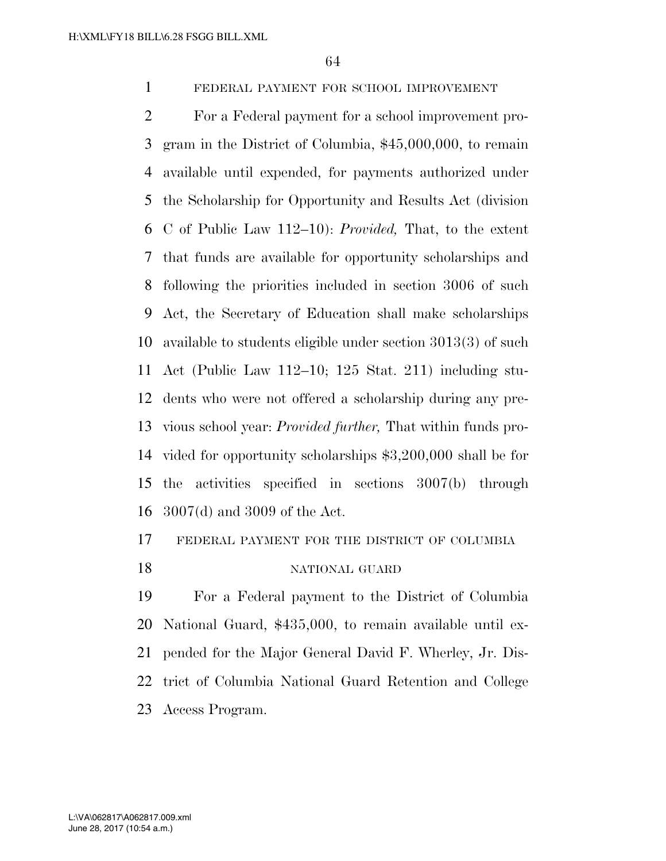FEDERAL PAYMENT FOR SCHOOL IMPROVEMENT

 For a Federal payment for a school improvement pro- gram in the District of Columbia, \$45,000,000, to remain available until expended, for payments authorized under the Scholarship for Opportunity and Results Act (division C of Public Law 112–10): *Provided,* That, to the extent that funds are available for opportunity scholarships and following the priorities included in section 3006 of such Act, the Secretary of Education shall make scholarships available to students eligible under section 3013(3) of such Act (Public Law 112–10; 125 Stat. 211) including stu- dents who were not offered a scholarship during any pre- vious school year: *Provided further,* That within funds pro- vided for opportunity scholarships \$3,200,000 shall be for the activities specified in sections 3007(b) through 3007(d) and 3009 of the Act.

FEDERAL PAYMENT FOR THE DISTRICT OF COLUMBIA

#### NATIONAL GUARD

 For a Federal payment to the District of Columbia National Guard, \$435,000, to remain available until ex- pended for the Major General David F. Wherley, Jr. Dis- trict of Columbia National Guard Retention and College Access Program.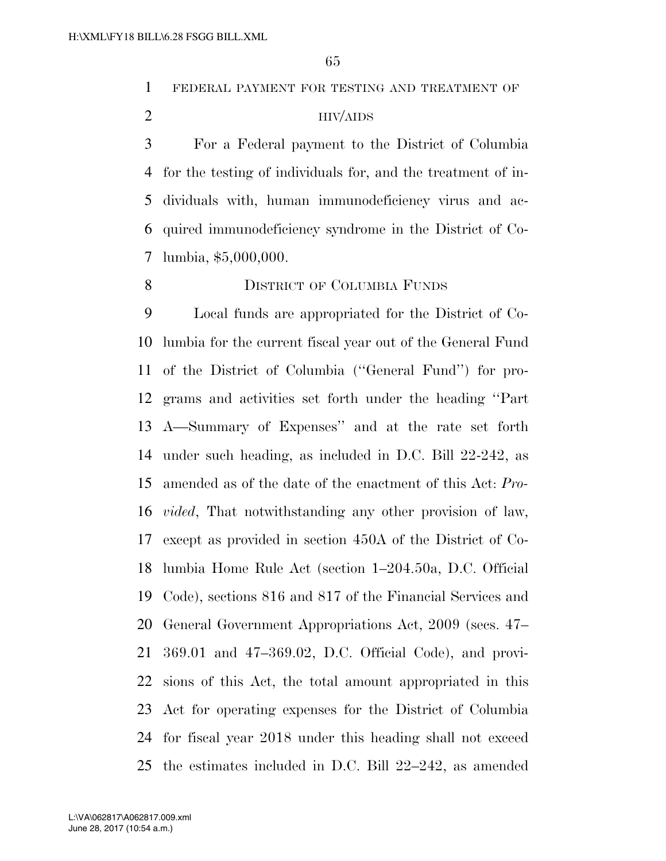FEDERAL PAYMENT FOR TESTING AND TREATMENT OF

#### HIV/AIDS

 For a Federal payment to the District of Columbia for the testing of individuals for, and the treatment of in- dividuals with, human immunodeficiency virus and ac- quired immunodeficiency syndrome in the District of Co-lumbia, \$5,000,000.

#### 8 DISTRICT OF COLUMBIA FUNDS

 Local funds are appropriated for the District of Co- lumbia for the current fiscal year out of the General Fund of the District of Columbia (''General Fund'') for pro- grams and activities set forth under the heading ''Part A—Summary of Expenses'' and at the rate set forth under such heading, as included in D.C. Bill 22-242, as amended as of the date of the enactment of this Act: *Pro- vided*, That notwithstanding any other provision of law, except as provided in section 450A of the District of Co- lumbia Home Rule Act (section 1–204.50a, D.C. Official Code), sections 816 and 817 of the Financial Services and General Government Appropriations Act, 2009 (secs. 47– 369.01 and 47–369.02, D.C. Official Code), and provi- sions of this Act, the total amount appropriated in this Act for operating expenses for the District of Columbia for fiscal year 2018 under this heading shall not exceed the estimates included in D.C. Bill 22–242, as amended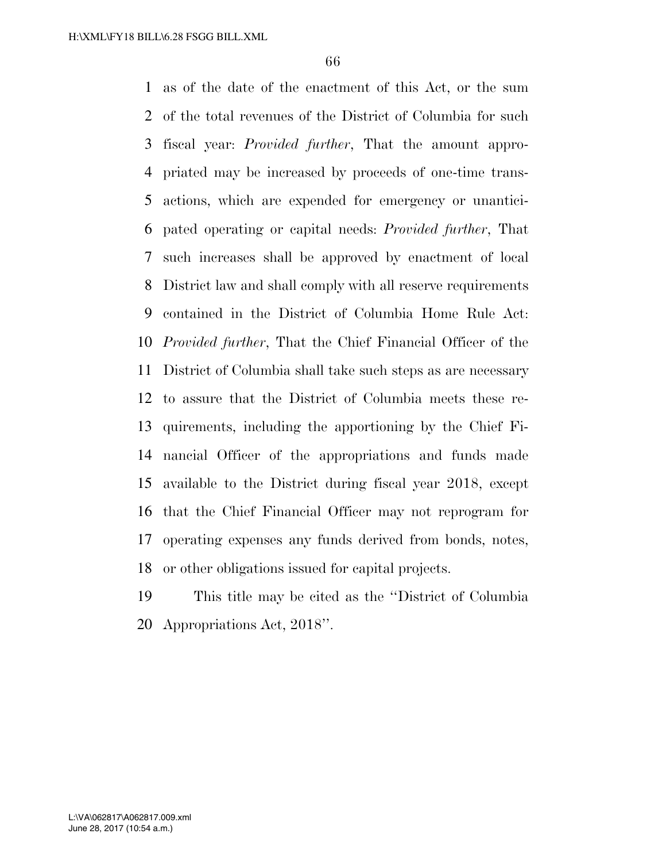as of the date of the enactment of this Act, or the sum of the total revenues of the District of Columbia for such fiscal year: *Provided further*, That the amount appro- priated may be increased by proceeds of one-time trans- actions, which are expended for emergency or unantici- pated operating or capital needs: *Provided further*, That such increases shall be approved by enactment of local District law and shall comply with all reserve requirements contained in the District of Columbia Home Rule Act: *Provided further*, That the Chief Financial Officer of the District of Columbia shall take such steps as are necessary to assure that the District of Columbia meets these re- quirements, including the apportioning by the Chief Fi- nancial Officer of the appropriations and funds made available to the District during fiscal year 2018, except that the Chief Financial Officer may not reprogram for operating expenses any funds derived from bonds, notes, or other obligations issued for capital projects.

 This title may be cited as the ''District of Columbia Appropriations Act, 2018''.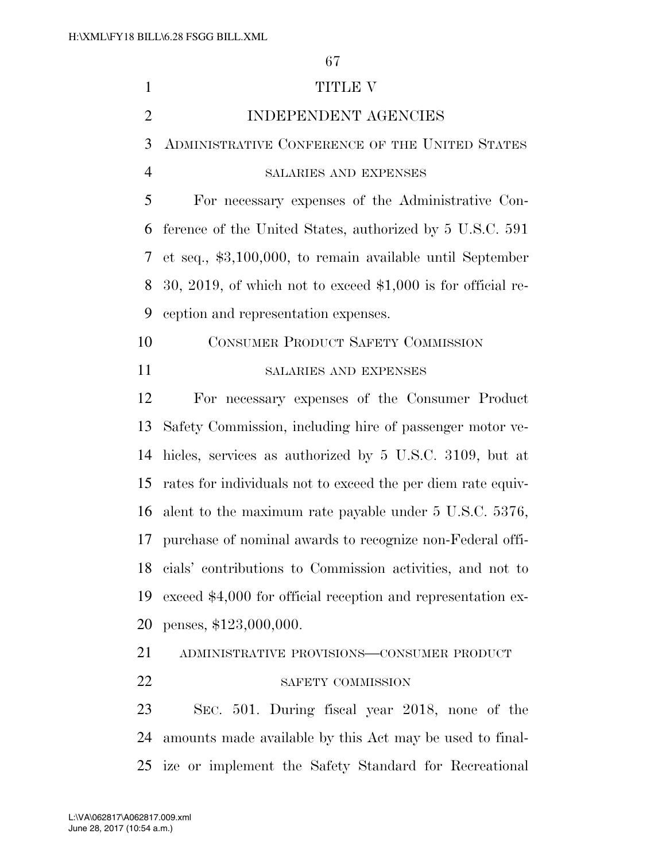| $\mathbf{1}$   | <b>TITLE V</b>                                                |
|----------------|---------------------------------------------------------------|
| $\overline{2}$ | INDEPENDENT AGENCIES                                          |
| 3              | ADMINISTRATIVE CONFERENCE OF THE UNITED STATES                |
| $\overline{4}$ | SALARIES AND EXPENSES                                         |
| 5              | For necessary expenses of the Administrative Con-             |
| 6              | ference of the United States, authorized by 5 U.S.C. 591      |
| 7              | et seq., $$3,100,000$ , to remain available until September   |
| 8              | 30, 2019, of which not to exceed $$1,000$ is for official re- |
| 9              | ception and representation expenses.                          |
| 10             | <b>CONSUMER PRODUCT SAFETY COMMISSION</b>                     |
| 11             | SALARIES AND EXPENSES                                         |
| 12             | For necessary expenses of the Consumer Product                |
| 13             | Safety Commission, including hire of passenger motor ve-      |
| 14             | hicles, services as authorized by 5 U.S.C. 3109, but at       |
| 15             | rates for individuals not to exceed the per diem rate equiv-  |
| 16             | alent to the maximum rate payable under 5 U.S.C. 5376,        |
| 17             | purchase of nominal awards to recognize non-Federal offi-     |
| 18             | cials' contributions to Commission activities, and not to     |
| 19             | exceed \$4,000 for official reception and representation ex-  |
| 20             | penses, \$123,000,000.                                        |
| 21             | ADMINISTRATIVE PROVISIONS-CONSUMER PRODUCT                    |
| 22             | SAFETY COMMISSION                                             |
| 23             | SEC. 501. During fiscal year 2018, none of the                |
| 24             | amounts made available by this Act may be used to final-      |
| 25             | ize or implement the Safety Standard for Recreational         |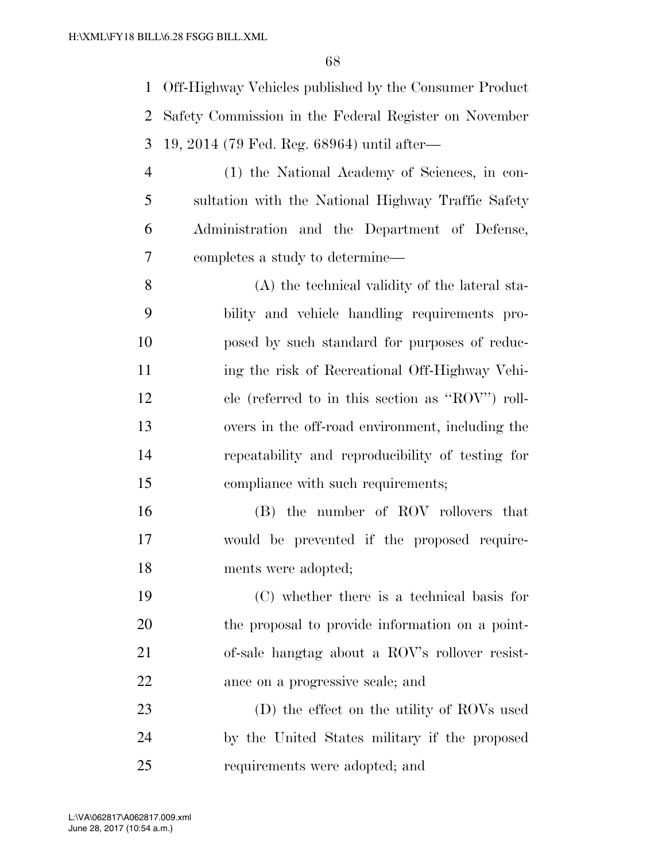Off-Highway Vehicles published by the Consumer Product Safety Commission in the Federal Register on November 19, 2014 (79 Fed. Reg. 68964) until after—

 (1) the National Academy of Sciences, in con- sultation with the National Highway Traffic Safety Administration and the Department of Defense, completes a study to determine—

 (A) the technical validity of the lateral sta- bility and vehicle handling requirements pro- posed by such standard for purposes of reduc- ing the risk of Recreational Off-Highway Vehi- cle (referred to in this section as ''ROV'') roll- overs in the off-road environment, including the repeatability and reproducibility of testing for 15 compliance with such requirements;

 (B) the number of ROV rollovers that would be prevented if the proposed require-ments were adopted;

 (C) whether there is a technical basis for the proposal to provide information on a point- of-sale hangtag about a ROV's rollover resist-ance on a progressive scale; and

 (D) the effect on the utility of ROVs used by the United States military if the proposed requirements were adopted; and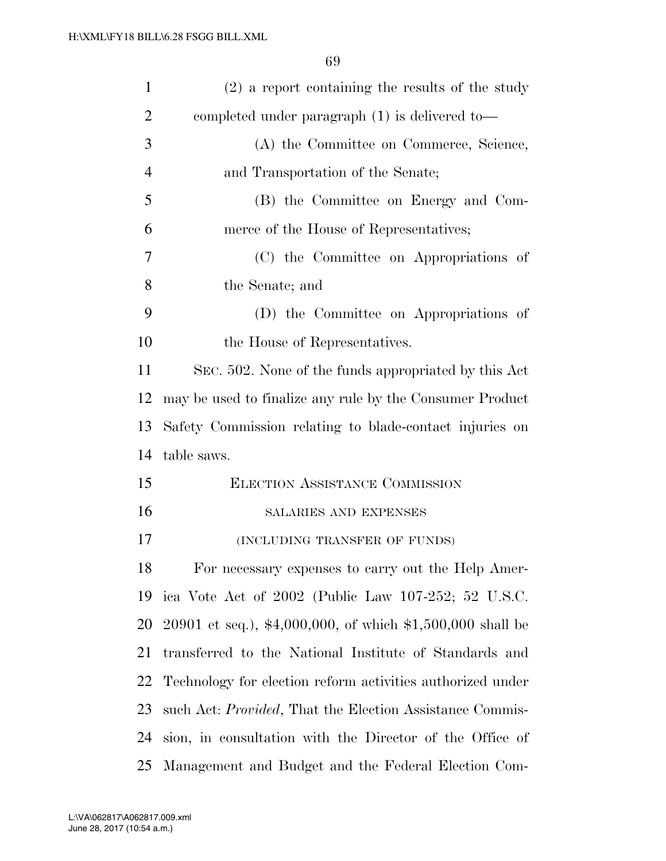| $\mathbf{1}$   | $(2)$ a report containing the results of the study               |
|----------------|------------------------------------------------------------------|
| $\overline{2}$ | completed under paragraph (1) is delivered to-                   |
| 3              | (A) the Committee on Commerce, Science,                          |
| $\overline{4}$ | and Transportation of the Senate;                                |
| 5              | (B) the Committee on Energy and Com-                             |
| 6              | merce of the House of Representatives;                           |
| 7              | (C) the Committee on Appropriations of                           |
| 8              | the Senate; and                                                  |
| 9              | (D) the Committee on Appropriations of                           |
| 10             | the House of Representatives.                                    |
| 11             | SEC. 502. None of the funds appropriated by this Act             |
| 12             | may be used to finalize any rule by the Consumer Product         |
| 13             | Safety Commission relating to blade-contact injuries on          |
| 14             | table saws.                                                      |
| 15             | <b>ELECTION ASSISTANCE COMMISSION</b>                            |
| 16             | SALARIES AND EXPENSES                                            |
| 17             | (INCLUDING TRANSFER OF FUNDS)                                    |
| 18             | For necessary expenses to carry out the Help Amer-               |
| 19             | ica Vote Act of 2002 (Public Law 107-252; 52 U.S.C.              |
| 20             | 20901 et seq.), $*4,000,000$ , of which $*1,500,000$ shall be    |
| 21             | transferred to the National Institute of Standards and           |
| 22             | Technology for election reform activities authorized under       |
| 23             | such Act: <i>Provided</i> , That the Election Assistance Commis- |
| 24             | sion, in consultation with the Director of the Office of         |
| 25             | Management and Budget and the Federal Election Com-              |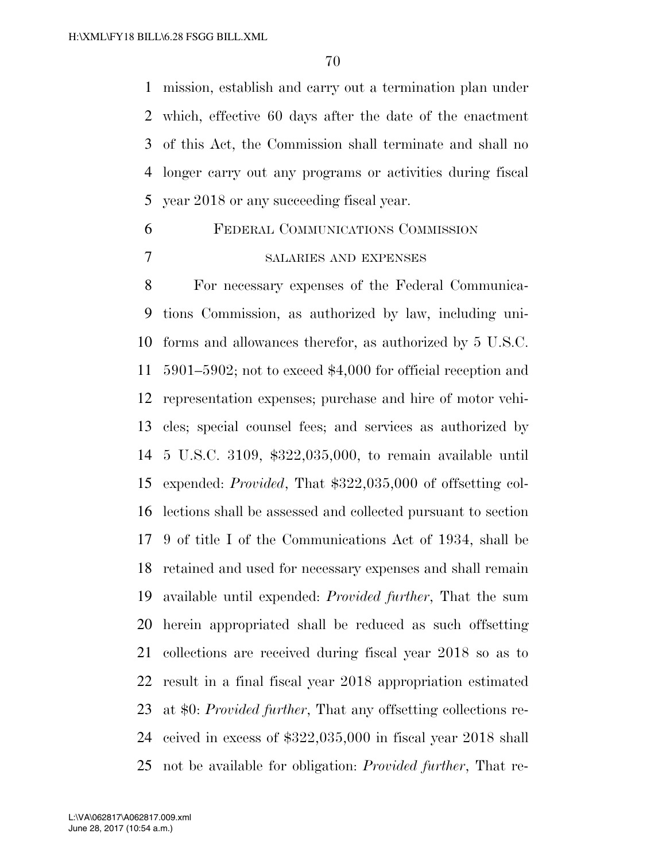mission, establish and carry out a termination plan under which, effective 60 days after the date of the enactment of this Act, the Commission shall terminate and shall no longer carry out any programs or activities during fiscal year 2018 or any succeeding fiscal year.

# FEDERAL COMMUNICATIONS COMMISSION SALARIES AND EXPENSES

 For necessary expenses of the Federal Communica- tions Commission, as authorized by law, including uni- forms and allowances therefor, as authorized by 5 U.S.C. 5901–5902; not to exceed \$4,000 for official reception and representation expenses; purchase and hire of motor vehi- cles; special counsel fees; and services as authorized by 5 U.S.C. 3109, \$322,035,000, to remain available until expended: *Provided*, That \$322,035,000 of offsetting col- lections shall be assessed and collected pursuant to section 9 of title I of the Communications Act of 1934, shall be retained and used for necessary expenses and shall remain available until expended: *Provided further*, That the sum herein appropriated shall be reduced as such offsetting collections are received during fiscal year 2018 so as to result in a final fiscal year 2018 appropriation estimated at \$0: *Provided further*, That any offsetting collections re- ceived in excess of \$322,035,000 in fiscal year 2018 shall not be available for obligation: *Provided further*, That re-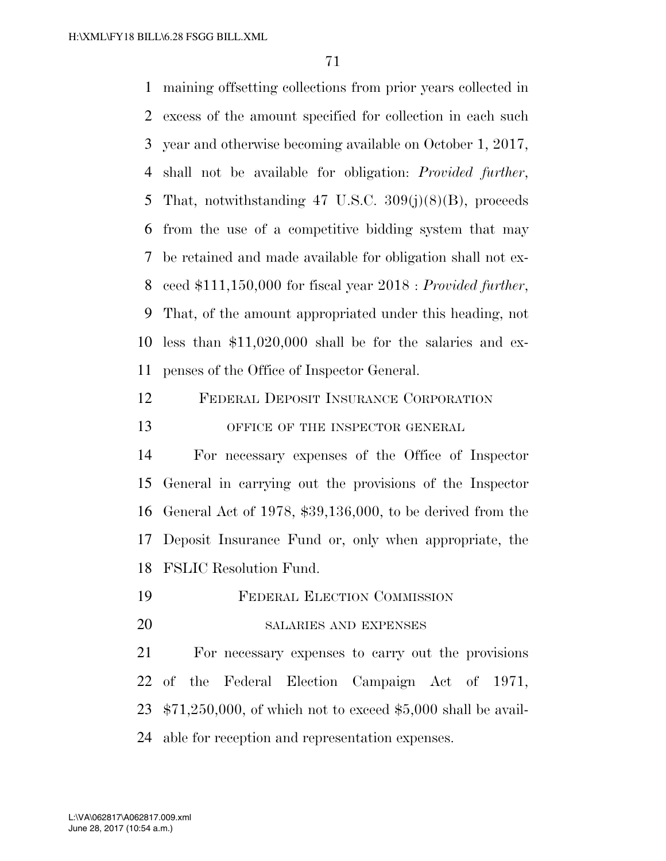maining offsetting collections from prior years collected in excess of the amount specified for collection in each such year and otherwise becoming available on October 1, 2017, shall not be available for obligation: *Provided further*, That, notwithstanding 47 U.S.C. 309(j)(8)(B), proceeds from the use of a competitive bidding system that may be retained and made available for obligation shall not ex- ceed \$111,150,000 for fiscal year 2018 : *Provided further*, That, of the amount appropriated under this heading, not less than \$11,020,000 shall be for the salaries and ex-penses of the Office of Inspector General.

FEDERAL DEPOSIT INSURANCE CORPORATION

## 13 OFFICE OF THE INSPECTOR GENERAL

 For necessary expenses of the Office of Inspector General in carrying out the provisions of the Inspector General Act of 1978, \$39,136,000, to be derived from the Deposit Insurance Fund or, only when appropriate, the FSLIC Resolution Fund.

- FEDERAL ELECTION COMMISSION
- SALARIES AND EXPENSES

 For necessary expenses to carry out the provisions of the Federal Election Campaign Act of 1971, \$71,250,000, of which not to exceed \$5,000 shall be avail-able for reception and representation expenses.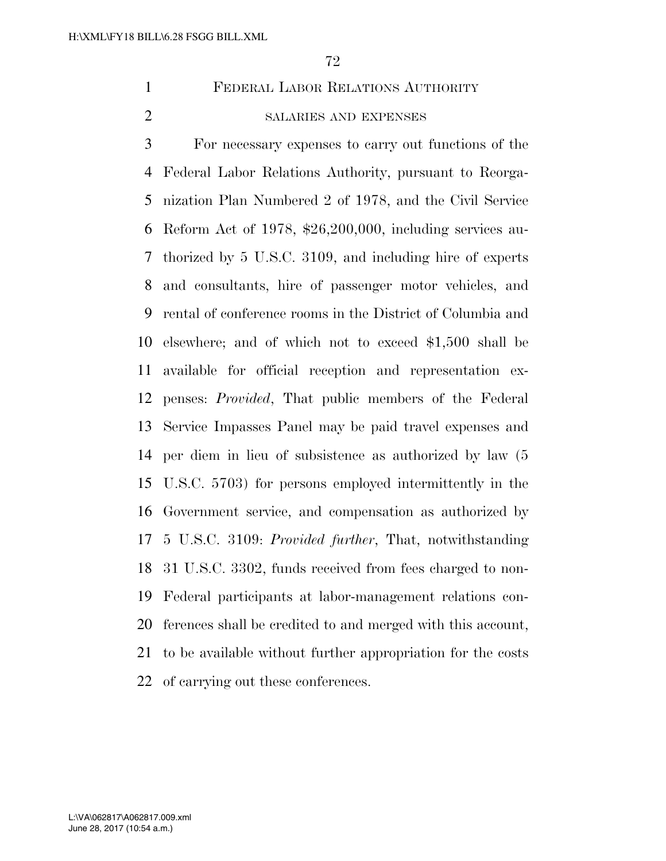# FEDERAL LABOR RELATIONS AUTHORITY

#### SALARIES AND EXPENSES

 For necessary expenses to carry out functions of the Federal Labor Relations Authority, pursuant to Reorga- nization Plan Numbered 2 of 1978, and the Civil Service Reform Act of 1978, \$26,200,000, including services au- thorized by 5 U.S.C. 3109, and including hire of experts and consultants, hire of passenger motor vehicles, and rental of conference rooms in the District of Columbia and elsewhere; and of which not to exceed \$1,500 shall be available for official reception and representation ex- penses: *Provided*, That public members of the Federal Service Impasses Panel may be paid travel expenses and per diem in lieu of subsistence as authorized by law (5 U.S.C. 5703) for persons employed intermittently in the Government service, and compensation as authorized by 5 U.S.C. 3109: *Provided further*, That, notwithstanding 31 U.S.C. 3302, funds received from fees charged to non- Federal participants at labor-management relations con- ferences shall be credited to and merged with this account, to be available without further appropriation for the costs of carrying out these conferences.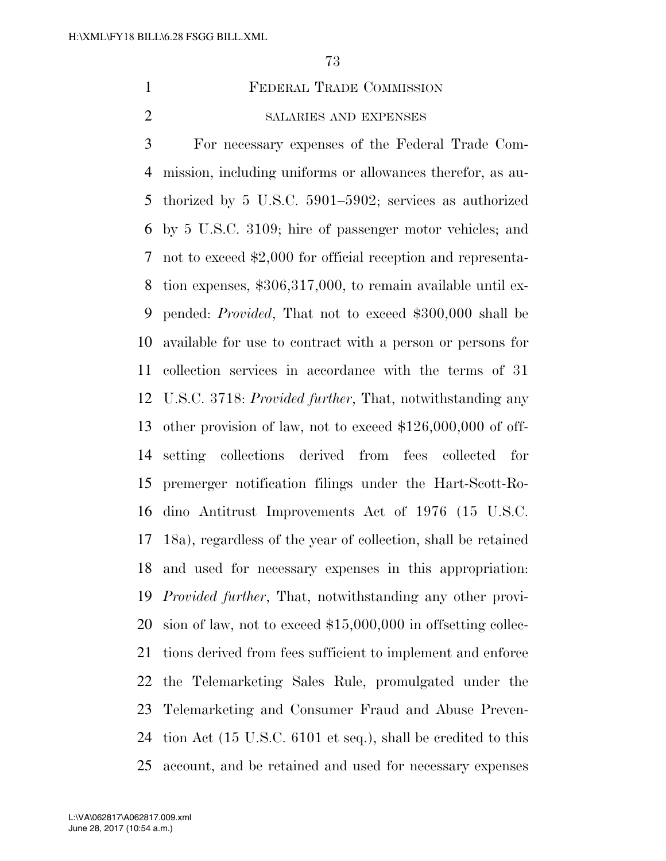FEDERAL TRADE COMMISSION

## SALARIES AND EXPENSES

 For necessary expenses of the Federal Trade Com- mission, including uniforms or allowances therefor, as au- thorized by 5 U.S.C. 5901–5902; services as authorized by 5 U.S.C. 3109; hire of passenger motor vehicles; and not to exceed \$2,000 for official reception and representa- tion expenses, \$306,317,000, to remain available until ex- pended: *Provided*, That not to exceed \$300,000 shall be available for use to contract with a person or persons for collection services in accordance with the terms of 31 U.S.C. 3718: *Provided further*, That, notwithstanding any other provision of law, not to exceed \$126,000,000 of off- setting collections derived from fees collected for premerger notification filings under the Hart-Scott-Ro- dino Antitrust Improvements Act of 1976 (15 U.S.C. 18a), regardless of the year of collection, shall be retained and used for necessary expenses in this appropriation: *Provided further*, That, notwithstanding any other provi- sion of law, not to exceed \$15,000,000 in offsetting collec- tions derived from fees sufficient to implement and enforce the Telemarketing Sales Rule, promulgated under the Telemarketing and Consumer Fraud and Abuse Preven- tion Act (15 U.S.C. 6101 et seq.), shall be credited to this account, and be retained and used for necessary expenses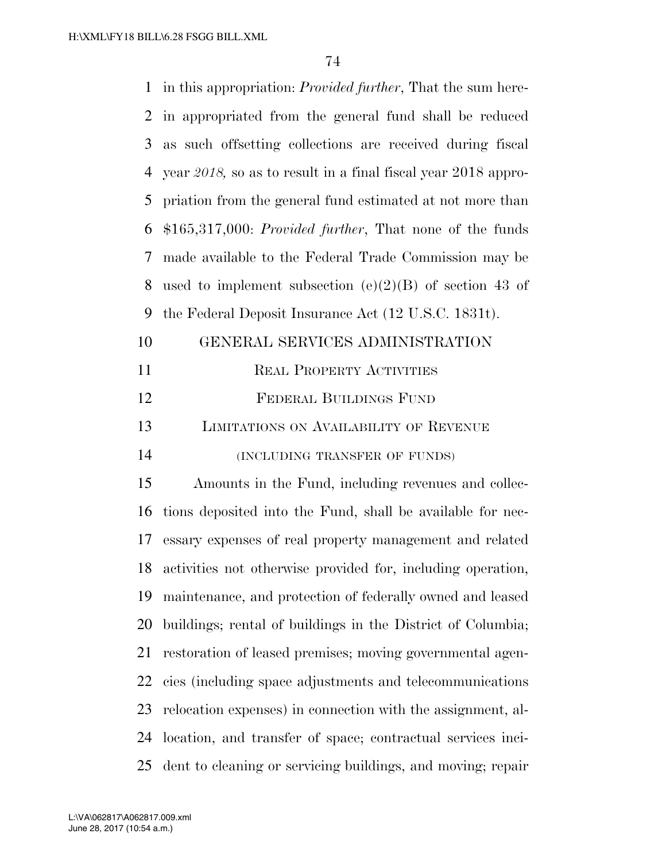| 1  | in this appropriation: <i>Provided further</i> , That the sum here- |
|----|---------------------------------------------------------------------|
| 2  | in appropriated from the general fund shall be reduced              |
| 3  | as such offsetting collections are received during fiscal           |
| 4  | year $2018$ , so as to result in a final fiscal year $2018$ appro-  |
| 5  | priation from the general fund estimated at not more than           |
| 6  | $$165,317,000: Provided further, That none of the funds$            |
| 7  | made available to the Federal Trade Commission may be               |
| 8  | used to implement subsection (e)(2)(B) of section 43 of             |
| 9  | the Federal Deposit Insurance Act (12 U.S.C. 1831t).                |
| 10 | GENERAL SERVICES ADMINISTRATION                                     |
| 11 | <b>REAL PROPERTY ACTIVITIES</b>                                     |
| 12 | FEDERAL BUILDINGS FUND                                              |
| 13 | LIMITATIONS ON AVAILABILITY OF REVENUE                              |
| 14 | (INCLUDING TRANSFER OF FUNDS)                                       |
| 15 | Amounts in the Fund, including revenues and collec-                 |
| 16 | tions deposited into the Fund, shall be available for nec-          |
| 17 | essary expenses of real property management and related             |
| 18 | activities not otherwise provided for, including operation,         |
| 19 | maintenance, and protection of federally owned and leased           |
| 20 | buildings; rental of buildings in the District of Columbia;         |
| 21 | restoration of leased premises; moving governmental agen-           |
| 22 | cies (including space adjustments and telecommunications            |
| 23 | relocation expenses) in connection with the assignment, al-         |
| 24 | location, and transfer of space; contractual services inci-         |
| 25 | dent to cleaning or servicing buildings, and moving; repair         |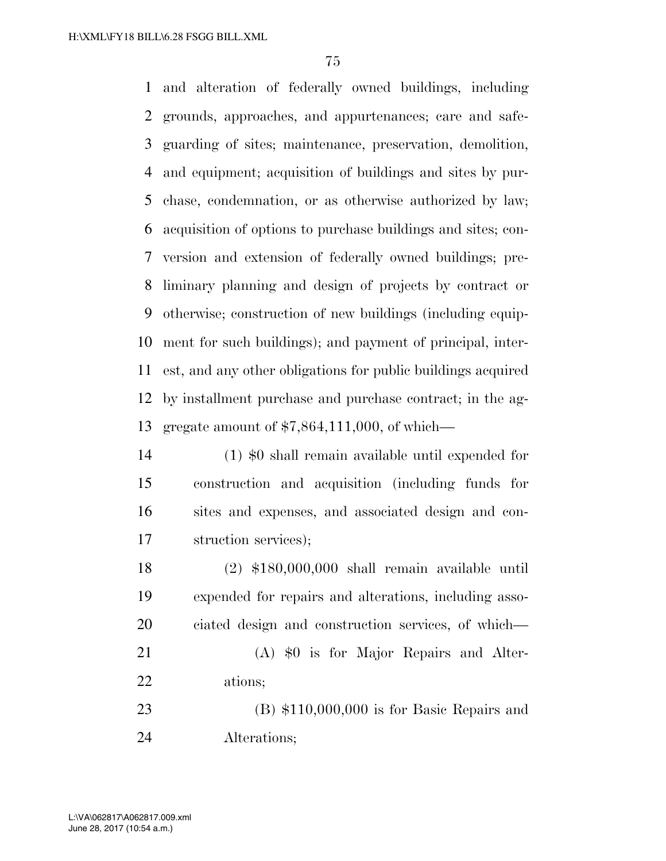and alteration of federally owned buildings, including grounds, approaches, and appurtenances; care and safe- guarding of sites; maintenance, preservation, demolition, and equipment; acquisition of buildings and sites by pur- chase, condemnation, or as otherwise authorized by law; acquisition of options to purchase buildings and sites; con- version and extension of federally owned buildings; pre- liminary planning and design of projects by contract or otherwise; construction of new buildings (including equip- ment for such buildings); and payment of principal, inter- est, and any other obligations for public buildings acquired by installment purchase and purchase contract; in the ag-gregate amount of \$7,864,111,000, of which—

 (1) \$0 shall remain available until expended for construction and acquisition (including funds for sites and expenses, and associated design and con-struction services);

 (2) \$180,000,000 shall remain available until expended for repairs and alterations, including asso- ciated design and construction services, of which— (A) \$0 is for Major Repairs and Alter- ations; (B) \$110,000,000 is for Basic Repairs and

Alterations;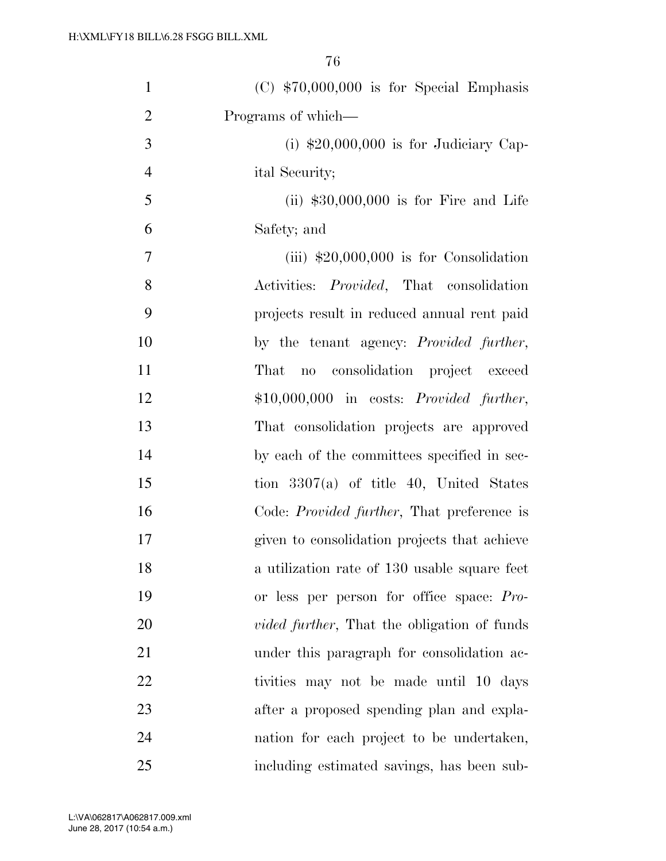| $\mathbf{1}$   | $(C)$ \$70,000,000 is for Special Emphasis          |
|----------------|-----------------------------------------------------|
| $\overline{2}$ | Programs of which-                                  |
| 3              | (i) $$20,000,000$ is for Judiciary Cap-             |
| $\overline{4}$ | ital Security;                                      |
| 5              | (ii) $$30,000,000$ is for Fire and Life             |
| 6              | Safety; and                                         |
| 7              | (iii) $$20,000,000$ is for Consolidation            |
| 8              | Activities: <i>Provided</i> , That consolidation    |
| 9              | projects result in reduced annual rent paid         |
| 10             | by the tenant agency: <i>Provided further</i> ,     |
| 11             | no consolidation project exceed<br>That             |
| 12             | $$10,000,000$ in costs: <i>Provided further</i> ,   |
| 13             | That consolidation projects are approved            |
| 14             | by each of the committees specified in sec-         |
| 15             | tion $3307(a)$ of title 40, United States           |
| 16             | Code: <i>Provided further</i> , That preference is  |
| 17             | given to consolidation projects that achieve        |
| 18             | a utilization rate of 130 usable square feet        |
| 19             | or less per person for office space: Pro-           |
| 20             | <i>vided further</i> , That the obligation of funds |
| 21             | under this paragraph for consolidation ac-          |
| 22             | tivities may not be made until 10 days              |
| 23             | after a proposed spending plan and expla-           |
| 24             | nation for each project to be undertaken,           |
| 25             | including estimated savings, has been sub-          |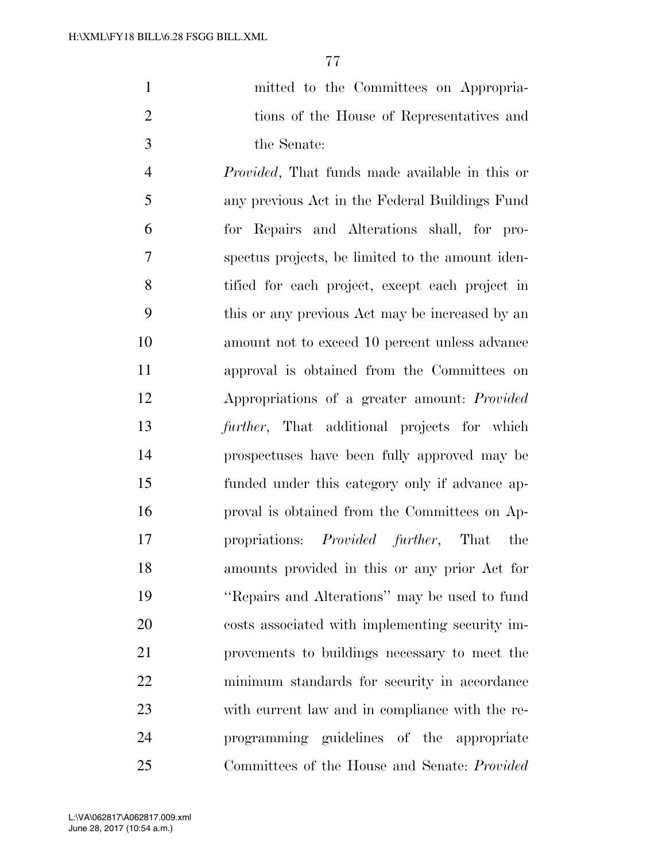| mitted to the Committees on Appropria-    |
|-------------------------------------------|
| tions of the House of Representatives and |
| the Senate:                               |

 *Provided*, That funds made available in this or any previous Act in the Federal Buildings Fund for Repairs and Alterations shall, for pro- spectus projects, be limited to the amount iden- tified for each project, except each project in this or any previous Act may be increased by an amount not to exceed 10 percent unless advance approval is obtained from the Committees on Appropriations of a greater amount: *Provided further*, That additional projects for which prospectuses have been fully approved may be funded under this category only if advance ap- proval is obtained from the Committees on Ap- propriations: *Provided further*, That the amounts provided in this or any prior Act for ''Repairs and Alterations'' may be used to fund costs associated with implementing security im- provements to buildings necessary to meet the minimum standards for security in accordance with current law and in compliance with the re- programming guidelines of the appropriate Committees of the House and Senate: *Provided*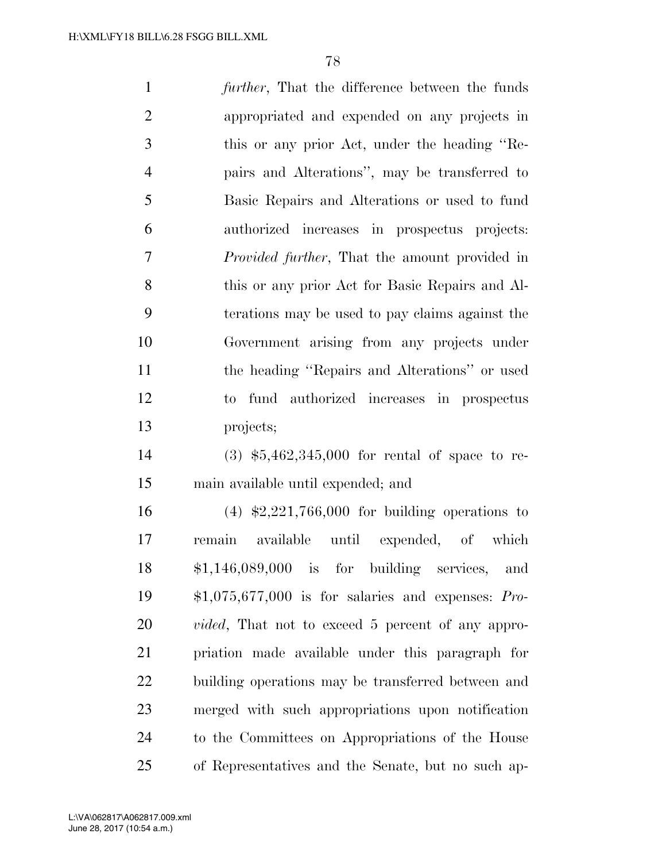| $\mathbf{1}$   | <i>further</i> , That the difference between the funds    |
|----------------|-----------------------------------------------------------|
| $\overline{2}$ | appropriated and expended on any projects in              |
| 3              | this or any prior Act, under the heading "Re-             |
| $\overline{4}$ | pairs and Alterations", may be transferred to             |
| 5              | Basic Repairs and Alterations or used to fund             |
| 6              | authorized increases in prospectus projects:              |
| 7              | <i>Provided further</i> , That the amount provided in     |
| 8              | this or any prior Act for Basic Repairs and Al-           |
| 9              | terations may be used to pay claims against the           |
| 10             | Government arising from any projects under                |
| 11             | the heading "Repairs and Alterations" or used             |
| 12             | fund authorized increases in prospectus<br>$\mathrm{to}$  |
| 13             | projects;                                                 |
| 14             | $(3)$ \$5,462,345,000 for rental of space to re-          |
| 15             | main available until expended; and                        |
| 16             | $(4)$ \$2,221,766,000 for building operations to          |
| 17             | remain available until expended, of which                 |
| 18             | $$1,146,089,000$ is for building services,<br>and         |
| 19             | $$1,075,677,000$ is for salaries and expenses: Pro-       |
| 20             | <i>vided</i> , That not to exceed 5 percent of any appro- |
| 21             | priation made available under this paragraph for          |
| 22             | building operations may be transferred between and        |
|                |                                                           |

 merged with such appropriations upon notification to the Committees on Appropriations of the House of Representatives and the Senate, but no such ap-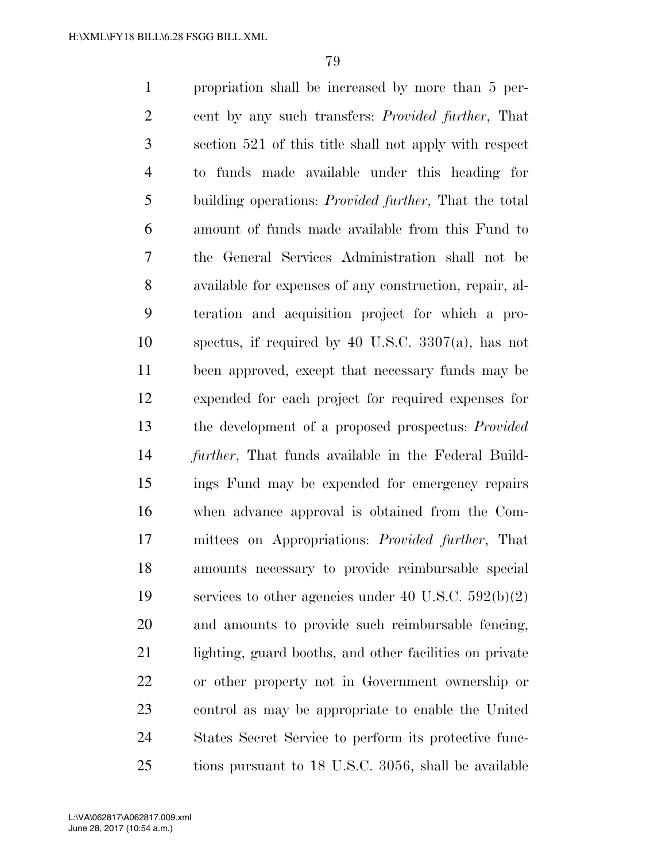propriation shall be increased by more than 5 per- cent by any such transfers: *Provided further*, That section 521 of this title shall not apply with respect to funds made available under this heading for building operations: *Provided further*, That the total amount of funds made available from this Fund to the General Services Administration shall not be available for expenses of any construction, repair, al- teration and acquisition project for which a pro- spectus, if required by 40 U.S.C. 3307(a), has not been approved, except that necessary funds may be expended for each project for required expenses for the development of a proposed prospectus: *Provided further*, That funds available in the Federal Build- ings Fund may be expended for emergency repairs when advance approval is obtained from the Com- mittees on Appropriations: *Provided further*, That amounts necessary to provide reimbursable special services to other agencies under 40 U.S.C. 592(b)(2) and amounts to provide such reimbursable fencing, lighting, guard booths, and other facilities on private or other property not in Government ownership or control as may be appropriate to enable the United States Secret Service to perform its protective func-tions pursuant to 18 U.S.C. 3056, shall be available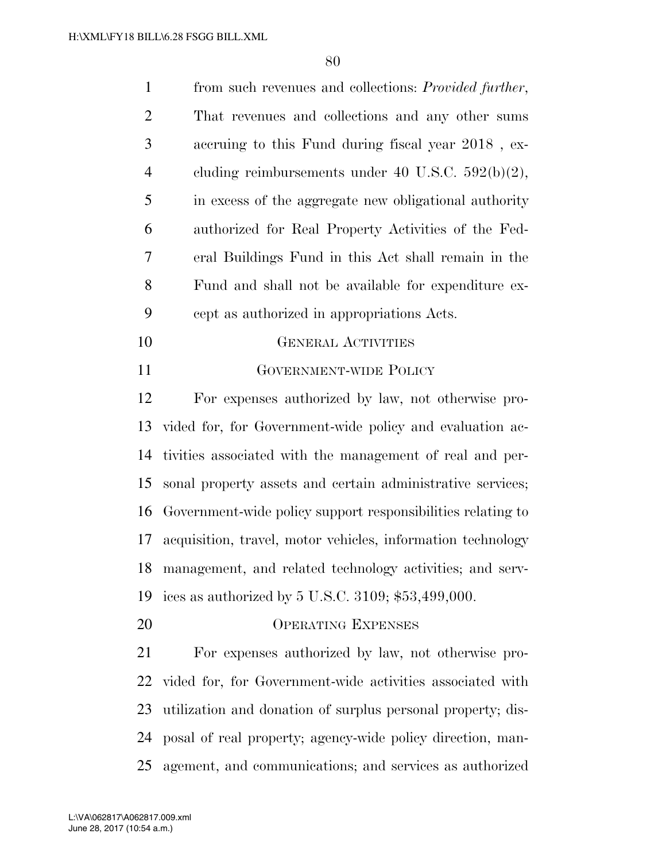| $\mathbf{1}$   | from such revenues and collections: <i>Provided further</i> , |
|----------------|---------------------------------------------------------------|
| $\overline{2}$ | That revenues and collections and any other sums              |
| 3              | accruing to this Fund during fiscal year 2018, ex-            |
| $\overline{4}$ | cluding reimbursements under 40 U.S.C. $592(b)(2)$ ,          |
| 5              | in excess of the aggregate new obligational authority         |
| 6              | authorized for Real Property Activities of the Fed-           |
| 7              | eral Buildings Fund in this Act shall remain in the           |
| 8              | Fund and shall not be available for expenditure ex-           |
| 9              | cept as authorized in appropriations Acts.                    |
| 10             | <b>GENERAL ACTIVITIES</b>                                     |
| 11             | <b>GOVERNMENT-WIDE POLICY</b>                                 |
| 12             | For expenses authorized by law, not otherwise pro-            |
| 13             | vided for, for Government-wide policy and evaluation ac-      |
| 14             | tivities associated with the management of real and per-      |
| 15             | sonal property assets and certain administrative services;    |
| 16             | Government-wide policy support responsibilities relating to   |
| 17             | acquisition, travel, motor vehicles, information technology   |
| 18             | management, and related technology activities; and serv-      |
| 19             | ices as authorized by $5 \text{ U.S.C. } 3109; $53,499,000.$  |
| 20             | <b>OPERATING EXPENSES</b>                                     |
| 21             | For expenses authorized by law, not otherwise pro-            |
| 22             | vided for, for Government-wide activities associated with     |
| 23             | utilization and donation of surplus personal property; dis-   |
| 24             | posal of real property; agency-wide policy direction, man-    |
| 25             | agement, and communications; and services as authorized       |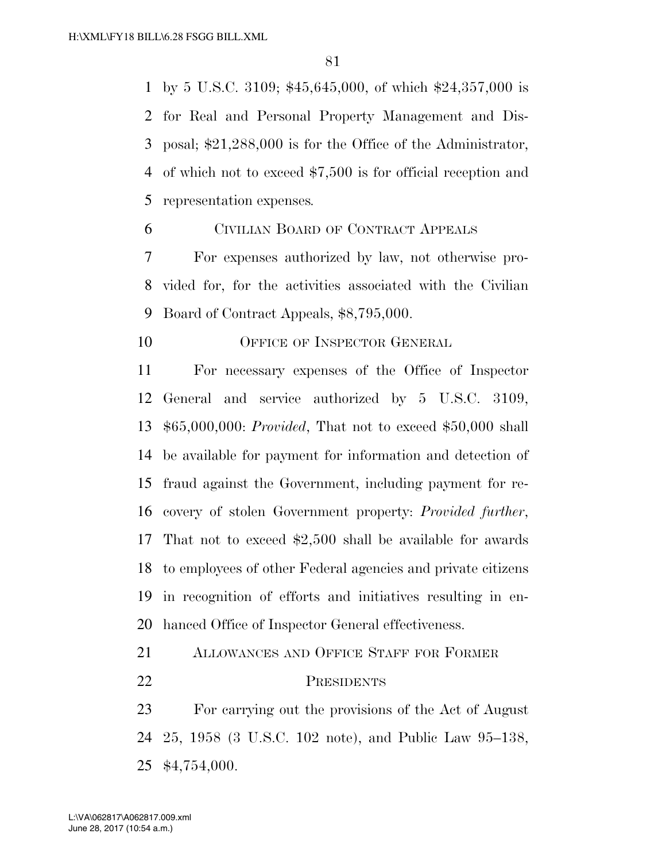by 5 U.S.C. 3109; \$45,645,000, of which \$24,357,000 is for Real and Personal Property Management and Dis- posal; \$21,288,000 is for the Office of the Administrator, of which not to exceed \$7,500 is for official reception and representation expenses*.* 

CIVILIAN BOARD OF CONTRACT APPEALS

 For expenses authorized by law, not otherwise pro- vided for, for the activities associated with the Civilian Board of Contract Appeals, \$8,795,000.

10 OFFICE OF INSPECTOR GENERAL

 For necessary expenses of the Office of Inspector General and service authorized by 5 U.S.C. 3109, \$65,000,000: *Provided*, That not to exceed \$50,000 shall be available for payment for information and detection of fraud against the Government, including payment for re- covery of stolen Government property: *Provided further*, That not to exceed \$2,500 shall be available for awards to employees of other Federal agencies and private citizens in recognition of efforts and initiatives resulting in en-hanced Office of Inspector General effectiveness.

ALLOWANCES AND OFFICE STAFF FOR FORMER

PRESIDENTS

 For carrying out the provisions of the Act of August 25, 1958 (3 U.S.C. 102 note), and Public Law 95–138, \$4,754,000.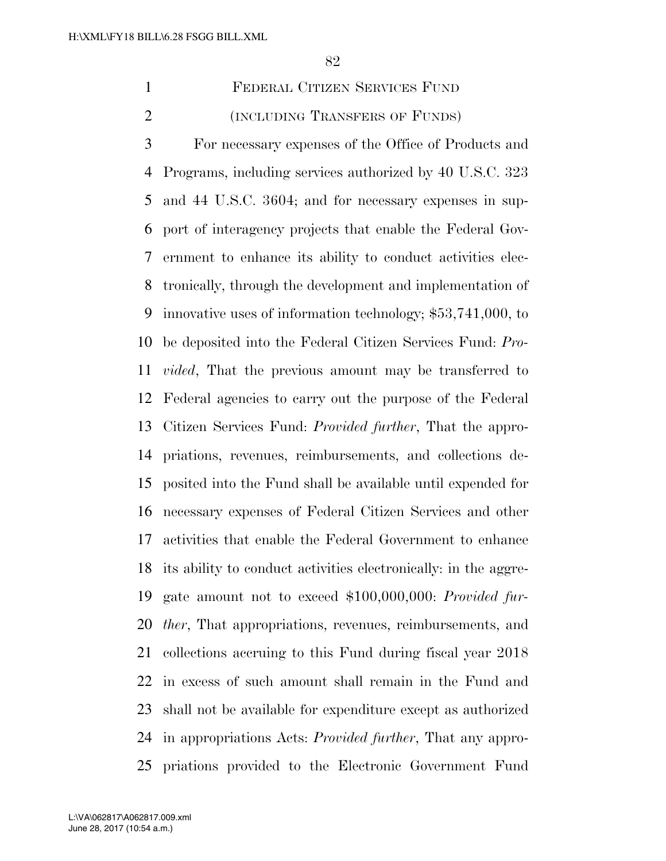FEDERAL CITIZEN SERVICES FUND (INCLUDING TRANSFERS OF FUNDS)

 For necessary expenses of the Office of Products and Programs, including services authorized by 40 U.S.C. 323 and 44 U.S.C. 3604; and for necessary expenses in sup- port of interagency projects that enable the Federal Gov- ernment to enhance its ability to conduct activities elec- tronically, through the development and implementation of innovative uses of information technology; \$53,741,000, to be deposited into the Federal Citizen Services Fund: *Pro- vided*, That the previous amount may be transferred to Federal agencies to carry out the purpose of the Federal Citizen Services Fund: *Provided further*, That the appro- priations, revenues, reimbursements, and collections de- posited into the Fund shall be available until expended for necessary expenses of Federal Citizen Services and other activities that enable the Federal Government to enhance its ability to conduct activities electronically: in the aggre- gate amount not to exceed \$100,000,000: *Provided fur- ther*, That appropriations, revenues, reimbursements, and collections accruing to this Fund during fiscal year 2018 in excess of such amount shall remain in the Fund and shall not be available for expenditure except as authorized in appropriations Acts: *Provided further*, That any appro-priations provided to the Electronic Government Fund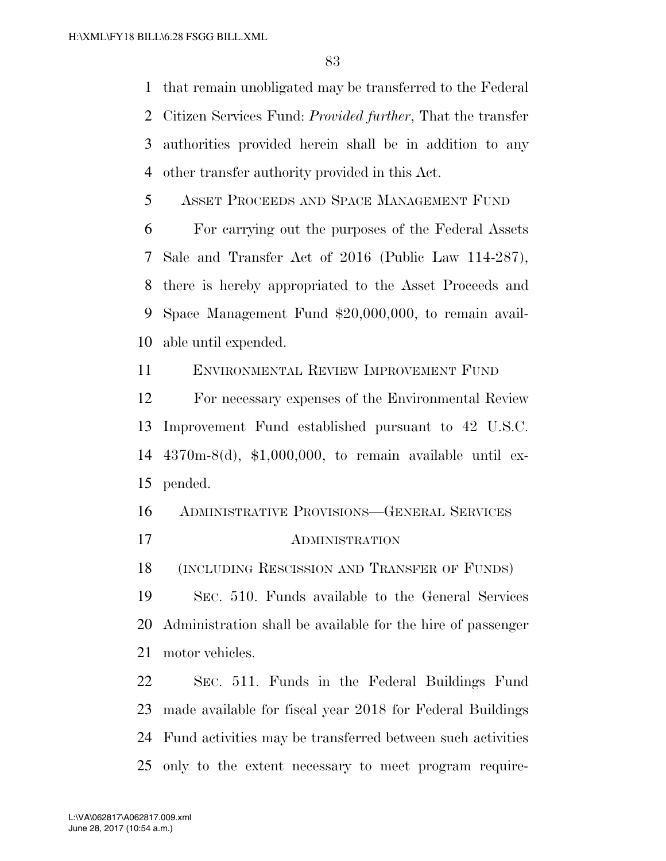that remain unobligated may be transferred to the Federal Citizen Services Fund: *Provided further*, That the transfer authorities provided herein shall be in addition to any other transfer authority provided in this Act.

ASSET PROCEEDS AND SPACE MANAGEMENT FUND

 For carrying out the purposes of the Federal Assets Sale and Transfer Act of 2016 (Public Law 114-287), there is hereby appropriated to the Asset Proceeds and Space Management Fund \$20,000,000, to remain avail-able until expended.

ENVIRONMENTAL REVIEW IMPROVEMENT FUND

 For necessary expenses of the Environmental Review Improvement Fund established pursuant to 42 U.S.C. 4370m-8(d), \$1,000,000, to remain available until ex-pended.

ADMINISTRATIVE PROVISIONS—GENERAL SERVICES

ADMINISTRATION

(INCLUDING RESCISSION AND TRANSFER OF FUNDS)

 SEC. 510. Funds available to the General Services Administration shall be available for the hire of passenger motor vehicles.

 SEC. 511. Funds in the Federal Buildings Fund made available for fiscal year 2018 for Federal Buildings Fund activities may be transferred between such activities only to the extent necessary to meet program require-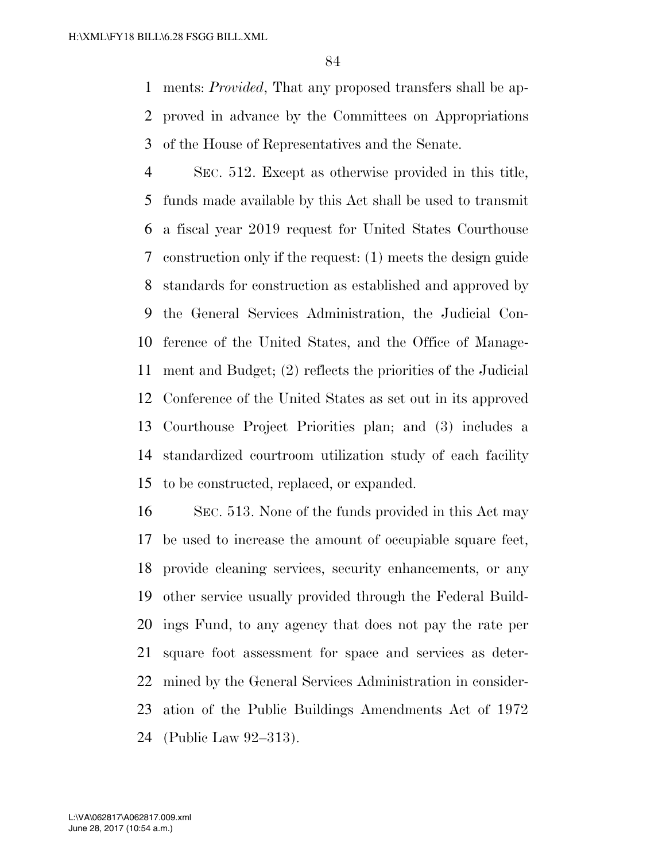ments: *Provided*, That any proposed transfers shall be ap- proved in advance by the Committees on Appropriations of the House of Representatives and the Senate.

 SEC. 512. Except as otherwise provided in this title, funds made available by this Act shall be used to transmit a fiscal year 2019 request for United States Courthouse construction only if the request: (1) meets the design guide standards for construction as established and approved by the General Services Administration, the Judicial Con- ference of the United States, and the Office of Manage- ment and Budget; (2) reflects the priorities of the Judicial Conference of the United States as set out in its approved Courthouse Project Priorities plan; and (3) includes a standardized courtroom utilization study of each facility to be constructed, replaced, or expanded.

 SEC. 513. None of the funds provided in this Act may be used to increase the amount of occupiable square feet, provide cleaning services, security enhancements, or any other service usually provided through the Federal Build- ings Fund, to any agency that does not pay the rate per square foot assessment for space and services as deter- mined by the General Services Administration in consider- ation of the Public Buildings Amendments Act of 1972 (Public Law 92–313).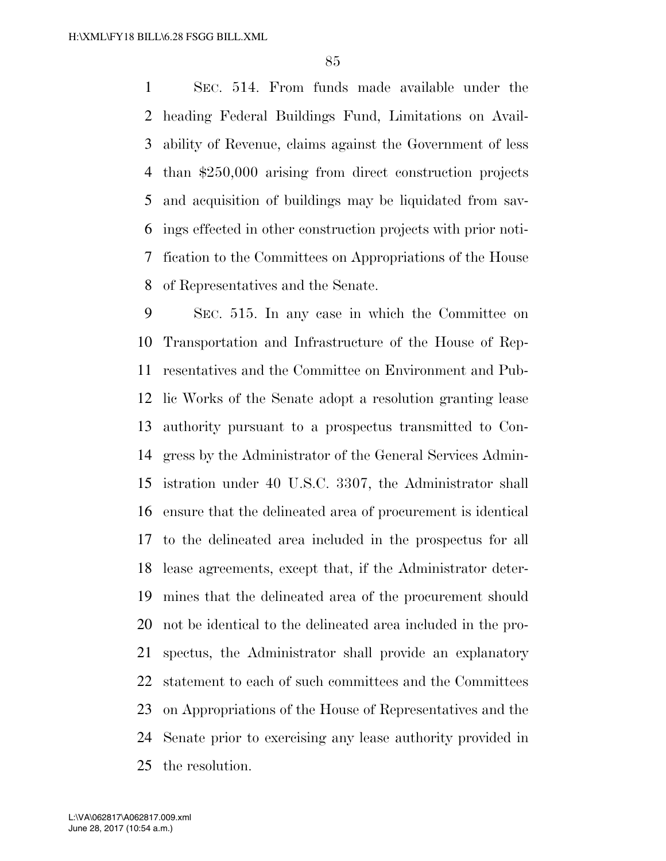SEC. 514. From funds made available under the heading Federal Buildings Fund, Limitations on Avail- ability of Revenue, claims against the Government of less than \$250,000 arising from direct construction projects and acquisition of buildings may be liquidated from sav- ings effected in other construction projects with prior noti- fication to the Committees on Appropriations of the House of Representatives and the Senate.

 SEC. 515. In any case in which the Committee on Transportation and Infrastructure of the House of Rep- resentatives and the Committee on Environment and Pub- lic Works of the Senate adopt a resolution granting lease authority pursuant to a prospectus transmitted to Con- gress by the Administrator of the General Services Admin- istration under 40 U.S.C. 3307, the Administrator shall ensure that the delineated area of procurement is identical to the delineated area included in the prospectus for all lease agreements, except that, if the Administrator deter- mines that the delineated area of the procurement should not be identical to the delineated area included in the pro- spectus, the Administrator shall provide an explanatory statement to each of such committees and the Committees on Appropriations of the House of Representatives and the Senate prior to exercising any lease authority provided in the resolution.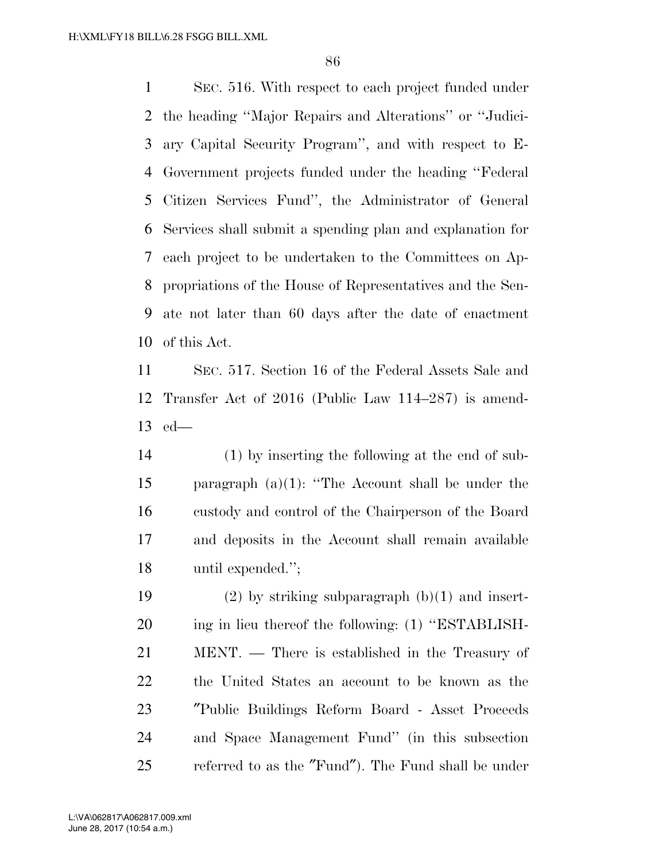SEC. 516. With respect to each project funded under the heading ''Major Repairs and Alterations'' or ''Judici- ary Capital Security Program'', and with respect to E- Government projects funded under the heading ''Federal Citizen Services Fund'', the Administrator of General Services shall submit a spending plan and explanation for each project to be undertaken to the Committees on Ap- propriations of the House of Representatives and the Sen- ate not later than 60 days after the date of enactment of this Act.

 SEC. 517. Section 16 of the Federal Assets Sale and Transfer Act of 2016 (Public Law 114–287) is amend-ed—

 (1) by inserting the following at the end of sub- paragraph (a)(1): ''The Account shall be under the custody and control of the Chairperson of the Board and deposits in the Account shall remain available until expended.'';

19 (2) by striking subparagraph  $(b)(1)$  and insert-20 ing in lieu thereof the following: (1) "ESTABLISH- MENT. — There is established in the Treasury of the United States an account to be known as the ″Public Buildings Reform Board - Asset Proceeds and Space Management Fund'' (in this subsection referred to as the ″Fund″). The Fund shall be under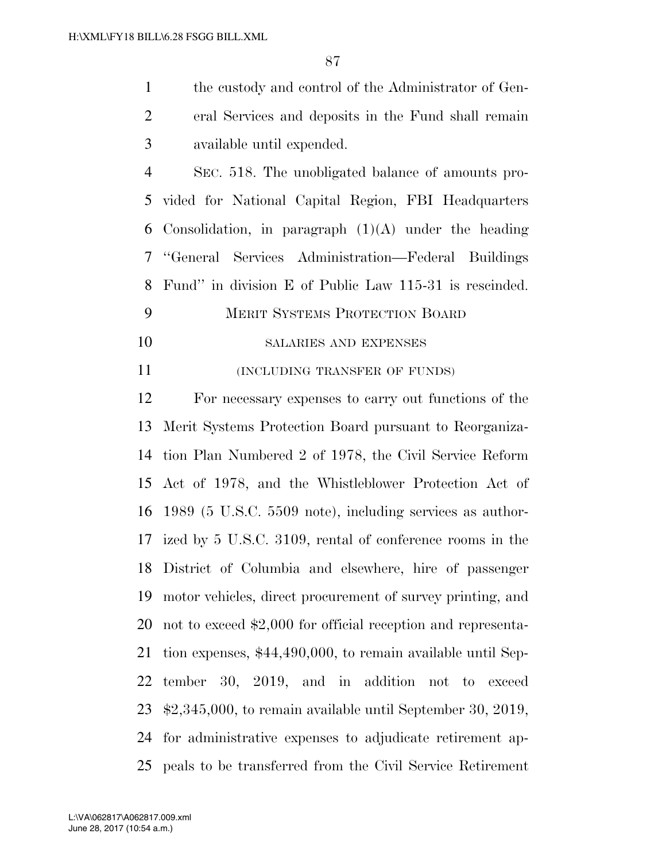| $\mathbf{1}$   | the custody and control of the Administrator of Gen-     |
|----------------|----------------------------------------------------------|
| 2              | eral Services and deposits in the Fund shall remain      |
| 3              | available until expended.                                |
| $\overline{4}$ | SEC. 518. The unobligated balance of amounts pro-        |
|                | 5 vided for National Capital Region, FBI Headquarters    |
|                | 6 Consolidation, in paragraph $(1)(A)$ under the heading |
|                | 7 "General Services Administration—Federal Buildings     |
|                | 8 Fund" in division E of Public Law 115-31 is rescinded. |
| 9              | <b>MERIT SYSTEMS PROTECTION BOARD</b>                    |
| 10             | <b>SALARIES AND EXPENSES</b>                             |
|                |                                                          |

(INCLUDING TRANSFER OF FUNDS)

 For necessary expenses to carry out functions of the Merit Systems Protection Board pursuant to Reorganiza- tion Plan Numbered 2 of 1978, the Civil Service Reform Act of 1978, and the Whistleblower Protection Act of 1989 (5 U.S.C. 5509 note), including services as author- ized by 5 U.S.C. 3109, rental of conference rooms in the District of Columbia and elsewhere, hire of passenger motor vehicles, direct procurement of survey printing, and not to exceed \$2,000 for official reception and representa- tion expenses, \$44,490,000, to remain available until Sep- tember 30, 2019, and in addition not to exceed \$2,345,000, to remain available until September 30, 2019, for administrative expenses to adjudicate retirement ap-peals to be transferred from the Civil Service Retirement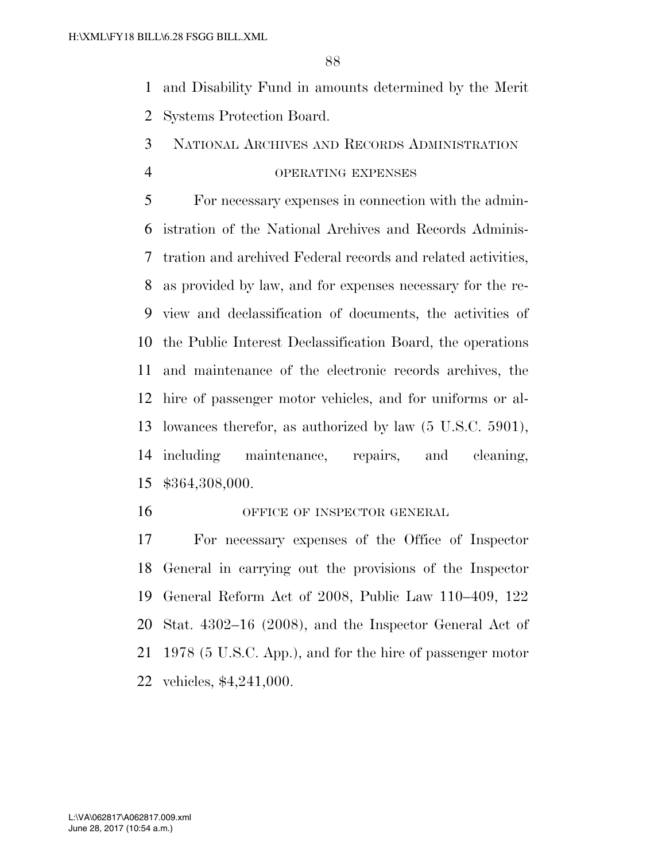- and Disability Fund in amounts determined by the Merit Systems Protection Board.
- NATIONAL ARCHIVES AND RECORDS ADMINISTRATION
- 

## OPERATING EXPENSES

 For necessary expenses in connection with the admin- istration of the National Archives and Records Adminis- tration and archived Federal records and related activities, as provided by law, and for expenses necessary for the re- view and declassification of documents, the activities of the Public Interest Declassification Board, the operations and maintenance of the electronic records archives, the hire of passenger motor vehicles, and for uniforms or al- lowances therefor, as authorized by law (5 U.S.C. 5901), including maintenance, repairs, and cleaning, \$364,308,000.

16 OFFICE OF INSPECTOR GENERAL

 For necessary expenses of the Office of Inspector General in carrying out the provisions of the Inspector General Reform Act of 2008, Public Law 110–409, 122 Stat. 4302–16 (2008), and the Inspector General Act of 1978 (5 U.S.C. App.), and for the hire of passenger motor vehicles, \$4,241,000.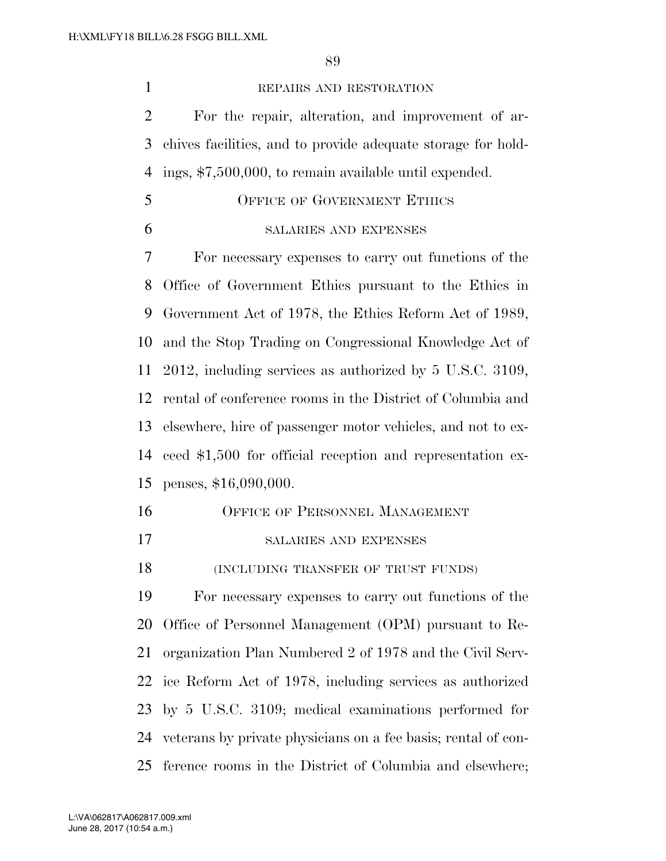### REPAIRS AND RESTORATION

 For the repair, alteration, and improvement of ar- chives facilities, and to provide adequate storage for hold-ings, \$7,500,000, to remain available until expended.

- OFFICE OF GOVERNMENT ETHICS
- SALARIES AND EXPENSES

 For necessary expenses to carry out functions of the Office of Government Ethics pursuant to the Ethics in Government Act of 1978, the Ethics Reform Act of 1989, and the Stop Trading on Congressional Knowledge Act of 2012, including services as authorized by 5 U.S.C. 3109, rental of conference rooms in the District of Columbia and elsewhere, hire of passenger motor vehicles, and not to ex- ceed \$1,500 for official reception and representation ex-penses, \$16,090,000.

- OFFICE OF PERSONNEL MANAGEMENT
- SALARIES AND EXPENSES

(INCLUDING TRANSFER OF TRUST FUNDS)

 For necessary expenses to carry out functions of the Office of Personnel Management (OPM) pursuant to Re- organization Plan Numbered 2 of 1978 and the Civil Serv- ice Reform Act of 1978, including services as authorized by 5 U.S.C. 3109; medical examinations performed for veterans by private physicians on a fee basis; rental of con-ference rooms in the District of Columbia and elsewhere;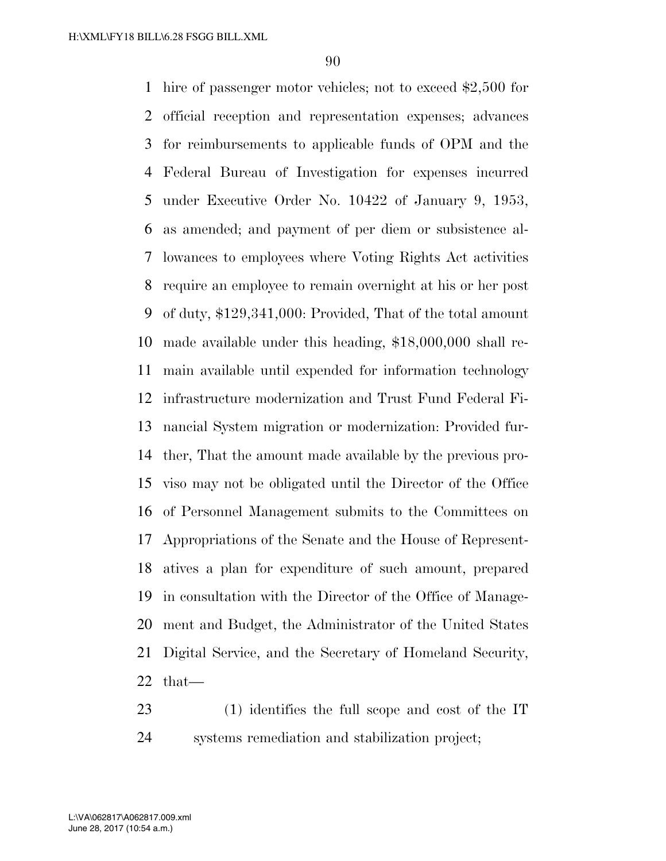hire of passenger motor vehicles; not to exceed \$2,500 for official reception and representation expenses; advances for reimbursements to applicable funds of OPM and the Federal Bureau of Investigation for expenses incurred under Executive Order No. 10422 of January 9, 1953, as amended; and payment of per diem or subsistence al- lowances to employees where Voting Rights Act activities require an employee to remain overnight at his or her post of duty, \$129,341,000: Provided, That of the total amount made available under this heading, \$18,000,000 shall re- main available until expended for information technology infrastructure modernization and Trust Fund Federal Fi- nancial System migration or modernization: Provided fur- ther, That the amount made available by the previous pro- viso may not be obligated until the Director of the Office of Personnel Management submits to the Committees on Appropriations of the Senate and the House of Represent- atives a plan for expenditure of such amount, prepared in consultation with the Director of the Office of Manage- ment and Budget, the Administrator of the United States Digital Service, and the Secretary of Homeland Security, that—

 (1) identifies the full scope and cost of the IT systems remediation and stabilization project;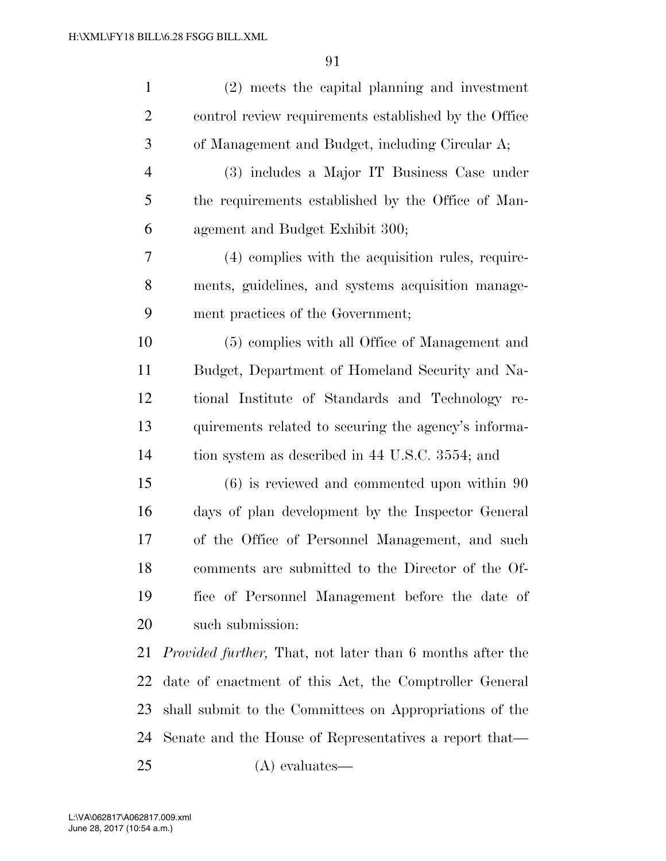| $\mathbf{1}$   | (2) meets the capital planning and investment                     |
|----------------|-------------------------------------------------------------------|
| $\overline{2}$ | control review requirements established by the Office             |
| 3              | of Management and Budget, including Circular A;                   |
| $\overline{4}$ | (3) includes a Major IT Business Case under                       |
| 5              | the requirements established by the Office of Man-                |
| 6              | agement and Budget Exhibit 300;                                   |
| 7              | (4) complies with the acquisition rules, require-                 |
| 8              | ments, guidelines, and systems acquisition manage-                |
| 9              | ment practices of the Government;                                 |
| 10             | (5) complies with all Office of Management and                    |
| 11             | Budget, Department of Homeland Security and Na-                   |
| 12             | tional Institute of Standards and Technology re-                  |
| 13             | quirements related to securing the agency's informa-              |
| 14             | tion system as described in 44 U.S.C. 3554; and                   |
| 15             | $(6)$ is reviewed and commented upon within 90                    |
| 16             | days of plan development by the Inspector General                 |
| 17             | of the Office of Personnel Management, and such                   |
| 18             | comments are submitted to the Director of the Of-                 |
| 19             | fice of Personnel Management before the date of                   |
| 20             | such submission:                                                  |
| 21             | <i>Provided further</i> , That, not later than 6 months after the |
| 22             | date of enactment of this Act, the Comptroller General            |
| 23             | shall submit to the Committees on Appropriations of the           |
| 24             | Senate and the House of Representatives a report that—            |
| 25             | $(A)$ evaluates—                                                  |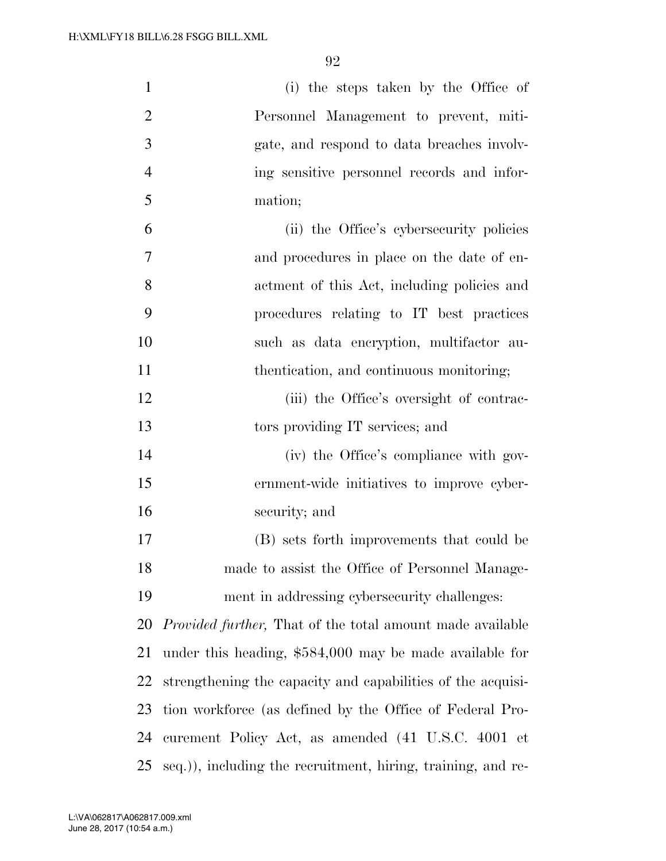| $\mathbf{1}$   | (i) the steps taken by the Office of                              |
|----------------|-------------------------------------------------------------------|
| $\overline{2}$ | Personnel Management to prevent, miti-                            |
| 3              | gate, and respond to data breaches involv-                        |
| $\overline{4}$ | ing sensitive personnel records and infor-                        |
| 5              | mation;                                                           |
| 6              | (ii) the Office's cybersecurity policies                          |
| $\overline{7}$ | and procedures in place on the date of en-                        |
| 8              | actment of this Act, including policies and                       |
| 9              | procedures relating to IT best practices                          |
| 10             | such as data encryption, multifactor au-                          |
| 11             | thentication, and continuous monitoring;                          |
| 12             | (iii) the Office's oversight of contrac-                          |
| 13             | tors providing IT services; and                                   |
| 14             | (iv) the Office's compliance with gov-                            |
| 15             | ernment-wide initiatives to improve cyber-                        |
| 16             | security; and                                                     |
| 17             | (B) sets forth improvements that could be                         |
| 18             | made to assist the Office of Personnel Manage-                    |
| 19             | ment in addressing cybersecurity challenges:                      |
| 20             | <i>Provided further</i> , That of the total amount made available |
| 21             | under this heading, \$584,000 may be made available for           |
| 22             | strengthening the capacity and capabilities of the acquisi-       |
| 23             | tion workforce (as defined by the Office of Federal Pro-          |
| 24             | curement Policy Act, as amended (41 U.S.C. 4001 et                |
| 25             | seq.)), including the recruitment, hiring, training, and re-      |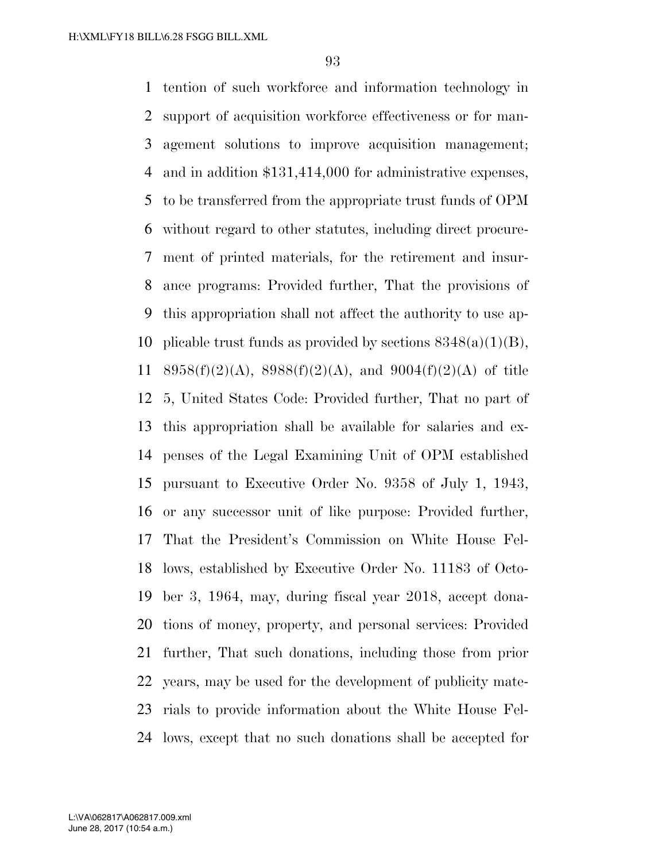tention of such workforce and information technology in support of acquisition workforce effectiveness or for man- agement solutions to improve acquisition management; and in addition \$131,414,000 for administrative expenses, to be transferred from the appropriate trust funds of OPM without regard to other statutes, including direct procure- ment of printed materials, for the retirement and insur- ance programs: Provided further, That the provisions of this appropriation shall not affect the authority to use ap-10 plicable trust funds as provided by sections  $8348(a)(1)(B)$ , 11 8958(f)(2)(A), 8988(f)(2)(A), and 9004(f)(2)(A) of title 5, United States Code: Provided further, That no part of this appropriation shall be available for salaries and ex- penses of the Legal Examining Unit of OPM established pursuant to Executive Order No. 9358 of July 1, 1943, or any successor unit of like purpose: Provided further, That the President's Commission on White House Fel- lows, established by Executive Order No. 11183 of Octo- ber 3, 1964, may, during fiscal year 2018, accept dona- tions of money, property, and personal services: Provided further, That such donations, including those from prior years, may be used for the development of publicity mate- rials to provide information about the White House Fel-lows, except that no such donations shall be accepted for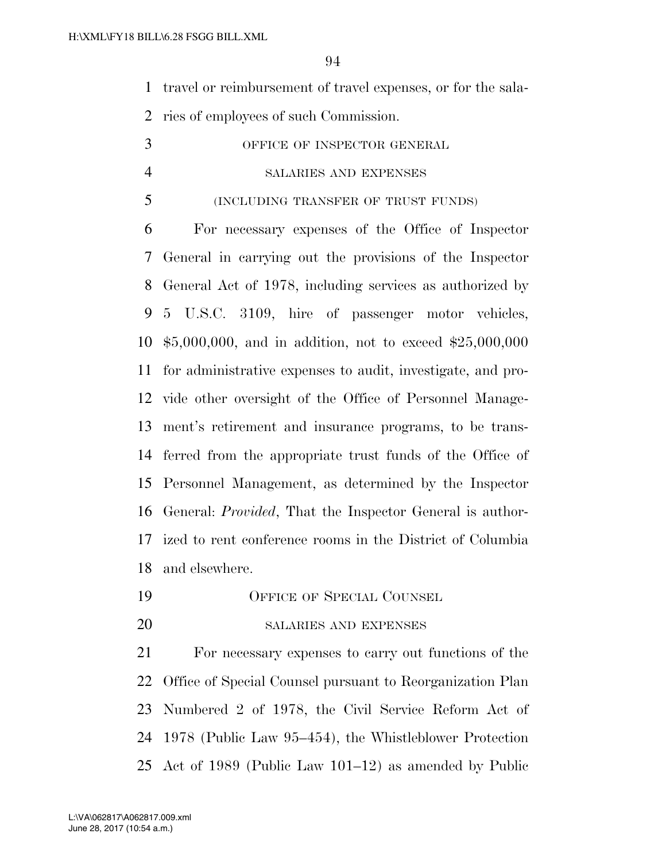travel or reimbursement of travel expenses, or for the sala-

ries of employees of such Commission.

 OFFICE OF INSPECTOR GENERAL SALARIES AND EXPENSES (INCLUDING TRANSFER OF TRUST FUNDS)

 For necessary expenses of the Office of Inspector General in carrying out the provisions of the Inspector General Act of 1978, including services as authorized by 5 U.S.C. 3109, hire of passenger motor vehicles, \$5,000,000, and in addition, not to exceed \$25,000,000 for administrative expenses to audit, investigate, and pro- vide other oversight of the Office of Personnel Manage- ment's retirement and insurance programs, to be trans- ferred from the appropriate trust funds of the Office of Personnel Management, as determined by the Inspector General: *Provided*, That the Inspector General is author- ized to rent conference rooms in the District of Columbia and elsewhere.

- OFFICE OF SPECIAL COUNSEL
- SALARIES AND EXPENSES

 For necessary expenses to carry out functions of the Office of Special Counsel pursuant to Reorganization Plan Numbered 2 of 1978, the Civil Service Reform Act of 1978 (Public Law 95–454), the Whistleblower Protection Act of 1989 (Public Law 101–12) as amended by Public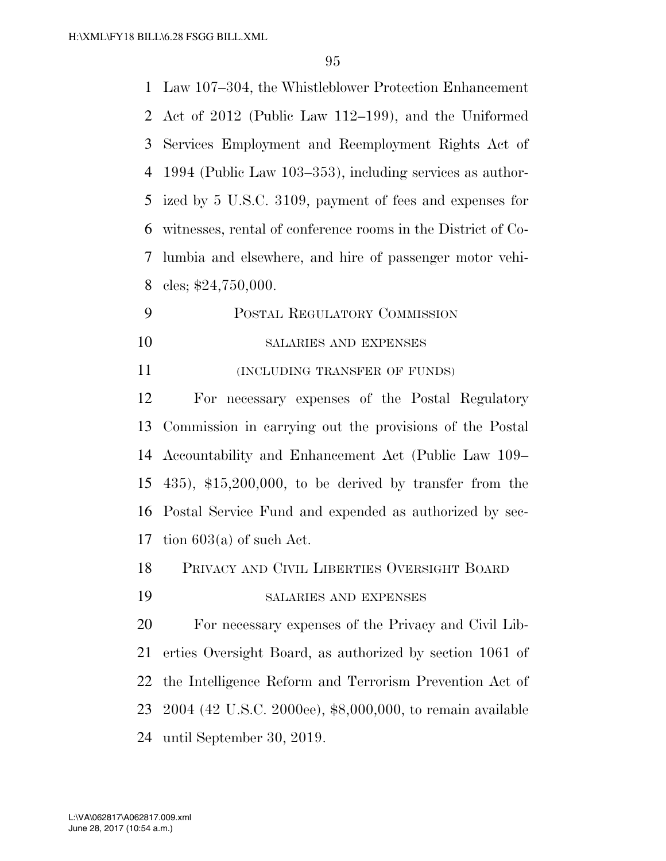Law 107–304, the Whistleblower Protection Enhancement Act of 2012 (Public Law 112–199), and the Uniformed Services Employment and Reemployment Rights Act of 1994 (Public Law 103–353), including services as author- ized by 5 U.S.C. 3109, payment of fees and expenses for witnesses, rental of conference rooms in the District of Co- lumbia and elsewhere, and hire of passenger motor vehi-cles; \$24,750,000.

- POSTAL REGULATORY COMMISSION 10 SALARIES AND EXPENSES
- **INCLUDING TRANSFER OF FUNDS**

 For necessary expenses of the Postal Regulatory Commission in carrying out the provisions of the Postal Accountability and Enhancement Act (Public Law 109– 435), \$15,200,000, to be derived by transfer from the Postal Service Fund and expended as authorized by sec-17 tion  $603(a)$  of such Act.

- PRIVACY AND CIVIL LIBERTIES OVERSIGHT BOARD
- SALARIES AND EXPENSES

 For necessary expenses of the Privacy and Civil Lib- erties Oversight Board, as authorized by section 1061 of the Intelligence Reform and Terrorism Prevention Act of 2004 (42 U.S.C. 2000ee), \$8,000,000, to remain available until September 30, 2019.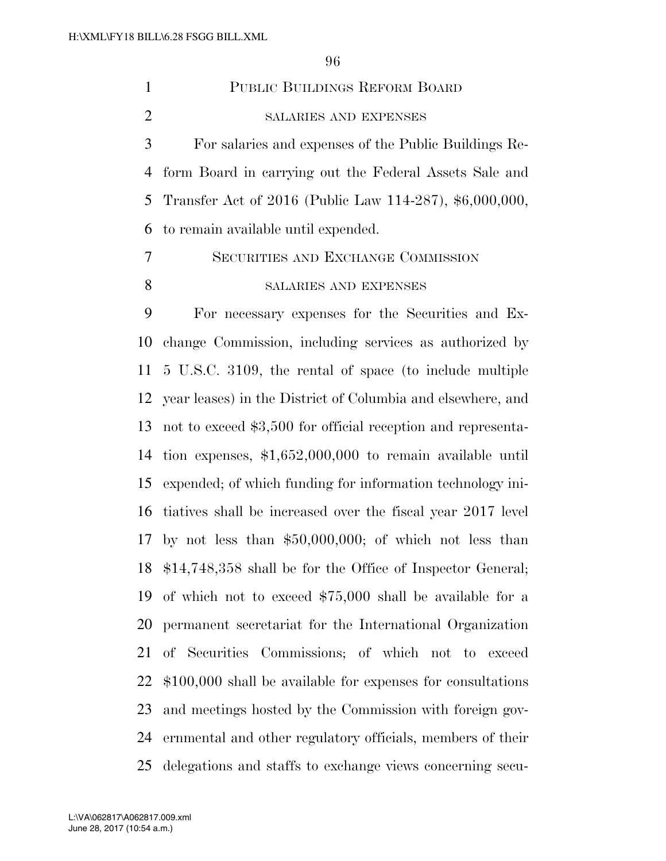| $\mathbf{1}$   | PUBLIC BUILDINGS REFORM BOARD                                 |
|----------------|---------------------------------------------------------------|
| $\overline{2}$ | SALARIES AND EXPENSES                                         |
| 3              | For salaries and expenses of the Public Buildings Re-         |
| 4              | form Board in carrying out the Federal Assets Sale and        |
| 5              | Transfer Act of 2016 (Public Law 114-287), \$6,000,000,       |
| 6              | to remain available until expended.                           |
| 7              | SECURITIES AND EXCHANGE COMMISSION                            |
| 8              | SALARIES AND EXPENSES                                         |
| 9              | For necessary expenses for the Securities and Ex-             |
| 10             | change Commission, including services as authorized by        |
| 11             | 5 U.S.C. 3109, the rental of space (to include multiple       |
| 12             | year leases) in the District of Columbia and elsewhere, and   |
| 13             | not to exceed \$3,500 for official reception and representa-  |
| 14             | tion expenses, $$1,652,000,000$ to remain available until     |
| 15             | expended; of which funding for information technology ini-    |
| 16             | tiatives shall be increased over the fiscal year 2017 level   |
| 17             | by not less than $$50,000,000$ ; of which not less than       |
|                | 18 \$14,748,358 shall be for the Office of Inspector General; |
| 19             | of which not to exceed $$75,000$ shall be available for a     |
| 20             | permanent secretariat for the International Organization      |
| 21             | of Securities Commissions; of which not to exceed             |
| 22             | $$100,000$ shall be available for expenses for consultations  |
| 23             | and meetings hosted by the Commission with foreign gov-       |
| 24             | ernmental and other regulatory officials, members of their    |
| 25             | delegations and staffs to exchange views concerning secu-     |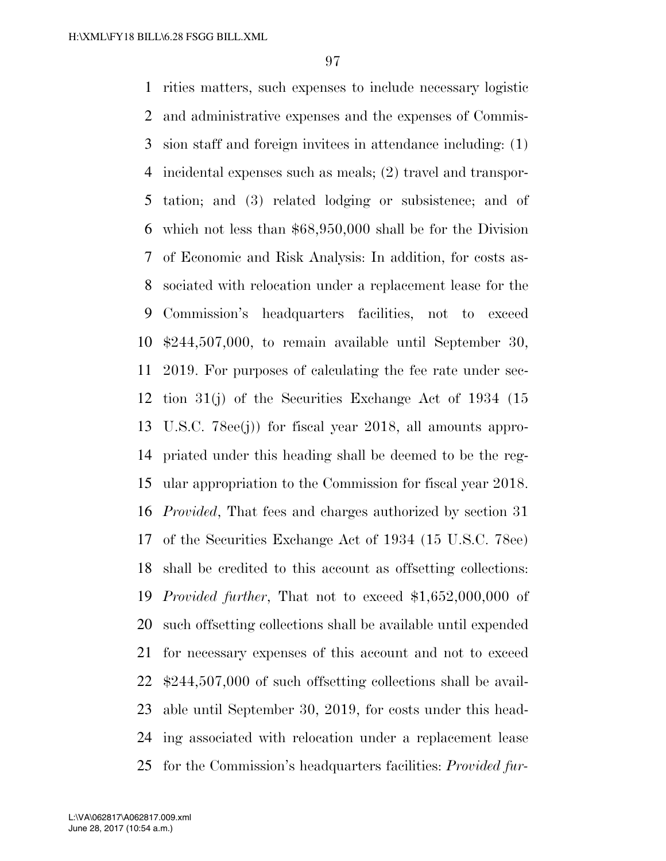rities matters, such expenses to include necessary logistic and administrative expenses and the expenses of Commis- sion staff and foreign invitees in attendance including: (1) incidental expenses such as meals; (2) travel and transpor- tation; and (3) related lodging or subsistence; and of which not less than \$68,950,000 shall be for the Division of Economic and Risk Analysis: In addition, for costs as- sociated with relocation under a replacement lease for the Commission's headquarters facilities, not to exceed \$244,507,000, to remain available until September 30, 2019. For purposes of calculating the fee rate under sec- tion 31(j) of the Securities Exchange Act of 1934 (15 U.S.C. 78ee(j)) for fiscal year 2018, all amounts appro- priated under this heading shall be deemed to be the reg- ular appropriation to the Commission for fiscal year 2018. *Provided*, That fees and charges authorized by section 31 of the Securities Exchange Act of 1934 (15 U.S.C. 78ee) shall be credited to this account as offsetting collections: *Provided further*, That not to exceed \$1,652,000,000 of such offsetting collections shall be available until expended for necessary expenses of this account and not to exceed \$244,507,000 of such offsetting collections shall be avail- able until September 30, 2019, for costs under this head- ing associated with relocation under a replacement lease for the Commission's headquarters facilities: *Provided fur-*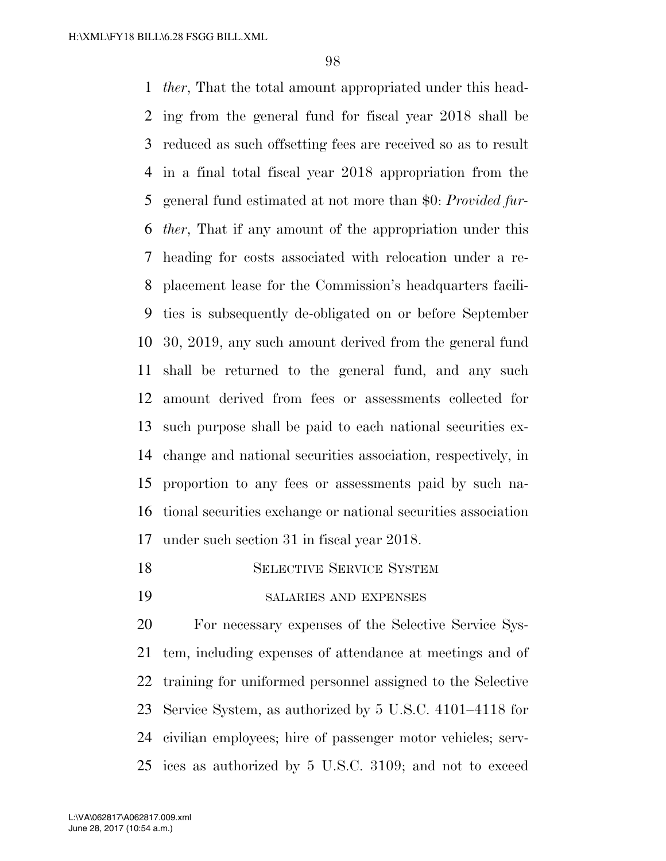*ther*, That the total amount appropriated under this head- ing from the general fund for fiscal year 2018 shall be reduced as such offsetting fees are received so as to result in a final total fiscal year 2018 appropriation from the general fund estimated at not more than \$0: *Provided fur- ther*, That if any amount of the appropriation under this heading for costs associated with relocation under a re- placement lease for the Commission's headquarters facili- ties is subsequently de-obligated on or before September 30, 2019, any such amount derived from the general fund shall be returned to the general fund, and any such amount derived from fees or assessments collected for such purpose shall be paid to each national securities ex- change and national securities association, respectively, in proportion to any fees or assessments paid by such na- tional securities exchange or national securities association under such section 31 in fiscal year 2018.

- SELECTIVE SERVICE SYSTEM
- SALARIES AND EXPENSES

 For necessary expenses of the Selective Service Sys- tem, including expenses of attendance at meetings and of training for uniformed personnel assigned to the Selective Service System, as authorized by 5 U.S.C. 4101–4118 for civilian employees; hire of passenger motor vehicles; serv-ices as authorized by 5 U.S.C. 3109; and not to exceed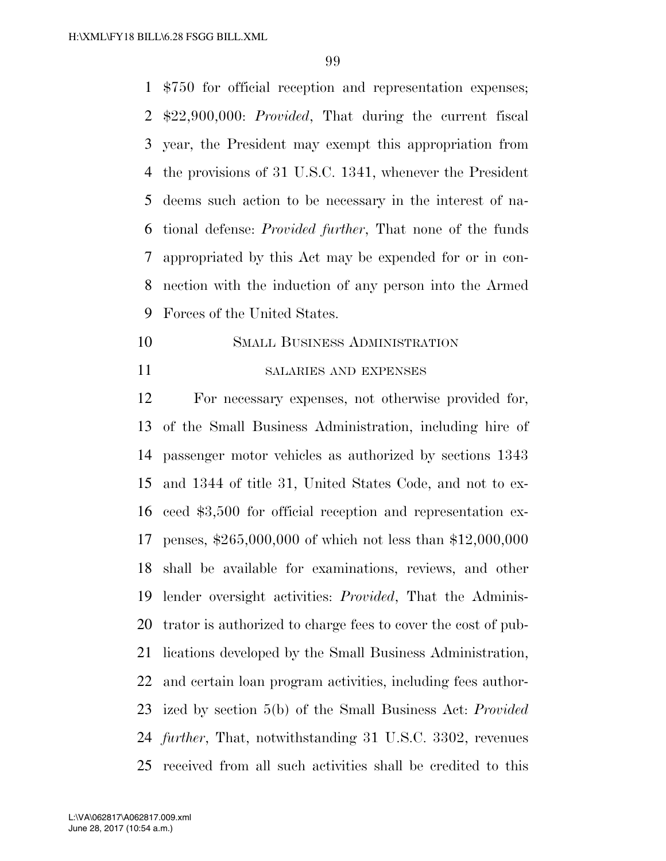\$750 for official reception and representation expenses; \$22,900,000: *Provided*, That during the current fiscal year, the President may exempt this appropriation from the provisions of 31 U.S.C. 1341, whenever the President deems such action to be necessary in the interest of na- tional defense: *Provided further*, That none of the funds appropriated by this Act may be expended for or in con- nection with the induction of any person into the Armed Forces of the United States.

- SMALL BUSINESS ADMINISTRATION
- 

#### SALARIES AND EXPENSES

 For necessary expenses, not otherwise provided for, of the Small Business Administration, including hire of passenger motor vehicles as authorized by sections 1343 and 1344 of title 31, United States Code, and not to ex- ceed \$3,500 for official reception and representation ex- penses, \$265,000,000 of which not less than \$12,000,000 shall be available for examinations, reviews, and other lender oversight activities: *Provided*, That the Adminis- trator is authorized to charge fees to cover the cost of pub- lications developed by the Small Business Administration, and certain loan program activities, including fees author- ized by section 5(b) of the Small Business Act: *Provided further*, That, notwithstanding 31 U.S.C. 3302, revenues received from all such activities shall be credited to this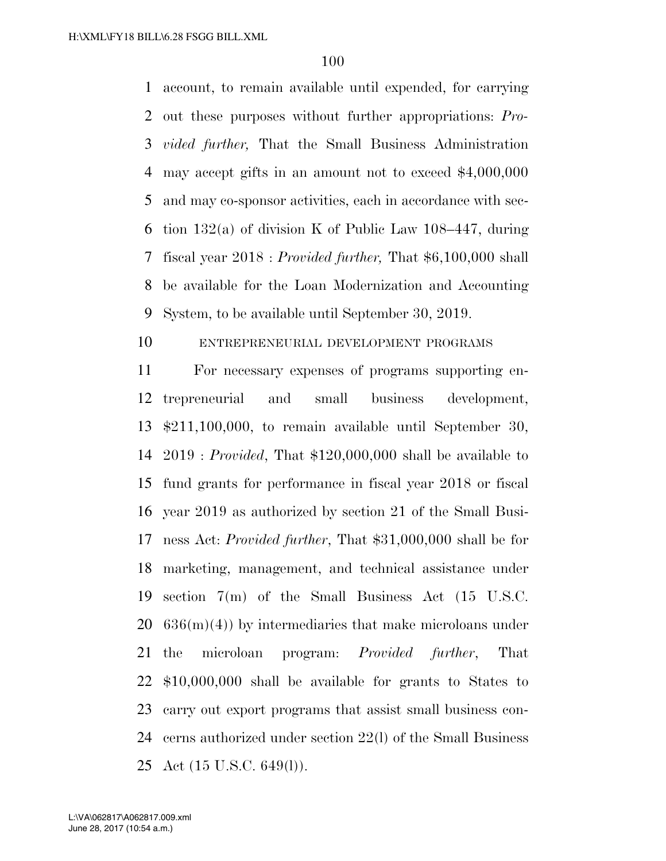account, to remain available until expended, for carrying out these purposes without further appropriations: *Pro- vided further,* That the Small Business Administration may accept gifts in an amount not to exceed \$4,000,000 and may co-sponsor activities, each in accordance with sec- tion 132(a) of division K of Public Law 108–447, during fiscal year 2018 : *Provided further,* That \$6,100,000 shall be available for the Loan Modernization and Accounting System, to be available until September 30, 2019.

# ENTREPRENEURIAL DEVELOPMENT PROGRAMS

 For necessary expenses of programs supporting en- trepreneurial and small business development, \$211,100,000, to remain available until September 30, 2019 : *Provided*, That \$120,000,000 shall be available to fund grants for performance in fiscal year 2018 or fiscal year 2019 as authorized by section 21 of the Small Busi- ness Act: *Provided further*, That \$31,000,000 shall be for marketing, management, and technical assistance under section 7(m) of the Small Business Act (15 U.S.C.  $20\quad636(m)(4)$  by intermediaries that make microloans under the microloan program: *Provided further*, That \$10,000,000 shall be available for grants to States to carry out export programs that assist small business con- cerns authorized under section 22(l) of the Small Business Act (15 U.S.C. 649(l)).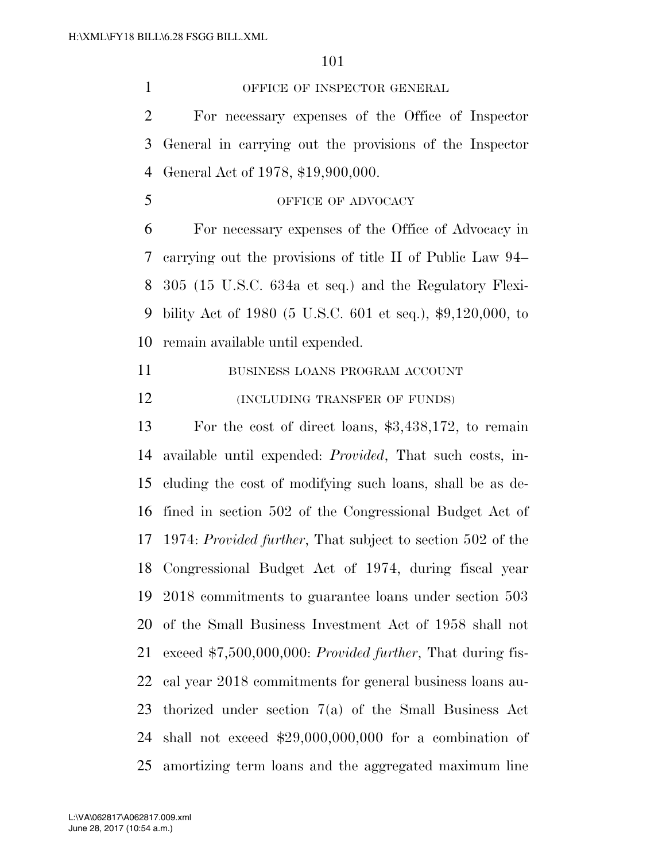1 OFFICE OF INSPECTOR GENERAL

 For necessary expenses of the Office of Inspector General in carrying out the provisions of the Inspector General Act of 1978, \$19,900,000.

## 5 OFFICE OF ADVOCACY

 For necessary expenses of the Office of Advocacy in carrying out the provisions of title II of Public Law 94– 305 (15 U.S.C. 634a et seq.) and the Regulatory Flexi- bility Act of 1980 (5 U.S.C. 601 et seq.), \$9,120,000, to remain available until expended.

11 BUSINESS LOANS PROGRAM ACCOUNT **(INCLUDING TRANSFER OF FUNDS)** 

 For the cost of direct loans, \$3,438,172, to remain available until expended: *Provided*, That such costs, in- cluding the cost of modifying such loans, shall be as de- fined in section 502 of the Congressional Budget Act of 1974: *Provided further*, That subject to section 502 of the Congressional Budget Act of 1974, during fiscal year 2018 commitments to guarantee loans under section 503 of the Small Business Investment Act of 1958 shall not exceed \$7,500,000,000: *Provided further*, That during fis- cal year 2018 commitments for general business loans au- thorized under section 7(a) of the Small Business Act shall not exceed \$29,000,000,000 for a combination of amortizing term loans and the aggregated maximum line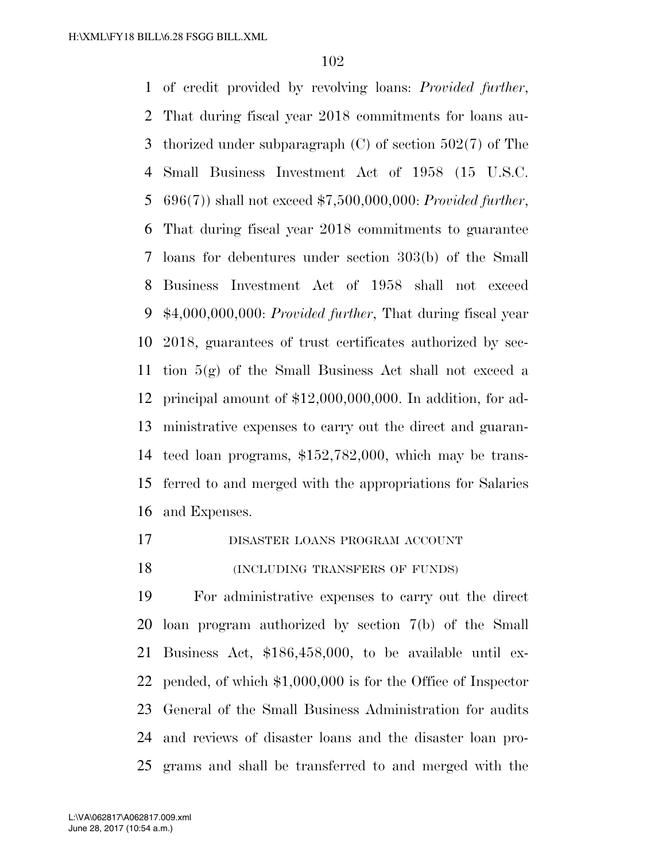of credit provided by revolving loans: *Provided further*, That during fiscal year 2018 commitments for loans au- thorized under subparagraph (C) of section 502(7) of The Small Business Investment Act of 1958 (15 U.S.C. 696(7)) shall not exceed \$7,500,000,000: *Provided further*, That during fiscal year 2018 commitments to guarantee loans for debentures under section 303(b) of the Small Business Investment Act of 1958 shall not exceed \$4,000,000,000: *Provided further*, That during fiscal year 2018, guarantees of trust certificates authorized by sec- tion 5(g) of the Small Business Act shall not exceed a principal amount of \$12,000,000,000. In addition, for ad- ministrative expenses to carry out the direct and guaran- teed loan programs, \$152,782,000, which may be trans- ferred to and merged with the appropriations for Salaries and Expenses.

- DISASTER LOANS PROGRAM ACCOUNT
- 18 (INCLUDING TRANSFERS OF FUNDS)

 For administrative expenses to carry out the direct loan program authorized by section 7(b) of the Small Business Act, \$186,458,000, to be available until ex- pended, of which \$1,000,000 is for the Office of Inspector General of the Small Business Administration for audits and reviews of disaster loans and the disaster loan pro-grams and shall be transferred to and merged with the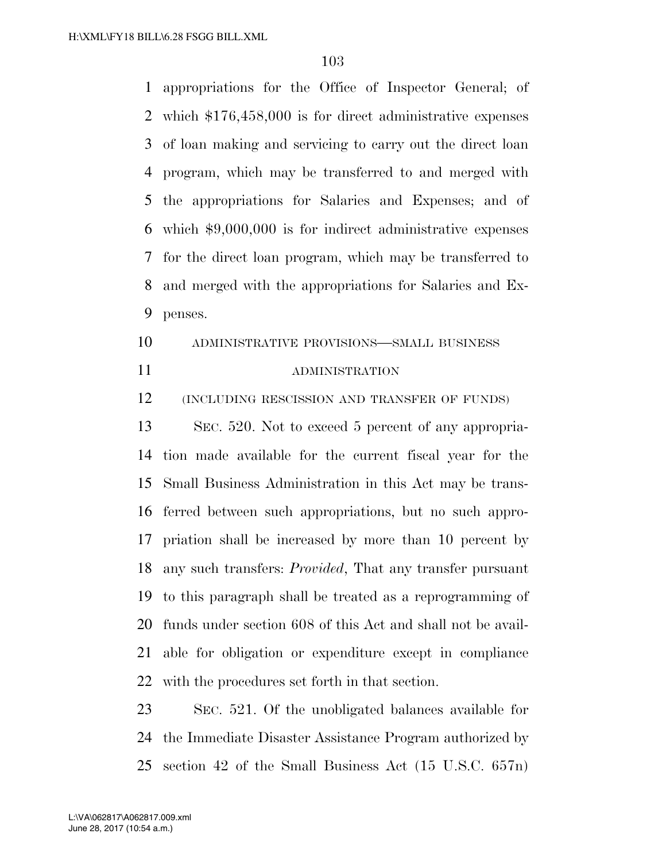appropriations for the Office of Inspector General; of which \$176,458,000 is for direct administrative expenses of loan making and servicing to carry out the direct loan program, which may be transferred to and merged with the appropriations for Salaries and Expenses; and of which \$9,000,000 is for indirect administrative expenses for the direct loan program, which may be transferred to and merged with the appropriations for Salaries and Ex-penses.

 ADMINISTRATIVE PROVISIONS—SMALL BUSINESS ADMINISTRATION

(INCLUDING RESCISSION AND TRANSFER OF FUNDS)

 SEC. 520. Not to exceed 5 percent of any appropria- tion made available for the current fiscal year for the Small Business Administration in this Act may be trans- ferred between such appropriations, but no such appro- priation shall be increased by more than 10 percent by any such transfers: *Provided*, That any transfer pursuant to this paragraph shall be treated as a reprogramming of funds under section 608 of this Act and shall not be avail- able for obligation or expenditure except in compliance with the procedures set forth in that section.

 SEC. 521. Of the unobligated balances available for the Immediate Disaster Assistance Program authorized by section 42 of the Small Business Act (15 U.S.C. 657n)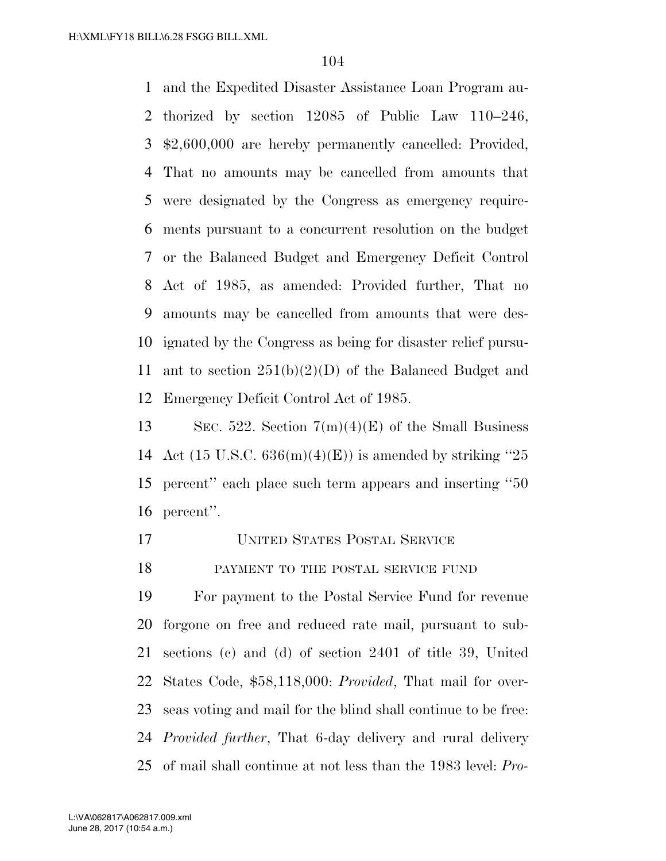and the Expedited Disaster Assistance Loan Program au- thorized by section 12085 of Public Law 110–246, \$2,600,000 are hereby permanently cancelled: Provided, That no amounts may be cancelled from amounts that were designated by the Congress as emergency require- ments pursuant to a concurrent resolution on the budget or the Balanced Budget and Emergency Deficit Control Act of 1985, as amended: Provided further, That no amounts may be cancelled from amounts that were des- ignated by the Congress as being for disaster relief pursu- ant to section 251(b)(2)(D) of the Balanced Budget and Emergency Deficit Control Act of 1985.

13 SEC. 522. Section  $7(m)(4)(E)$  of the Small Business 14 Act (15 U.S.C.  $636(m)(4)(E)$ ) is amended by striking "25 percent'' each place such term appears and inserting ''50 percent''.

- UNITED STATES POSTAL SERVICE
- 18 PAYMENT TO THE POSTAL SERVICE FUND

 For payment to the Postal Service Fund for revenue forgone on free and reduced rate mail, pursuant to sub- sections (c) and (d) of section 2401 of title 39, United States Code, \$58,118,000: *Provided*, That mail for over- seas voting and mail for the blind shall continue to be free: *Provided further*, That 6-day delivery and rural delivery of mail shall continue at not less than the 1983 level: *Pro-*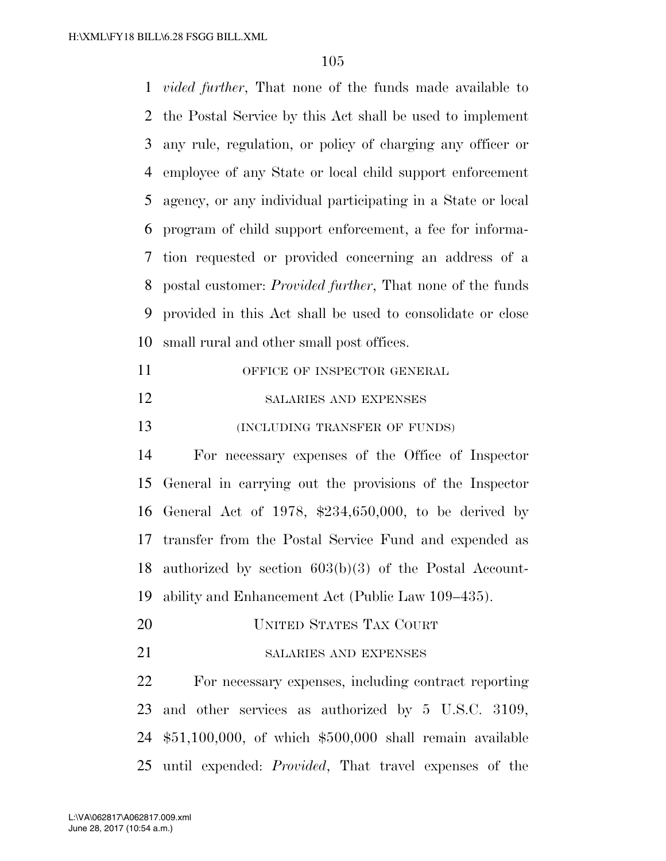*vided further*, That none of the funds made available to the Postal Service by this Act shall be used to implement any rule, regulation, or policy of charging any officer or employee of any State or local child support enforcement agency, or any individual participating in a State or local program of child support enforcement, a fee for informa- tion requested or provided concerning an address of a postal customer: *Provided further*, That none of the funds provided in this Act shall be used to consolidate or close small rural and other small post offices.

| 11 | OFFICE OF INSPECTOR GENERAL   |
|----|-------------------------------|
| 12 | SALARIES AND EXPENSES         |
| 13 | (INCLUDING TRANSFER OF FUNDS) |

 For necessary expenses of the Office of Inspector General in carrying out the provisions of the Inspector General Act of 1978, \$234,650,000, to be derived by transfer from the Postal Service Fund and expended as authorized by section 603(b)(3) of the Postal Account-ability and Enhancement Act (Public Law 109–435).

- UNITED STATES TAX COURT
- 21 SALARIES AND EXPENSES

 For necessary expenses, including contract reporting and other services as authorized by 5 U.S.C. 3109, \$51,100,000, of which \$500,000 shall remain available until expended: *Provided*, That travel expenses of the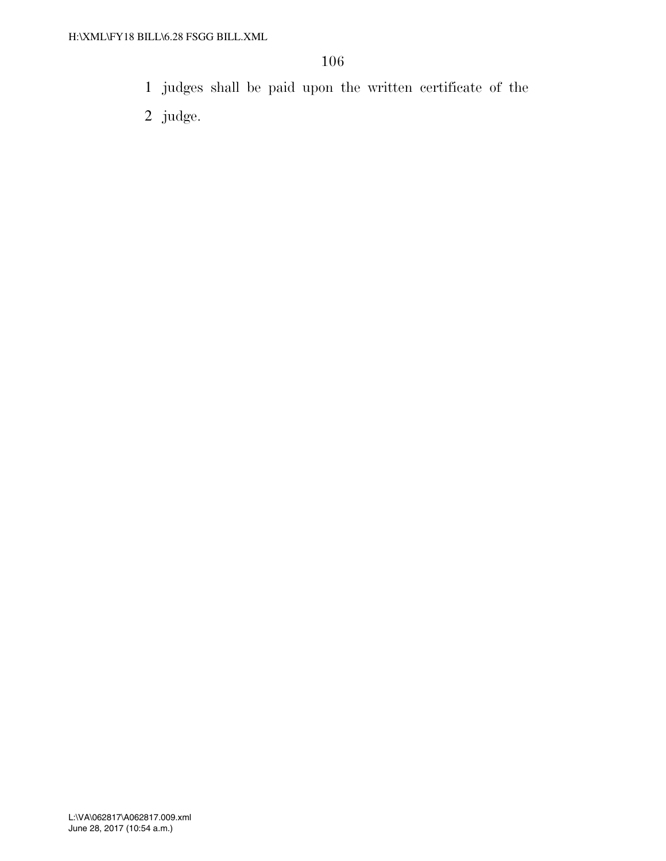- 1 judges shall be paid upon the written certificate of the
- 2 judge.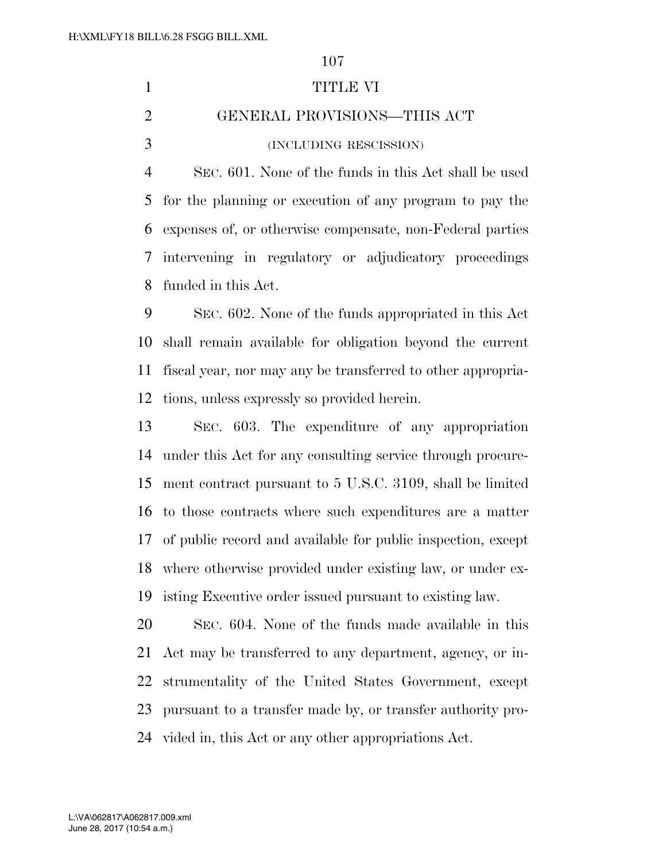TITLE VI GENERAL PROVISIONS—THIS ACT (INCLUDING RESCISSION) SEC. 601. None of the funds in this Act shall be used for the planning or execution of any program to pay the expenses of, or otherwise compensate, non-Federal parties intervening in regulatory or adjudicatory proceedings funded in this Act. SEC. 602. None of the funds appropriated in this Act

 shall remain available for obligation beyond the current fiscal year, nor may any be transferred to other appropria-tions, unless expressly so provided herein.

 SEC. 603. The expenditure of any appropriation under this Act for any consulting service through procure- ment contract pursuant to 5 U.S.C. 3109, shall be limited to those contracts where such expenditures are a matter of public record and available for public inspection, except where otherwise provided under existing law, or under ex-isting Executive order issued pursuant to existing law.

 SEC. 604. None of the funds made available in this Act may be transferred to any department, agency, or in- strumentality of the United States Government, except pursuant to a transfer made by, or transfer authority pro-vided in, this Act or any other appropriations Act.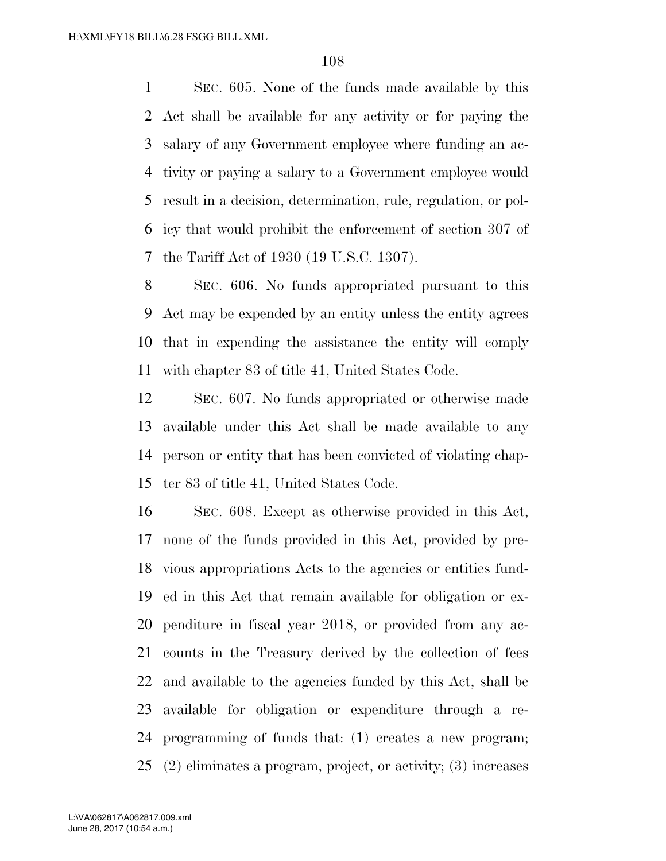SEC. 605. None of the funds made available by this Act shall be available for any activity or for paying the salary of any Government employee where funding an ac- tivity or paying a salary to a Government employee would result in a decision, determination, rule, regulation, or pol- icy that would prohibit the enforcement of section 307 of the Tariff Act of 1930 (19 U.S.C. 1307).

 SEC. 606. No funds appropriated pursuant to this Act may be expended by an entity unless the entity agrees that in expending the assistance the entity will comply with chapter 83 of title 41, United States Code.

 SEC. 607. No funds appropriated or otherwise made available under this Act shall be made available to any person or entity that has been convicted of violating chap-ter 83 of title 41, United States Code.

 SEC. 608. Except as otherwise provided in this Act, none of the funds provided in this Act, provided by pre- vious appropriations Acts to the agencies or entities fund- ed in this Act that remain available for obligation or ex- penditure in fiscal year 2018, or provided from any ac- counts in the Treasury derived by the collection of fees and available to the agencies funded by this Act, shall be available for obligation or expenditure through a re- programming of funds that: (1) creates a new program; (2) eliminates a program, project, or activity; (3) increases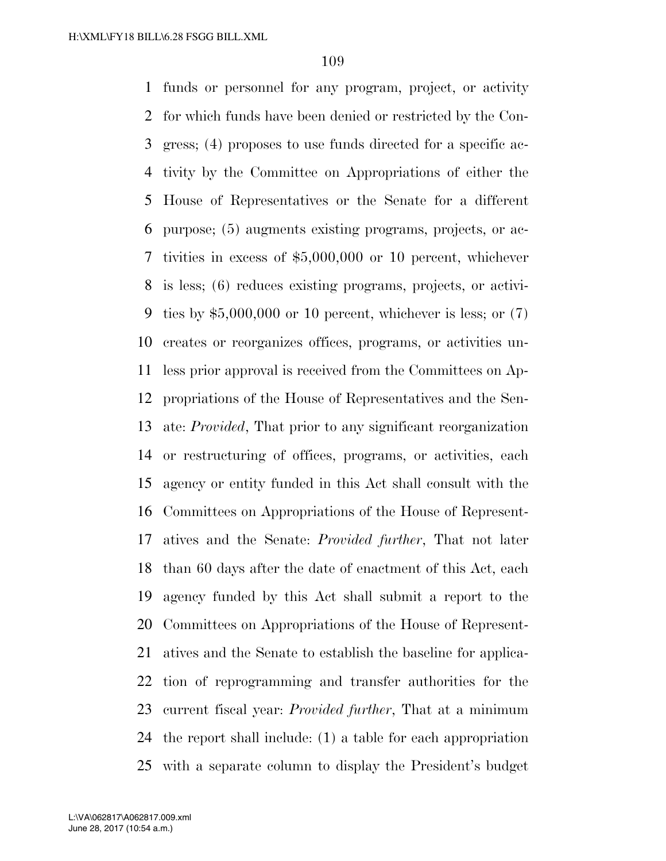funds or personnel for any program, project, or activity for which funds have been denied or restricted by the Con- gress; (4) proposes to use funds directed for a specific ac- tivity by the Committee on Appropriations of either the House of Representatives or the Senate for a different purpose; (5) augments existing programs, projects, or ac- tivities in excess of \$5,000,000 or 10 percent, whichever is less; (6) reduces existing programs, projects, or activi-9 ties by  $$5,000,000$  or 10 percent, whichever is less; or  $(7)$  creates or reorganizes offices, programs, or activities un- less prior approval is received from the Committees on Ap- propriations of the House of Representatives and the Sen- ate: *Provided*, That prior to any significant reorganization or restructuring of offices, programs, or activities, each agency or entity funded in this Act shall consult with the Committees on Appropriations of the House of Represent- atives and the Senate: *Provided further*, That not later than 60 days after the date of enactment of this Act, each agency funded by this Act shall submit a report to the Committees on Appropriations of the House of Represent- atives and the Senate to establish the baseline for applica- tion of reprogramming and transfer authorities for the current fiscal year: *Provided further*, That at a minimum the report shall include: (1) a table for each appropriation with a separate column to display the President's budget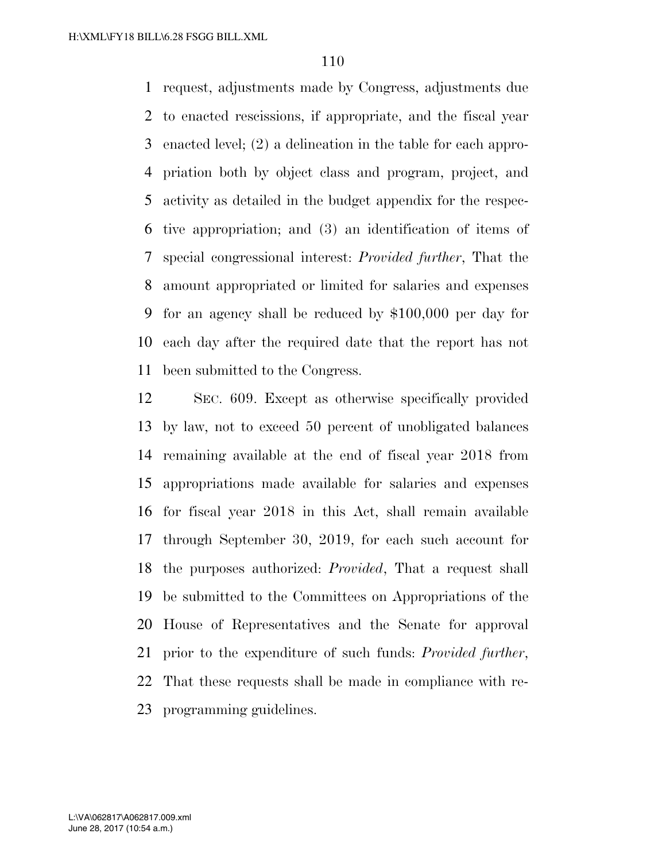request, adjustments made by Congress, adjustments due to enacted rescissions, if appropriate, and the fiscal year enacted level; (2) a delineation in the table for each appro- priation both by object class and program, project, and activity as detailed in the budget appendix for the respec- tive appropriation; and (3) an identification of items of special congressional interest: *Provided further*, That the amount appropriated or limited for salaries and expenses for an agency shall be reduced by \$100,000 per day for each day after the required date that the report has not been submitted to the Congress.

 SEC. 609. Except as otherwise specifically provided by law, not to exceed 50 percent of unobligated balances remaining available at the end of fiscal year 2018 from appropriations made available for salaries and expenses for fiscal year 2018 in this Act, shall remain available through September 30, 2019, for each such account for the purposes authorized: *Provided*, That a request shall be submitted to the Committees on Appropriations of the House of Representatives and the Senate for approval prior to the expenditure of such funds: *Provided further*, That these requests shall be made in compliance with re-programming guidelines.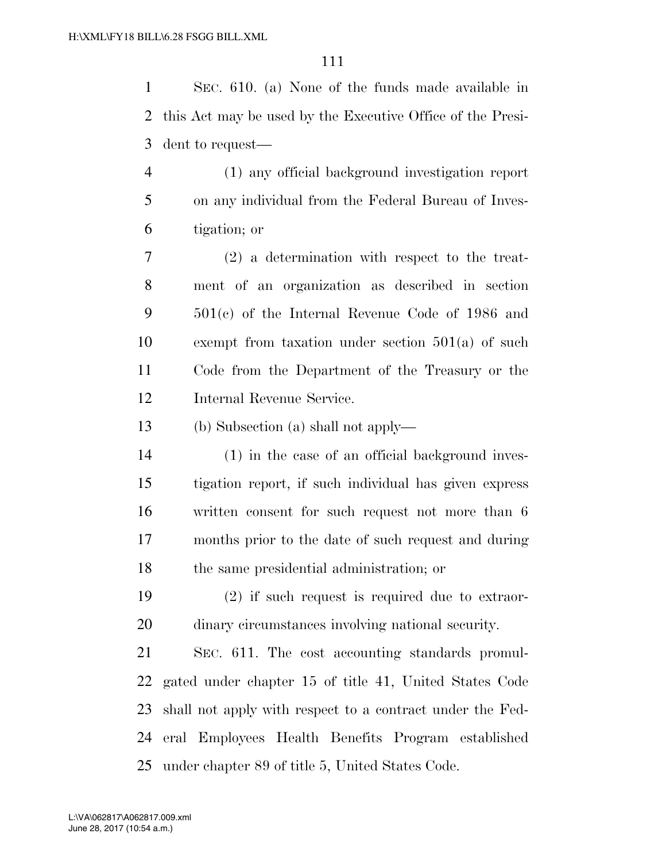SEC. 610. (a) None of the funds made available in this Act may be used by the Executive Office of the Presi-dent to request—

 (1) any official background investigation report on any individual from the Federal Bureau of Inves-tigation; or

 (2) a determination with respect to the treat- ment of an organization as described in section 501(c) of the Internal Revenue Code of 1986 and exempt from taxation under section 501(a) of such Code from the Department of the Treasury or the Internal Revenue Service.

(b) Subsection (a) shall not apply—

 (1) in the case of an official background inves- tigation report, if such individual has given express written consent for such request not more than 6 months prior to the date of such request and during the same presidential administration; or

 (2) if such request is required due to extraor-dinary circumstances involving national security.

 SEC. 611. The cost accounting standards promul- gated under chapter 15 of title 41, United States Code shall not apply with respect to a contract under the Fed- eral Employees Health Benefits Program established under chapter 89 of title 5, United States Code.

June 28, 2017 (10:54 a.m.) L:\VA\062817\A062817.009.xml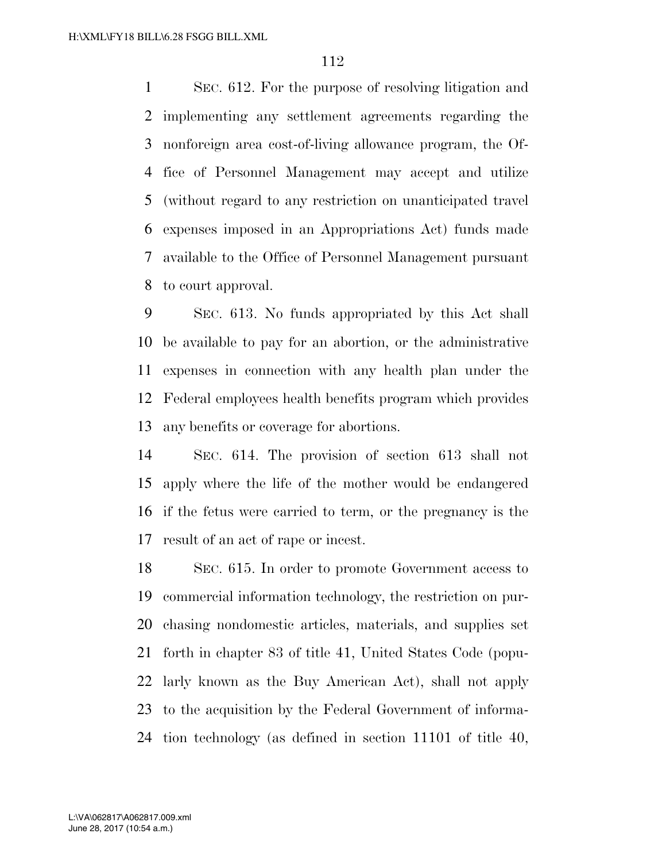SEC. 612. For the purpose of resolving litigation and implementing any settlement agreements regarding the nonforeign area cost-of-living allowance program, the Of- fice of Personnel Management may accept and utilize (without regard to any restriction on unanticipated travel expenses imposed in an Appropriations Act) funds made available to the Office of Personnel Management pursuant to court approval.

 SEC. 613. No funds appropriated by this Act shall be available to pay for an abortion, or the administrative expenses in connection with any health plan under the Federal employees health benefits program which provides any benefits or coverage for abortions.

 SEC. 614. The provision of section 613 shall not apply where the life of the mother would be endangered if the fetus were carried to term, or the pregnancy is the result of an act of rape or incest.

 SEC. 615. In order to promote Government access to commercial information technology, the restriction on pur- chasing nondomestic articles, materials, and supplies set forth in chapter 83 of title 41, United States Code (popu- larly known as the Buy American Act), shall not apply to the acquisition by the Federal Government of informa-tion technology (as defined in section 11101 of title 40,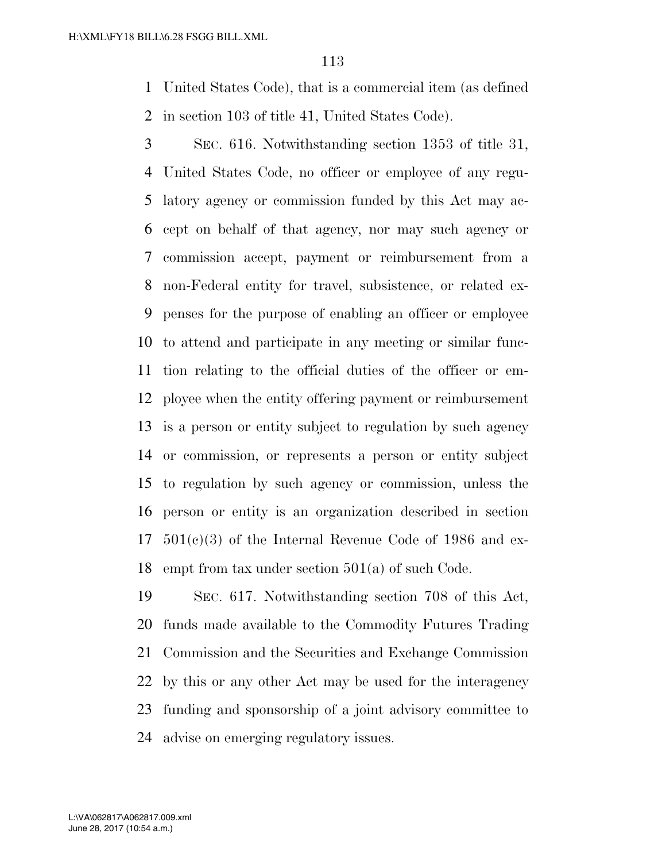United States Code), that is a commercial item (as defined in section 103 of title 41, United States Code).

 SEC. 616. Notwithstanding section 1353 of title 31, United States Code, no officer or employee of any regu- latory agency or commission funded by this Act may ac- cept on behalf of that agency, nor may such agency or commission accept, payment or reimbursement from a non-Federal entity for travel, subsistence, or related ex- penses for the purpose of enabling an officer or employee to attend and participate in any meeting or similar func- tion relating to the official duties of the officer or em- ployee when the entity offering payment or reimbursement is a person or entity subject to regulation by such agency or commission, or represents a person or entity subject to regulation by such agency or commission, unless the person or entity is an organization described in section  $17 \quad 501(c)(3)$  of the Internal Revenue Code of 1986 and ex-empt from tax under section 501(a) of such Code.

 SEC. 617. Notwithstanding section 708 of this Act, funds made available to the Commodity Futures Trading Commission and the Securities and Exchange Commission by this or any other Act may be used for the interagency funding and sponsorship of a joint advisory committee to advise on emerging regulatory issues.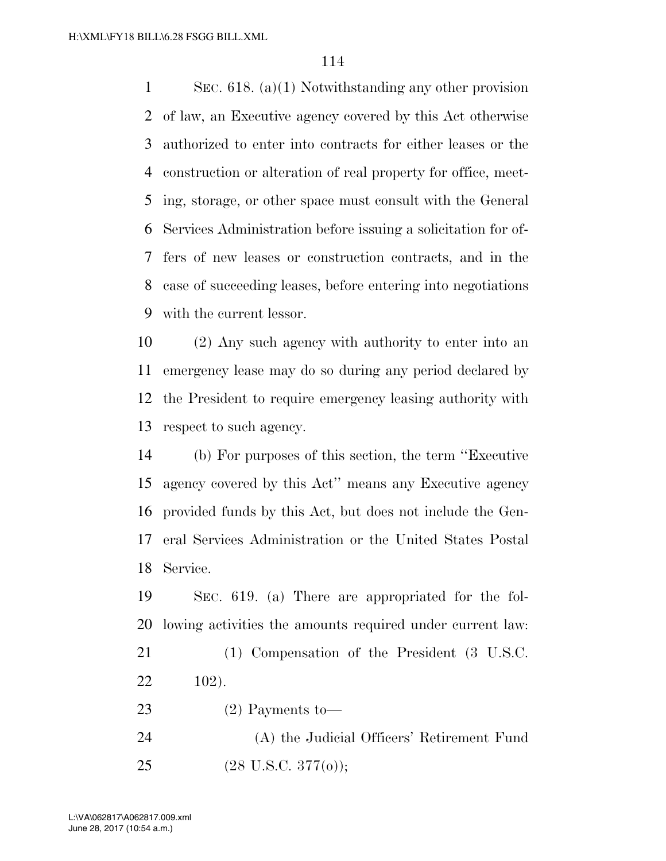SEC. 618. (a)(1) Notwithstanding any other provision of law, an Executive agency covered by this Act otherwise authorized to enter into contracts for either leases or the construction or alteration of real property for office, meet- ing, storage, or other space must consult with the General Services Administration before issuing a solicitation for of- fers of new leases or construction contracts, and in the case of succeeding leases, before entering into negotiations with the current lessor.

 (2) Any such agency with authority to enter into an emergency lease may do so during any period declared by the President to require emergency leasing authority with respect to such agency.

 (b) For purposes of this section, the term ''Executive agency covered by this Act'' means any Executive agency provided funds by this Act, but does not include the Gen- eral Services Administration or the United States Postal Service.

 SEC. 619. (a) There are appropriated for the fol-lowing activities the amounts required under current law:

 (1) Compensation of the President (3 U.S.C. 102).

 (2) Payments to— (A) the Judicial Officers' Retirement Fund (28 U.S.C. 377(o));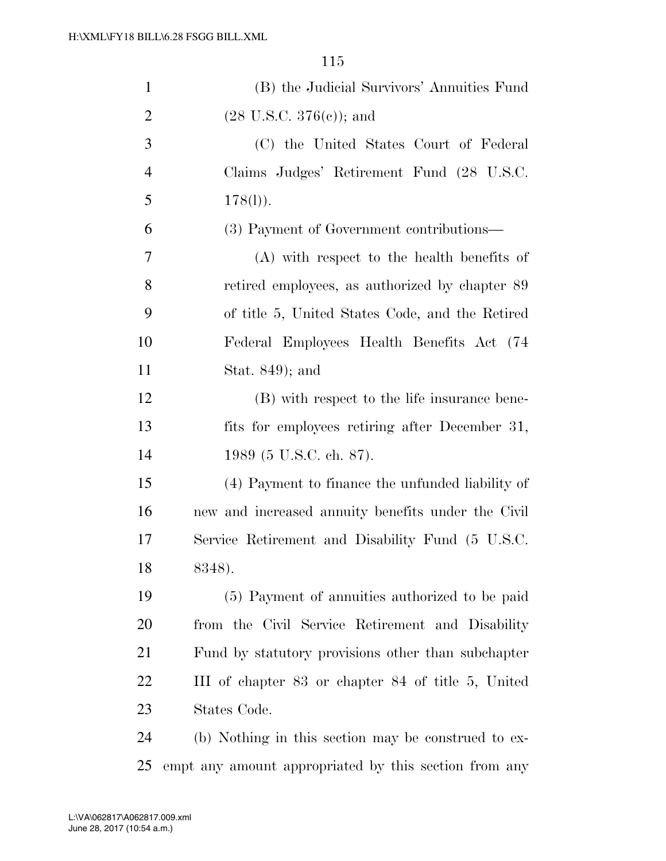| $\mathbf{1}$   | (B) the Judicial Survivors' Annuities Fund          |
|----------------|-----------------------------------------------------|
| $\overline{2}$ | $(28 \text{ U.S.C. } 376(e))$ ; and                 |
| 3              | (C) the United States Court of Federal              |
| $\overline{4}$ | Claims Judges' Retirement Fund (28 U.S.C.           |
| 5              | $178(l)$ ).                                         |
| 6              | (3) Payment of Government contributions—            |
| 7              | (A) with respect to the health benefits of          |
| 8              | retired employees, as authorized by chapter 89      |
| 9              | of title 5, United States Code, and the Retired     |
| 10             | Federal Employees Health Benefits Act (74           |
| 11             | Stat. $849$ ; and                                   |
| 12             | (B) with respect to the life insurance bene-        |
| 13             | fits for employees retiring after December 31,      |
| 14             | 1989 (5 U.S.C. ch. 87).                             |
| 15             | (4) Payment to finance the unfunded liability of    |
| 16             | new and increased annuity benefits under the Civil  |
| 17             | Service Retirement and Disability Fund (5 U.S.C.    |
| 18             | 8348).                                              |
| 19             | (5) Payment of annuities authorized to be paid      |
| 20             | from the Civil Service Retirement and Disability    |
| 21             | Fund by statutory provisions other than subchapter  |
| 22             | III of chapter 83 or chapter 84 of title 5, United  |
| 23             | States Code.                                        |
| 24             | (b) Nothing in this section may be construed to ex- |

empt any amount appropriated by this section from any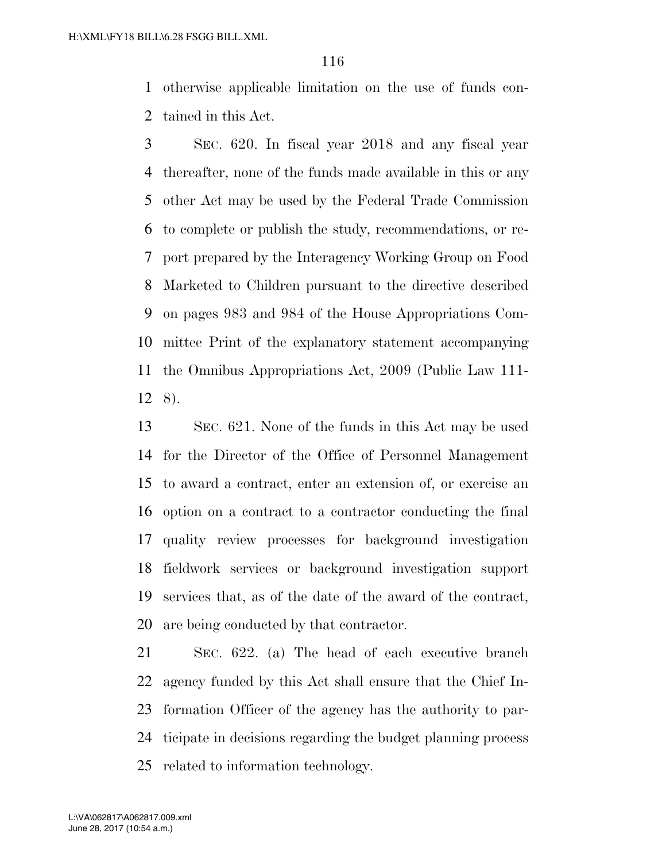otherwise applicable limitation on the use of funds con-tained in this Act.

 SEC. 620. In fiscal year 2018 and any fiscal year thereafter, none of the funds made available in this or any other Act may be used by the Federal Trade Commission to complete or publish the study, recommendations, or re- port prepared by the Interagency Working Group on Food Marketed to Children pursuant to the directive described on pages 983 and 984 of the House Appropriations Com- mittee Print of the explanatory statement accompanying the Omnibus Appropriations Act, 2009 (Public Law 111- 8).

 SEC. 621. None of the funds in this Act may be used for the Director of the Office of Personnel Management to award a contract, enter an extension of, or exercise an option on a contract to a contractor conducting the final quality review processes for background investigation fieldwork services or background investigation support services that, as of the date of the award of the contract, are being conducted by that contractor.

 SEC. 622. (a) The head of each executive branch agency funded by this Act shall ensure that the Chief In- formation Officer of the agency has the authority to par- ticipate in decisions regarding the budget planning process related to information technology.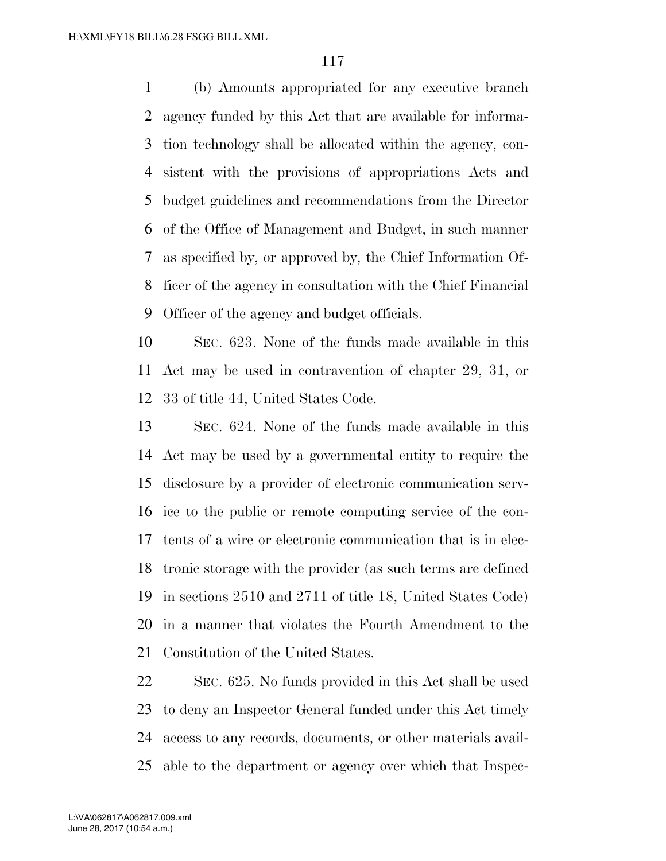(b) Amounts appropriated for any executive branch agency funded by this Act that are available for informa- tion technology shall be allocated within the agency, con- sistent with the provisions of appropriations Acts and budget guidelines and recommendations from the Director of the Office of Management and Budget, in such manner as specified by, or approved by, the Chief Information Of- ficer of the agency in consultation with the Chief Financial Officer of the agency and budget officials.

 SEC. 623. None of the funds made available in this Act may be used in contravention of chapter 29, 31, or 33 of title 44, United States Code.

 SEC. 624. None of the funds made available in this Act may be used by a governmental entity to require the disclosure by a provider of electronic communication serv- ice to the public or remote computing service of the con- tents of a wire or electronic communication that is in elec- tronic storage with the provider (as such terms are defined in sections 2510 and 2711 of title 18, United States Code) in a manner that violates the Fourth Amendment to the Constitution of the United States.

 SEC. 625. No funds provided in this Act shall be used to deny an Inspector General funded under this Act timely access to any records, documents, or other materials avail-able to the department or agency over which that Inspec-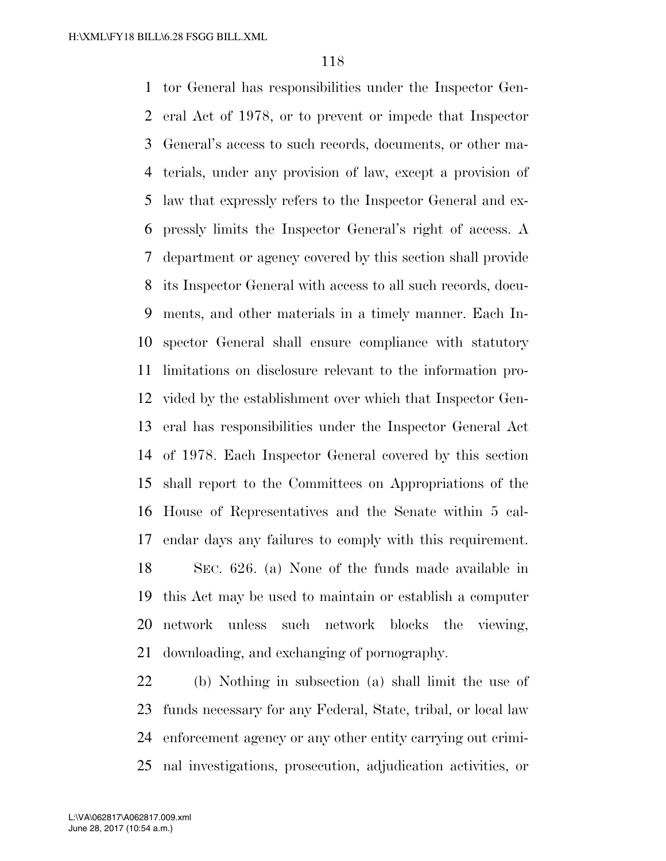tor General has responsibilities under the Inspector Gen- eral Act of 1978, or to prevent or impede that Inspector General's access to such records, documents, or other ma- terials, under any provision of law, except a provision of law that expressly refers to the Inspector General and ex- pressly limits the Inspector General's right of access. A department or agency covered by this section shall provide its Inspector General with access to all such records, docu- ments, and other materials in a timely manner. Each In- spector General shall ensure compliance with statutory limitations on disclosure relevant to the information pro- vided by the establishment over which that Inspector Gen- eral has responsibilities under the Inspector General Act of 1978. Each Inspector General covered by this section shall report to the Committees on Appropriations of the House of Representatives and the Senate within 5 cal- endar days any failures to comply with this requirement. SEC. 626. (a) None of the funds made available in this Act may be used to maintain or establish a computer network unless such network blocks the viewing, downloading, and exchanging of pornography.

 (b) Nothing in subsection (a) shall limit the use of funds necessary for any Federal, State, tribal, or local law enforcement agency or any other entity carrying out crimi-nal investigations, prosecution, adjudication activities, or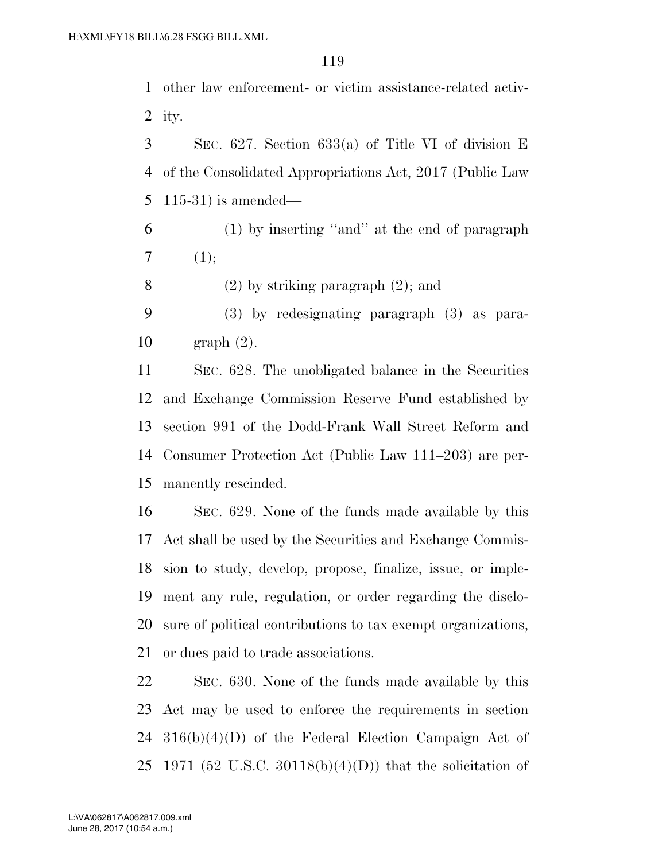other law enforcement- or victim assistance-related activ-2 ity.

 SEC. 627. Section 633(a) of Title VI of division E of the Consolidated Appropriations Act, 2017 (Public Law 115-31) is amended—

- (1) by inserting ''and'' at the end of paragraph (1);
- (2) by striking paragraph (2); and
- (3) by redesignating paragraph (3) as para-graph (2).

 SEC. 628. The unobligated balance in the Securities and Exchange Commission Reserve Fund established by section 991 of the Dodd-Frank Wall Street Reform and Consumer Protection Act (Public Law 111–203) are per-manently rescinded.

 SEC. 629. None of the funds made available by this Act shall be used by the Securities and Exchange Commis- sion to study, develop, propose, finalize, issue, or imple- ment any rule, regulation, or order regarding the disclo- sure of political contributions to tax exempt organizations, or dues paid to trade associations.

 SEC. 630. None of the funds made available by this Act may be used to enforce the requirements in section 316(b)(4)(D) of the Federal Election Campaign Act of 25 1971 (52 U.S.C. 30118(b)(4)(D)) that the solicitation of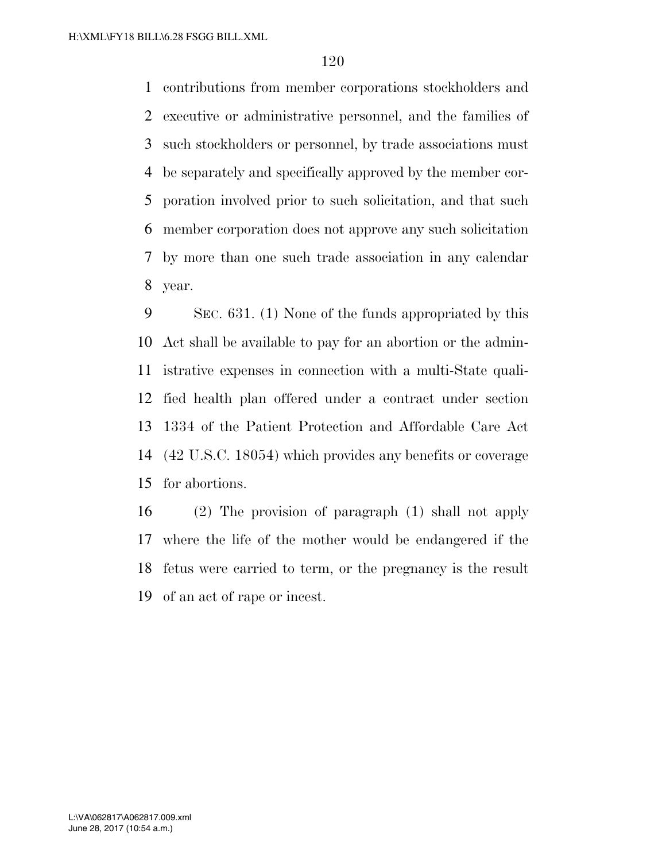contributions from member corporations stockholders and executive or administrative personnel, and the families of such stockholders or personnel, by trade associations must be separately and specifically approved by the member cor- poration involved prior to such solicitation, and that such member corporation does not approve any such solicitation by more than one such trade association in any calendar year.

 SEC. 631. (1) None of the funds appropriated by this Act shall be available to pay for an abortion or the admin- istrative expenses in connection with a multi-State quali- fied health plan offered under a contract under section 1334 of the Patient Protection and Affordable Care Act (42 U.S.C. 18054) which provides any benefits or coverage for abortions.

 (2) The provision of paragraph (1) shall not apply where the life of the mother would be endangered if the fetus were carried to term, or the pregnancy is the result of an act of rape or incest.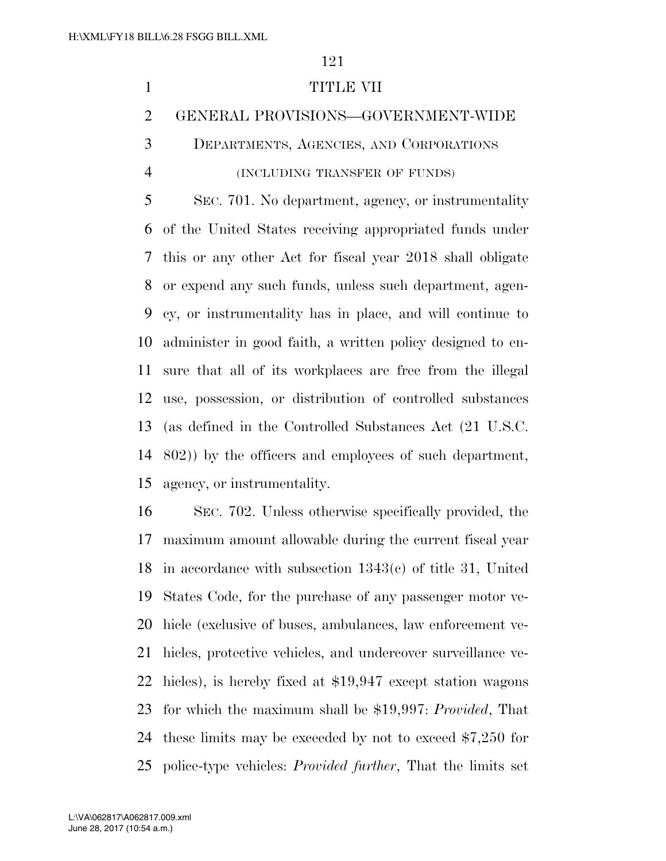## 1 TITLE VII

## GENERAL PROVISIONS—GOVERNMENT-WIDE

DEPARTMENTS, AGENCIES, AND CORPORATIONS

## (INCLUDING TRANSFER OF FUNDS)

 SEC. 701. No department, agency, or instrumentality of the United States receiving appropriated funds under this or any other Act for fiscal year 2018 shall obligate or expend any such funds, unless such department, agen- cy, or instrumentality has in place, and will continue to administer in good faith, a written policy designed to en- sure that all of its workplaces are free from the illegal use, possession, or distribution of controlled substances (as defined in the Controlled Substances Act (21 U.S.C. 802)) by the officers and employees of such department, agency, or instrumentality.

 SEC. 702. Unless otherwise specifically provided, the maximum amount allowable during the current fiscal year in accordance with subsection 1343(c) of title 31, United States Code, for the purchase of any passenger motor ve- hicle (exclusive of buses, ambulances, law enforcement ve- hicles, protective vehicles, and undercover surveillance ve- hicles), is hereby fixed at \$19,947 except station wagons for which the maximum shall be \$19,997: *Provided*, That these limits may be exceeded by not to exceed \$7,250 for police-type vehicles: *Provided further*, That the limits set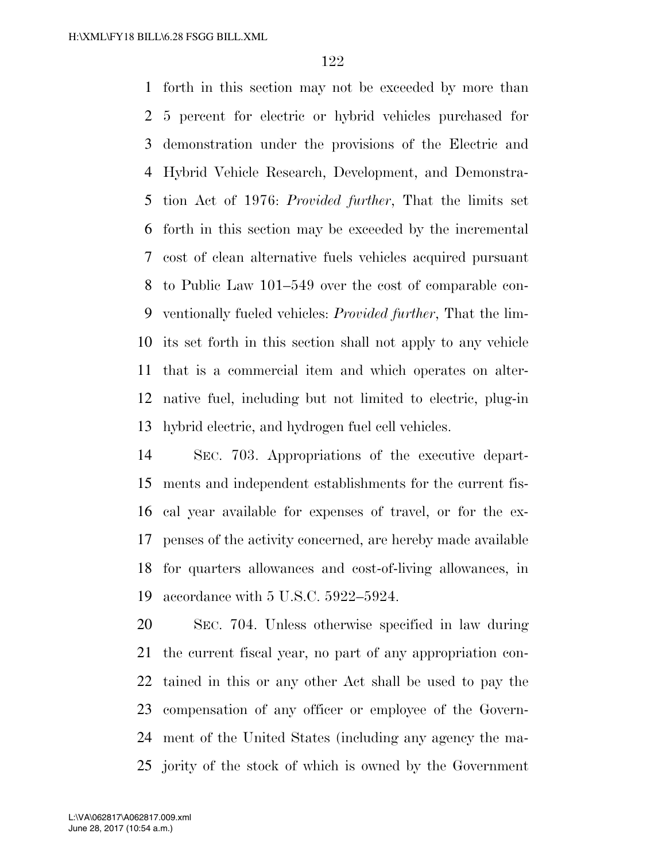forth in this section may not be exceeded by more than 5 percent for electric or hybrid vehicles purchased for demonstration under the provisions of the Electric and Hybrid Vehicle Research, Development, and Demonstra- tion Act of 1976: *Provided further*, That the limits set forth in this section may be exceeded by the incremental cost of clean alternative fuels vehicles acquired pursuant to Public Law 101–549 over the cost of comparable con- ventionally fueled vehicles: *Provided further*, That the lim- its set forth in this section shall not apply to any vehicle that is a commercial item and which operates on alter- native fuel, including but not limited to electric, plug-in hybrid electric, and hydrogen fuel cell vehicles.

 SEC. 703. Appropriations of the executive depart- ments and independent establishments for the current fis- cal year available for expenses of travel, or for the ex- penses of the activity concerned, are hereby made available for quarters allowances and cost-of-living allowances, in accordance with 5 U.S.C. 5922–5924.

 SEC. 704. Unless otherwise specified in law during the current fiscal year, no part of any appropriation con- tained in this or any other Act shall be used to pay the compensation of any officer or employee of the Govern- ment of the United States (including any agency the ma-jority of the stock of which is owned by the Government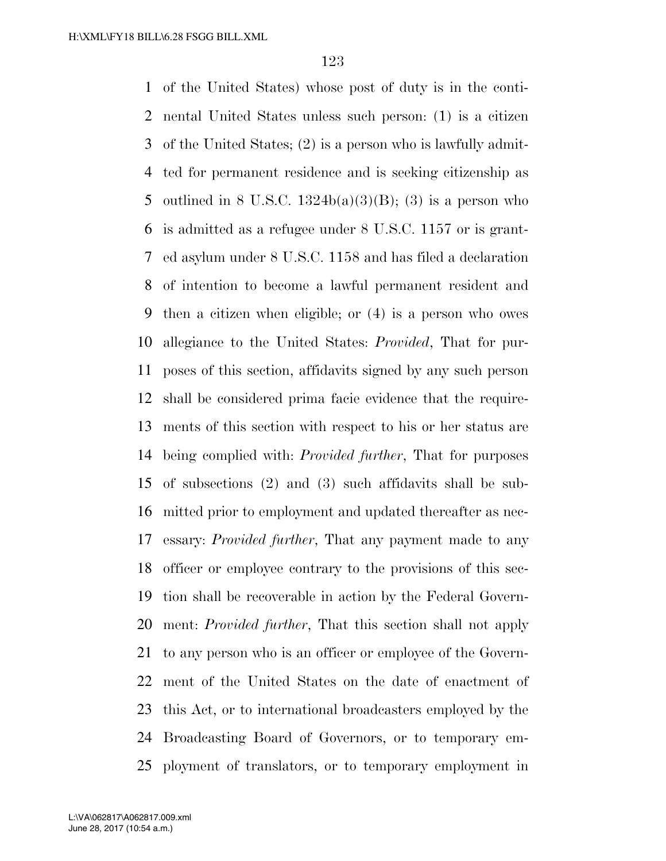of the United States) whose post of duty is in the conti- nental United States unless such person: (1) is a citizen of the United States; (2) is a person who is lawfully admit- ted for permanent residence and is seeking citizenship as 5 outlined in 8 U.S.C.  $1324b(a)(3)(B)$ ; (3) is a person who is admitted as a refugee under 8 U.S.C. 1157 or is grant- ed asylum under 8 U.S.C. 1158 and has filed a declaration of intention to become a lawful permanent resident and then a citizen when eligible; or (4) is a person who owes allegiance to the United States: *Provided*, That for pur- poses of this section, affidavits signed by any such person shall be considered prima facie evidence that the require- ments of this section with respect to his or her status are being complied with: *Provided further*, That for purposes of subsections (2) and (3) such affidavits shall be sub- mitted prior to employment and updated thereafter as nec- essary: *Provided further*, That any payment made to any officer or employee contrary to the provisions of this sec- tion shall be recoverable in action by the Federal Govern- ment: *Provided further*, That this section shall not apply to any person who is an officer or employee of the Govern- ment of the United States on the date of enactment of this Act, or to international broadcasters employed by the Broadcasting Board of Governors, or to temporary em-ployment of translators, or to temporary employment in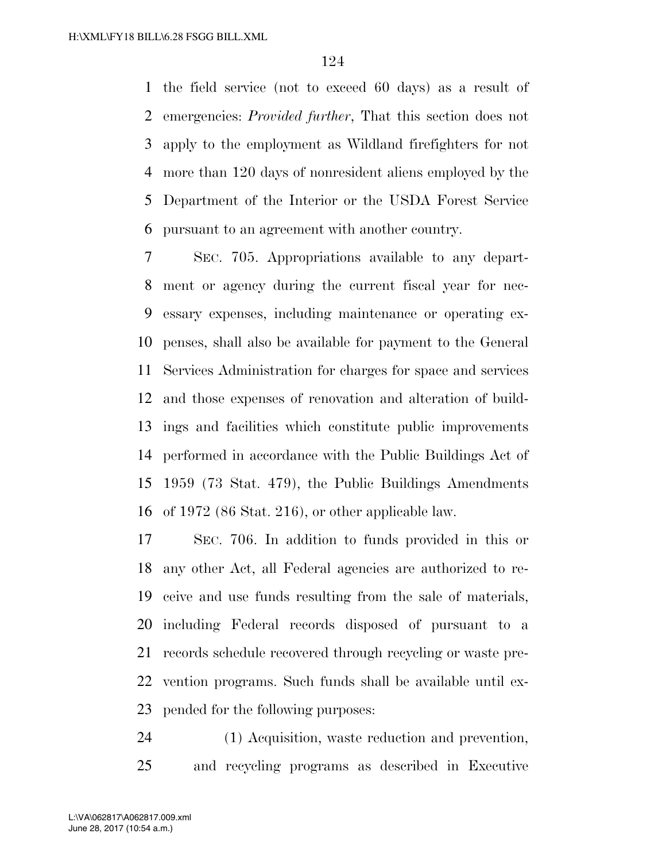the field service (not to exceed 60 days) as a result of emergencies: *Provided further*, That this section does not apply to the employment as Wildland firefighters for not more than 120 days of nonresident aliens employed by the Department of the Interior or the USDA Forest Service pursuant to an agreement with another country.

 SEC. 705. Appropriations available to any depart- ment or agency during the current fiscal year for nec- essary expenses, including maintenance or operating ex- penses, shall also be available for payment to the General Services Administration for charges for space and services and those expenses of renovation and alteration of build- ings and facilities which constitute public improvements performed in accordance with the Public Buildings Act of 1959 (73 Stat. 479), the Public Buildings Amendments of 1972 (86 Stat. 216), or other applicable law.

 SEC. 706. In addition to funds provided in this or any other Act, all Federal agencies are authorized to re- ceive and use funds resulting from the sale of materials, including Federal records disposed of pursuant to a records schedule recovered through recycling or waste pre- vention programs. Such funds shall be available until ex-pended for the following purposes:

 (1) Acquisition, waste reduction and prevention, and recycling programs as described in Executive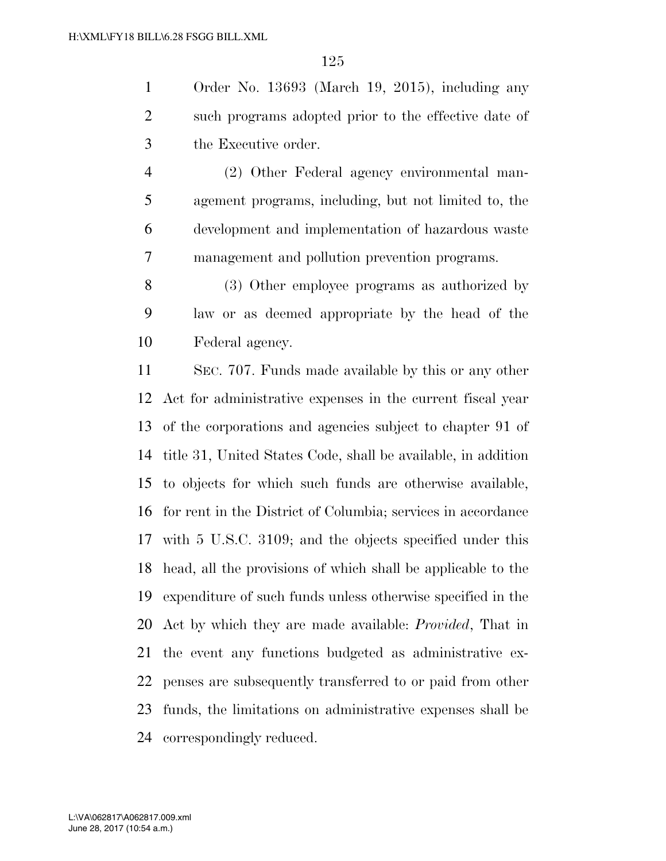Order No. 13693 (March 19, 2015), including any such programs adopted prior to the effective date of the Executive order.

 (2) Other Federal agency environmental man- agement programs, including, but not limited to, the development and implementation of hazardous waste management and pollution prevention programs.

 (3) Other employee programs as authorized by law or as deemed appropriate by the head of the Federal agency.

 SEC. 707. Funds made available by this or any other Act for administrative expenses in the current fiscal year of the corporations and agencies subject to chapter 91 of title 31, United States Code, shall be available, in addition to objects for which such funds are otherwise available, for rent in the District of Columbia; services in accordance with 5 U.S.C. 3109; and the objects specified under this head, all the provisions of which shall be applicable to the expenditure of such funds unless otherwise specified in the Act by which they are made available: *Provided*, That in the event any functions budgeted as administrative ex- penses are subsequently transferred to or paid from other funds, the limitations on administrative expenses shall be correspondingly reduced.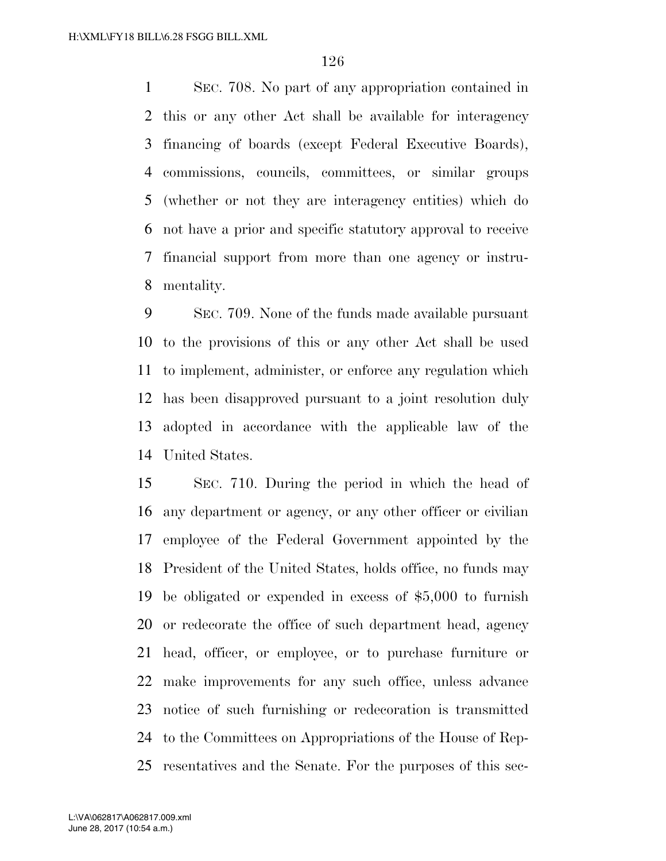SEC. 708. No part of any appropriation contained in this or any other Act shall be available for interagency financing of boards (except Federal Executive Boards), commissions, councils, committees, or similar groups (whether or not they are interagency entities) which do not have a prior and specific statutory approval to receive financial support from more than one agency or instru-mentality.

 SEC. 709. None of the funds made available pursuant to the provisions of this or any other Act shall be used to implement, administer, or enforce any regulation which has been disapproved pursuant to a joint resolution duly adopted in accordance with the applicable law of the United States.

 SEC. 710. During the period in which the head of any department or agency, or any other officer or civilian employee of the Federal Government appointed by the President of the United States, holds office, no funds may be obligated or expended in excess of \$5,000 to furnish or redecorate the office of such department head, agency head, officer, or employee, or to purchase furniture or make improvements for any such office, unless advance notice of such furnishing or redecoration is transmitted to the Committees on Appropriations of the House of Rep-resentatives and the Senate. For the purposes of this sec-

June 28, 2017 (10:54 a.m.) L:\VA\062817\A062817.009.xml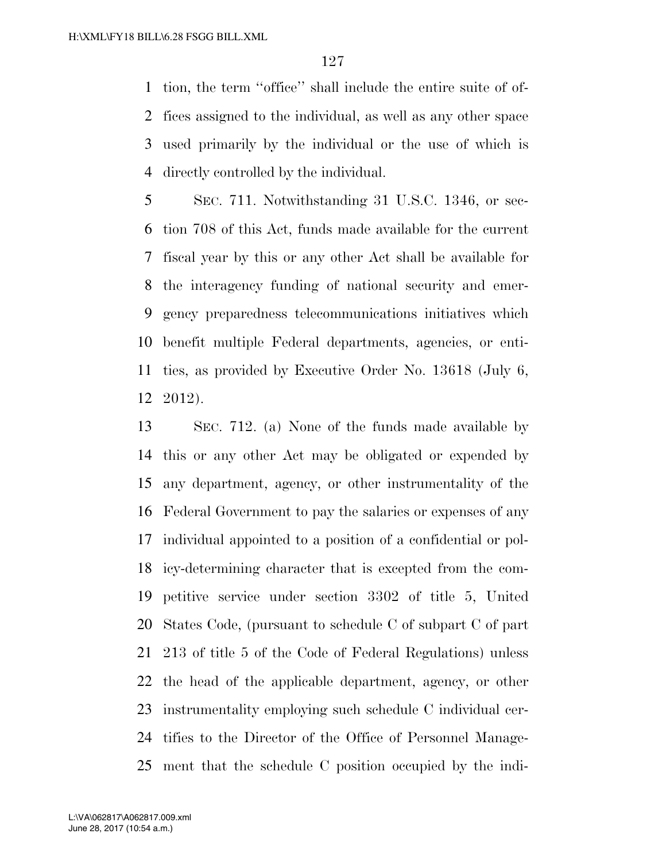tion, the term ''office'' shall include the entire suite of of- fices assigned to the individual, as well as any other space used primarily by the individual or the use of which is directly controlled by the individual.

 SEC. 711. Notwithstanding 31 U.S.C. 1346, or sec- tion 708 of this Act, funds made available for the current fiscal year by this or any other Act shall be available for the interagency funding of national security and emer- gency preparedness telecommunications initiatives which benefit multiple Federal departments, agencies, or enti- ties, as provided by Executive Order No. 13618 (July 6, 2012).

 SEC. 712. (a) None of the funds made available by this or any other Act may be obligated or expended by any department, agency, or other instrumentality of the Federal Government to pay the salaries or expenses of any individual appointed to a position of a confidential or pol- icy-determining character that is excepted from the com- petitive service under section 3302 of title 5, United States Code, (pursuant to schedule C of subpart C of part 213 of title 5 of the Code of Federal Regulations) unless the head of the applicable department, agency, or other instrumentality employing such schedule C individual cer- tifies to the Director of the Office of Personnel Manage-ment that the schedule C position occupied by the indi-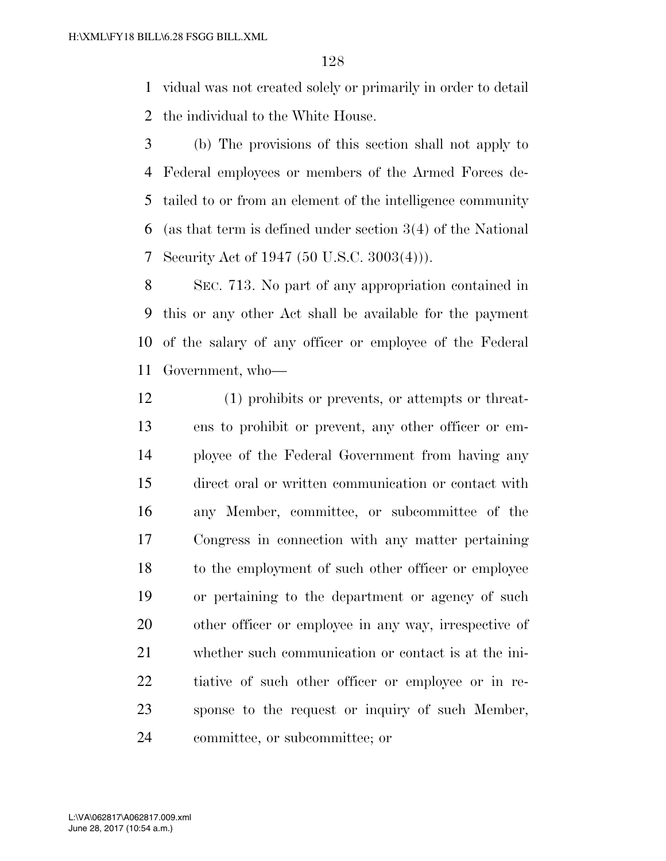vidual was not created solely or primarily in order to detail the individual to the White House.

 (b) The provisions of this section shall not apply to Federal employees or members of the Armed Forces de- tailed to or from an element of the intelligence community (as that term is defined under section 3(4) of the National Security Act of 1947 (50 U.S.C. 3003(4))).

 SEC. 713. No part of any appropriation contained in this or any other Act shall be available for the payment of the salary of any officer or employee of the Federal Government, who—

 (1) prohibits or prevents, or attempts or threat- ens to prohibit or prevent, any other officer or em- ployee of the Federal Government from having any direct oral or written communication or contact with any Member, committee, or subcommittee of the Congress in connection with any matter pertaining to the employment of such other officer or employee or pertaining to the department or agency of such other officer or employee in any way, irrespective of whether such communication or contact is at the ini- tiative of such other officer or employee or in re- sponse to the request or inquiry of such Member, committee, or subcommittee; or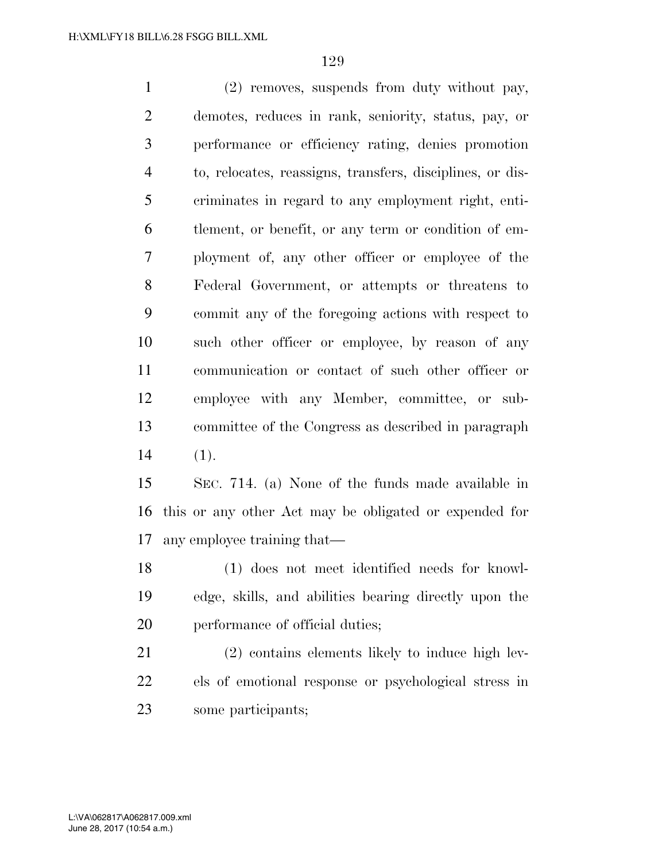(2) removes, suspends from duty without pay, demotes, reduces in rank, seniority, status, pay, or performance or efficiency rating, denies promotion to, relocates, reassigns, transfers, disciplines, or dis- criminates in regard to any employment right, enti- tlement, or benefit, or any term or condition of em- ployment of, any other officer or employee of the Federal Government, or attempts or threatens to commit any of the foregoing actions with respect to such other officer or employee, by reason of any communication or contact of such other officer or employee with any Member, committee, or sub- committee of the Congress as described in paragraph (1).

 SEC. 714. (a) None of the funds made available in this or any other Act may be obligated or expended for any employee training that—

 (1) does not meet identified needs for knowl- edge, skills, and abilities bearing directly upon the performance of official duties;

 (2) contains elements likely to induce high lev- els of emotional response or psychological stress in some participants;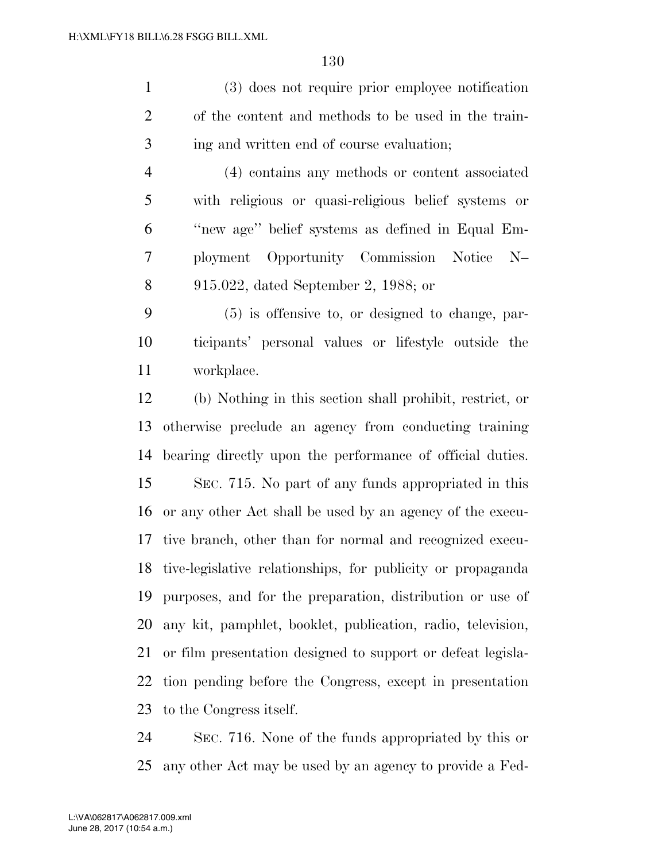(3) does not require prior employee notification of the content and methods to be used in the train-ing and written end of course evaluation;

 (4) contains any methods or content associated with religious or quasi-religious belief systems or ''new age'' belief systems as defined in Equal Em- ployment Opportunity Commission Notice N– 915.022, dated September 2, 1988; or

 (5) is offensive to, or designed to change, par- ticipants' personal values or lifestyle outside the workplace.

 (b) Nothing in this section shall prohibit, restrict, or otherwise preclude an agency from conducting training bearing directly upon the performance of official duties. SEC. 715. No part of any funds appropriated in this or any other Act shall be used by an agency of the execu- tive branch, other than for normal and recognized execu- tive-legislative relationships, for publicity or propaganda purposes, and for the preparation, distribution or use of any kit, pamphlet, booklet, publication, radio, television, or film presentation designed to support or defeat legisla- tion pending before the Congress, except in presentation to the Congress itself.

 SEC. 716. None of the funds appropriated by this or any other Act may be used by an agency to provide a Fed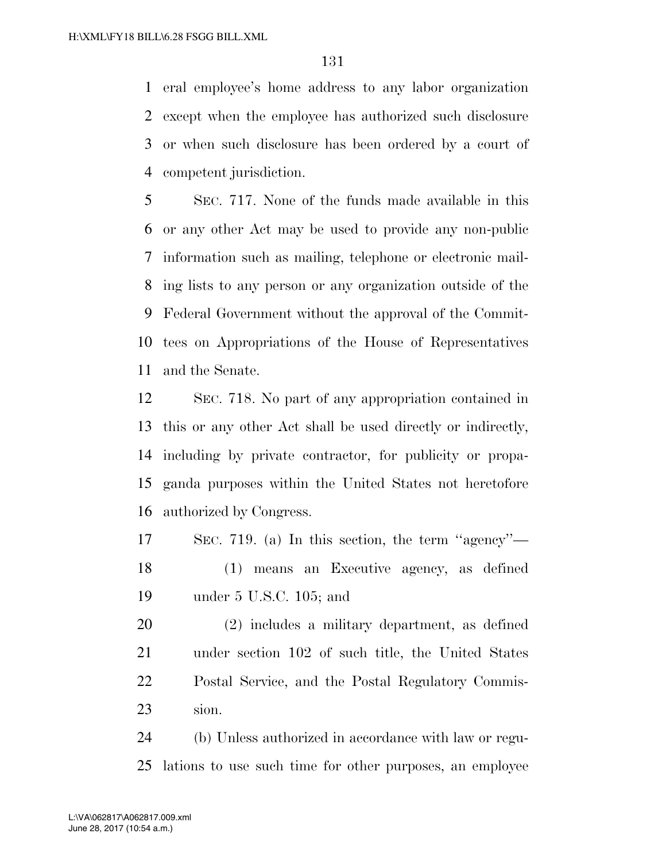eral employee's home address to any labor organization except when the employee has authorized such disclosure or when such disclosure has been ordered by a court of competent jurisdiction.

 SEC. 717. None of the funds made available in this or any other Act may be used to provide any non-public information such as mailing, telephone or electronic mail- ing lists to any person or any organization outside of the Federal Government without the approval of the Commit- tees on Appropriations of the House of Representatives and the Senate.

 SEC. 718. No part of any appropriation contained in this or any other Act shall be used directly or indirectly, including by private contractor, for publicity or propa- ganda purposes within the United States not heretofore authorized by Congress.

 SEC. 719. (a) In this section, the term ''agency''— (1) means an Executive agency, as defined under 5 U.S.C. 105; and

 (2) includes a military department, as defined under section 102 of such title, the United States Postal Service, and the Postal Regulatory Commis-sion.

 (b) Unless authorized in accordance with law or regu-lations to use such time for other purposes, an employee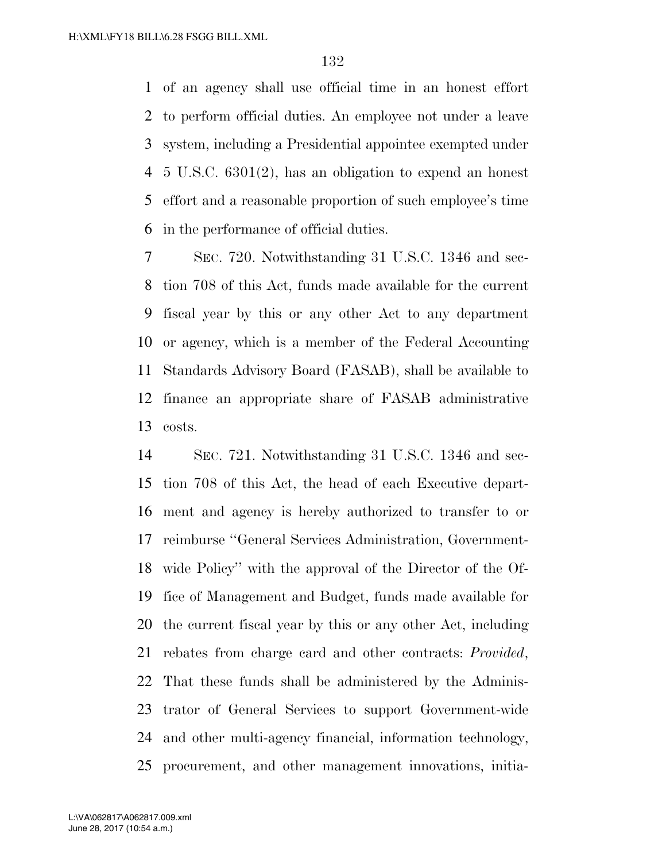of an agency shall use official time in an honest effort to perform official duties. An employee not under a leave system, including a Presidential appointee exempted under 5 U.S.C. 6301(2), has an obligation to expend an honest effort and a reasonable proportion of such employee's time in the performance of official duties.

 SEC. 720. Notwithstanding 31 U.S.C. 1346 and sec- tion 708 of this Act, funds made available for the current fiscal year by this or any other Act to any department or agency, which is a member of the Federal Accounting Standards Advisory Board (FASAB), shall be available to finance an appropriate share of FASAB administrative costs.

 SEC. 721. Notwithstanding 31 U.S.C. 1346 and sec- tion 708 of this Act, the head of each Executive depart- ment and agency is hereby authorized to transfer to or reimburse ''General Services Administration, Government- wide Policy'' with the approval of the Director of the Of- fice of Management and Budget, funds made available for the current fiscal year by this or any other Act, including rebates from charge card and other contracts: *Provided*, That these funds shall be administered by the Adminis- trator of General Services to support Government-wide and other multi-agency financial, information technology, procurement, and other management innovations, initia-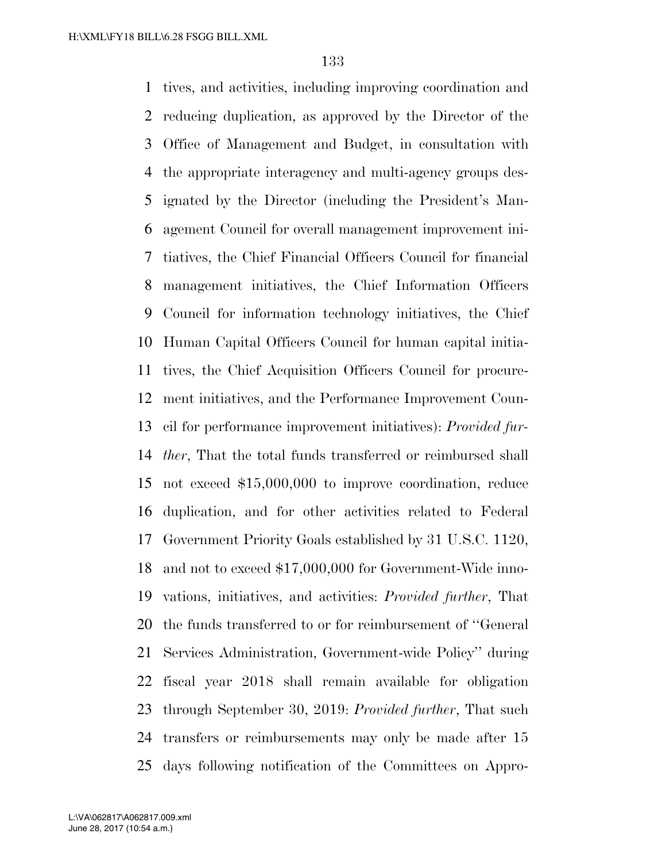tives, and activities, including improving coordination and reducing duplication, as approved by the Director of the Office of Management and Budget, in consultation with the appropriate interagency and multi-agency groups des- ignated by the Director (including the President's Man- agement Council for overall management improvement ini- tiatives, the Chief Financial Officers Council for financial management initiatives, the Chief Information Officers Council for information technology initiatives, the Chief Human Capital Officers Council for human capital initia- tives, the Chief Acquisition Officers Council for procure- ment initiatives, and the Performance Improvement Coun- cil for performance improvement initiatives): *Provided fur- ther*, That the total funds transferred or reimbursed shall not exceed \$15,000,000 to improve coordination, reduce duplication, and for other activities related to Federal Government Priority Goals established by 31 U.S.C. 1120, and not to exceed \$17,000,000 for Government-Wide inno- vations, initiatives, and activities: *Provided further*, That the funds transferred to or for reimbursement of ''General Services Administration, Government-wide Policy'' during fiscal year 2018 shall remain available for obligation through September 30, 2019: *Provided further*, That such transfers or reimbursements may only be made after 15 days following notification of the Committees on Appro-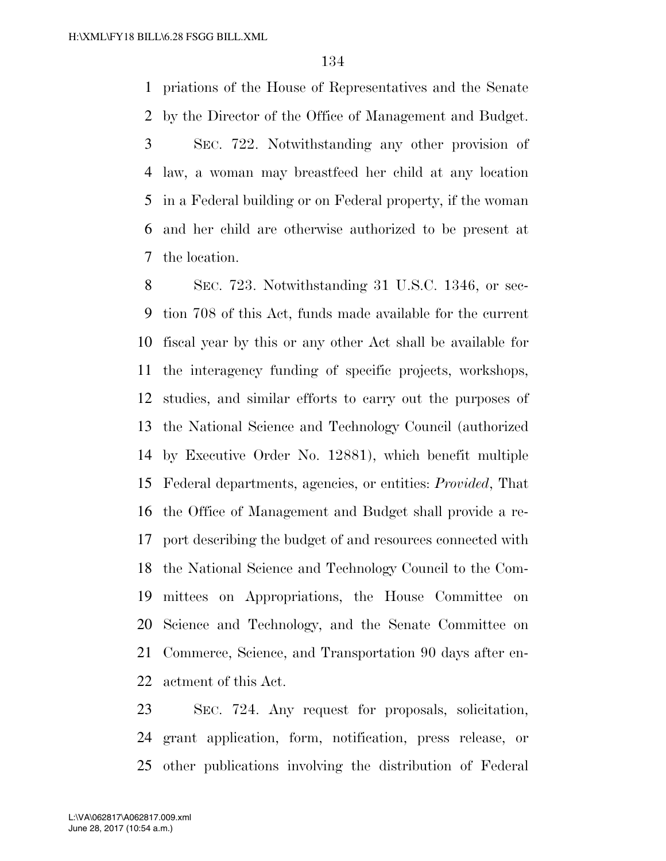priations of the House of Representatives and the Senate by the Director of the Office of Management and Budget. SEC. 722. Notwithstanding any other provision of law, a woman may breastfeed her child at any location in a Federal building or on Federal property, if the woman and her child are otherwise authorized to be present at the location.

 SEC. 723. Notwithstanding 31 U.S.C. 1346, or sec- tion 708 of this Act, funds made available for the current fiscal year by this or any other Act shall be available for the interagency funding of specific projects, workshops, studies, and similar efforts to carry out the purposes of the National Science and Technology Council (authorized by Executive Order No. 12881), which benefit multiple Federal departments, agencies, or entities: *Provided*, That the Office of Management and Budget shall provide a re- port describing the budget of and resources connected with the National Science and Technology Council to the Com- mittees on Appropriations, the House Committee on Science and Technology, and the Senate Committee on Commerce, Science, and Transportation 90 days after en-actment of this Act.

 SEC. 724. Any request for proposals, solicitation, grant application, form, notification, press release, or other publications involving the distribution of Federal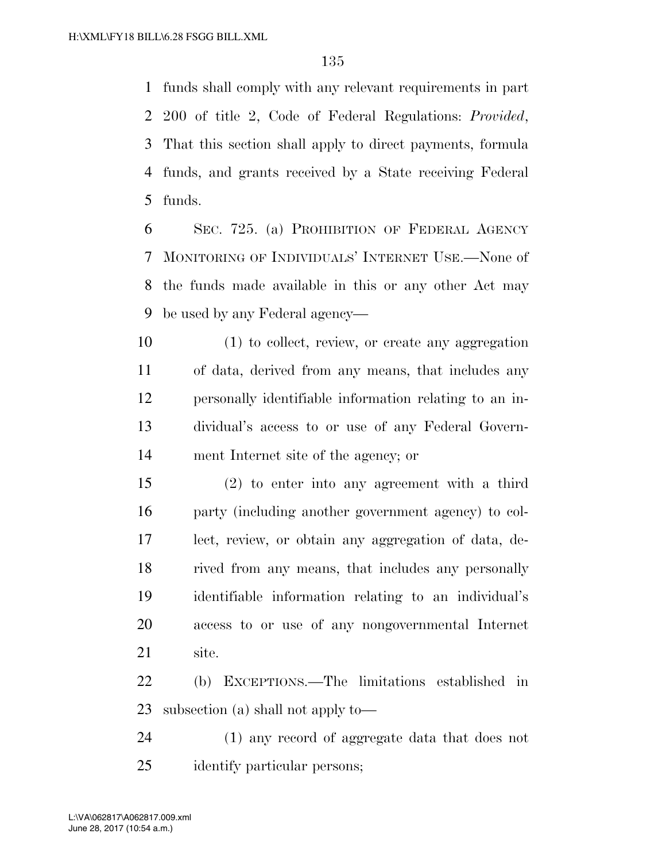funds shall comply with any relevant requirements in part 200 of title 2, Code of Federal Regulations: *Provided*, That this section shall apply to direct payments, formula funds, and grants received by a State receiving Federal funds.

 SEC. 725. (a) PROHIBITION OF FEDERAL AGENCY MONITORING OF INDIVIDUALS' INTERNET USE.—None of the funds made available in this or any other Act may be used by any Federal agency—

 (1) to collect, review, or create any aggregation of data, derived from any means, that includes any personally identifiable information relating to an in- dividual's access to or use of any Federal Govern-ment Internet site of the agency; or

 (2) to enter into any agreement with a third party (including another government agency) to col- lect, review, or obtain any aggregation of data, de- rived from any means, that includes any personally identifiable information relating to an individual's access to or use of any nongovernmental Internet site.

 (b) EXCEPTIONS.—The limitations established in subsection (a) shall not apply to—

 (1) any record of aggregate data that does not identify particular persons;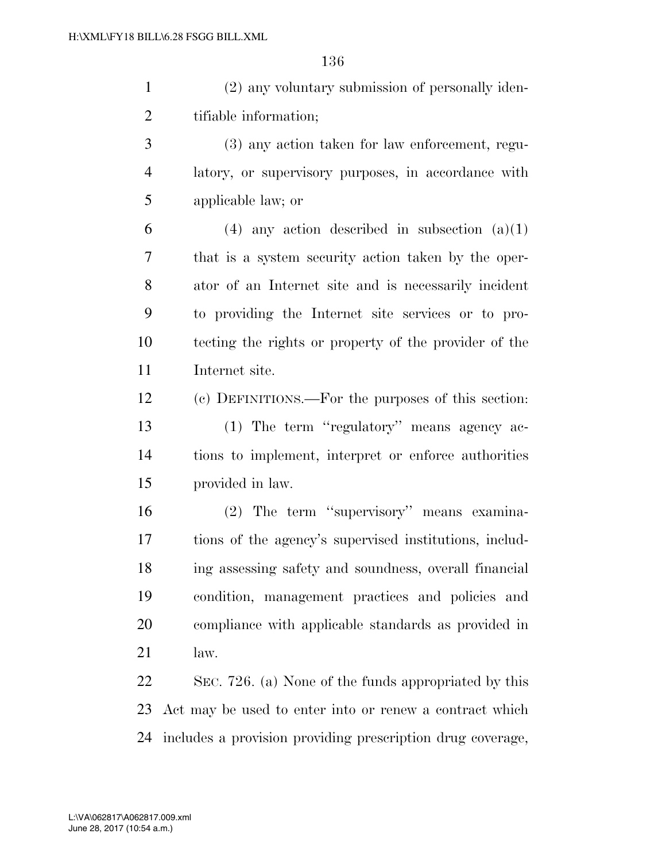(2) any voluntary submission of personally iden-tifiable information;

 (3) any action taken for law enforcement, regu- latory, or supervisory purposes, in accordance with applicable law; or

6 (4) any action described in subsection  $(a)(1)$  that is a system security action taken by the oper- ator of an Internet site and is necessarily incident to providing the Internet site services or to pro- tecting the rights or property of the provider of the Internet site.

 (c) DEFINITIONS.—For the purposes of this section: (1) The term ''regulatory'' means agency ac- tions to implement, interpret or enforce authorities provided in law.

 (2) The term ''supervisory'' means examina- tions of the agency's supervised institutions, includ- ing assessing safety and soundness, overall financial condition, management practices and policies and compliance with applicable standards as provided in law.

 SEC. 726. (a) None of the funds appropriated by this Act may be used to enter into or renew a contract which includes a provision providing prescription drug coverage,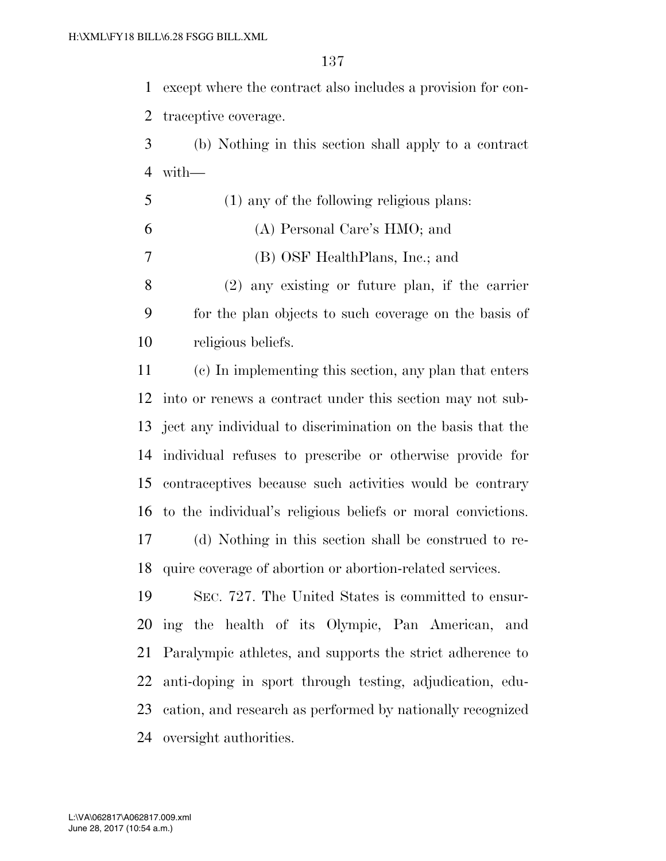except where the contract also includes a provision for con-

traceptive coverage.

- (b) Nothing in this section shall apply to a contract with—
- (1) any of the following religious plans: (A) Personal Care's HMO; and (B) OSF HealthPlans, Inc.; and
- (2) any existing or future plan, if the carrier for the plan objects to such coverage on the basis of religious beliefs.

 (c) In implementing this section, any plan that enters into or renews a contract under this section may not sub- ject any individual to discrimination on the basis that the individual refuses to prescribe or otherwise provide for contraceptives because such activities would be contrary to the individual's religious beliefs or moral convictions. (d) Nothing in this section shall be construed to re-

quire coverage of abortion or abortion-related services.

 SEC. 727. The United States is committed to ensur- ing the health of its Olympic, Pan American, and Paralympic athletes, and supports the strict adherence to anti-doping in sport through testing, adjudication, edu- cation, and research as performed by nationally recognized oversight authorities.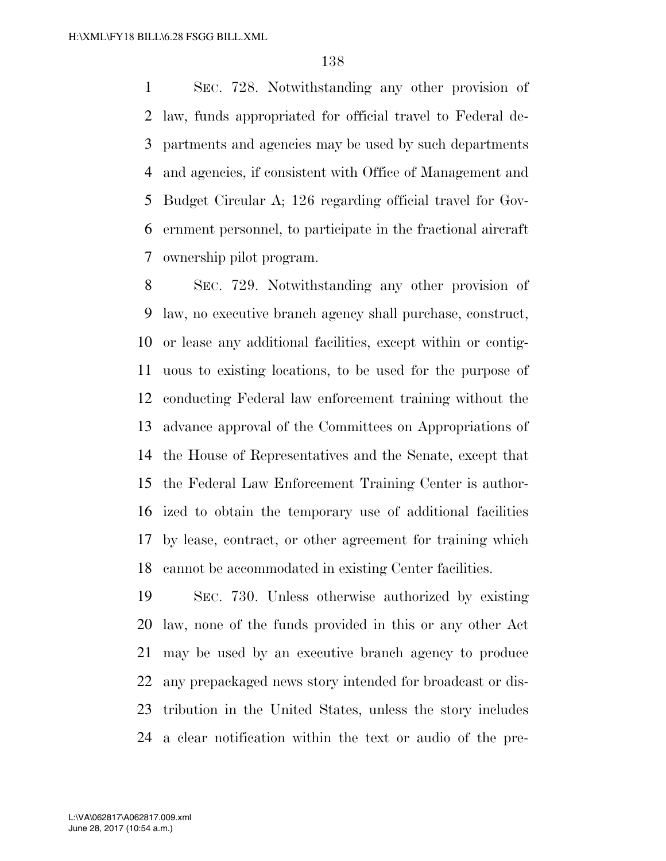SEC. 728. Notwithstanding any other provision of law, funds appropriated for official travel to Federal de- partments and agencies may be used by such departments and agencies, if consistent with Office of Management and Budget Circular A; 126 regarding official travel for Gov- ernment personnel, to participate in the fractional aircraft ownership pilot program.

 SEC. 729. Notwithstanding any other provision of law, no executive branch agency shall purchase, construct, or lease any additional facilities, except within or contig- uous to existing locations, to be used for the purpose of conducting Federal law enforcement training without the advance approval of the Committees on Appropriations of the House of Representatives and the Senate, except that the Federal Law Enforcement Training Center is author- ized to obtain the temporary use of additional facilities by lease, contract, or other agreement for training which cannot be accommodated in existing Center facilities.

 SEC. 730. Unless otherwise authorized by existing law, none of the funds provided in this or any other Act may be used by an executive branch agency to produce any prepackaged news story intended for broadcast or dis- tribution in the United States, unless the story includes a clear notification within the text or audio of the pre-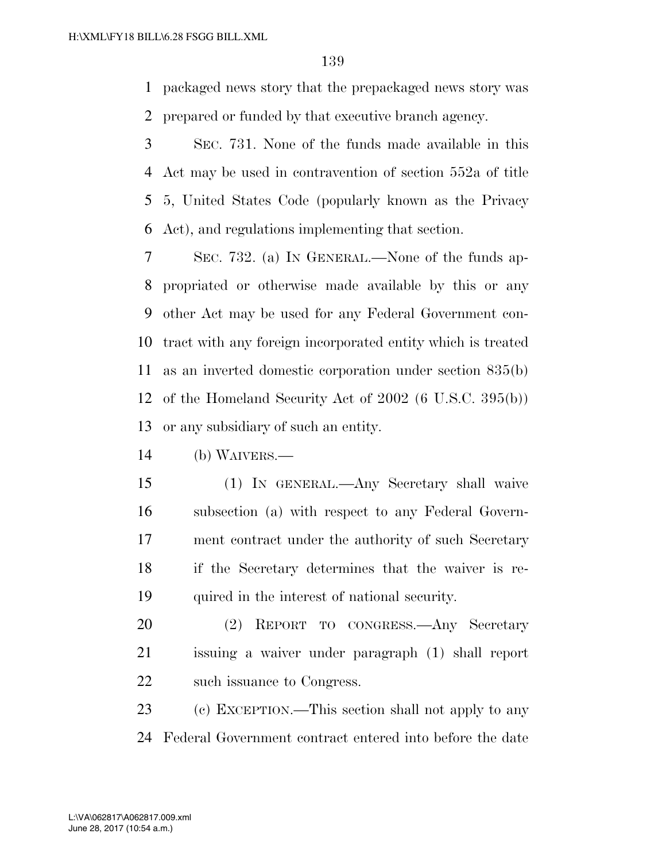packaged news story that the prepackaged news story was prepared or funded by that executive branch agency.

 SEC. 731. None of the funds made available in this Act may be used in contravention of section 552a of title 5, United States Code (popularly known as the Privacy Act), and regulations implementing that section.

 SEC. 732. (a) IN GENERAL.—None of the funds ap- propriated or otherwise made available by this or any other Act may be used for any Federal Government con- tract with any foreign incorporated entity which is treated as an inverted domestic corporation under section 835(b) of the Homeland Security Act of 2002 (6 U.S.C. 395(b)) or any subsidiary of such an entity.

(b) WAIVERS.—

 (1) IN GENERAL.—Any Secretary shall waive subsection (a) with respect to any Federal Govern- ment contract under the authority of such Secretary if the Secretary determines that the waiver is re-quired in the interest of national security.

 (2) REPORT TO CONGRESS.—Any Secretary issuing a waiver under paragraph (1) shall report such issuance to Congress.

 (c) EXCEPTION.—This section shall not apply to any Federal Government contract entered into before the date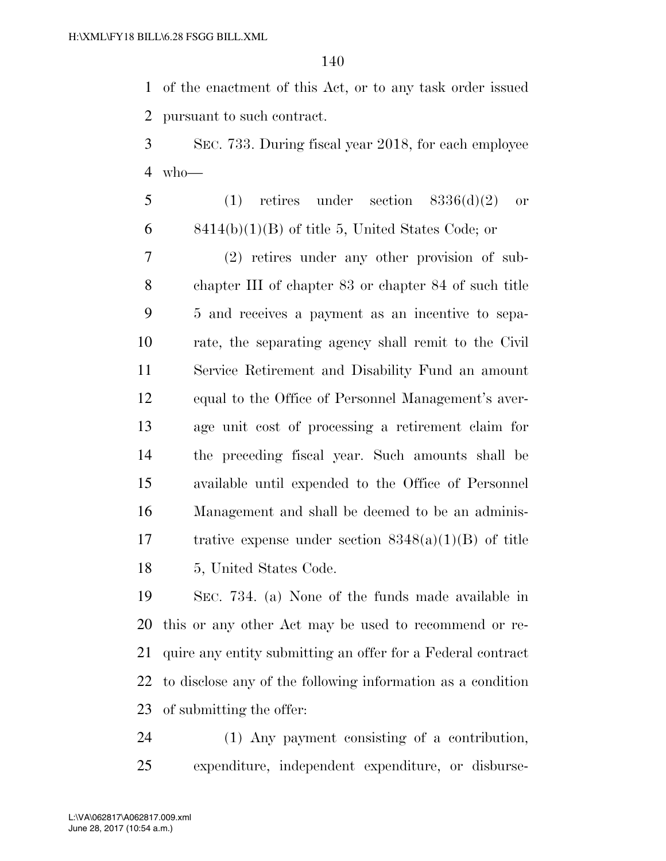of the enactment of this Act, or to any task order issued pursuant to such contract.

 SEC. 733. During fiscal year 2018, for each employee who—

 (1) retires under section  $8336(d)(2)$  or  $6 \qquad \text{8414(b)(1)(B) of title } 5, \text{ United States Code; or}$ 

 (2) retires under any other provision of sub- chapter III of chapter 83 or chapter 84 of such title 5 and receives a payment as an incentive to sepa- rate, the separating agency shall remit to the Civil Service Retirement and Disability Fund an amount equal to the Office of Personnel Management's aver- age unit cost of processing a retirement claim for the preceding fiscal year. Such amounts shall be available until expended to the Office of Personnel Management and shall be deemed to be an adminis- trative expense under section 8348(a)(1)(B) of title 5, United States Code.

 SEC. 734. (a) None of the funds made available in this or any other Act may be used to recommend or re- quire any entity submitting an offer for a Federal contract to disclose any of the following information as a condition of submitting the offer:

 (1) Any payment consisting of a contribution, expenditure, independent expenditure, or disburse-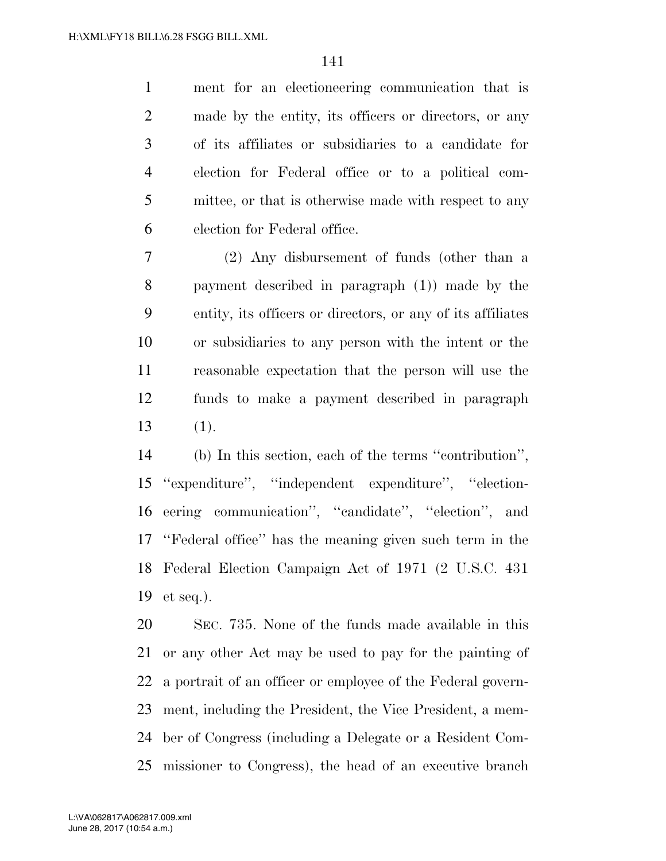ment for an electioneering communication that is made by the entity, its officers or directors, or any of its affiliates or subsidiaries to a candidate for election for Federal office or to a political com- mittee, or that is otherwise made with respect to any election for Federal office.

 (2) Any disbursement of funds (other than a payment described in paragraph (1)) made by the entity, its officers or directors, or any of its affiliates or subsidiaries to any person with the intent or the reasonable expectation that the person will use the funds to make a payment described in paragraph (1).

 (b) In this section, each of the terms ''contribution'', ''expenditure'', ''independent expenditure'', ''election- eering communication'', ''candidate'', ''election'', and ''Federal office'' has the meaning given such term in the Federal Election Campaign Act of 1971 (2 U.S.C. 431 et seq.).

 SEC. 735. None of the funds made available in this or any other Act may be used to pay for the painting of a portrait of an officer or employee of the Federal govern- ment, including the President, the Vice President, a mem- ber of Congress (including a Delegate or a Resident Com-missioner to Congress), the head of an executive branch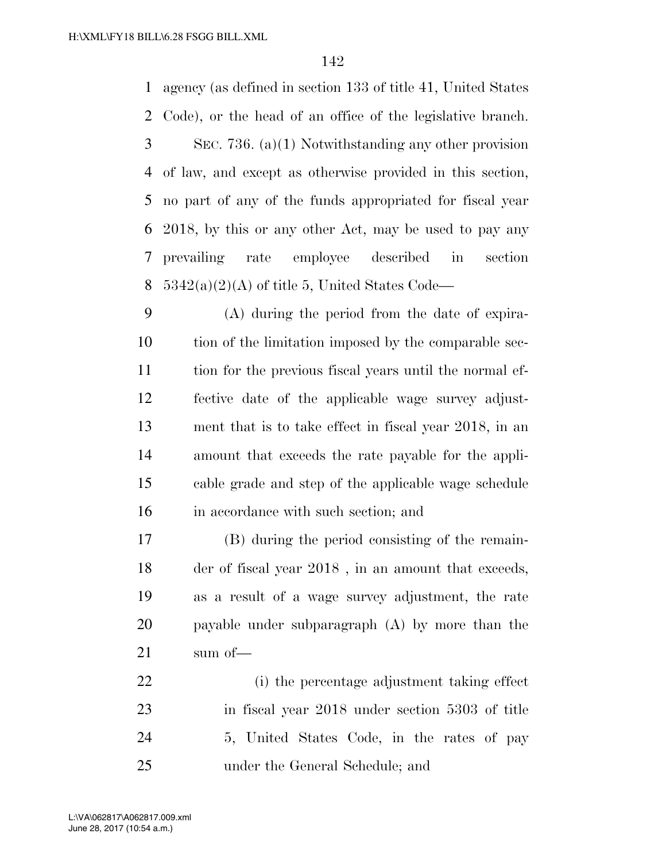agency (as defined in section 133 of title 41, United States Code), or the head of an office of the legislative branch. SEC. 736. (a)(1) Notwithstanding any other provision of law, and except as otherwise provided in this section, no part of any of the funds appropriated for fiscal year 2018, by this or any other Act, may be used to pay any prevailing rate employee described in section  $5342(a)(2)(A)$  of title 5, United States Code—

 (A) during the period from the date of expira- tion of the limitation imposed by the comparable sec- tion for the previous fiscal years until the normal ef- fective date of the applicable wage survey adjust- ment that is to take effect in fiscal year 2018, in an amount that exceeds the rate payable for the appli- cable grade and step of the applicable wage schedule in accordance with such section; and

 (B) during the period consisting of the remain- der of fiscal year 2018 , in an amount that exceeds, as a result of a wage survey adjustment, the rate payable under subparagraph (A) by more than the sum of—

 (i) the percentage adjustment taking effect in fiscal year 2018 under section 5303 of title 5, United States Code, in the rates of pay under the General Schedule; and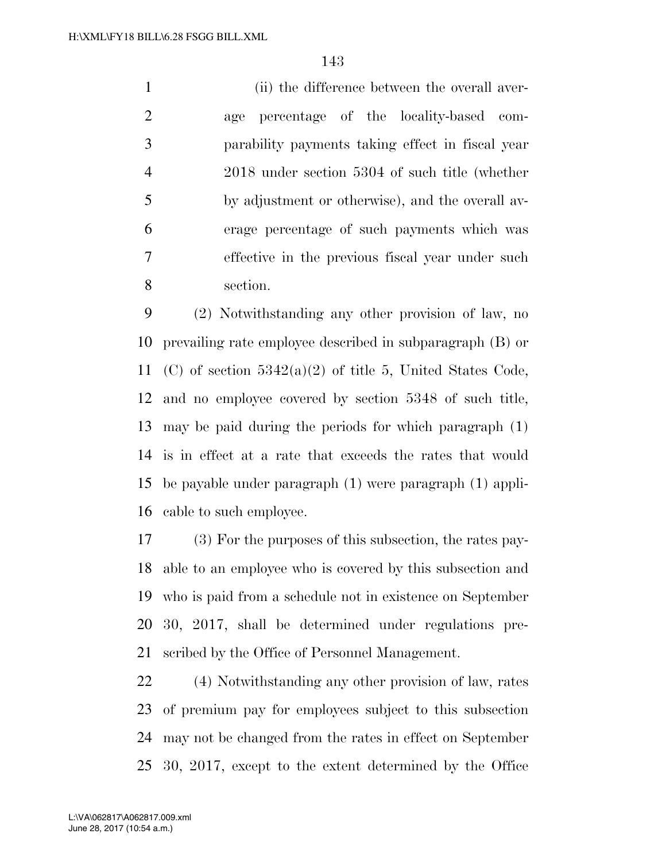(ii) the difference between the overall aver- age percentage of the locality-based com- parability payments taking effect in fiscal year 2018 under section 5304 of such title (whether by adjustment or otherwise), and the overall av- erage percentage of such payments which was effective in the previous fiscal year under such section.

 (2) Notwithstanding any other provision of law, no prevailing rate employee described in subparagraph (B) or (C) of section 5342(a)(2) of title 5, United States Code, and no employee covered by section 5348 of such title, may be paid during the periods for which paragraph (1) is in effect at a rate that exceeds the rates that would be payable under paragraph (1) were paragraph (1) appli-cable to such employee.

 (3) For the purposes of this subsection, the rates pay- able to an employee who is covered by this subsection and who is paid from a schedule not in existence on September 30, 2017, shall be determined under regulations pre-scribed by the Office of Personnel Management.

 (4) Notwithstanding any other provision of law, rates of premium pay for employees subject to this subsection may not be changed from the rates in effect on September 30, 2017, except to the extent determined by the Office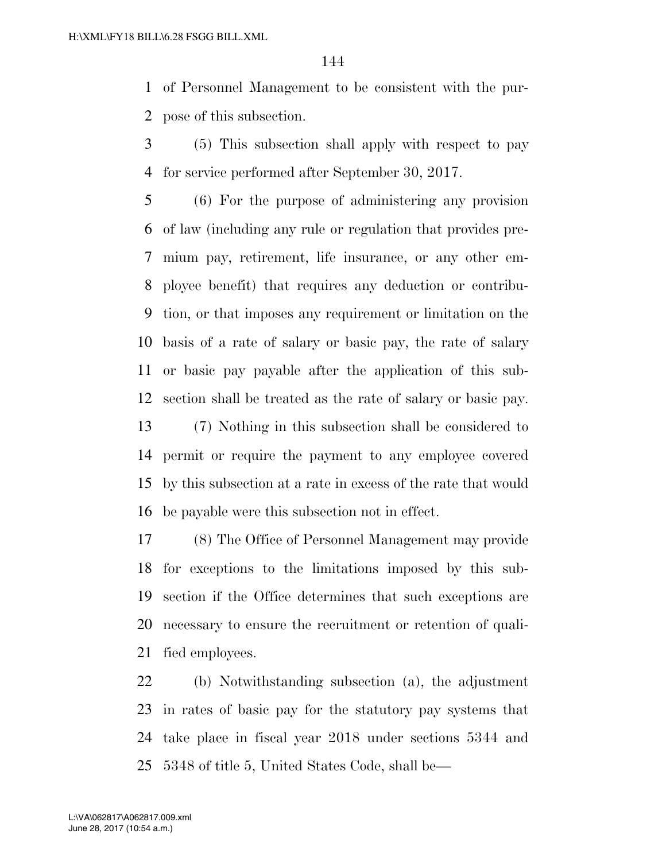of Personnel Management to be consistent with the pur-pose of this subsection.

 (5) This subsection shall apply with respect to pay for service performed after September 30, 2017.

 (6) For the purpose of administering any provision of law (including any rule or regulation that provides pre- mium pay, retirement, life insurance, or any other em- ployee benefit) that requires any deduction or contribu- tion, or that imposes any requirement or limitation on the basis of a rate of salary or basic pay, the rate of salary or basic pay payable after the application of this sub- section shall be treated as the rate of salary or basic pay. (7) Nothing in this subsection shall be considered to

 permit or require the payment to any employee covered by this subsection at a rate in excess of the rate that would be payable were this subsection not in effect.

 (8) The Office of Personnel Management may provide for exceptions to the limitations imposed by this sub- section if the Office determines that such exceptions are necessary to ensure the recruitment or retention of quali-fied employees.

 (b) Notwithstanding subsection (a), the adjustment in rates of basic pay for the statutory pay systems that take place in fiscal year 2018 under sections 5344 and 5348 of title 5, United States Code, shall be—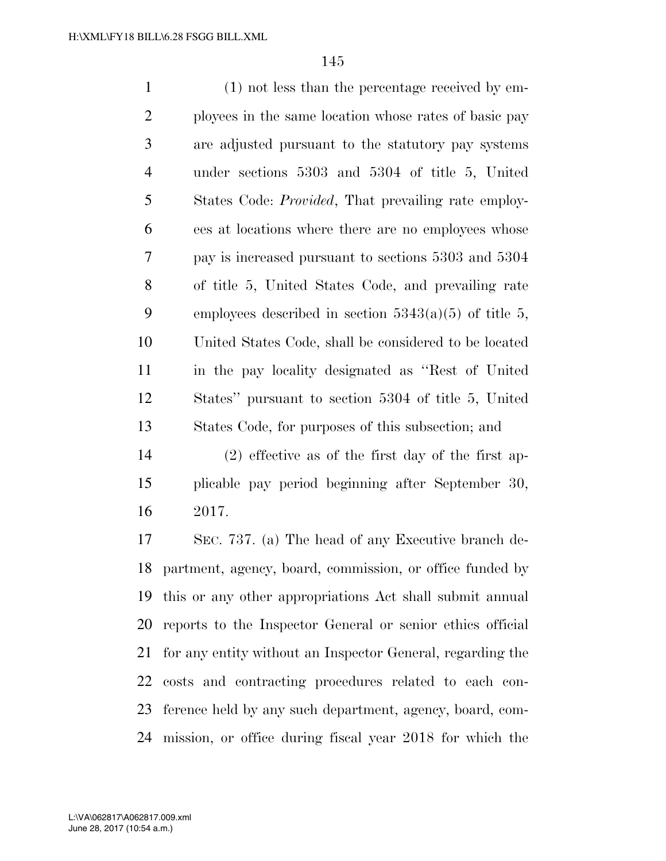(1) not less than the percentage received by em- ployees in the same location whose rates of basic pay are adjusted pursuant to the statutory pay systems under sections 5303 and 5304 of title 5, United States Code: *Provided*, That prevailing rate employ- ees at locations where there are no employees whose pay is increased pursuant to sections 5303 and 5304 of title 5, United States Code, and prevailing rate 9 employees described in section  $5343(a)(5)$  of title 5, United States Code, shall be considered to be located in the pay locality designated as ''Rest of United States'' pursuant to section 5304 of title 5, United States Code, for purposes of this subsection; and

 (2) effective as of the first day of the first ap- plicable pay period beginning after September 30, 2017.

 SEC. 737. (a) The head of any Executive branch de- partment, agency, board, commission, or office funded by this or any other appropriations Act shall submit annual reports to the Inspector General or senior ethics official for any entity without an Inspector General, regarding the costs and contracting procedures related to each con- ference held by any such department, agency, board, com-mission, or office during fiscal year 2018 for which the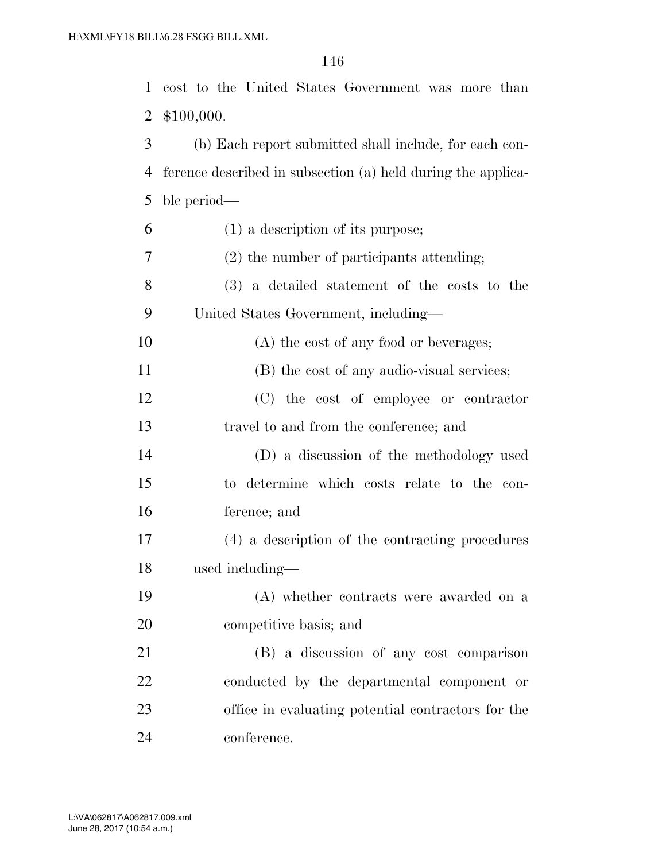cost to the United States Government was more than \$100,000.

 (b) Each report submitted shall include, for each con- ference described in subsection (a) held during the applica-ble period—

| 6              | $(1)$ a description of its purpose;                |
|----------------|----------------------------------------------------|
| $\overline{7}$ | (2) the number of participants attending;          |
| 8              | (3) a detailed statement of the costs to the       |
| 9              | United States Government, including-               |
| 10             | (A) the cost of any food or beverages;             |
| 11             | (B) the cost of any audio-visual services;         |
| 12             | (C) the cost of employee or contractor             |
| 13             | travel to and from the conference; and             |
| 14             | (D) a discussion of the methodology used           |
| 15             | to determine which costs relate to the con-        |
| 16             | ference; and                                       |
| 17             | (4) a description of the contracting procedures    |
| 18             | used including—                                    |
| 19             | (A) whether contracts were awarded on a            |
| 20             | competitive basis; and                             |
| 21             | (B) a discussion of any cost comparison            |
| 22             | conducted by the departmental component or         |
| 23             | office in evaluating potential contractors for the |
| 24             | conference.                                        |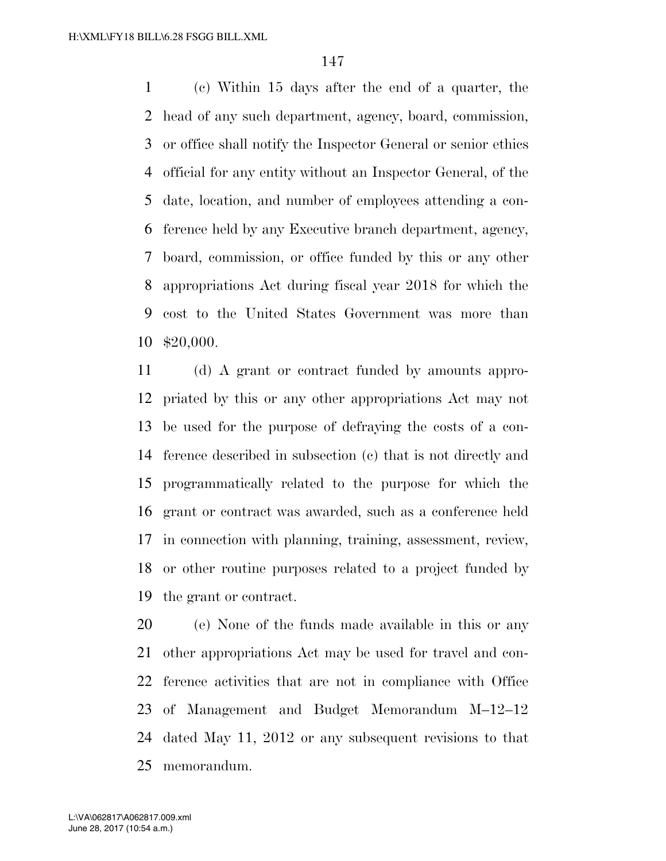(c) Within 15 days after the end of a quarter, the head of any such department, agency, board, commission, or office shall notify the Inspector General or senior ethics official for any entity without an Inspector General, of the date, location, and number of employees attending a con- ference held by any Executive branch department, agency, board, commission, or office funded by this or any other appropriations Act during fiscal year 2018 for which the cost to the United States Government was more than \$20,000.

 (d) A grant or contract funded by amounts appro- priated by this or any other appropriations Act may not be used for the purpose of defraying the costs of a con- ference described in subsection (c) that is not directly and programmatically related to the purpose for which the grant or contract was awarded, such as a conference held in connection with planning, training, assessment, review, or other routine purposes related to a project funded by the grant or contract.

 (e) None of the funds made available in this or any other appropriations Act may be used for travel and con- ference activities that are not in compliance with Office of Management and Budget Memorandum M–12–12 dated May 11, 2012 or any subsequent revisions to that memorandum.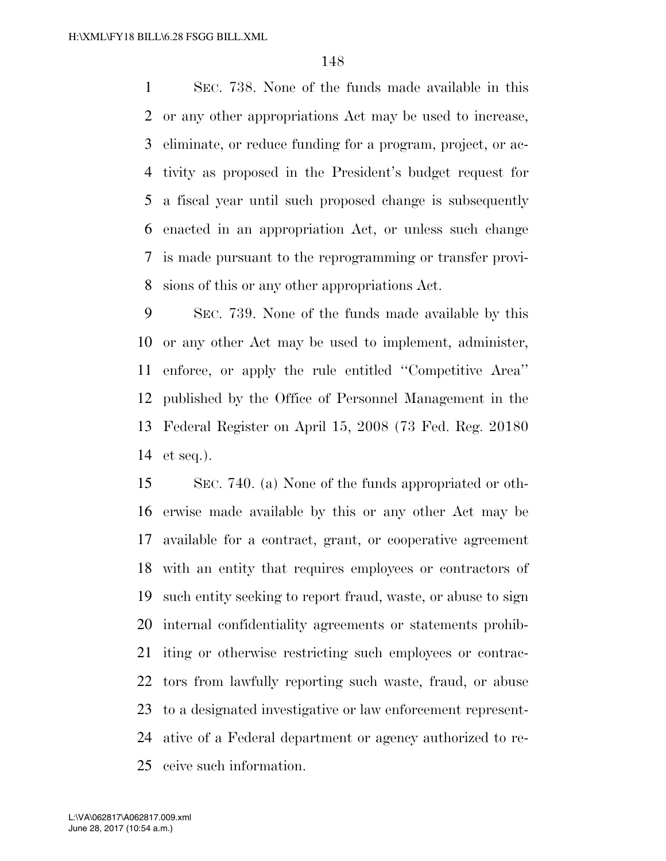SEC. 738. None of the funds made available in this or any other appropriations Act may be used to increase, eliminate, or reduce funding for a program, project, or ac- tivity as proposed in the President's budget request for a fiscal year until such proposed change is subsequently enacted in an appropriation Act, or unless such change is made pursuant to the reprogramming or transfer provi-sions of this or any other appropriations Act.

 SEC. 739. None of the funds made available by this or any other Act may be used to implement, administer, enforce, or apply the rule entitled ''Competitive Area'' published by the Office of Personnel Management in the Federal Register on April 15, 2008 (73 Fed. Reg. 20180 et seq.).

 SEC. 740. (a) None of the funds appropriated or oth- erwise made available by this or any other Act may be available for a contract, grant, or cooperative agreement with an entity that requires employees or contractors of such entity seeking to report fraud, waste, or abuse to sign internal confidentiality agreements or statements prohib- iting or otherwise restricting such employees or contrac- tors from lawfully reporting such waste, fraud, or abuse to a designated investigative or law enforcement represent- ative of a Federal department or agency authorized to re-ceive such information.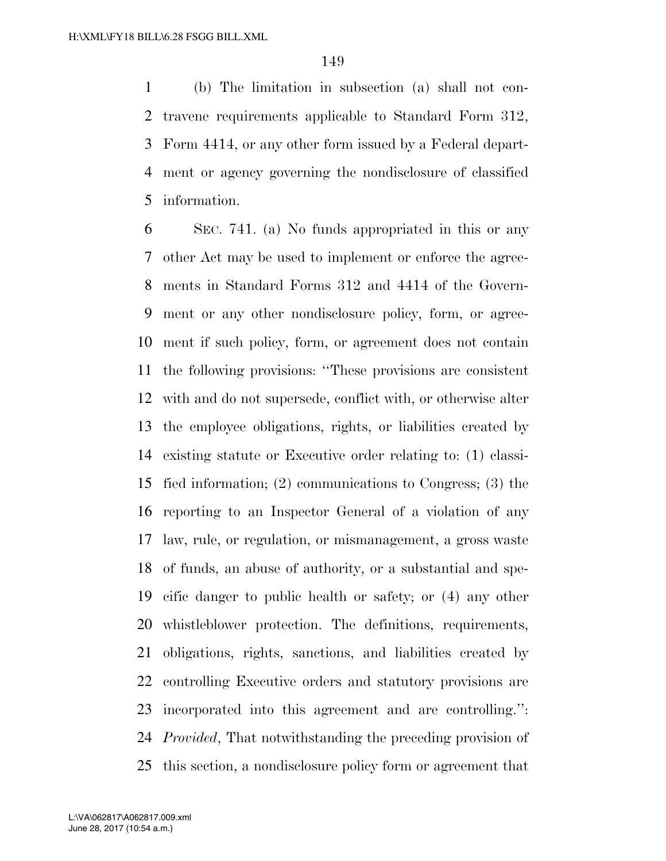(b) The limitation in subsection (a) shall not con- travene requirements applicable to Standard Form 312, Form 4414, or any other form issued by a Federal depart- ment or agency governing the nondisclosure of classified information.

 SEC. 741. (a) No funds appropriated in this or any other Act may be used to implement or enforce the agree- ments in Standard Forms 312 and 4414 of the Govern- ment or any other nondisclosure policy, form, or agree- ment if such policy, form, or agreement does not contain the following provisions: ''These provisions are consistent with and do not supersede, conflict with, or otherwise alter the employee obligations, rights, or liabilities created by existing statute or Executive order relating to: (1) classi- fied information; (2) communications to Congress; (3) the reporting to an Inspector General of a violation of any law, rule, or regulation, or mismanagement, a gross waste of funds, an abuse of authority, or a substantial and spe- cific danger to public health or safety; or (4) any other whistleblower protection. The definitions, requirements, obligations, rights, sanctions, and liabilities created by controlling Executive orders and statutory provisions are incorporated into this agreement and are controlling.'': *Provided*, That notwithstanding the preceding provision of this section, a nondisclosure policy form or agreement that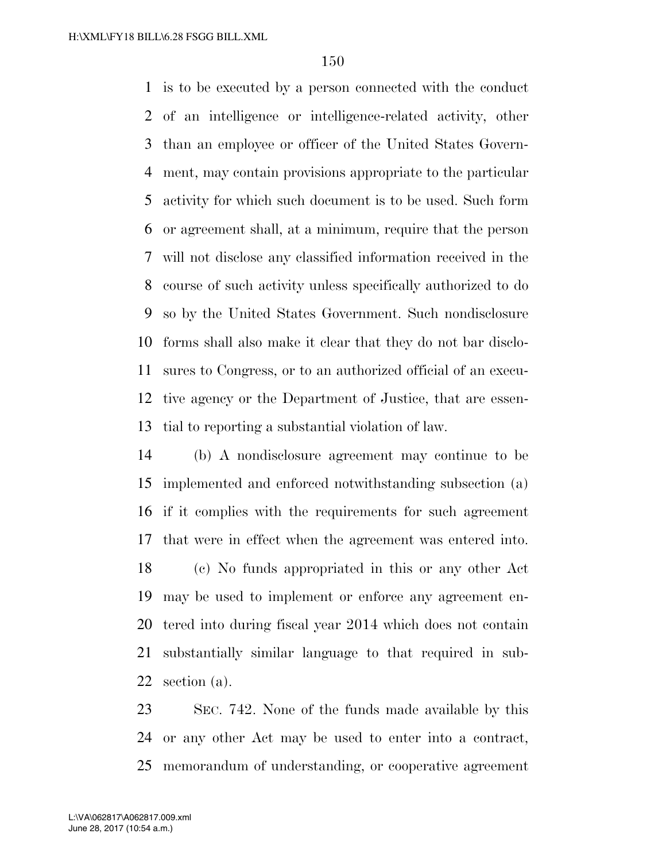is to be executed by a person connected with the conduct of an intelligence or intelligence-related activity, other than an employee or officer of the United States Govern- ment, may contain provisions appropriate to the particular activity for which such document is to be used. Such form or agreement shall, at a minimum, require that the person will not disclose any classified information received in the course of such activity unless specifically authorized to do so by the United States Government. Such nondisclosure forms shall also make it clear that they do not bar disclo- sures to Congress, or to an authorized official of an execu- tive agency or the Department of Justice, that are essen-tial to reporting a substantial violation of law.

 (b) A nondisclosure agreement may continue to be implemented and enforced notwithstanding subsection (a) if it complies with the requirements for such agreement that were in effect when the agreement was entered into. (c) No funds appropriated in this or any other Act may be used to implement or enforce any agreement en- tered into during fiscal year 2014 which does not contain substantially similar language to that required in sub-section (a).

 SEC. 742. None of the funds made available by this or any other Act may be used to enter into a contract, memorandum of understanding, or cooperative agreement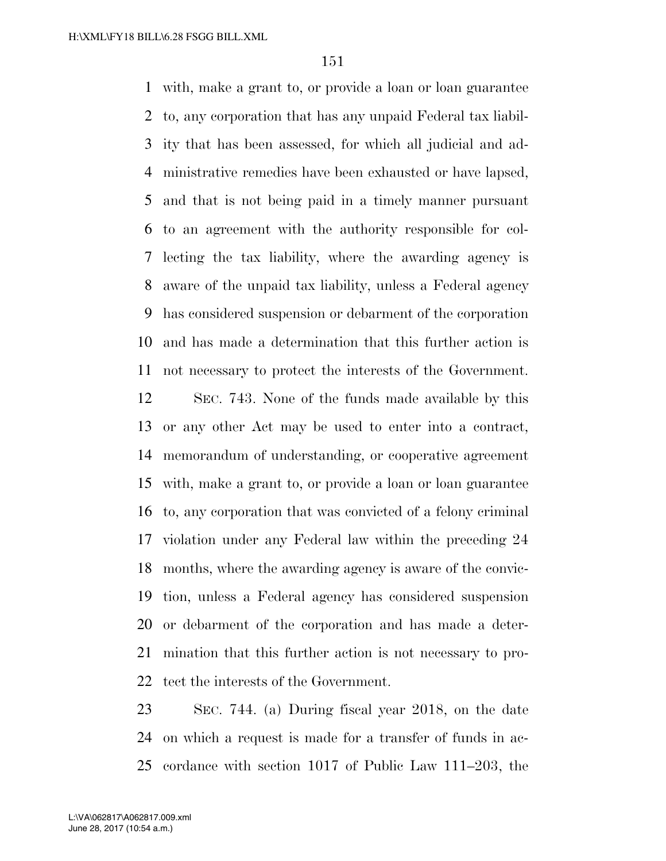with, make a grant to, or provide a loan or loan guarantee to, any corporation that has any unpaid Federal tax liabil- ity that has been assessed, for which all judicial and ad- ministrative remedies have been exhausted or have lapsed, and that is not being paid in a timely manner pursuant to an agreement with the authority responsible for col- lecting the tax liability, where the awarding agency is aware of the unpaid tax liability, unless a Federal agency has considered suspension or debarment of the corporation and has made a determination that this further action is not necessary to protect the interests of the Government.

 SEC. 743. None of the funds made available by this or any other Act may be used to enter into a contract, memorandum of understanding, or cooperative agreement with, make a grant to, or provide a loan or loan guarantee to, any corporation that was convicted of a felony criminal violation under any Federal law within the preceding 24 months, where the awarding agency is aware of the convic- tion, unless a Federal agency has considered suspension or debarment of the corporation and has made a deter- mination that this further action is not necessary to pro-tect the interests of the Government.

 SEC. 744. (a) During fiscal year 2018, on the date on which a request is made for a transfer of funds in ac-cordance with section 1017 of Public Law 111–203, the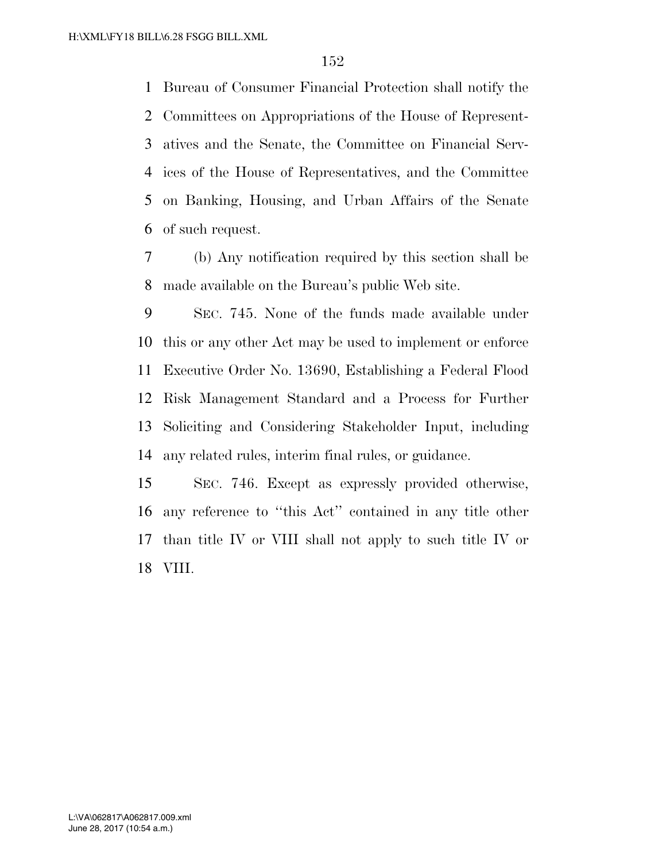Bureau of Consumer Financial Protection shall notify the Committees on Appropriations of the House of Represent- atives and the Senate, the Committee on Financial Serv- ices of the House of Representatives, and the Committee on Banking, Housing, and Urban Affairs of the Senate of such request.

 (b) Any notification required by this section shall be made available on the Bureau's public Web site.

 SEC. 745. None of the funds made available under this or any other Act may be used to implement or enforce Executive Order No. 13690, Establishing a Federal Flood Risk Management Standard and a Process for Further Soliciting and Considering Stakeholder Input, including any related rules, interim final rules, or guidance.

 SEC. 746. Except as expressly provided otherwise, any reference to ''this Act'' contained in any title other than title IV or VIII shall not apply to such title IV or VIII.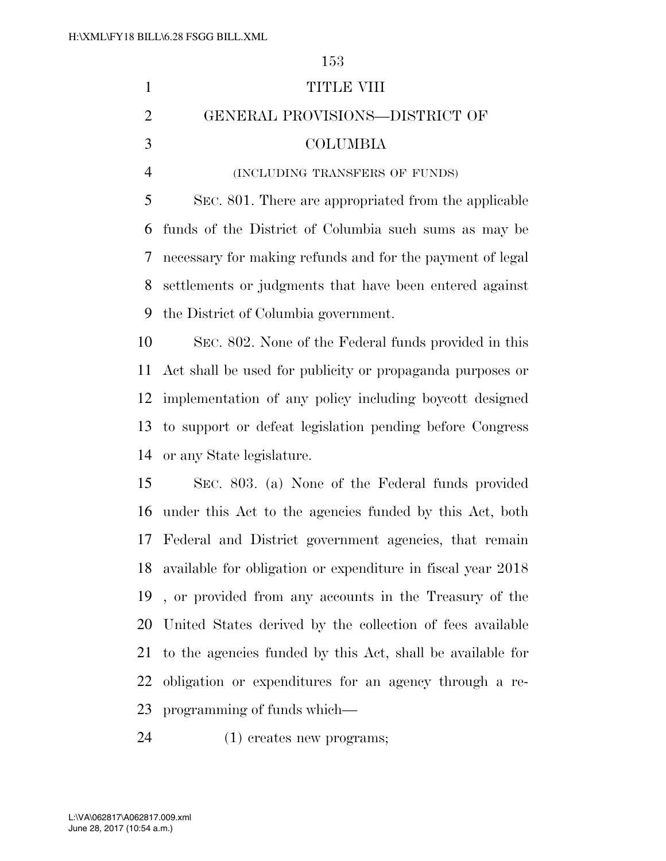| $\mathbf{1}$   | TITLE VIII                                                  |
|----------------|-------------------------------------------------------------|
| $\overline{2}$ | GENERAL PROVISIONS-DISTRICT OF                              |
| 3              | <b>COLUMBIA</b>                                             |
| $\overline{4}$ | (INCLUDING TRANSFERS OF FUNDS)                              |
| 5              | SEC. 801. There are appropriated from the applicable        |
| 6              | funds of the District of Columbia such sums as may be       |
| 7              | necessary for making refunds and for the payment of legal   |
| 8              | settlements or judgments that have been entered against     |
| 9              | the District of Columbia government.                        |
| 10             | SEC. 802. None of the Federal funds provided in this        |
| 11             | Act shall be used for publicity or propaganda purposes or   |
| 12             | implementation of any policy including boycott designed     |
| 13             | to support or defeat legislation pending before Congress    |
| 14             | or any State legislature.                                   |
| 15             | SEC. 803. (a) None of the Federal funds provided            |
| 16             | under this Act to the agencies funded by this Act, both     |
| 17             | Federal and District government agencies, that remain       |
| 18             | available for obligation or expenditure in fiscal year 2018 |
| 19             | , or provided from any accounts in the Treasury of the      |
| 20             | United States derived by the collection of fees available   |
| 21             | to the agencies funded by this Act, shall be available for  |
| 22             | obligation or expenditures for an agency through a re-      |
| 23             | programming of funds which—                                 |
|                |                                                             |

(1) creates new programs;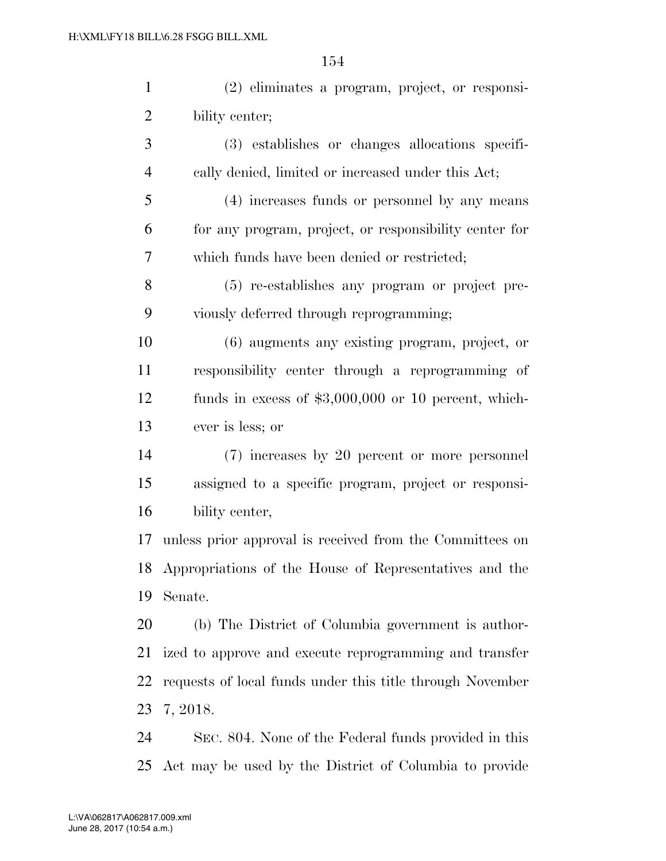| $\mathbf{1}$   | (2) eliminates a program, project, or responsi-           |
|----------------|-----------------------------------------------------------|
| $\overline{2}$ | bility center;                                            |
| 3              | (3) establishes or changes allocations specifi-           |
| $\overline{4}$ | cally denied, limited or increased under this Act;        |
| 5              | (4) increases funds or personnel by any means             |
| 6              | for any program, project, or responsibility center for    |
| 7              | which funds have been denied or restricted;               |
| 8              | (5) re-establishes any program or project pre-            |
| 9              | viously deferred through reprogramming;                   |
| 10             | $(6)$ augments any existing program, project, or          |
| 11             | responsibility center through a reprogramming of          |
| 12             | funds in excess of $$3,000,000$ or 10 percent, which-     |
| 13             | ever is less; or                                          |
| 14             | (7) increases by 20 percent or more personnel             |
| 15             | assigned to a specific program, project or responsi-      |
| 16             | bility center,                                            |
| 17             | unless prior approval is received from the Committees on  |
| 18             | Appropriations of the House of Representatives and the    |
| 19             | Senate.                                                   |
| 20             | (b) The District of Columbia government is author-        |
| 21             | ized to approve and execute reprogramming and transfer    |
| 22             | requests of local funds under this title through November |
| 23             | 7, 2018.                                                  |
| 24             | SEC. 804. None of the Federal funds provided in this      |

Act may be used by the District of Columbia to provide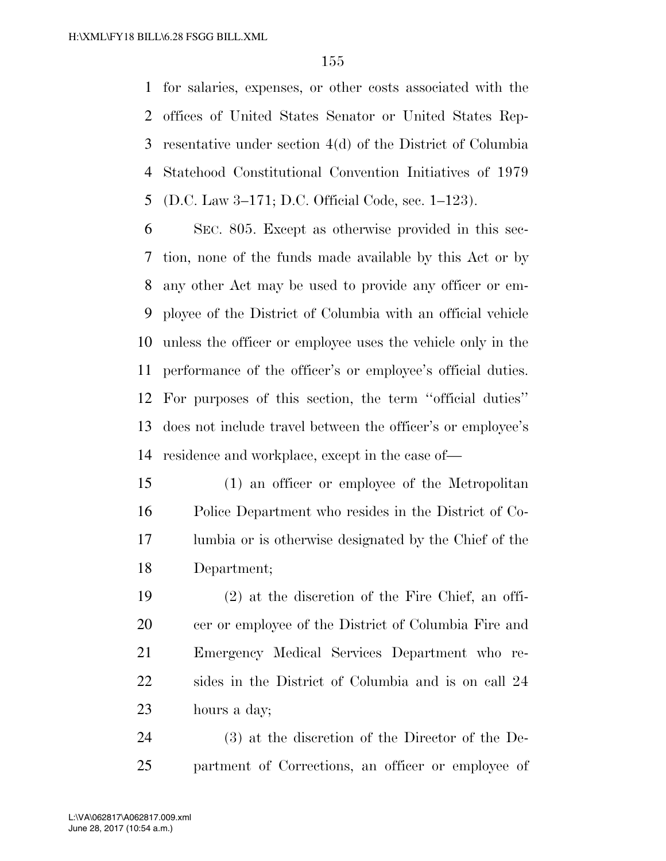for salaries, expenses, or other costs associated with the offices of United States Senator or United States Rep- resentative under section 4(d) of the District of Columbia Statehood Constitutional Convention Initiatives of 1979 (D.C. Law 3–171; D.C. Official Code, sec. 1–123).

 SEC. 805. Except as otherwise provided in this sec- tion, none of the funds made available by this Act or by any other Act may be used to provide any officer or em- ployee of the District of Columbia with an official vehicle unless the officer or employee uses the vehicle only in the performance of the officer's or employee's official duties. For purposes of this section, the term ''official duties'' does not include travel between the officer's or employee's residence and workplace, except in the case of—

 (1) an officer or employee of the Metropolitan Police Department who resides in the District of Co- lumbia or is otherwise designated by the Chief of the Department;

 (2) at the discretion of the Fire Chief, an offi-20 cer or employee of the District of Columbia Fire and Emergency Medical Services Department who re- sides in the District of Columbia and is on call 24 hours a day;

 (3) at the discretion of the Director of the De-partment of Corrections, an officer or employee of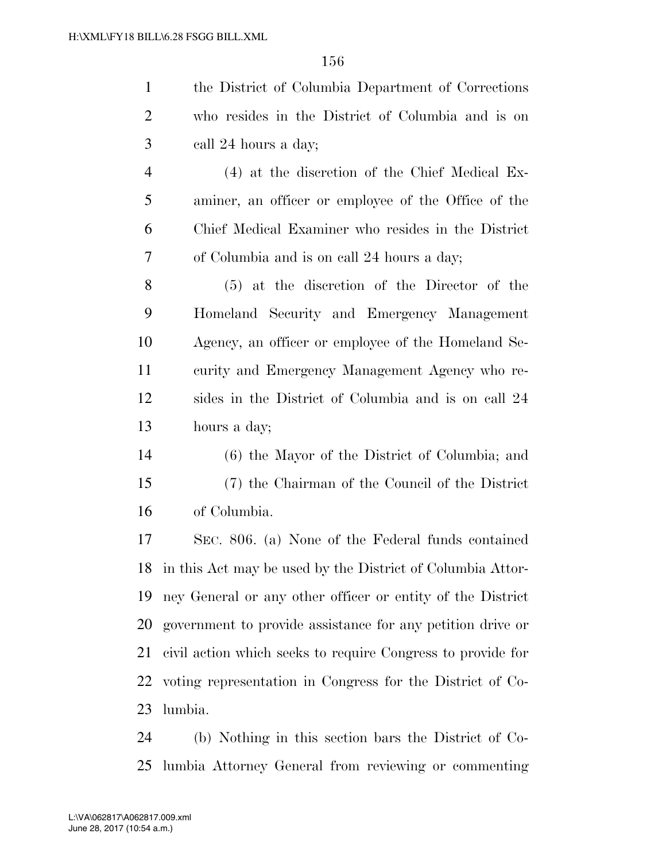| $\mathbf{1}$   | the District of Columbia Department of Corrections          |
|----------------|-------------------------------------------------------------|
| $\overline{2}$ | who resides in the District of Columbia and is on           |
| 3              | call 24 hours a day;                                        |
| $\overline{4}$ | (4) at the discretion of the Chief Medical Ex-              |
| 5              | aminer, an officer or employee of the Office of the         |
| 6              | Chief Medical Examiner who resides in the District          |
| 7              | of Columbia and is on call 24 hours a day;                  |
| 8              | (5) at the discretion of the Director of the                |
| 9              | Homeland Security and Emergency Management                  |
| 10             | Agency, an officer or employee of the Homeland Se-          |
| 11             | curity and Emergency Management Agency who re-              |
| 12             | sides in the District of Columbia and is on call 24         |
| 13             | hours a day;                                                |
| 14             | (6) the Mayor of the District of Columbia; and              |
| 15             | (7) the Chairman of the Council of the District             |
| 16             | of Columbia.                                                |
| 17             | SEC. 806. (a) None of the Federal funds contained           |
| 18             | in this Act may be used by the District of Columbia Attor-  |
| 19             | ney General or any other officer or entity of the District  |
| 20             | government to provide assistance for any petition drive or  |
| 21             | civil action which seeks to require Congress to provide for |
| 22             | voting representation in Congress for the District of Co-   |

lumbia.

 (b) Nothing in this section bars the District of Co-lumbia Attorney General from reviewing or commenting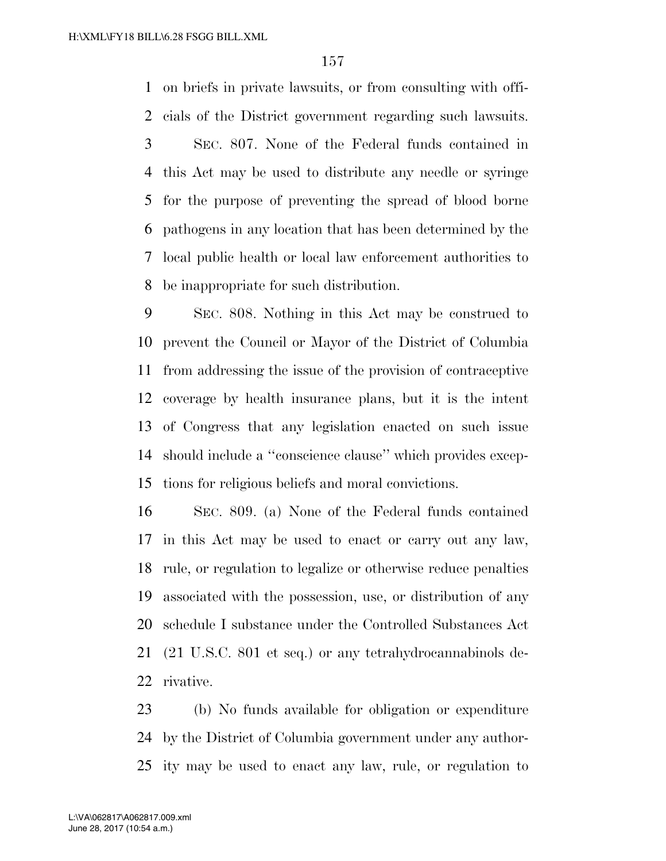on briefs in private lawsuits, or from consulting with offi- cials of the District government regarding such lawsuits. SEC. 807. None of the Federal funds contained in this Act may be used to distribute any needle or syringe for the purpose of preventing the spread of blood borne pathogens in any location that has been determined by the local public health or local law enforcement authorities to be inappropriate for such distribution.

 SEC. 808. Nothing in this Act may be construed to prevent the Council or Mayor of the District of Columbia from addressing the issue of the provision of contraceptive coverage by health insurance plans, but it is the intent of Congress that any legislation enacted on such issue should include a ''conscience clause'' which provides excep-tions for religious beliefs and moral convictions.

 SEC. 809. (a) None of the Federal funds contained in this Act may be used to enact or carry out any law, rule, or regulation to legalize or otherwise reduce penalties associated with the possession, use, or distribution of any schedule I substance under the Controlled Substances Act (21 U.S.C. 801 et seq.) or any tetrahydrocannabinols de-rivative.

 (b) No funds available for obligation or expenditure by the District of Columbia government under any author-ity may be used to enact any law, rule, or regulation to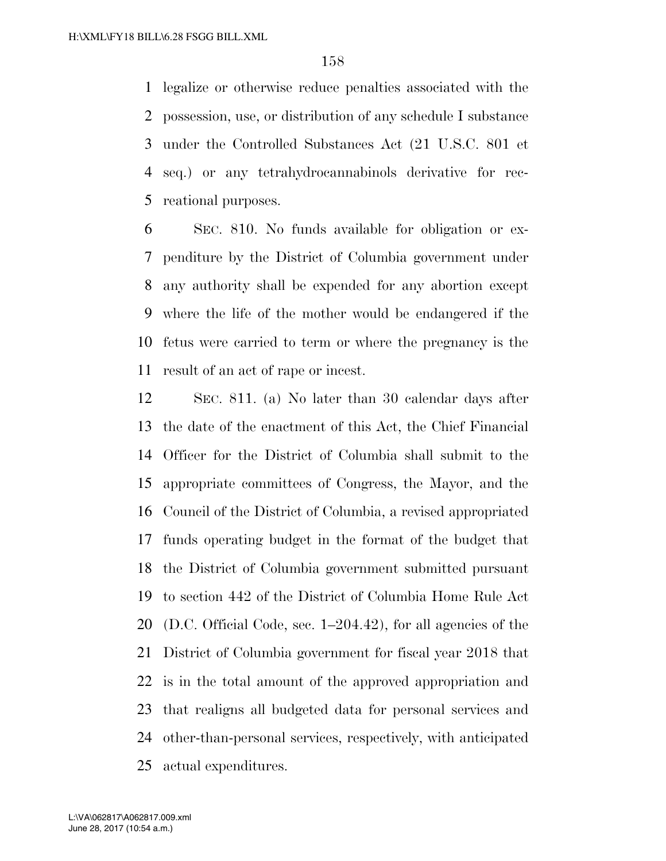legalize or otherwise reduce penalties associated with the possession, use, or distribution of any schedule I substance under the Controlled Substances Act (21 U.S.C. 801 et seq.) or any tetrahydrocannabinols derivative for rec-reational purposes.

 SEC. 810. No funds available for obligation or ex- penditure by the District of Columbia government under any authority shall be expended for any abortion except where the life of the mother would be endangered if the fetus were carried to term or where the pregnancy is the result of an act of rape or incest.

 SEC. 811. (a) No later than 30 calendar days after the date of the enactment of this Act, the Chief Financial Officer for the District of Columbia shall submit to the appropriate committees of Congress, the Mayor, and the Council of the District of Columbia, a revised appropriated funds operating budget in the format of the budget that the District of Columbia government submitted pursuant to section 442 of the District of Columbia Home Rule Act (D.C. Official Code, sec. 1–204.42), for all agencies of the District of Columbia government for fiscal year 2018 that is in the total amount of the approved appropriation and that realigns all budgeted data for personal services and other-than-personal services, respectively, with anticipated actual expenditures.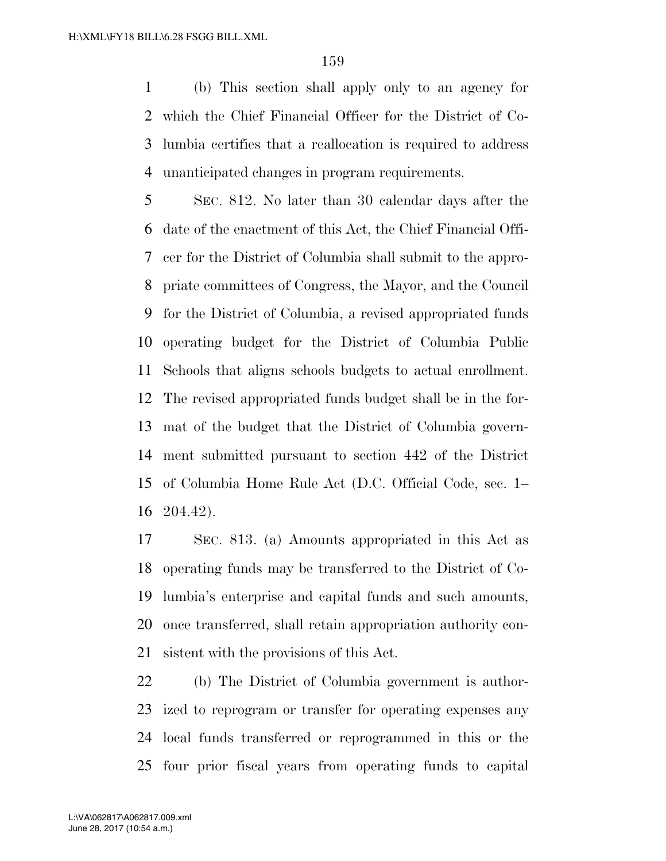(b) This section shall apply only to an agency for which the Chief Financial Officer for the District of Co- lumbia certifies that a reallocation is required to address unanticipated changes in program requirements.

 SEC. 812. No later than 30 calendar days after the date of the enactment of this Act, the Chief Financial Offi- cer for the District of Columbia shall submit to the appro- priate committees of Congress, the Mayor, and the Council for the District of Columbia, a revised appropriated funds operating budget for the District of Columbia Public Schools that aligns schools budgets to actual enrollment. The revised appropriated funds budget shall be in the for- mat of the budget that the District of Columbia govern- ment submitted pursuant to section 442 of the District of Columbia Home Rule Act (D.C. Official Code, sec. 1– 204.42).

 SEC. 813. (a) Amounts appropriated in this Act as operating funds may be transferred to the District of Co- lumbia's enterprise and capital funds and such amounts, once transferred, shall retain appropriation authority con-sistent with the provisions of this Act.

 (b) The District of Columbia government is author- ized to reprogram or transfer for operating expenses any local funds transferred or reprogrammed in this or the four prior fiscal years from operating funds to capital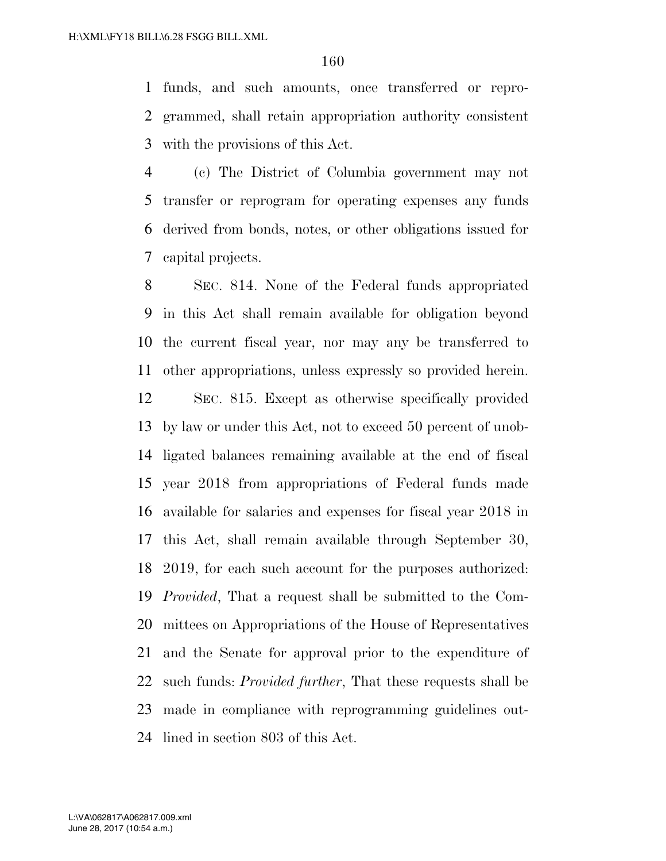funds, and such amounts, once transferred or repro- grammed, shall retain appropriation authority consistent with the provisions of this Act.

 (c) The District of Columbia government may not transfer or reprogram for operating expenses any funds derived from bonds, notes, or other obligations issued for capital projects.

 SEC. 814. None of the Federal funds appropriated in this Act shall remain available for obligation beyond the current fiscal year, nor may any be transferred to other appropriations, unless expressly so provided herein.

 SEC. 815. Except as otherwise specifically provided by law or under this Act, not to exceed 50 percent of unob- ligated balances remaining available at the end of fiscal year 2018 from appropriations of Federal funds made available for salaries and expenses for fiscal year 2018 in this Act, shall remain available through September 30, 2019, for each such account for the purposes authorized: *Provided*, That a request shall be submitted to the Com- mittees on Appropriations of the House of Representatives and the Senate for approval prior to the expenditure of such funds: *Provided further*, That these requests shall be made in compliance with reprogramming guidelines out-lined in section 803 of this Act.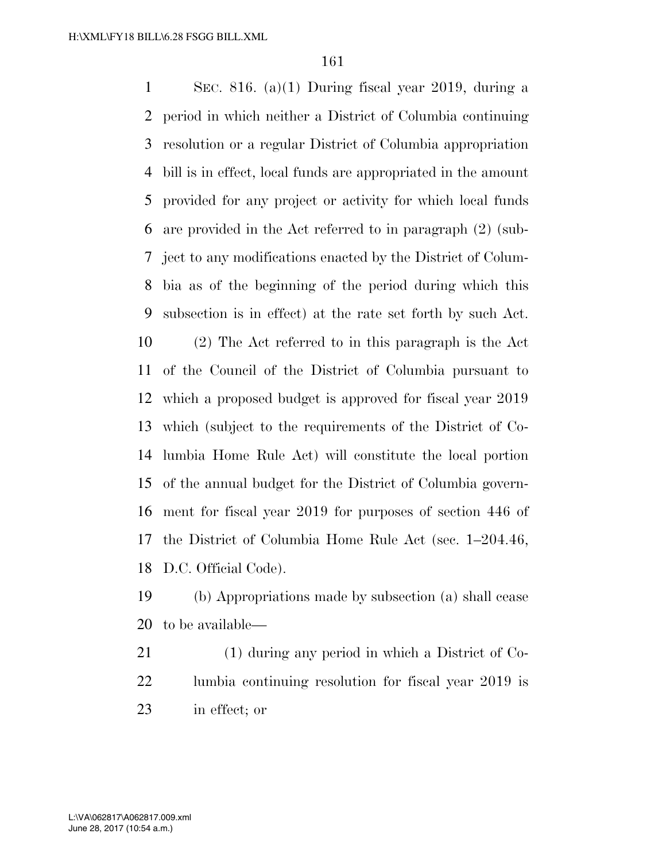SEC. 816. (a)(1) During fiscal year 2019, during a period in which neither a District of Columbia continuing resolution or a regular District of Columbia appropriation bill is in effect, local funds are appropriated in the amount provided for any project or activity for which local funds are provided in the Act referred to in paragraph (2) (sub- ject to any modifications enacted by the District of Colum- bia as of the beginning of the period during which this subsection is in effect) at the rate set forth by such Act. (2) The Act referred to in this paragraph is the Act of the Council of the District of Columbia pursuant to which a proposed budget is approved for fiscal year 2019 which (subject to the requirements of the District of Co- lumbia Home Rule Act) will constitute the local portion of the annual budget for the District of Columbia govern- ment for fiscal year 2019 for purposes of section 446 of the District of Columbia Home Rule Act (sec. 1–204.46, D.C. Official Code).

 (b) Appropriations made by subsection (a) shall cease to be available—

 (1) during any period in which a District of Co- lumbia continuing resolution for fiscal year 2019 is in effect; or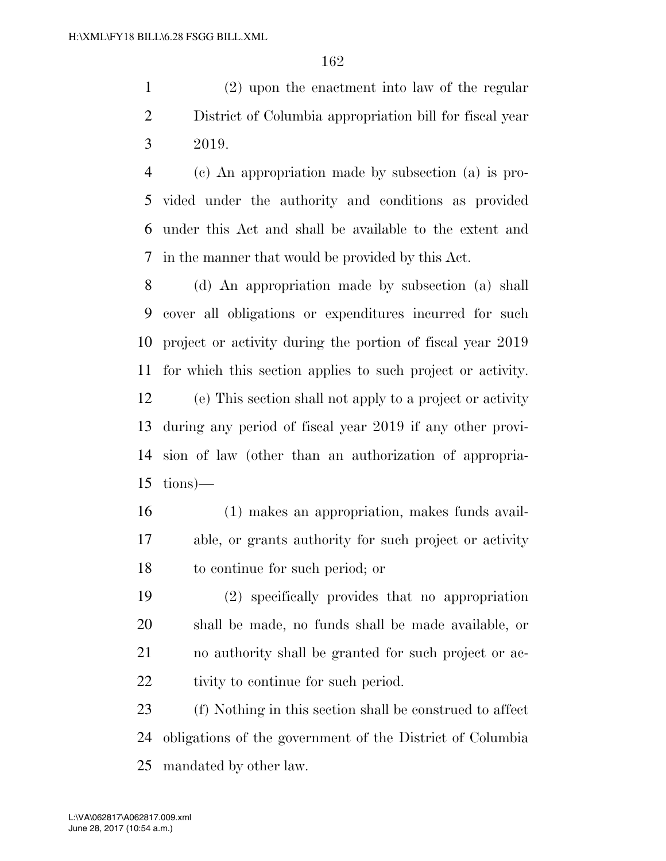(2) upon the enactment into law of the regular District of Columbia appropriation bill for fiscal year 2019.

 (c) An appropriation made by subsection (a) is pro- vided under the authority and conditions as provided under this Act and shall be available to the extent and in the manner that would be provided by this Act.

 (d) An appropriation made by subsection (a) shall cover all obligations or expenditures incurred for such project or activity during the portion of fiscal year 2019 for which this section applies to such project or activity. (e) This section shall not apply to a project or activity during any period of fiscal year 2019 if any other provi- sion of law (other than an authorization of appropria- $15 \t{ions}$ —

 (1) makes an appropriation, makes funds avail- able, or grants authority for such project or activity to continue for such period; or

 (2) specifically provides that no appropriation shall be made, no funds shall be made available, or no authority shall be granted for such project or ac-22 tivity to continue for such period.

 (f) Nothing in this section shall be construed to affect obligations of the government of the District of Columbia mandated by other law.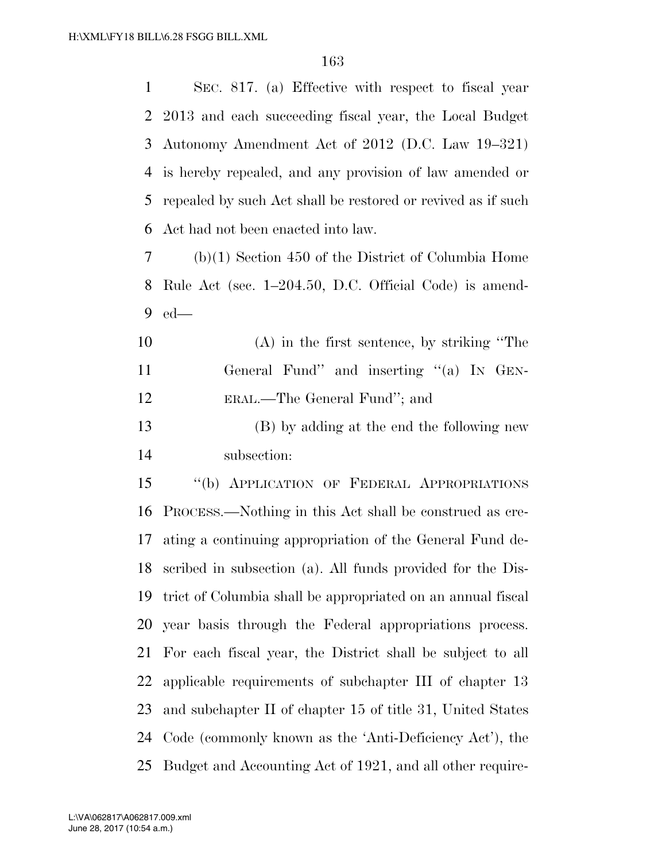SEC. 817. (a) Effective with respect to fiscal year

|    | 2 2013 and each succeeding fiscal year, the Local Budget     |
|----|--------------------------------------------------------------|
| 3  | Autonomy Amendment Act of 2012 (D.C. Law 19–321)             |
| 4  | is hereby repealed, and any provision of law amended or      |
| 5  | repealed by such Act shall be restored or revived as if such |
| 6  | Act had not been enacted into law.                           |
| 7  | $(b)(1)$ Section 450 of the District of Columbia Home        |
| 8  | Rule Act (sec. 1-204.50, D.C. Official Code) is amend-       |
| 9  | $ed$ —                                                       |
| 10 | $(A)$ in the first sentence, by striking "The                |
| 11 | General Fund" and inserting "(a) IN GEN-                     |
| 12 | ERAL.—The General Fund"; and                                 |
| 13 | (B) by adding at the end the following new                   |
| 14 | subsection:                                                  |
| 15 | "(b) APPLICATION OF FEDERAL APPROPRIATIONS                   |
| 16 | PROCESS.—Nothing in this Act shall be construed as cre-      |
| 17 | ating a continuing appropriation of the General Fund de-     |
| 18 | scribed in subsection (a). All funds provided for the Dis-   |
| 19 | trict of Columbia shall be appropriated on an annual fiscal  |
| 20 | year basis through the Federal appropriations process.       |
| 21 | For each fiscal year, the District shall be subject to all   |
| 22 | applicable requirements of subchapter III of chapter 13      |
| 23 | and subchapter II of chapter 15 of title 31, United States   |
| 24 | Code (commonly known as the 'Anti-Deficiency Act'), the      |
| 25 | Budget and Accounting Act of 1921, and all other require-    |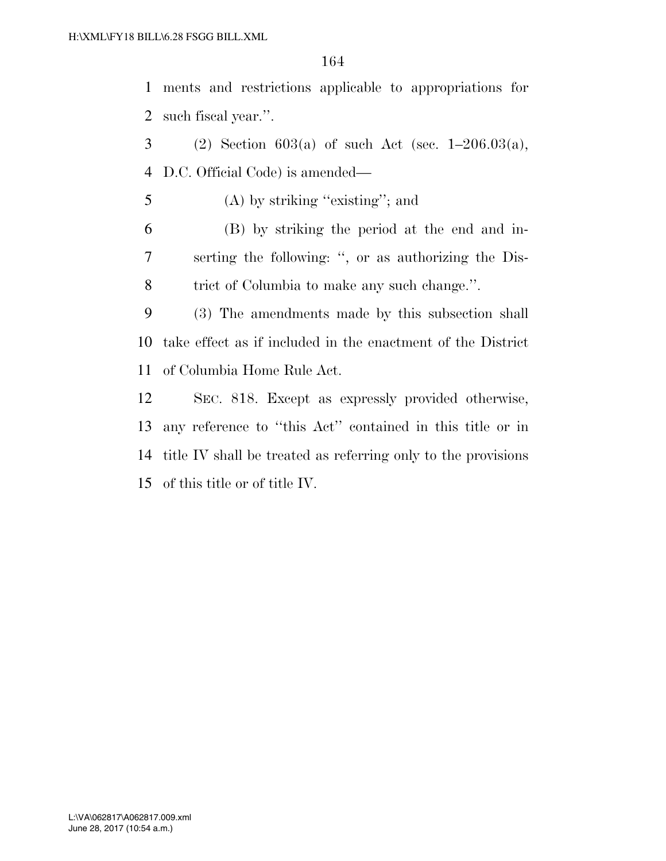ments and restrictions applicable to appropriations for such fiscal year.''.

3 (2) Section  $603(a)$  of such Act (sec.  $1-206.03(a)$ , D.C. Official Code) is amended—

(A) by striking ''existing''; and

 (B) by striking the period at the end and in- serting the following: '', or as authorizing the Dis-trict of Columbia to make any such change.''.

 (3) The amendments made by this subsection shall take effect as if included in the enactment of the District of Columbia Home Rule Act.

 SEC. 818. Except as expressly provided otherwise, any reference to ''this Act'' contained in this title or in title IV shall be treated as referring only to the provisions of this title or of title IV.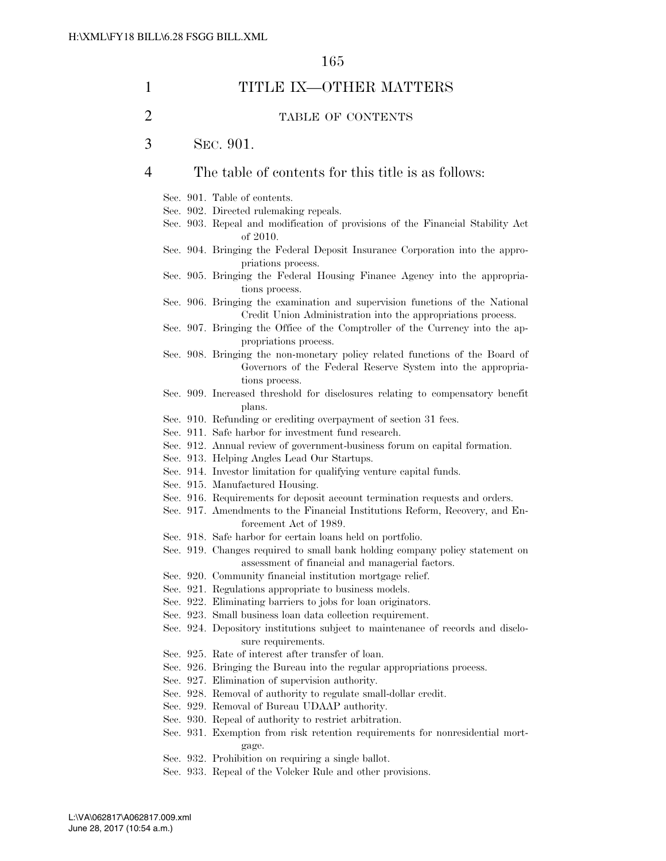| 1 |  | TITLE IX-OTHER MATTERS                                                                                                                                               |
|---|--|----------------------------------------------------------------------------------------------------------------------------------------------------------------------|
| 2 |  | TABLE OF CONTENTS                                                                                                                                                    |
| 3 |  | SEC. 901.                                                                                                                                                            |
| 4 |  | The table of contents for this title is as follows:                                                                                                                  |
|   |  | Sec. 901. Table of contents.<br>Sec. 902. Directed rulemaking repeals.<br>Sec. 903. Repeal and modification of provisions of the Financial Stability Act<br>of 2010. |
|   |  | Sec. 904. Bringing the Federal Deposit Insurance Corporation into the appro-<br>priations process.                                                                   |
|   |  | Sec. 905. Bringing the Federal Housing Finance Agency into the appropria-<br>tions process.                                                                          |
|   |  | Sec. 906. Bringing the examination and supervision functions of the National<br>Credit Union Administration into the appropriations process.                         |
|   |  | Sec. 907. Bringing the Office of the Comptroller of the Currency into the ap-<br>propriations process.                                                               |
|   |  | Sec. 908. Bringing the non-monetary policy related functions of the Board of<br>Governors of the Federal Reserve System into the appropria-<br>tions process.        |
|   |  | Sec. 909. Increased threshold for disclosures relating to compensatory benefit<br>plans.                                                                             |
|   |  | Sec. 910. Refunding or crediting overpayment of section 31 fees.                                                                                                     |
|   |  | Sec. 911. Safe harbor for investment fund research.                                                                                                                  |
|   |  | Sec. 912. Annual review of government-business forum on capital formation.                                                                                           |
|   |  | Sec. 913. Helping Angles Lead Our Startups.                                                                                                                          |
|   |  | Sec. 914. Investor limitation for qualifying venture capital funds.                                                                                                  |
|   |  | Sec. 915. Manufactured Housing.                                                                                                                                      |
|   |  | Sec. 916. Requirements for deposit account termination requests and orders.                                                                                          |
|   |  | Sec. 917. Amendments to the Financial Institutions Reform, Recovery, and En-<br>forcement Act of 1989.                                                               |
|   |  | Sec. 918. Safe harbor for certain loans held on portfolio.                                                                                                           |
|   |  | Sec. 919. Changes required to small bank holding company policy statement on<br>assessment of financial and managerial factors.                                      |
|   |  | Sec. 920. Community financial institution mortgage relief.                                                                                                           |
|   |  | Sec. 921. Regulations appropriate to business models.                                                                                                                |
|   |  | Sec. 922. Eliminating barriers to jobs for loan originators.                                                                                                         |
|   |  | Sec. 923. Small business loan data collection requirement.                                                                                                           |
|   |  | Sec. 924. Depository institutions subject to maintenance of records and disclo-<br>sure requirements.                                                                |
|   |  | Sec. 925. Rate of interest after transfer of loan.                                                                                                                   |
|   |  | Sec. 926. Bringing the Bureau into the regular appropriations process.                                                                                               |
|   |  | Sec. 927. Elimination of supervision authority.                                                                                                                      |
|   |  | Sec. 928. Removal of authority to regulate small-dollar credit.                                                                                                      |
|   |  | Sec. 929. Removal of Bureau UDAAP authority.                                                                                                                         |
|   |  | Sec. 930. Repeal of authority to restrict arbitration.                                                                                                               |
|   |  | Sec. 931. Exemption from risk retention requirements for nonresidential mort-<br>gage.                                                                               |
|   |  | Sec. 932. Prohibition on requiring a single ballot.                                                                                                                  |
|   |  | Sec. 933. Repeal of the Volcker Rule and other provisions.                                                                                                           |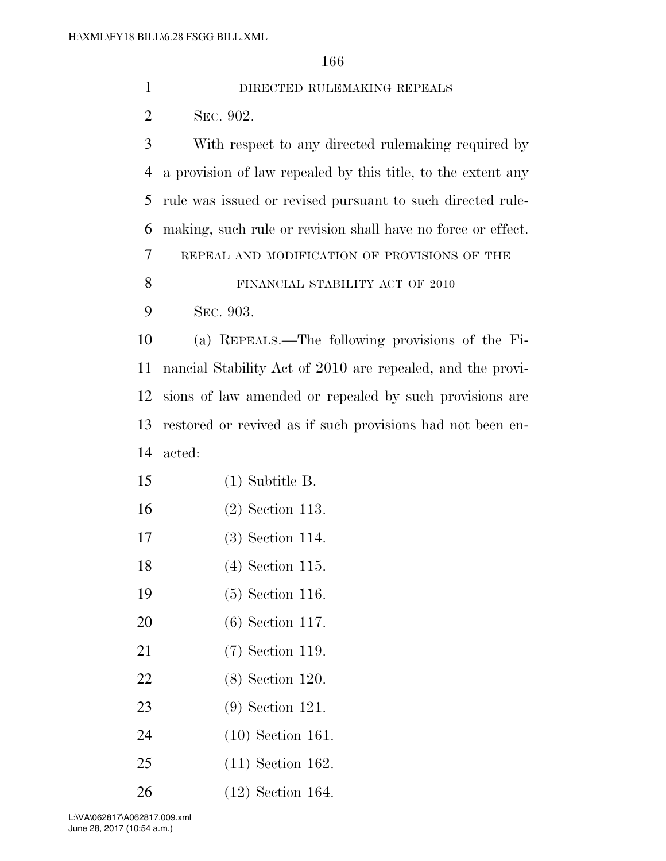| $\mathbf{1}$   | DIRECTED RULEMAKING REPEALS                                  |
|----------------|--------------------------------------------------------------|
| $\overline{2}$ | SEC. 902.                                                    |
| 3              | With respect to any directed rule making required by         |
| $\overline{4}$ | a provision of law repealed by this title, to the extent any |
| 5              | rule was issued or revised pursuant to such directed rule-   |
| 6              | making, such rule or revision shall have no force or effect. |
| 7              | REPEAL AND MODIFICATION OF PROVISIONS OF THE                 |
| 8              | FINANCIAL STABILITY ACT OF 2010                              |
| 9              | SEC. 903.                                                    |
| 10             | (a) REPEALS.—The following provisions of the Fi-             |
| 11             | nancial Stability Act of 2010 are repealed, and the provi-   |
| 12             | sions of law amended or repealed by such provisions are      |
| 13             | restored or revived as if such provisions had not been en-   |
| 14             | acted:                                                       |
| 15             | $(1)$ Subtitle B.                                            |
| 16             | $(2)$ Section 113.                                           |
| 17             | $(3)$ Section 114.                                           |
| 18             | $(4)$ Section 115.                                           |
| 19             | $(5)$ Section 116.                                           |
| 20             | $(6)$ Section 117.                                           |
| 21             | $(7)$ Section 119.                                           |
| 22             | $(8)$ Section 120.                                           |
| 23             | $(9)$ Section 121.                                           |
| 24             | $(10)$ Section 161.                                          |
| 25             | $(11)$ Section 162.                                          |
| 26             | $(12)$ Section 164.                                          |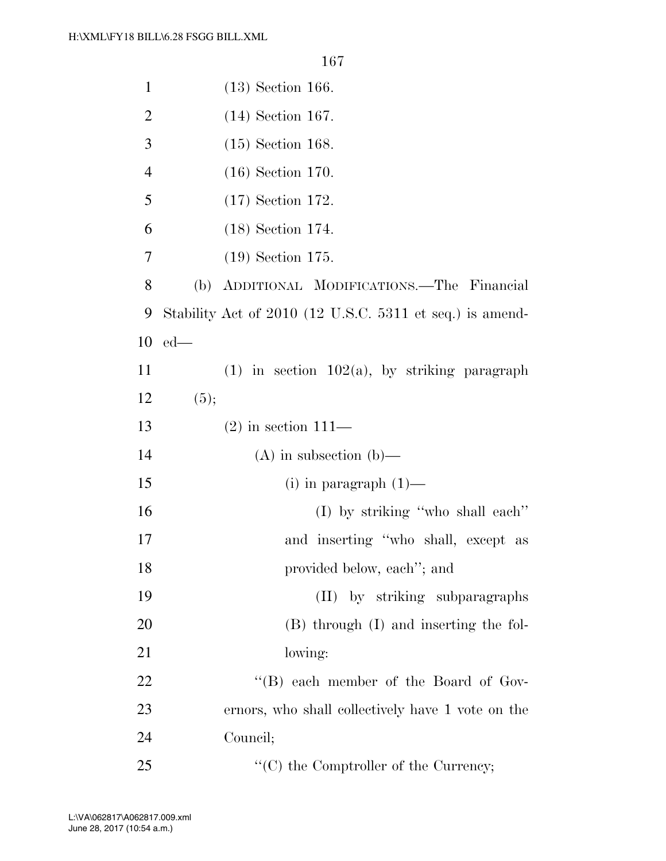| $\mathbf{1}$   | $(13)$ Section 166.                                      |
|----------------|----------------------------------------------------------|
| $\overline{2}$ | $(14)$ Section 167.                                      |
| 3              | $(15)$ Section 168.                                      |
| $\overline{4}$ | $(16)$ Section 170.                                      |
| 5              | $(17)$ Section 172.                                      |
| 6              | $(18)$ Section 174.                                      |
| 7              | $(19)$ Section 175.                                      |
| 8              | ADDITIONAL MODIFICATIONS.—The Financial<br>(b)           |
| 9              | Stability Act of 2010 (12 U.S.C. 5311 et seq.) is amend- |
| 10             | $ed$ —                                                   |
| 11             | $(1)$ in section 102(a), by striking paragraph           |
| 12             | (5);                                                     |
| 13             | $(2)$ in section 111—                                    |
| 14             | $(A)$ in subsection $(b)$ —                              |
| 15             | (i) in paragraph $(1)$ —                                 |
| 16             | $(I)$ by striking "who shall each"                       |
| 17             | and inserting "who shall, except as                      |
| 18             | provided below, each"; and                               |
| 19             | (II) by striking subparagraphs                           |
| 20             | (B) through (I) and inserting the fol-                   |
| 21             | lowing:                                                  |
| 22             | "(B) each member of the Board of Gov-                    |
| 23             | ernors, who shall collectively have 1 vote on the        |
| 24             | Council;                                                 |
| 25             | $\lq\lq$ (C) the Comptroller of the Currency;            |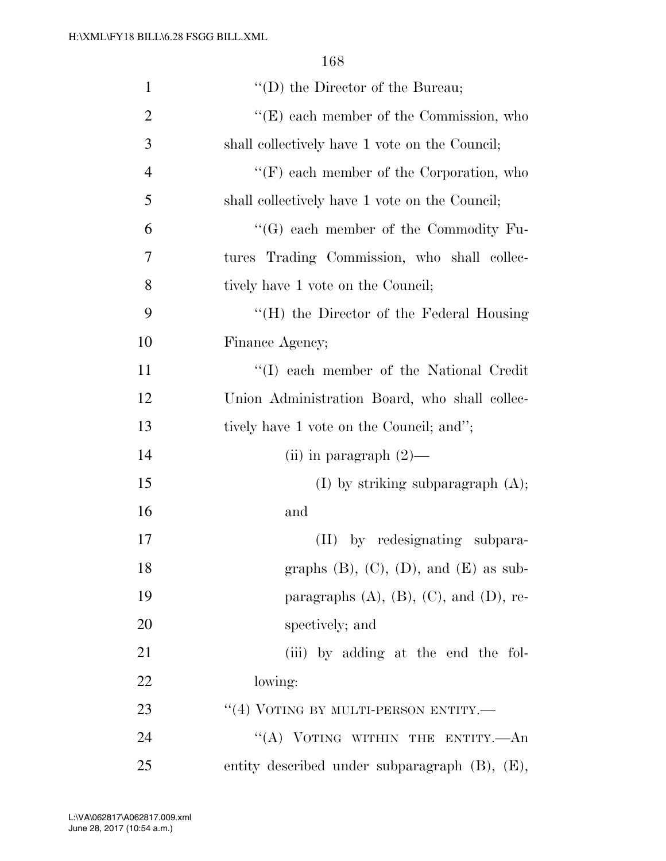| $\mathbf{1}$   | $\lq\lq$ (D) the Director of the Bureau;            |
|----------------|-----------------------------------------------------|
| $\overline{2}$ | $\lq\lq$ (E) each member of the Commission, who     |
| 3              | shall collectively have 1 vote on the Council;      |
| $\overline{4}$ | $\lq\lq(F)$ each member of the Corporation, who     |
| 5              | shall collectively have 1 vote on the Council;      |
| 6              | $\lq\lq (G)$ each member of the Commodity Fu-       |
| 7              | tures Trading Commission, who shall collec-         |
| 8              | tively have 1 vote on the Council;                  |
| 9              | $\lq\lq(H)$ the Director of the Federal Housing     |
| 10             | Finance Agency;                                     |
| 11             | "(I) each member of the National Credit             |
| 12             | Union Administration Board, who shall collec-       |
| 13             | tively have 1 vote on the Council; and";            |
| 14             | (ii) in paragraph $(2)$ —                           |
| 15             | $(I)$ by striking subparagraph $(A)$ ;              |
| 16             | and                                                 |
| 17             | by redesignating subpara-<br>(II)                   |
| 18             | graphs $(B)$ , $(C)$ , $(D)$ , and $(E)$ as sub-    |
| 19             | paragraphs $(A)$ , $(B)$ , $(C)$ , and $(D)$ , re-  |
| 20             | spectively; and                                     |
| 21             | (iii) by adding at the end the fol-                 |
| 22             | lowing:                                             |
| 23             | $``(4)$ VOTING BY MULTI-PERSON ENTITY.—             |
| 24             | "(A) VOTING WITHIN THE ENTITY.—An                   |
| 25             | entity described under subparagraph $(B)$ , $(E)$ , |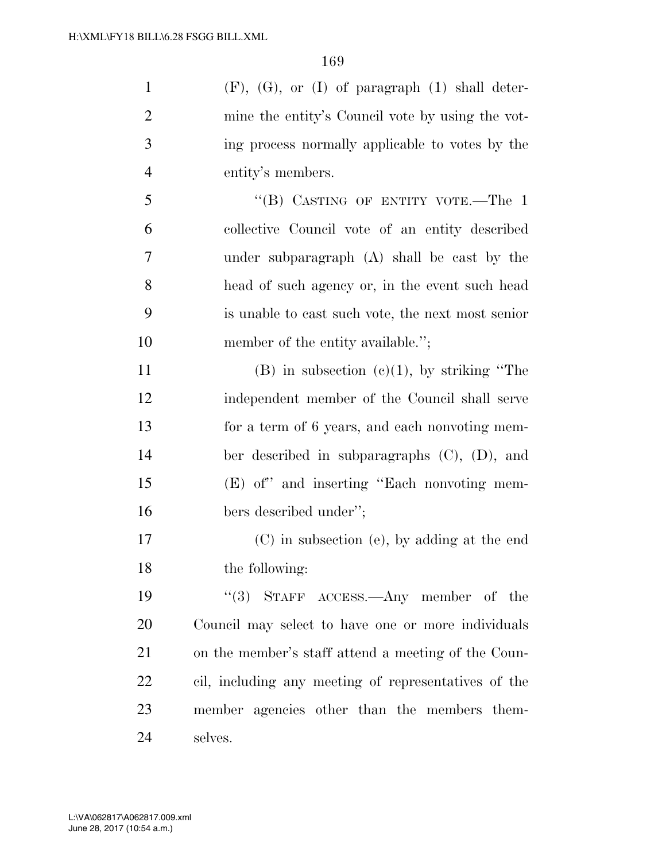$(F)$ ,  $(G)$ , or  $(I)$  of paragraph  $(1)$  shall deter- mine the entity's Council vote by using the vot- ing process normally applicable to votes by the entity's members. 5 "(B) CASTING OF ENTITY VOTE.—The 1 collective Council vote of an entity described under subparagraph (A) shall be cast by the head of such agency or, in the event such head is unable to cast such vote, the next most senior 10 member of the entity available.";

11 (B) in subsection  $(e)(1)$ , by striking "The independent member of the Council shall serve for a term of 6 years, and each nonvoting mem- ber described in subparagraphs (C), (D), and (E) of'' and inserting ''Each nonvoting mem-bers described under'';

 (C) in subsection (e), by adding at the end the following:

19 ''(3) STAFF ACCESS.—Any member of the Council may select to have one or more individuals on the member's staff attend a meeting of the Coun- cil, including any meeting of representatives of the member agencies other than the members them-selves.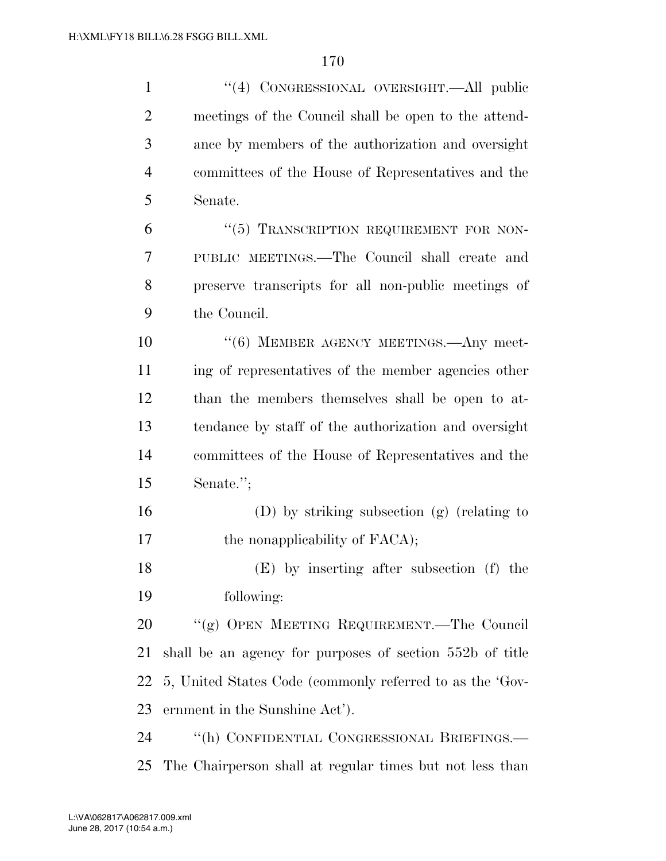| $\mathbf{1}$   | "(4) CONGRESSIONAL OVERSIGHT.—All public                 |
|----------------|----------------------------------------------------------|
| $\overline{2}$ | meetings of the Council shall be open to the attend-     |
| 3              | ance by members of the authorization and oversight       |
| $\overline{4}$ | committees of the House of Representatives and the       |
| 5              | Senate.                                                  |
| 6              | "(5) TRANSCRIPTION REQUIREMENT FOR NON-                  |
| $\tau$         | PUBLIC MEETINGS.—The Council shall create and            |
| 8              | preserve transcripts for all non-public meetings of      |
| 9              | the Council.                                             |
| 10             | "(6) MEMBER AGENCY MEETINGS.—Any meet-                   |
| 11             | ing of representatives of the member agencies other      |
| 12             | than the members themselves shall be open to at-         |
| 13             | tendance by staff of the authorization and oversight     |
| 14             | committees of the House of Representatives and the       |
| 15             | Senate.";                                                |
| 16             | $(D)$ by striking subsection $(g)$ (relating to          |
| 17             | the nonapplicability of FACA);                           |
| 18             | (E) by inserting after subsection (f) the                |
| 19             | following:                                               |
| 20             | "(g) OPEN MEETING REQUIREMENT.—The Council               |
| 21             | shall be an agency for purposes of section 552b of title |
| 22             | 5, United States Code (commonly referred to as the 'Gov- |
| 23             | ernment in the Sunshine Act').                           |
| 24             | "(h) CONFIDENTIAL CONGRESSIONAL BRIEFINGS.—              |
| 25             | The Chairperson shall at regular times but not less than |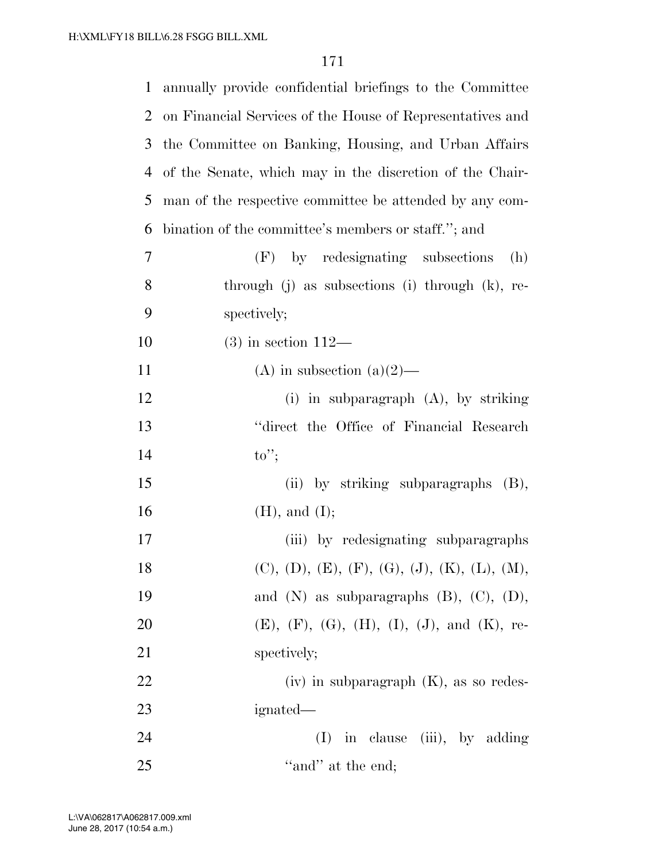| $\mathbf{1}$ | annually provide confidential briefings to the Committee  |
|--------------|-----------------------------------------------------------|
| 2            | on Financial Services of the House of Representatives and |
| 3            | the Committee on Banking, Housing, and Urban Affairs      |
| 4            | of the Senate, which may in the discretion of the Chair-  |
| 5            | man of the respective committee be attended by any com-   |
| 6            | bination of the committee's members or staff."; and       |
| $\tau$       | (F) by redesignating subsections<br>(h)                   |
| 8            | through $(j)$ as subsections $(i)$ through $(k)$ , re-    |
| 9            | spectively;                                               |
| 10           | $(3)$ in section 112—                                     |
| 11           | (A) in subsection (a) $(2)$ —                             |
| 12           | (i) in subparagraph $(A)$ , by striking                   |
| 13           | "direct the Office of Financial Research"                 |
| 14           | $\mathrm{to''};$                                          |
| 15           | (ii) by striking subparagraphs (B),                       |
| 16           | $(H)$ , and $(I)$ ;                                       |
| 17           | (iii) by redesignating subparagraphs                      |
| 18           | $(C), (D), (E), (F), (G), (J), (K), (L), (M),$            |
| 19           | and $(N)$ as subparagraphs $(B)$ , $(C)$ , $(D)$ ,        |
| <b>20</b>    | $(E), (F), (G), (H), (I), (J), and (K),$ re-              |
| 21           | spectively;                                               |
| 22           | $(iv)$ in subparagraph $(K)$ , as so redes-               |
| 23           | ignated—                                                  |
| 24           | in clause (iii), by adding<br>(I)                         |
| 25           | "and" at the end;                                         |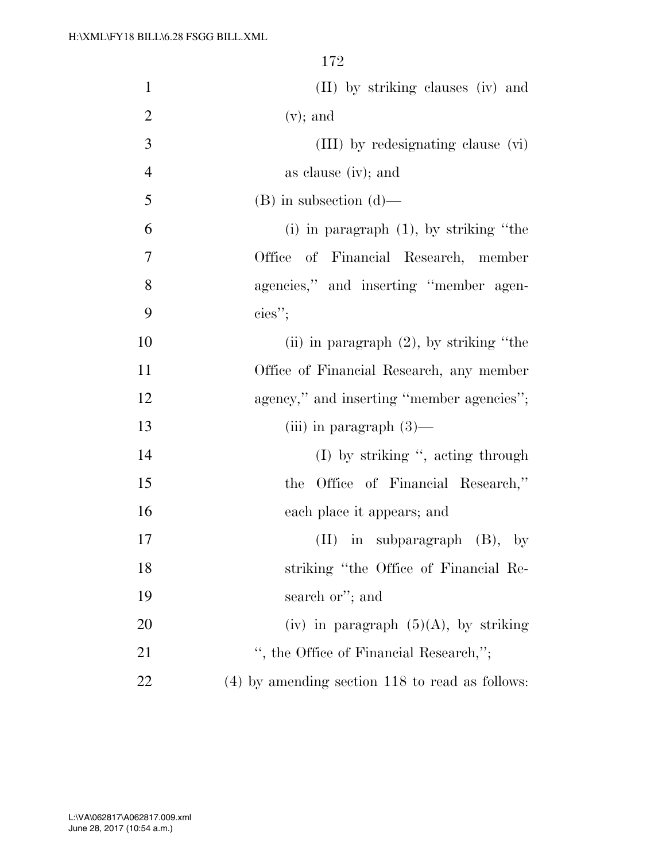| $\mathbf{1}$   | (II) by striking clauses (iv) and                 |
|----------------|---------------------------------------------------|
| $\overline{2}$ | $(v)$ ; and                                       |
| 3              | (III) by redesignating clause (vi)                |
| $\overline{4}$ | as clause (iv); and                               |
| 5              | $(B)$ in subsection $(d)$ —                       |
| 6              | $(i)$ in paragraph $(1)$ , by striking "the       |
| 7              | Office of Financial Research, member              |
| 8              | agencies," and inserting "member agen-            |
| 9              | ${\rm cies}$ ";                                   |
| 10             | (ii) in paragraph $(2)$ , by striking "the        |
| 11             | Office of Financial Research, any member          |
| 12             | agency," and inserting "member agencies";         |
| 13             | (iii) in paragraph $(3)$ —                        |
| 14             | $(I)$ by striking ", acting through               |
| 15             | Office of Financial Research,"<br>the             |
| 16             | each place it appears; and                        |
| 17             | $(II)$ in subparagraph $(B)$ , by                 |
| 18             | striking "the Office of Financial Re-             |
| 19             | search or"; and                                   |
| 20             | (iv) in paragraph $(5)(A)$ , by striking          |
| 21             | ", the Office of Financial Research,";            |
| 22             | $(4)$ by amending section 118 to read as follows: |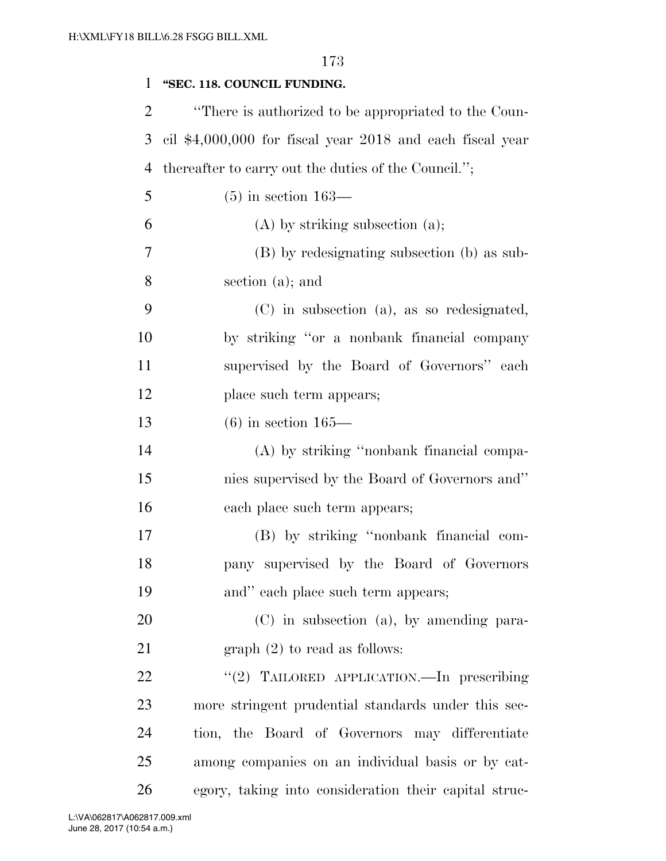| $\mathbf{1}$   | "SEC. 118. COUNCIL FUNDING.                               |
|----------------|-----------------------------------------------------------|
| $\overline{2}$ | "There is authorized to be appropriated to the Coun-      |
| 3              | cil \$4,000,000 for fiscal year 2018 and each fiscal year |
| 4              | thereafter to carry out the duties of the Council.";      |
| 5              | $(5)$ in section 163—                                     |
| 6              | $(A)$ by striking subsection $(a)$ ;                      |
| 7              | (B) by redesignating subsection (b) as sub-               |
| 8              | section (a); and                                          |
| 9              | $(C)$ in subsection (a), as so redesignated,              |
| 10             | by striking "or a nonbank financial company               |
| 11             | supervised by the Board of Governors" each                |
| 12             | place such term appears;                                  |
| 13             | $(6)$ in section 165—                                     |
| 14             | (A) by striking "nonbank financial compa-                 |
| 15             | nies supervised by the Board of Governors and"            |
| 16             | each place such term appears;                             |
| 17             | (B) by striking "nonbank financial com-                   |
| 18             | pany supervised by the Board of Governors                 |
| 19             | and" each place such term appears;                        |
| 20             | $(C)$ in subsection (a), by amending para-                |
| 21             | graph $(2)$ to read as follows:                           |
| 22             | "(2) TAILORED APPLICATION. In prescribing                 |
| 23             | more stringent prudential standards under this sec-       |
| 24             | tion, the Board of Governors may differentiate            |
| 25             | among companies on an individual basis or by cat-         |
| 26             | egory, taking into consideration their capital struc-     |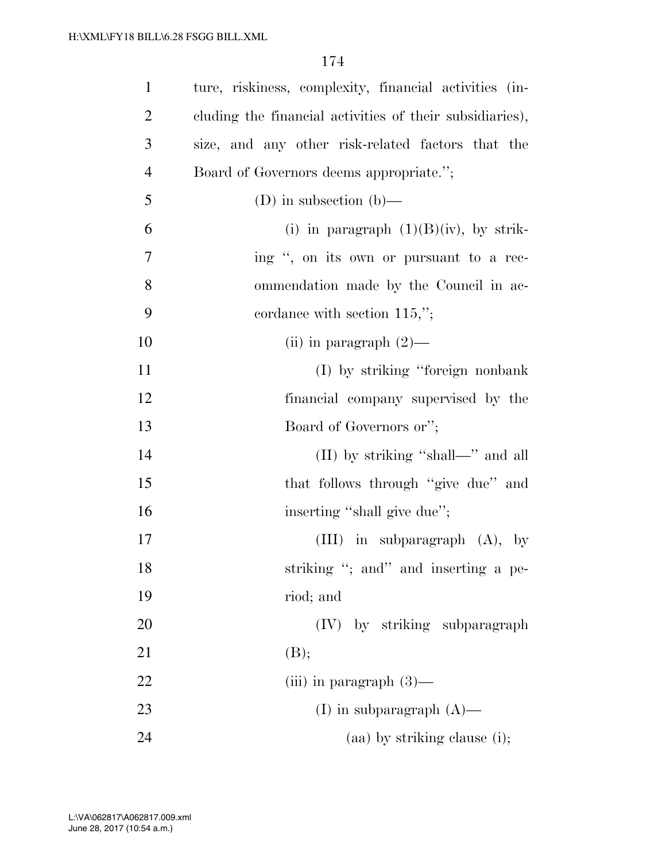| $\mathbf{1}$   | ture, riskiness, complexity, financial activities (in-   |
|----------------|----------------------------------------------------------|
| $\overline{2}$ | cluding the financial activities of their subsidiaries), |
| 3              | size, and any other risk-related factors that the        |
| $\overline{4}$ | Board of Governors deems appropriate.";                  |
| 5              | (D) in subsection (b)—                                   |
| 6              | (i) in paragraph $(1)(B)(iv)$ , by strik-                |
| 7              | ing ", on its own or pursuant to a rec-                  |
| 8              | ommendation made by the Council in ac-                   |
| 9              | cordance with section $115,$ ";                          |
| 10             | (ii) in paragraph $(2)$ —                                |
| 11             | (I) by striking "foreign nonbank"                        |
| 12             | financial company supervised by the                      |
| 13             | Board of Governors or";                                  |
| 14             | (II) by striking "shall—" and all                        |
| 15             | that follows through "give due" and                      |
| 16             | inserting "shall give due";                              |
| 17             | (III) in subparagraph $(A)$ , by                         |
| 18             | striking "; and" and inserting a pe-                     |
| 19             | riod; and                                                |
| 20             | (IV) by striking subparagraph                            |
| 21             | (B);                                                     |
| 22             | (iii) in paragraph $(3)$ —                               |
| 23             | (I) in subparagraph $(A)$ —                              |
| 24             | $(aa)$ by striking clause (i);                           |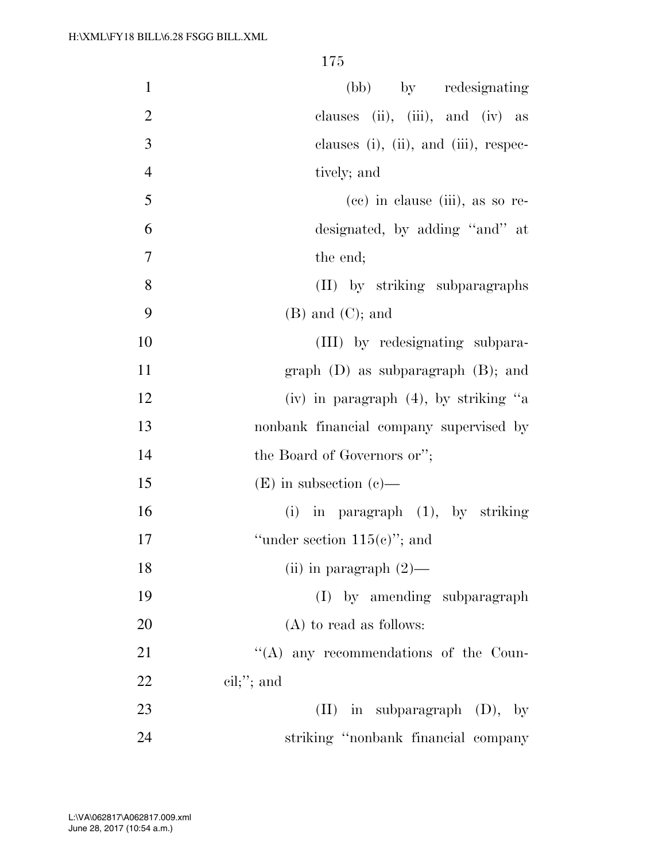| $\mathbf{1}$   | (bb) by redesignating                          |
|----------------|------------------------------------------------|
| $\mathbf{2}$   | clauses (ii), (iii), and (iv) as               |
| 3              | clauses $(i)$ , $(ii)$ , and $(iii)$ , respec- |
| $\overline{4}$ | tively; and                                    |
| 5              | (cc) in clause (iii), as so re-                |
| 6              | designated, by adding "and" at                 |
| 7              | the end;                                       |
| 8              | (II) by striking subparagraphs                 |
| 9              | $(B)$ and $(C)$ ; and                          |
| 10             | (III) by redesignating subpara-                |
| 11             | graph $(D)$ as subparagraph $(B)$ ; and        |
| 12             | (iv) in paragraph $(4)$ , by striking "a       |
| 13             | nonbank financial company supervised by        |
| 14             | the Board of Governors or";                    |
| 15             | $(E)$ in subsection (c)—                       |
| 16             | (i) in paragraph $(1)$ , by striking           |
| 17             | "under section $115(e)$ "; and                 |
| 18             | (ii) in paragraph $(2)$ —                      |
| 19             | (I) by amending subparagraph                   |
| 20             | (A) to read as follows:                        |
| 21             | "(A) any recommendations of the Coun-          |
| 22             | $\text{cil};$ "; and                           |
| 23             | $(II)$ in subparagraph $(D)$ , by              |
| 24             | striking "nonbank financial company            |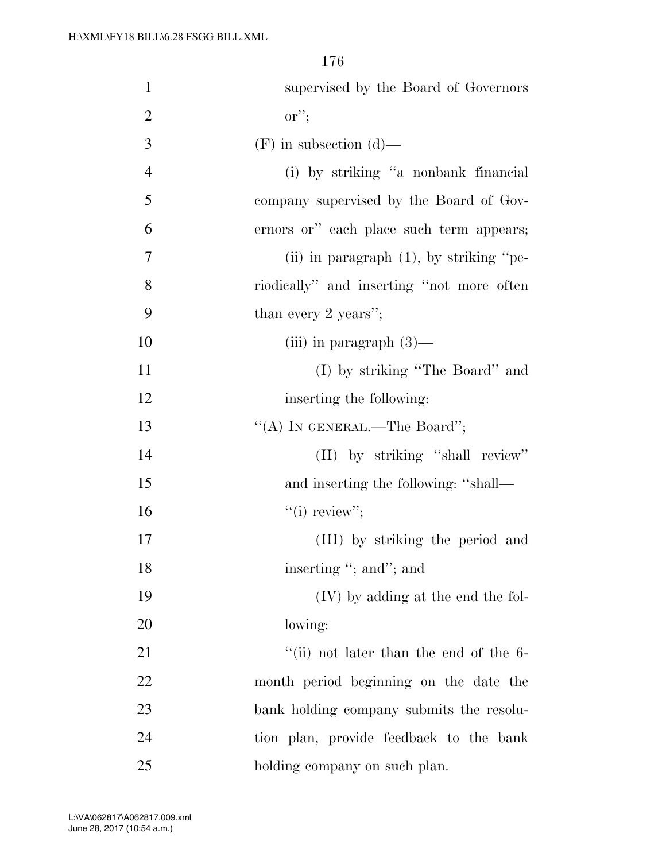| $\mathbf{1}$   | supervised by the Board of Governors                       |
|----------------|------------------------------------------------------------|
| $\overline{2}$ | $\mathrm{or}''$                                            |
| 3              | $(F)$ in subsection $(d)$ —                                |
| $\overline{4}$ | (i) by striking "a nonbank financial                       |
| 5              | company supervised by the Board of Gov-                    |
| 6              | ernors or" each place such term appears;                   |
| 7              | (ii) in paragraph $(1)$ , by striking "pe-                 |
| 8              | riodically" and inserting "not more often                  |
| 9              | than every 2 years";                                       |
| 10             | (iii) in paragraph $(3)$ —                                 |
| 11             | (I) by striking "The Board" and                            |
| 12             | inserting the following:                                   |
| 13             | "(A) IN GENERAL.—The Board";                               |
| 14             | (II) by striking "shall review"                            |
| 15             | and inserting the following: "shall—                       |
| 16             | "(i) review";                                              |
| 17             | (III) by striking the period and                           |
| 18             | inserting "; and"; and                                     |
| 19             | (IV) by adding at the end the fol-                         |
| 20             | lowing:                                                    |
| 21             | $\cdot$ <sup>"</sup> (ii) not later than the end of the 6- |
| 22             | month period beginning on the date the                     |
| 23             | bank holding company submits the resolu-                   |
| 24             | tion plan, provide feedback to the bank                    |
| 25             | holding company on such plan.                              |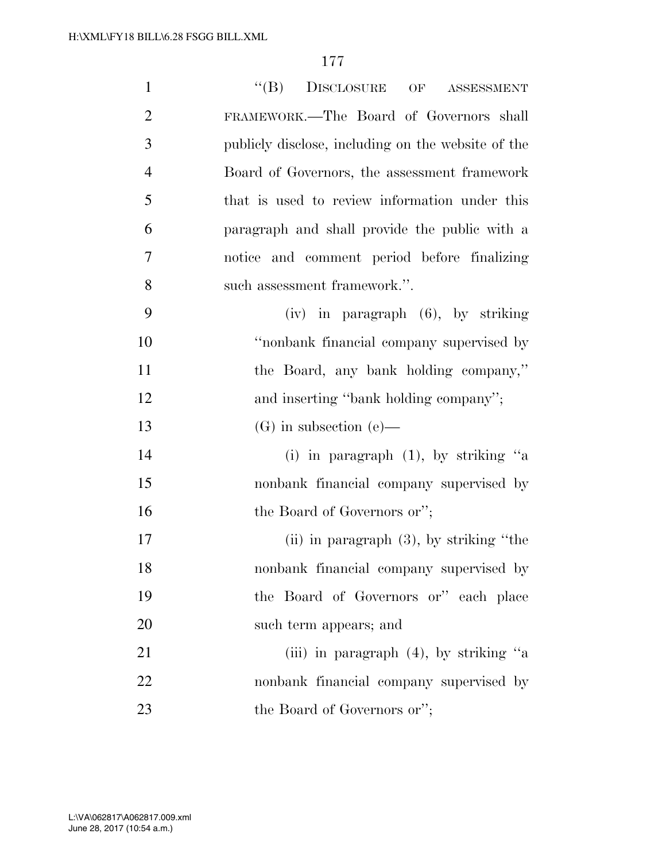| $\mathbf{1}$   | $\lq\lq (B)$<br>$\begin{minipage}{0.9\linewidth} \textbf{DIS}\textbf{CLOSURE} \hspace{0.25in} \textbf{OF} \hspace{0.25in} \textbf{ASSESSMENT} \end{minipage}$ |
|----------------|---------------------------------------------------------------------------------------------------------------------------------------------------------------|
| $\overline{2}$ | FRAMEWORK.—The Board of Governors shall                                                                                                                       |
| 3              | publicly disclose, including on the website of the                                                                                                            |
| $\overline{4}$ | Board of Governors, the assessment framework                                                                                                                  |
| 5              | that is used to review information under this                                                                                                                 |
| 6              | paragraph and shall provide the public with a                                                                                                                 |
| 7              | notice and comment period before finalizing                                                                                                                   |
| 8              | such assessment framework.".                                                                                                                                  |
| 9              | $(iv)$ in paragraph $(6)$ , by striking                                                                                                                       |
| 10             | "nonbank financial company supervised by                                                                                                                      |
| 11             | the Board, any bank holding company,"                                                                                                                         |
| 12             | and inserting "bank holding company";                                                                                                                         |
| 13             | $(G)$ in subsection (e)—                                                                                                                                      |
| 14             | (i) in paragraph $(1)$ , by striking "a                                                                                                                       |
| 15             | nonbank financial company supervised by                                                                                                                       |
| 16             | the Board of Governors or";                                                                                                                                   |
| 17             | (ii) in paragraph $(3)$ , by striking "the                                                                                                                    |
| 18             | nonbank financial company supervised by                                                                                                                       |
| 19             | the Board of Governors or" each place                                                                                                                         |
| 20             | such term appears; and                                                                                                                                        |
| 21             | (iii) in paragraph $(4)$ , by striking "a                                                                                                                     |
| 22             | nonbank financial company supervised by                                                                                                                       |
| 23             | the Board of Governors or";                                                                                                                                   |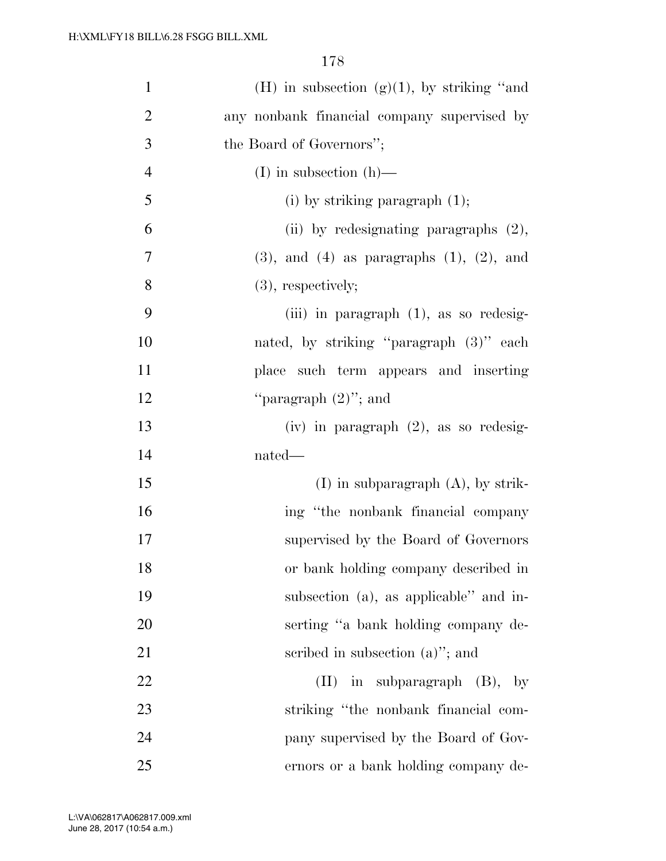| $\mathbf{1}$   | (H) in subsection $(g)(1)$ , by striking "and       |
|----------------|-----------------------------------------------------|
| $\overline{2}$ | any nonbank financial company supervised by         |
| 3              | the Board of Governors";                            |
| $\overline{4}$ | $(I)$ in subsection $(h)$ —                         |
| 5              | (i) by striking paragraph $(1)$ ;                   |
| 6              | (ii) by redesignating paragraphs $(2)$ ,            |
| $\tau$         | $(3)$ , and $(4)$ as paragraphs $(1)$ , $(2)$ , and |
| 8              | $(3)$ , respectively;                               |
| 9              | (iii) in paragraph $(1)$ , as so redesig-           |
| 10             | nated, by striking "paragraph (3)" each             |
| 11             | place such term appears and inserting               |
| 12             | "paragraph $(2)$ "; and                             |
| 13             | $(iv)$ in paragraph $(2)$ , as so redesig-          |
| 14             | nated—                                              |
| 15             | $(I)$ in subparagraph $(A)$ , by strik-             |
| 16             | ing "the nonbank financial company                  |
| 17             | supervised by the Board of Governors                |
| 18             | or bank holding company described in                |
| 19             | subsection (a), as applicable" and in-              |
| 20             | serting "a bank holding company de-                 |
| 21             | scribed in subsection $(a)$ "; and                  |
| 22             | $(II)$ in subparagraph $(B)$ , by                   |
| 23             | striking "the nonbank financial com-                |
| 24             | pany supervised by the Board of Gov-                |
| 25             | ernors or a bank holding company de-                |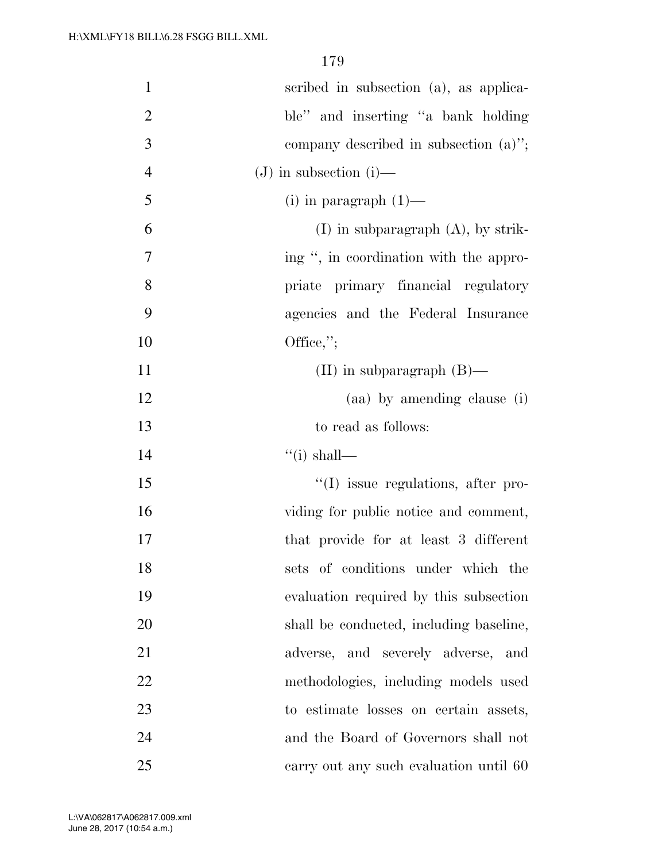| $\mathbf{1}$   | scribed in subsection (a), as applica-   |
|----------------|------------------------------------------|
| $\overline{2}$ | ble" and inserting "a bank holding       |
| 3              | company described in subsection $(a)$ "; |
| $\overline{4}$ | $(J)$ in subsection (i)—                 |
| 5              | $(i)$ in paragraph $(1)$ —               |
| 6              | $(I)$ in subparagraph $(A)$ , by strik-  |
| 7              | ing ", in coordination with the appro-   |
| 8              | priate primary financial regulatory      |
| 9              | agencies and the Federal Insurance       |
| 10             | Office,";                                |
| 11             | $(II)$ in subparagraph $(B)$ —           |
| 12             | (aa) by amending clause (i)              |
| 13             | to read as follows:                      |
| 14             | $\lq\lq$ (i) shall—                      |
| 15             | "(I) issue regulations, after pro-       |
| 16             | viding for public notice and comment,    |
| 17             | that provide for at least 3 different    |
| 18             | sets of conditions under which the       |
| 19             | evaluation required by this subsection   |
| 20             | shall be conducted, including baseline,  |
| 21             | adverse, and severely adverse, and       |
| 22             | methodologies, including models used     |
| 23             | to estimate losses on certain assets,    |
| 24             | and the Board of Governors shall not     |
| 25             | earry out any such evaluation until 60   |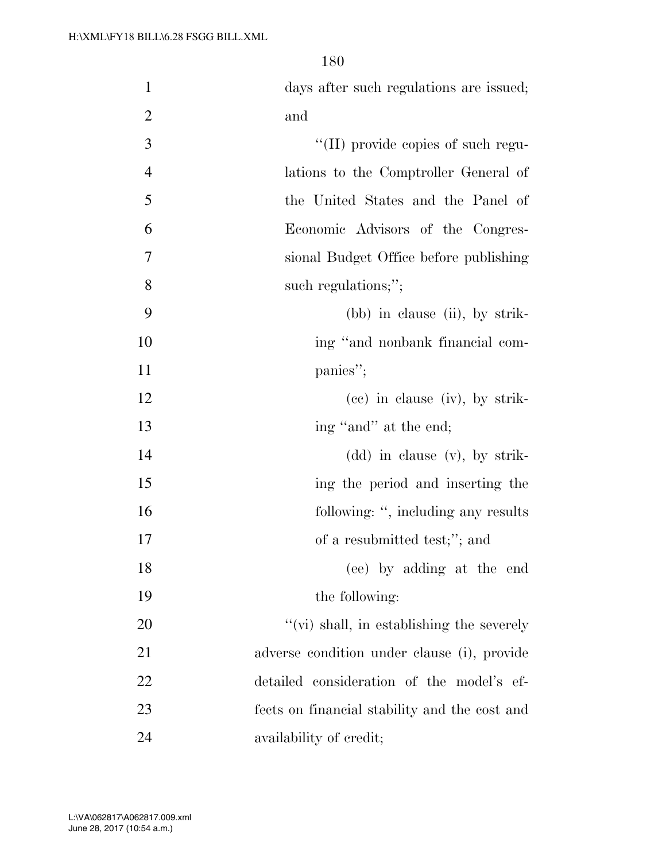| $\mathbf{1}$   | days after such regulations are issued;           |
|----------------|---------------------------------------------------|
| $\overline{2}$ | and                                               |
| 3              | $\lq\lq$ (II) provide copies of such regu-        |
| $\overline{4}$ | lations to the Comptroller General of             |
| 5              | the United States and the Panel of                |
| 6              | Economic Advisors of the Congres-                 |
| 7              | sional Budget Office before publishing            |
| 8              | such regulations;";                               |
| 9              | $(bb)$ in clause (ii), by strik-                  |
| 10             | ing "and nonbank financial com-                   |
| 11             | panies";                                          |
| 12             | $(ce)$ in clause $(iv)$ , by strik-               |
| 13             | ing "and" at the end;                             |
| 14             | $(dd)$ in clause $(v)$ , by strik-                |
| 15             | ing the period and inserting the                  |
| 16             | following: ", including any results               |
| 17             | of a resubmitted test;"; and                      |
| 18             | (ee) by adding at the end                         |
| 19             | the following:                                    |
| 20             | $\lq\lq$ (vi) shall, in establishing the severely |
| 21             | adverse condition under clause (i), provide       |
| 22             | detailed consideration of the model's ef-         |
| 23             | fects on financial stability and the cost and     |
| 24             | availability of credit;                           |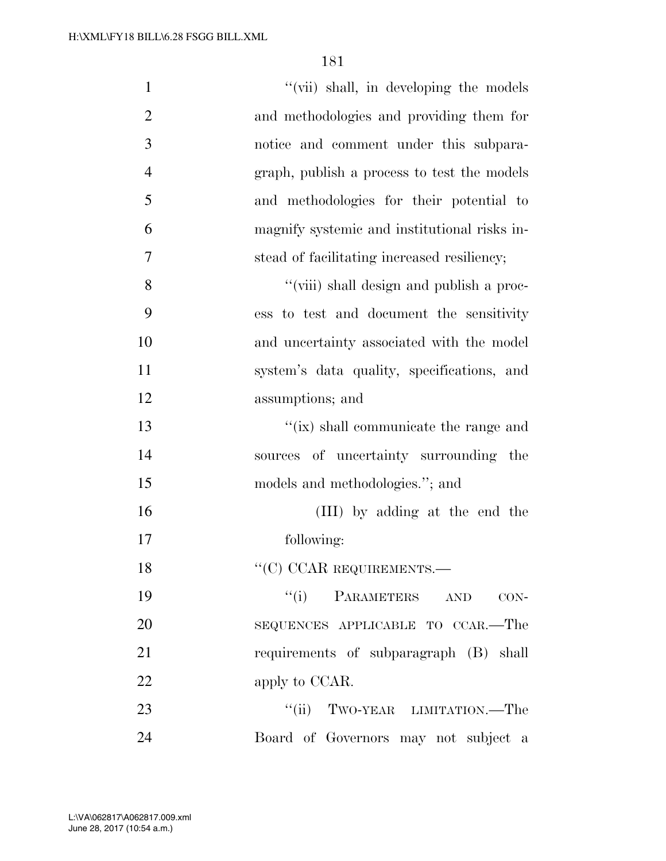| $\mathbf{1}$   | "(vii) shall, in developing the models       |
|----------------|----------------------------------------------|
| $\overline{2}$ | and methodologies and providing them for     |
| 3              | notice and comment under this subpara-       |
| $\overline{4}$ | graph, publish a process to test the models  |
| 5              | and methodologies for their potential to     |
| 6              | magnify systemic and institutional risks in- |
| 7              | stead of facilitating increased resiliency;  |
| 8              | "(viii) shall design and publish a proc-     |
| 9              | ess to test and document the sensitivity     |
| 10             | and uncertainty associated with the model    |
| 11             | system's data quality, specifications, and   |
| 12             | assumptions; and                             |
| 13             | "(ix) shall communicate the range and        |
| 14             | sources of uncertainty surrounding the       |
| 15             | models and methodologies."; and              |
| 16             | (III) by adding at the end the               |
| 17             | following:                                   |
| 18             | ``(C) CCAR REQUIREMENTS.                     |
| 19             | "(i) PARAMETERS AND<br>$CON-$                |
| 20             | SEQUENCES APPLICABLE TO CCAR.—The            |
| 21             | requirements of subparagraph (B) shall       |
| 22             | apply to CCAR.                               |
| 23             | "(ii) TWO-YEAR LIMITATION.—The               |
| 24             | Board of Governors may not subject a         |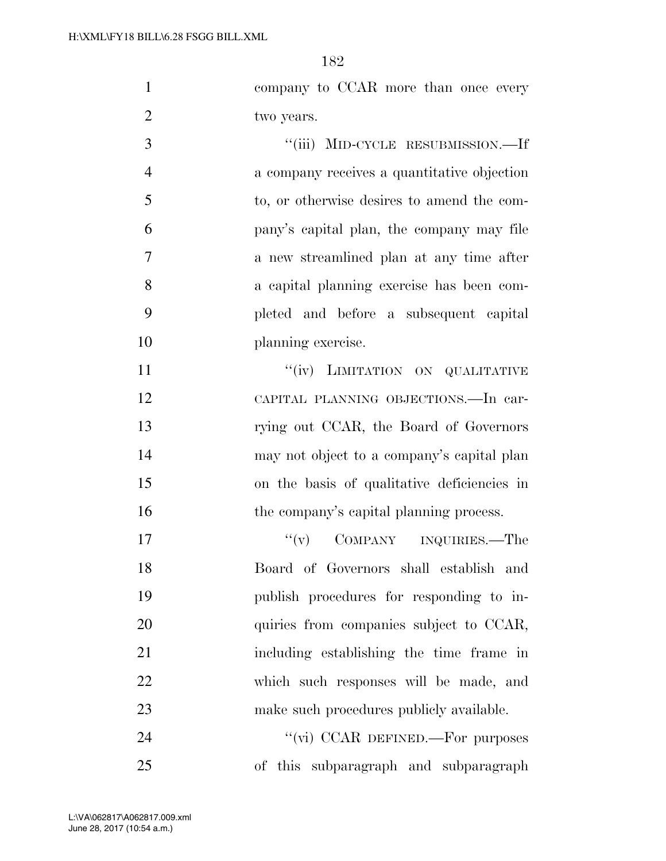|            |  | company to CCAR more than once every |
|------------|--|--------------------------------------|
| two years. |  |                                      |
|            |  | "(iii) MID-CYCLE RESUBMISSION.—If    |

 a company receives a quantitative objection to, or otherwise desires to amend the com- pany's capital plan, the company may file a new streamlined plan at any time after a capital planning exercise has been com- pleted and before a subsequent capital planning exercise.

 $''(iv)$  LIMITATION ON QUALITATIVE CAPITAL PLANNING OBJECTIONS.—In car- rying out CCAR, the Board of Governors may not object to a company's capital plan on the basis of qualitative deficiencies in 16 the company's capital planning process.

17 ''(v) COMPANY INQUIRIES.—The Board of Governors shall establish and publish procedures for responding to in-20 quiries from companies subject to CCAR, including establishing the time frame in which such responses will be made, and 23 make such procedures publicly available.

24 "(vi) CCAR DEFINED.—For purposes of this subparagraph and subparagraph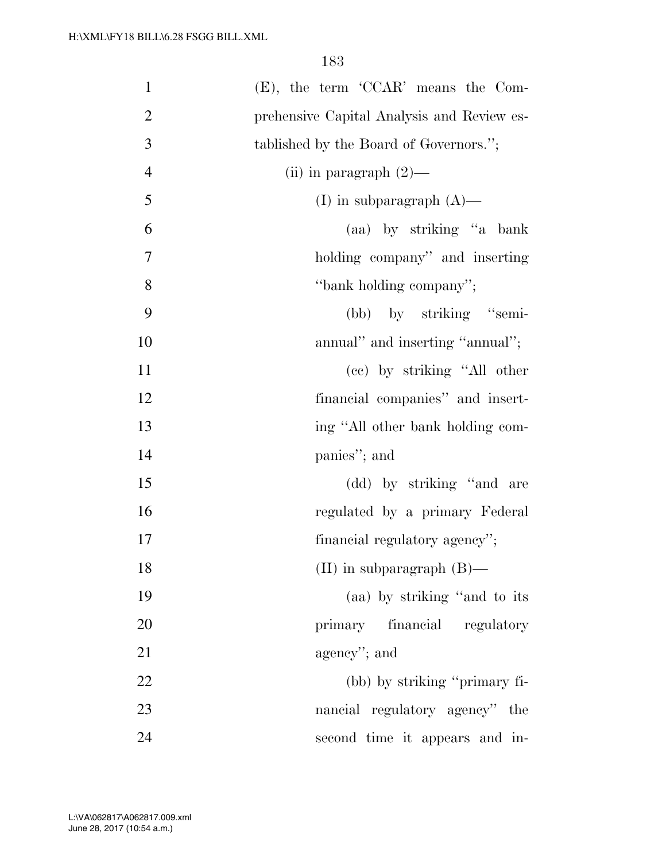| $\mathbf{1}$   | $(E)$ , the term 'CCAR' means the Com-     |
|----------------|--------------------------------------------|
| $\overline{2}$ | prehensive Capital Analysis and Review es- |
| 3              | tablished by the Board of Governors.";     |
| $\overline{4}$ | (ii) in paragraph $(2)$ —                  |
| 5              | (I) in subparagraph $(A)$ —                |
| 6              | (aa) by striking "a bank                   |
| 7              | holding company" and inserting             |
| 8              | "bank holding company";                    |
| 9              | (bb) by striking "semi-                    |
| 10             | annual" and inserting "annual";            |
| 11             | (cc) by striking "All other                |
| 12             | financial companies" and insert-           |
| 13             | ing "All other bank holding com-           |
| 14             | panies"; and                               |
| 15             | (dd) by striking "and are                  |
| 16             | regulated by a primary Federal             |
| 17             | financial regulatory agency";              |
| 18             | $(II)$ in subparagraph $(B)$ —             |
| 19             | (aa) by striking "and to its               |
| 20             | primary financial regulatory               |
| 21             | agency"; and                               |
| 22             | (bb) by striking "primary fi-              |
| 23             | nancial regulatory agency" the             |
| 24             | second time it appears and in-             |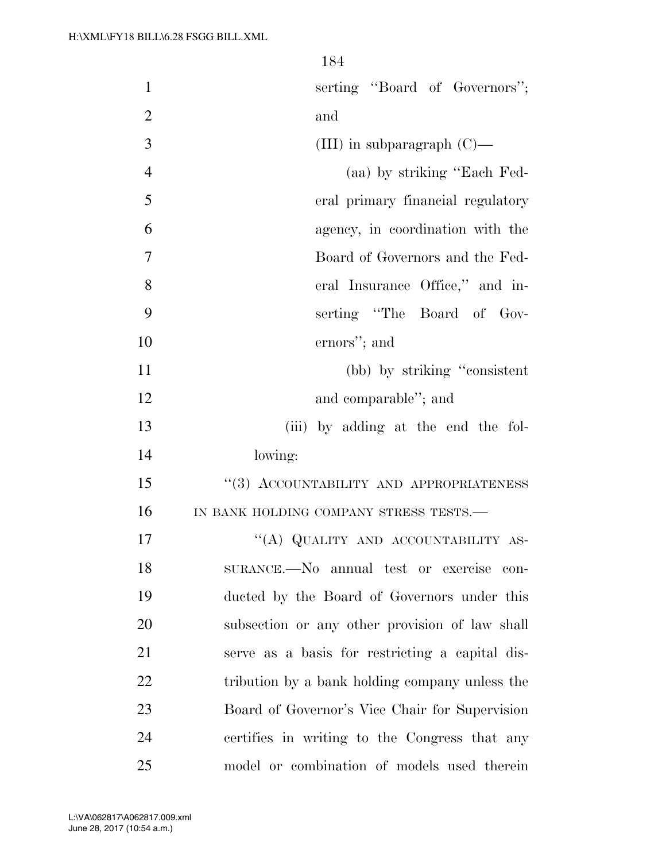| $\mathbf{1}$   | serting "Board of Governors";                   |
|----------------|-------------------------------------------------|
| $\overline{2}$ | and                                             |
| 3              | (III) in subparagraph $(C)$ —                   |
| $\overline{4}$ | (aa) by striking "Each Fed-                     |
| 5              | eral primary financial regulatory               |
| 6              | agency, in coordination with the                |
| 7              | Board of Governors and the Fed-                 |
| 8              | eral Insurance Office," and in-                 |
| 9              | serting "The Board of Gov-                      |
| 10             | ernors"; and                                    |
| 11             | (bb) by striking "consistent"                   |
| 12             | and comparable"; and                            |
| 13             | (iii) by adding at the end the fol-             |
| 14             | lowing:                                         |
| 15             | "(3) ACCOUNTABILITY AND APPROPRIATENESS         |
| 16             | IN BANK HOLDING COMPANY STRESS TESTS.-          |
| 17             | "(A) QUALITY AND ACCOUNTABILITY AS-             |
| 18             | SURANCE.-No annual test or exercise con-        |
| 19             | ducted by the Board of Governors under this     |
| 20             | subsection or any other provision of law shall  |
| 21             | serve as a basis for restricting a capital dis- |
| 22             | tribution by a bank holding company unless the  |
| 23             | Board of Governor's Vice Chair for Supervision  |
| 24             | certifies in writing to the Congress that any   |
| 25             | model or combination of models used therein     |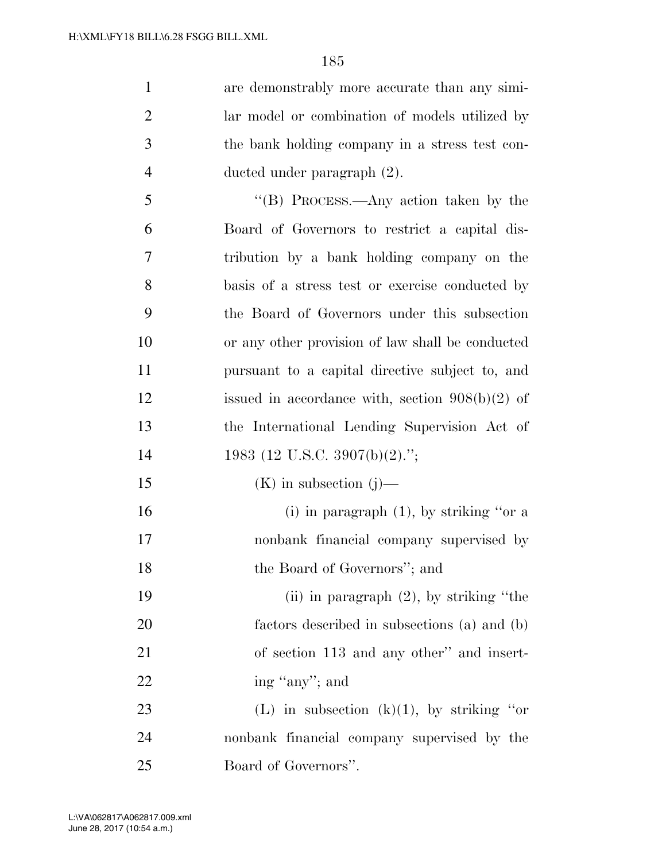are demonstrably more accurate than any simi- lar model or combination of models utilized by the bank holding company in a stress test con-ducted under paragraph (2).

 ''(B) PROCESS.—Any action taken by the Board of Governors to restrict a capital dis- tribution by a bank holding company on the basis of a stress test or exercise conducted by the Board of Governors under this subsection or any other provision of law shall be conducted pursuant to a capital directive subject to, and 12 issued in accordance with, section 908(b)(2) of the International Lending Supervision Act of 14 1983 (12 U.S.C. 3907(b)(2).";  $(K)$  in subsection (j)—

16 (i) in paragraph (1), by striking "or a nonbank financial company supervised by the Board of Governors''; and

 (ii) in paragraph (2), by striking ''the factors described in subsections (a) and (b) of section 113 and any other'' and insert-22 ing "any"; and

23 (L) in subsection  $(k)(1)$ , by striking "or nonbank financial company supervised by the Board of Governors''.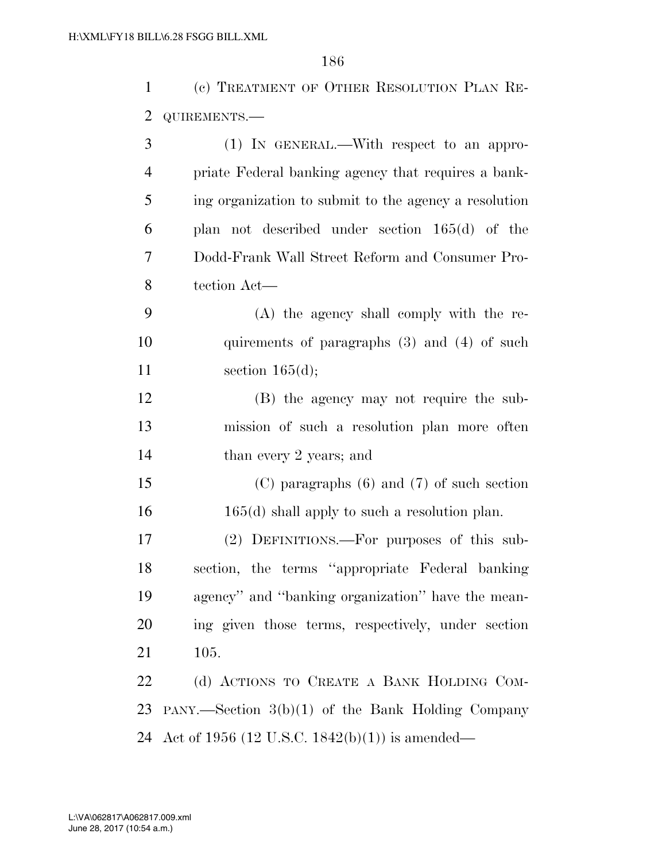(c) TREATMENT OF OTHER RESOLUTION PLAN RE- QUIREMENTS.— (1) IN GENERAL.—With respect to an appro-

| 4 | priate Federal banking agency that requires a bank-   |
|---|-------------------------------------------------------|
| 5 | ing organization to submit to the agency a resolution |
| 6 | plan not described under section $165(d)$ of the      |
|   | Dodd-Frank Wall Street Reform and Consumer Pro-       |
| 8 | tection Act—                                          |
|   | (A) the agency shall comply with the re-              |

 quirements of paragraphs (3) and (4) of such 11 section 165(d);

 (B) the agency may not require the sub- mission of such a resolution plan more often 14 than every 2 years; and

 (C) paragraphs (6) and (7) of such section 16 165(d) shall apply to such a resolution plan.

 (2) DEFINITIONS.—For purposes of this sub- section, the terms ''appropriate Federal banking agency'' and ''banking organization'' have the mean- ing given those terms, respectively, under section 105.

22 (d) ACTIONS TO CREATE A BANK HOLDING COM- PANY.—Section 3(b)(1) of the Bank Holding Company Act of 1956 (12 U.S.C. 1842(b)(1)) is amended—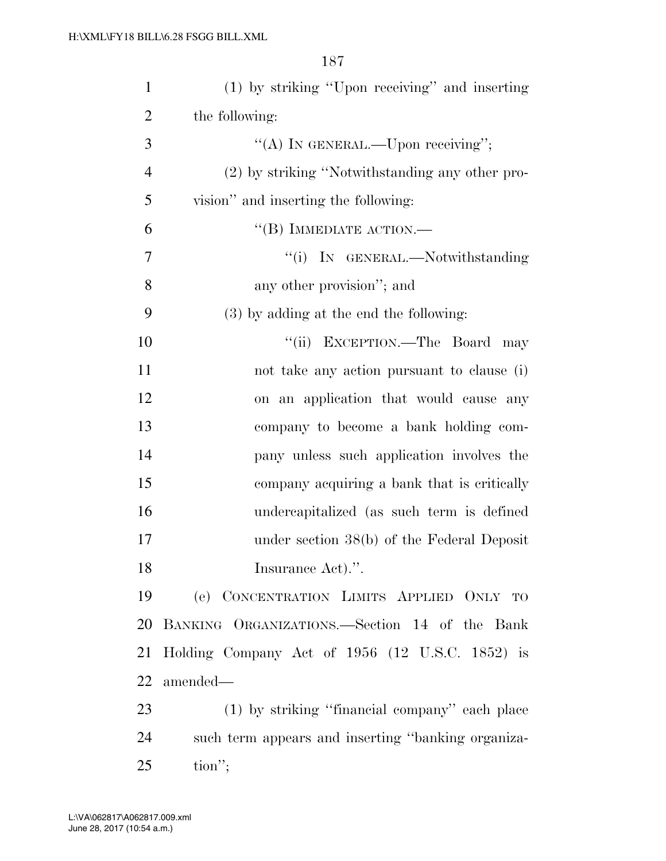| $\mathbf{1}$   | (1) by striking "Upon receiving" and inserting     |
|----------------|----------------------------------------------------|
| $\overline{2}$ | the following:                                     |
| 3              | "(A) IN GENERAL.—Upon receiving";                  |
| $\overline{4}$ | (2) by striking "Notwithstanding any other pro-    |
| 5              | vision" and inserting the following:               |
| 6              | $\lq$ <sup>('(B)</sup> IMMEDIATE ACTION.—          |
| 7              | "(i) IN GENERAL.—Notwithstanding                   |
| 8              | any other provision"; and                          |
| 9              | $(3)$ by adding at the end the following:          |
| 10             | "(ii) EXCEPTION.—The Board may                     |
| 11             | not take any action pursuant to clause (i)         |
| 12             | on an application that would cause any             |
| 13             | company to become a bank holding com-              |
| 14             | pany unless such application involves the          |
| 15             | company acquiring a bank that is critically        |
| 16             | undercapitalized (as such term is defined          |
| 17             | under section $38(b)$ of the Federal Deposit       |
| 18             | Insurance Act).".                                  |
| 19             | (e) CONCENTRATION LIMITS APPLIED ONLY TO           |
| 20             | BANKING ORGANIZATIONS.—Section 14 of the Bank      |
| 21             | Holding Company Act of 1956 (12 U.S.C. 1852) is    |
| 22             | amended—                                           |
| 23             | (1) by striking "financial company" each place     |
| 24             | such term appears and inserting "banking organiza- |
| 25             | $\text{tion}''$ ;                                  |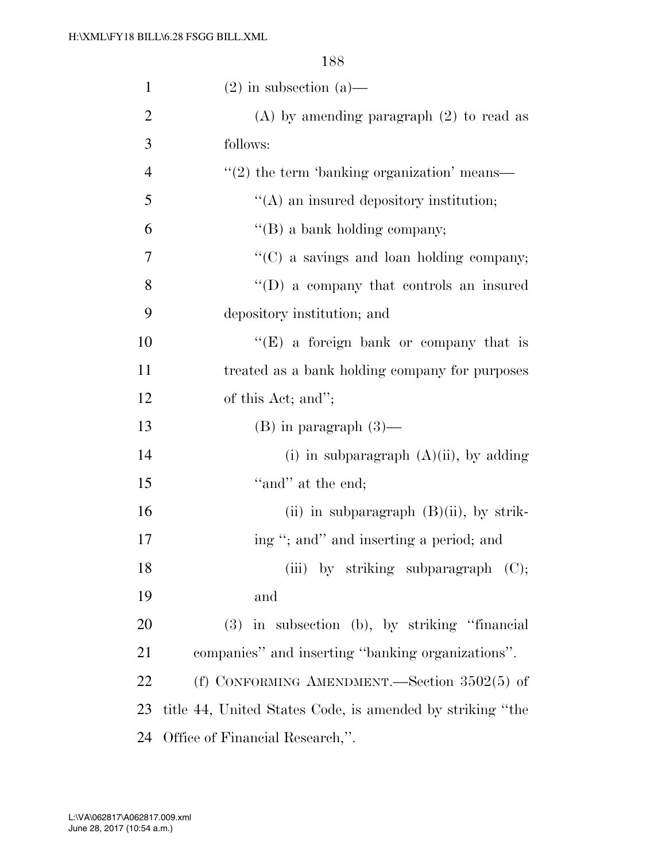| $\mathbf{1}$   | $(2)$ in subsection $(a)$ —                                 |
|----------------|-------------------------------------------------------------|
| $\overline{2}$ | $(A)$ by amending paragraph $(2)$ to read as                |
| 3              | follows:                                                    |
| $\overline{4}$ | $\cdot\cdot\cdot(2)$ the term 'banking organization' means— |
| 5              | $\lq\lq$ an insured depository institution;                 |
| 6              | $\lq\lq (B)$ a bank holding company;                        |
| $\tau$         | "(C) a savings and loan holding company;                    |
| 8              | $\lq\lq$ (D) a company that controls an insured             |
| 9              | depository institution; and                                 |
| 10             | " $(E)$ a foreign bank or company that is                   |
| 11             | treated as a bank holding company for purposes              |
| 12             | of this Act; and";                                          |
| 13             | $(B)$ in paragraph $(3)$ —                                  |
| 14             | (i) in subparagraph $(A)(ii)$ , by adding                   |
| 15             | "and" at the end;                                           |
| 16             | (ii) in subparagraph $(B)(ii)$ , by strik-                  |
| 17             | ing "; and" and inserting a period; and                     |
| 18             | (iii) by striking subparagraph (C);                         |
| 19             | and                                                         |
| 20             | $(3)$ in subsection (b), by striking "financial             |
| 21             | companies" and inserting "banking organizations".           |
| 22             | (f) CONFORMING AMENDMENT.—Section $3502(5)$ of              |
| 23             | title 44, United States Code, is amended by striking "the   |
| 24             | Office of Financial Research,".                             |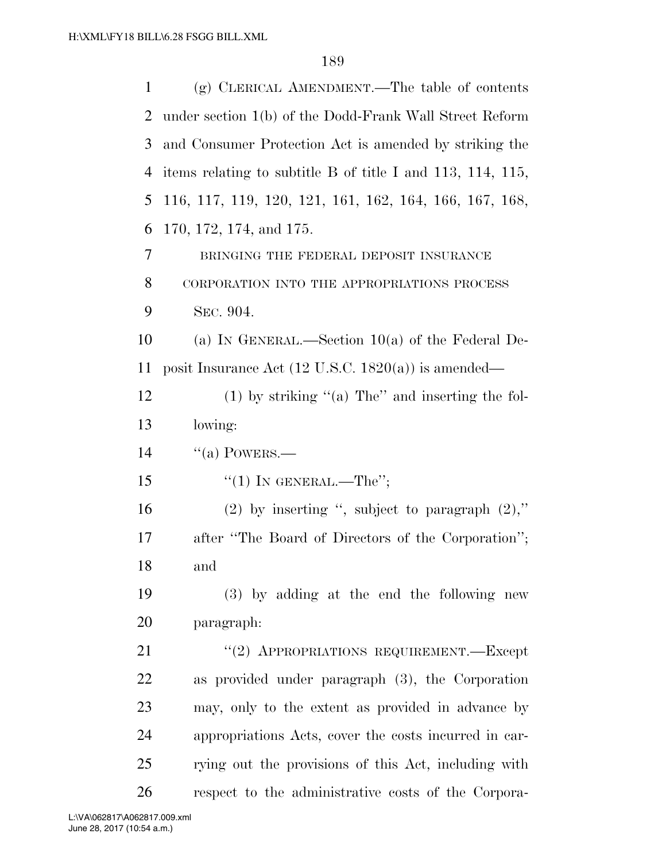| 1  | $(g)$ CLERICAL AMENDMENT.—The table of contents                     |
|----|---------------------------------------------------------------------|
| 2  | under section 1(b) of the Dodd-Frank Wall Street Reform             |
| 3  | and Consumer Protection Act is amended by striking the              |
| 4  | items relating to subtitle B of title I and $113$ , $114$ , $115$ , |
| 5  | 116, 117, 119, 120, 121, 161, 162, 164, 166, 167, 168,              |
| 6  | 170, 172, 174, and 175.                                             |
| 7  | BRINGING THE FEDERAL DEPOSIT INSURANCE                              |
| 8  | CORPORATION INTO THE APPROPRIATIONS PROCESS                         |
| 9  | SEC. 904.                                                           |
| 10 | (a) IN GENERAL.—Section $10(a)$ of the Federal De-                  |
| 11 | posit Insurance Act $(12 \text{ U.S.C. } 1820(a))$ is amended—      |
| 12 | $(1)$ by striking "(a) The" and inserting the fol-                  |
| 13 | lowing:                                                             |
| 14 | $\lq(a)$ POWERS.—                                                   |
| 15 | "(1) IN GENERAL.—The";                                              |
| 16 | (2) by inserting ", subject to paragraph $(2)$ ,"                   |
| 17 | after "The Board of Directors of the Corporation";                  |
| 18 | and                                                                 |
| 19 | (3) by adding at the end the following new                          |
| 20 | paragraph:                                                          |
| 21 | "(2) APPROPRIATIONS REQUIREMENT.—Except                             |
| 22 | as provided under paragraph (3), the Corporation                    |
| 23 | may, only to the extent as provided in advance by                   |
| 24 | appropriations Acts, cover the costs incurred in car-               |
| 25 | rying out the provisions of this Act, including with                |
| 26 | respect to the administrative costs of the Corpora-                 |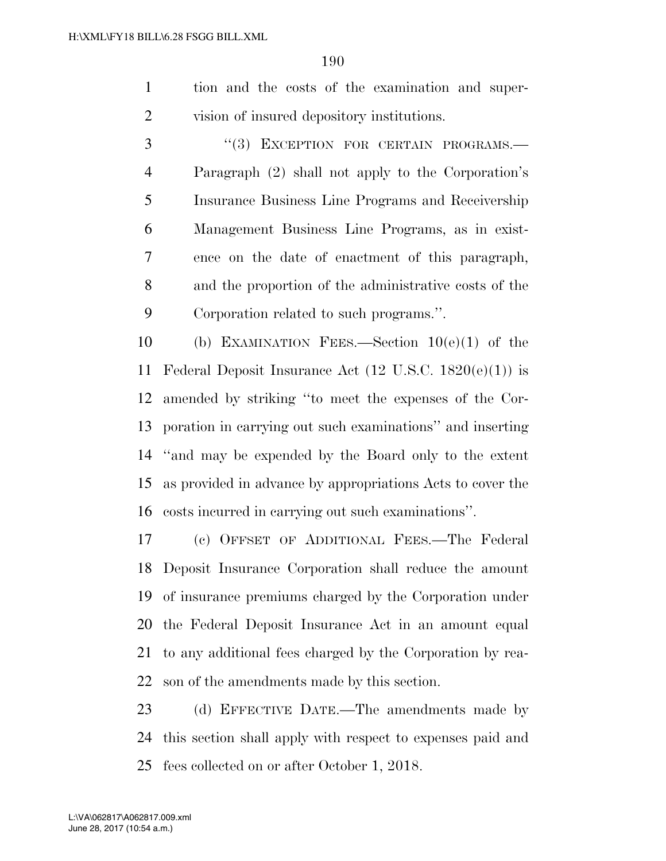tion and the costs of the examination and super-vision of insured depository institutions.

3 "(3) EXCEPTION FOR CERTAIN PROGRAMS.— Paragraph (2) shall not apply to the Corporation's Insurance Business Line Programs and Receivership Management Business Line Programs, as in exist- ence on the date of enactment of this paragraph, and the proportion of the administrative costs of the Corporation related to such programs.''.

 (b) EXAMINATION FEES.—Section 10(e)(1) of the 11 Federal Deposit Insurance Act  $(12 \text{ U.S.C. } 1820(e)(1))$  is amended by striking ''to meet the expenses of the Cor- poration in carrying out such examinations'' and inserting ''and may be expended by the Board only to the extent as provided in advance by appropriations Acts to cover the costs incurred in carrying out such examinations''.

 (c) OFFSET OF ADDITIONAL FEES.—The Federal Deposit Insurance Corporation shall reduce the amount of insurance premiums charged by the Corporation under the Federal Deposit Insurance Act in an amount equal to any additional fees charged by the Corporation by rea-son of the amendments made by this section.

 (d) EFFECTIVE DATE.—The amendments made by this section shall apply with respect to expenses paid and fees collected on or after October 1, 2018.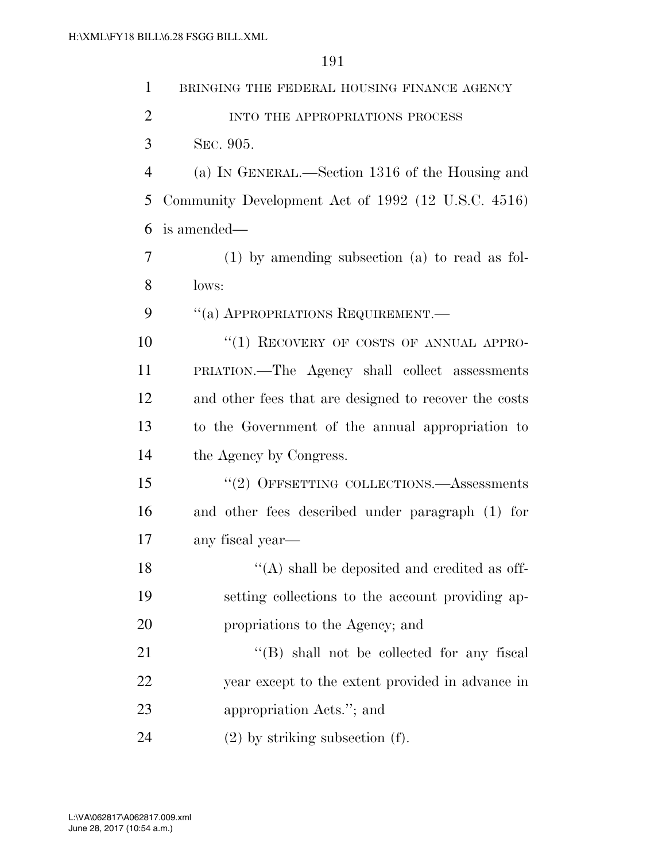| $\mathbf{1}$   | BRINGING THE FEDERAL HOUSING FINANCE AGENCY           |
|----------------|-------------------------------------------------------|
| $\overline{2}$ | INTO THE APPROPRIATIONS PROCESS                       |
| 3              | SEC. 905.                                             |
| $\overline{4}$ | (a) IN GENERAL.—Section 1316 of the Housing and       |
| 5              | Community Development Act of 1992 (12 U.S.C. 4516)    |
| 6              | is amended—                                           |
| 7              | $(1)$ by amending subsection $(a)$ to read as fol-    |
| 8              | lows:                                                 |
| 9              | "(a) APPROPRIATIONS REQUIREMENT.—                     |
| 10             | "(1) RECOVERY OF COSTS OF ANNUAL APPRO-               |
| 11             | PRIATION.—The Agency shall collect assessments        |
| 12             | and other fees that are designed to recover the costs |
| 13             | to the Government of the annual appropriation to      |
| 14             | the Agency by Congress.                               |
| 15             | "(2) OFFSETTING COLLECTIONS.—Assessments              |
| 16             | and other fees described under paragraph (1) for      |
| 17             | any fiscal year-                                      |
| 18             | "(A) shall be deposited and credited as off-          |
| 19             | setting collections to the account providing ap-      |
| 20             | propriations to the Agency; and                       |
| 21             | $\lq\lq$ (B) shall not be collected for any fiscal    |
| 22             | year except to the extent provided in advance in      |
| 23             | appropriation Acts."; and                             |
| 24             | $(2)$ by striking subsection $(f)$ .                  |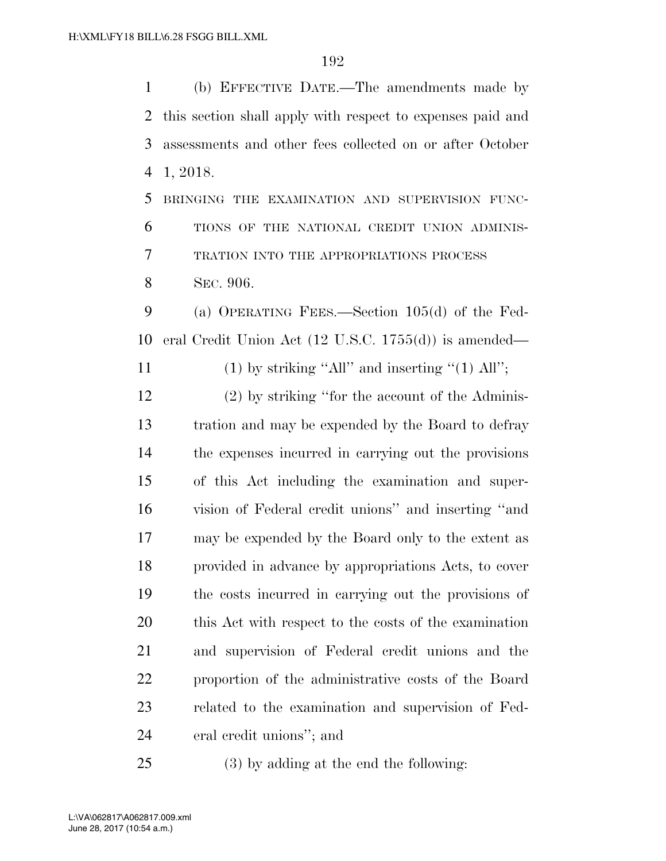(b) EFFECTIVE DATE.—The amendments made by this section shall apply with respect to expenses paid and assessments and other fees collected on or after October 1, 2018. BRINGING THE EXAMINATION AND SUPERVISION FUNC-

 TRATION INTO THE APPROPRIATIONS PROCESS SEC. 906.

TIONS OF THE NATIONAL CREDIT UNION ADMINIS-

 (a) OPERATING FEES.—Section 105(d) of the Fed-eral Credit Union Act (12 U.S.C. 1755(d)) is amended—

11 (1) by striking "All" and inserting "(1) All";

 (2) by striking ''for the account of the Adminis- tration and may be expended by the Board to defray the expenses incurred in carrying out the provisions of this Act including the examination and super- vision of Federal credit unions'' and inserting ''and may be expended by the Board only to the extent as provided in advance by appropriations Acts, to cover the costs incurred in carrying out the provisions of this Act with respect to the costs of the examination and supervision of Federal credit unions and the proportion of the administrative costs of the Board related to the examination and supervision of Fed-eral credit unions''; and

(3) by adding at the end the following: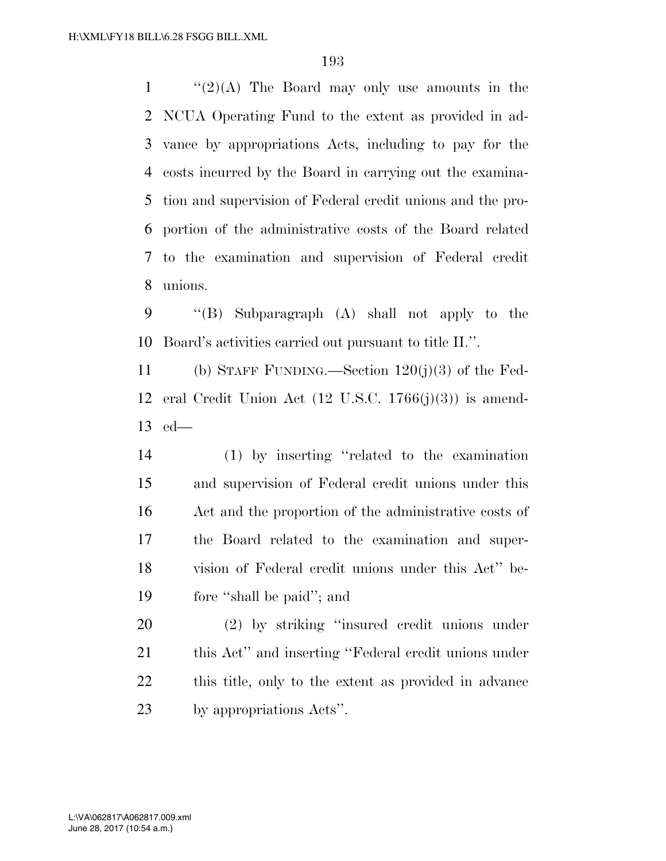$\frac{1}{2}(2)(A)$  The Board may only use amounts in the NCUA Operating Fund to the extent as provided in ad- vance by appropriations Acts, including to pay for the costs incurred by the Board in carrying out the examina- tion and supervision of Federal credit unions and the pro- portion of the administrative costs of the Board related to the examination and supervision of Federal credit unions.

 ''(B) Subparagraph (A) shall not apply to the Board's activities carried out pursuant to title II.''.

 (b) STAFF FUNDING.—Section 120(j)(3) of the Fed- eral Credit Union Act (12 U.S.C. 1766(j)(3)) is amend-ed—

 (1) by inserting ''related to the examination and supervision of Federal credit unions under this Act and the proportion of the administrative costs of the Board related to the examination and super- vision of Federal credit unions under this Act'' be-fore ''shall be paid''; and

 (2) by striking ''insured credit unions under this Act'' and inserting ''Federal credit unions under this title, only to the extent as provided in advance by appropriations Acts''.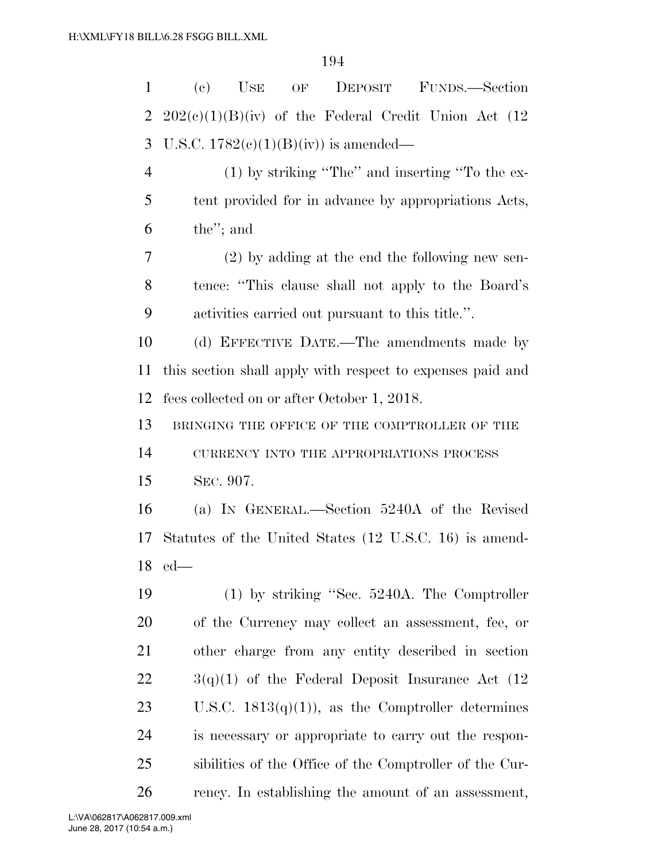| $\mathbf{1}$   | (e)<br>$USE$<br>OF DEPOSIT<br>FUNDS.—Section               |
|----------------|------------------------------------------------------------|
| $\overline{2}$ | $202(c)(1)(B)(iv)$ of the Federal Credit Union Act (12     |
| 3              | U.S.C. $1782(e)(1)(B)(iv)$ is amended—                     |
| $\overline{4}$ | $(1)$ by striking "The" and inserting "To the ex-          |
| 5              | tent provided for in advance by appropriations Acts,       |
| 6              | the"; and                                                  |
| 7              | $(2)$ by adding at the end the following new sen-          |
| 8              | tence: "This clause shall not apply to the Board's         |
| 9              | activities carried out pursuant to this title.".           |
| 10             | (d) EFFECTIVE DATE.—The amendments made by                 |
| 11             | this section shall apply with respect to expenses paid and |
| 12             | fees collected on or after October 1, 2018.                |
| 13             | BRINGING THE OFFICE OF THE COMPTROLLER OF THE              |
| 14             | CURRENCY INTO THE APPROPRIATIONS PROCESS                   |
| 15             | SEC. 907.                                                  |
| 16             | (a) IN GENERAL.—Section 5240A of the Revised               |
| 17             | Statutes of the United States (12 U.S.C. 16) is amend-     |
|                | $18$ ed-                                                   |
| 19             | $(1)$ by striking "Sec. 5240A. The Comptroller             |
| 20             | of the Currency may collect an assessment, fee, or         |
| 21             | other charge from any entity described in section          |
| 22             | $3(q)(1)$ of the Federal Deposit Insurance Act (12)        |
| 23             | U.S.C. $1813(q)(1)$ , as the Comptroller determines        |
| 24             | is necessary or appropriate to carry out the respon-       |
| 25             | sibilities of the Office of the Comptroller of the Cur-    |
| 26             | rency. In establishing the amount of an assessment,        |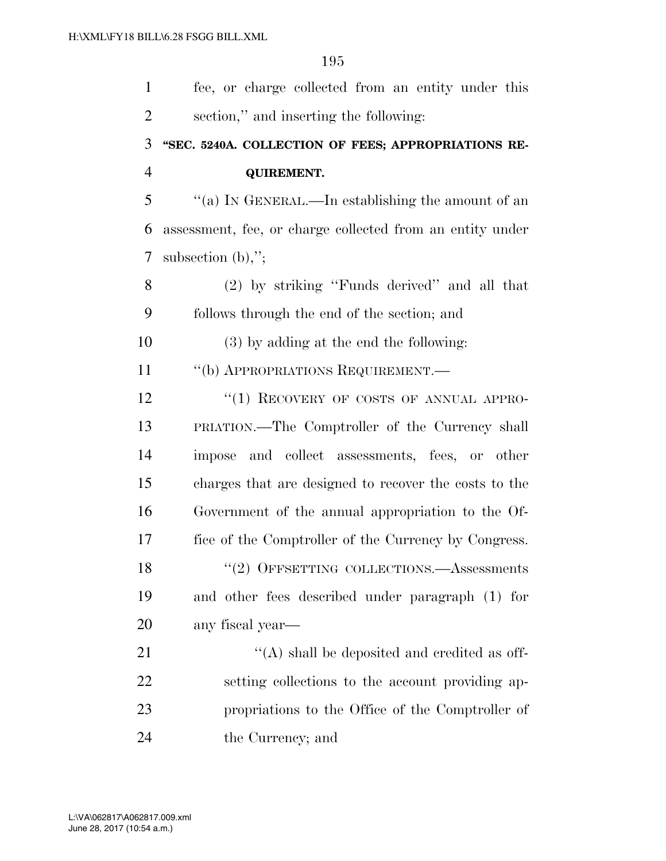| $\mathbf{1}$   | fee, or charge collected from an entity under this        |
|----------------|-----------------------------------------------------------|
| $\overline{2}$ | section," and inserting the following:                    |
| 3              | "SEC. 5240A. COLLECTION OF FEES; APPROPRIATIONS RE-       |
| $\overline{4}$ | <b>QUIREMENT.</b>                                         |
| 5              | "(a) IN GENERAL.—In establishing the amount of an         |
| 6              | assessment, fee, or charge collected from an entity under |
| 7              | subsection $(b)$ ,";                                      |
| 8              | (2) by striking "Funds derived" and all that              |
| 9              | follows through the end of the section; and               |
| 10             | (3) by adding at the end the following:                   |
| 11             | "(b) APPROPRIATIONS REQUIREMENT.—                         |
| 12             | "(1) RECOVERY OF COSTS OF ANNUAL APPRO-                   |
| 13             | PRIATION.—The Comptroller of the Currency shall           |
| 14             | and collect assessments, fees, or other<br>impose         |
| 15             | charges that are designed to recover the costs to the     |
| 16             | Government of the annual appropriation to the Of-         |
| 17             | fice of the Comptroller of the Currency by Congress.      |
| 18             | $``(2)$ OFFSETTING COLLECTIONS.—Assessments               |
| 19             | and other fees described under paragraph (1) for          |
| 20             | any fiscal year-                                          |
| 21             | $\lq\lq$ shall be deposited and credited as off-          |
| 22             | setting collections to the account providing ap-          |
| 23             | propriations to the Office of the Comptroller of          |
| 24             | the Currency; and                                         |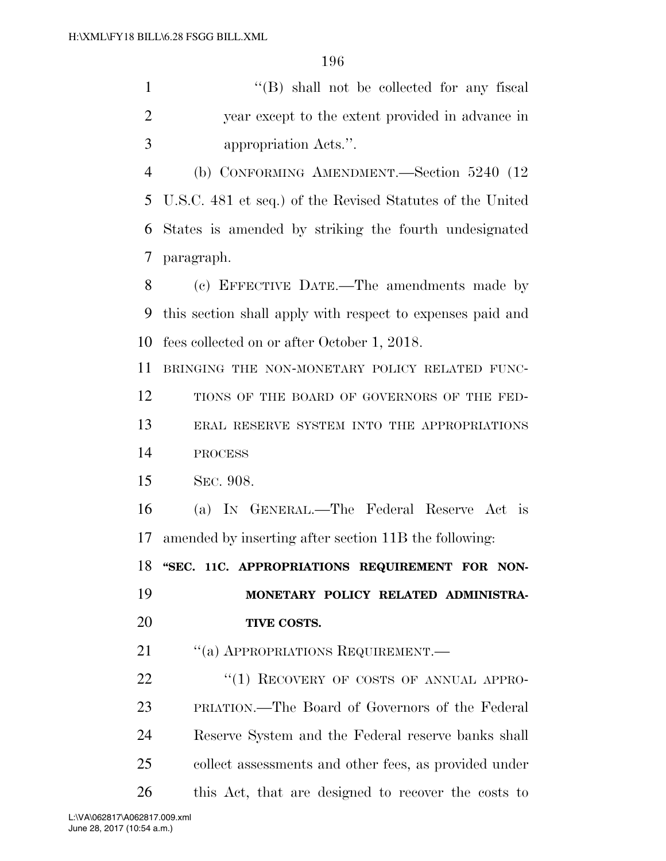1 ''(B) shall not be collected for any fiscal year except to the extent provided in advance in appropriation Acts.''.

 (b) CONFORMING AMENDMENT.—Section 5240 (12 U.S.C. 481 et seq.) of the Revised Statutes of the United States is amended by striking the fourth undesignated paragraph.

 (c) EFFECTIVE DATE.—The amendments made by this section shall apply with respect to expenses paid and fees collected on or after October 1, 2018.

BRINGING THE NON-MONETARY POLICY RELATED FUNC-

12 TIONS OF THE BOARD OF GOVERNORS OF THE FED-

 ERAL RESERVE SYSTEM INTO THE APPROPRIATIONS PROCESS

SEC. 908.

 (a) IN GENERAL.—The Federal Reserve Act is amended by inserting after section 11B the following:

18 "SEC. 11C. APPROPRIATIONS REQUIREMENT FOR NON-

 **MONETARY POLICY RELATED ADMINISTRA-TIVE COSTS.** 

21 "(a) APPROPRIATIONS REQUIREMENT.—

22 "(1) RECOVERY OF COSTS OF ANNUAL APPRO- PRIATION.—The Board of Governors of the Federal Reserve System and the Federal reserve banks shall collect assessments and other fees, as provided under this Act, that are designed to recover the costs to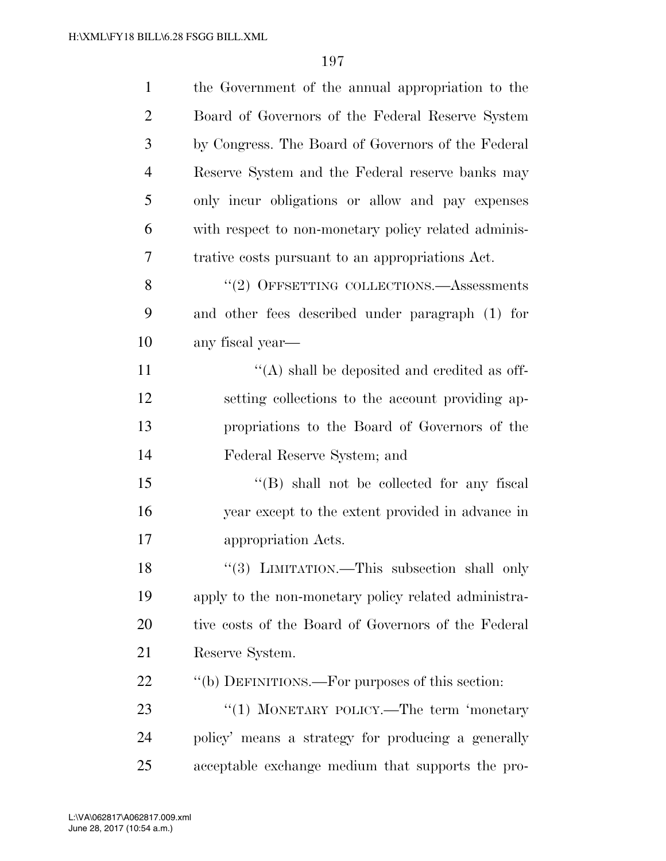| $\mathbf{1}$   | the Government of the annual appropriation to the    |
|----------------|------------------------------------------------------|
| $\overline{2}$ | Board of Governors of the Federal Reserve System     |
| 3              | by Congress. The Board of Governors of the Federal   |
| $\overline{4}$ | Reserve System and the Federal reserve banks may     |
| 5              | only incur obligations or allow and pay expenses     |
| 6              | with respect to non-monetary policy related adminis- |
| 7              | trative costs pursuant to an appropriations Act.     |
| 8              | $``(2)$ OFFSETTING COLLECTIONS.—Assessments          |
| 9              | and other fees described under paragraph (1) for     |
| 10             | any fiscal year-                                     |
| 11             | $\lq\lq$ shall be deposited and credited as off-     |
| 12             | setting collections to the account providing ap-     |
| 13             | propriations to the Board of Governors of the        |
| 14             | Federal Reserve System; and                          |
| 15             | $\lq\lq$ shall not be collected for any fiscal       |
| 16             | year except to the extent provided in advance in     |
| 17             | appropriation Acts.                                  |
| 18             | "(3) LIMITATION.—This subsection shall only          |
| 19             | apply to the non-monetary policy related administra- |
| 20             | tive costs of the Board of Governors of the Federal  |
| 21             | Reserve System.                                      |
| 22             | "(b) DEFINITIONS.—For purposes of this section:      |
| 23             | "(1) MONETARY POLICY.—The term 'monetary             |
| 24             | policy' means a strategy for producing a generally   |
| 25             | acceptable exchange medium that supports the pro-    |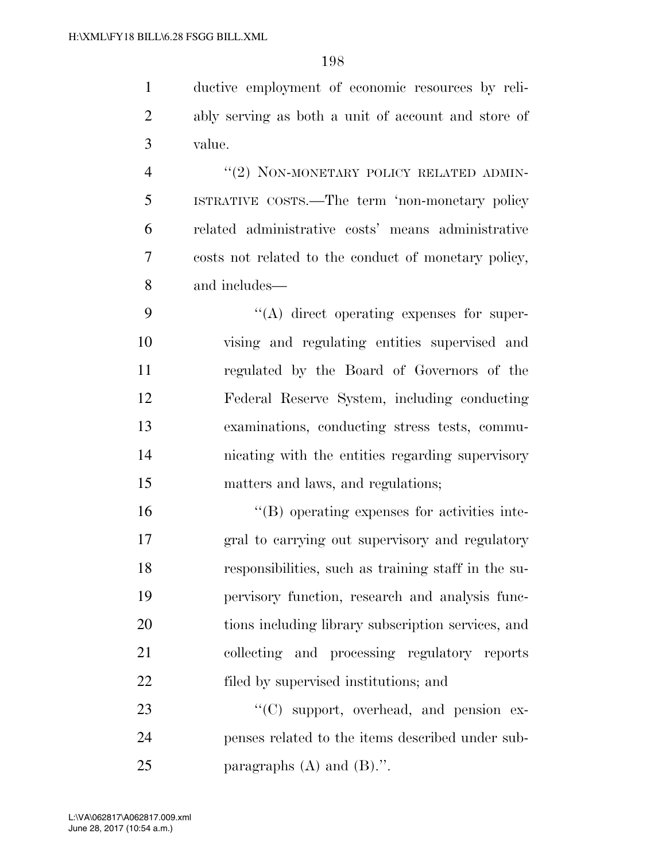ductive employment of economic resources by reli- ably serving as both a unit of account and store of value.

4 "(2) NON-MONETARY POLICY RELATED ADMIN- ISTRATIVE COSTS.—The term 'non-monetary policy related administrative costs' means administrative costs not related to the conduct of monetary policy, and includes—

 $\langle (A)$  direct operating expenses for super- vising and regulating entities supervised and regulated by the Board of Governors of the Federal Reserve System, including conducting examinations, conducting stress tests, commu- nicating with the entities regarding supervisory matters and laws, and regulations;

 ''(B) operating expenses for activities inte- gral to carrying out supervisory and regulatory responsibilities, such as training staff in the su- pervisory function, research and analysis func- tions including library subscription services, and collecting and processing regulatory reports filed by supervised institutions; and

23 "'(C) support, overhead, and pension ex- penses related to the items described under sub-25 paragraphs  $(A)$  and  $(B)$ .".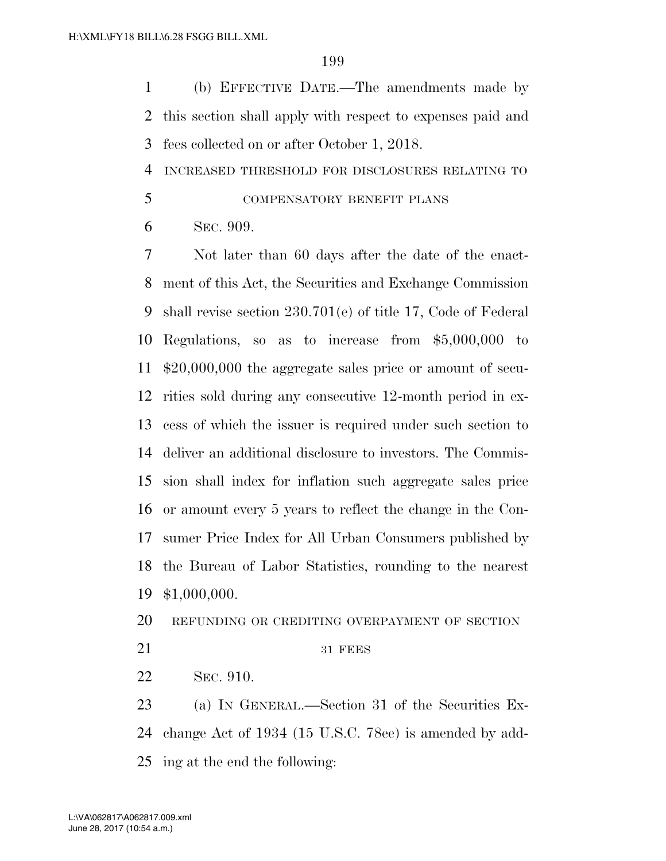(b) EFFECTIVE DATE.—The amendments made by this section shall apply with respect to expenses paid and fees collected on or after October 1, 2018.

INCREASED THRESHOLD FOR DISCLOSURES RELATING TO

COMPENSATORY BENEFIT PLANS

SEC. 909.

 Not later than 60 days after the date of the enact- ment of this Act, the Securities and Exchange Commission shall revise section 230.701(e) of title 17, Code of Federal Regulations, so as to increase from \$5,000,000 to \$20,000,000 the aggregate sales price or amount of secu- rities sold during any consecutive 12-month period in ex- cess of which the issuer is required under such section to deliver an additional disclosure to investors. The Commis- sion shall index for inflation such aggregate sales price or amount every 5 years to reflect the change in the Con- sumer Price Index for All Urban Consumers published by the Bureau of Labor Statistics, rounding to the nearest \$1,000,000.

REFUNDING OR CREDITING OVERPAYMENT OF SECTION

21 31 FEES

SEC. 910.

23 (a) IN GENERAL.—Section 31 of the Securities Ex- change Act of 1934 (15 U.S.C. 78ee) is amended by add-ing at the end the following: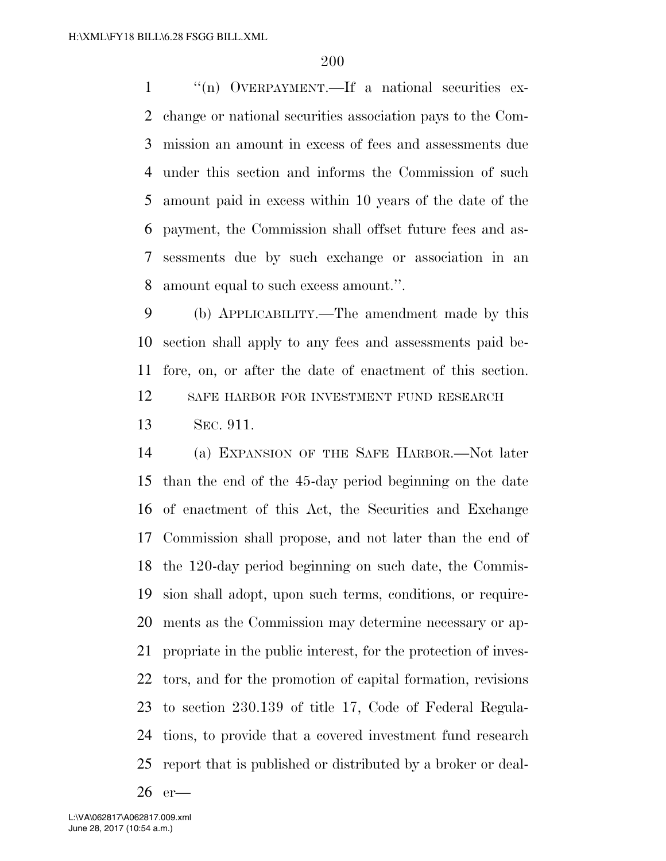''(n) OVERPAYMENT.—If a national securities ex- change or national securities association pays to the Com- mission an amount in excess of fees and assessments due under this section and informs the Commission of such amount paid in excess within 10 years of the date of the payment, the Commission shall offset future fees and as- sessments due by such exchange or association in an amount equal to such excess amount.''.

 (b) APPLICABILITY.—The amendment made by this section shall apply to any fees and assessments paid be- fore, on, or after the date of enactment of this section. 12 SAFE HARBOR FOR INVESTMENT FUND RESEARCH SEC. 911.

 (a) EXPANSION OF THE SAFE HARBOR.—Not later than the end of the 45-day period beginning on the date of enactment of this Act, the Securities and Exchange Commission shall propose, and not later than the end of the 120-day period beginning on such date, the Commis- sion shall adopt, upon such terms, conditions, or require- ments as the Commission may determine necessary or ap- propriate in the public interest, for the protection of inves- tors, and for the promotion of capital formation, revisions to section 230.139 of title 17, Code of Federal Regula- tions, to provide that a covered investment fund research report that is published or distributed by a broker or deal-

er—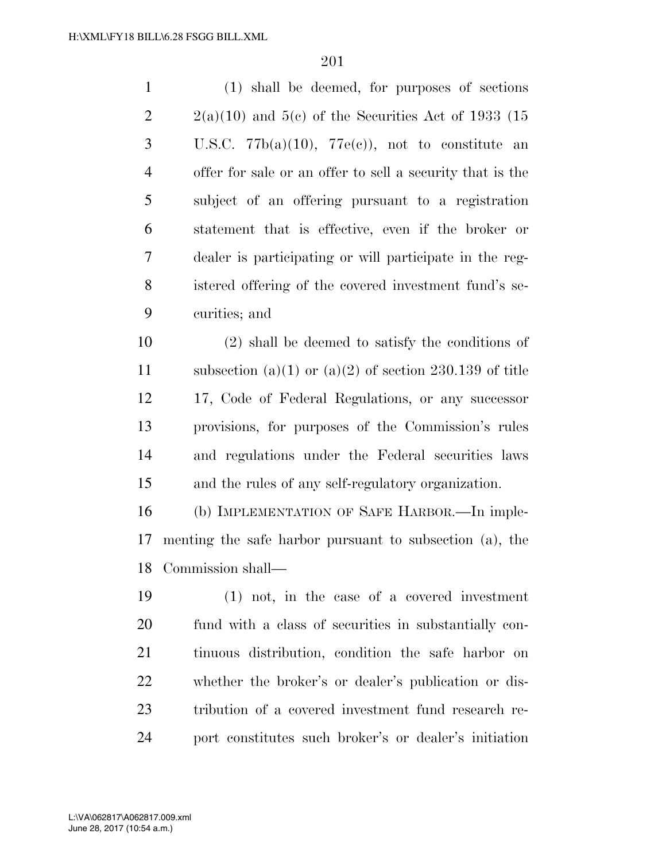| $\mathbf{1}$   | (1) shall be deemed, for purposes of sections             |
|----------------|-----------------------------------------------------------|
| $\overline{2}$ | $2(a)(10)$ and $5(e)$ of the Securities Act of 1933 (15   |
| 3              | U.S.C. $77b(a)(10)$ , $77e(c)$ , not to constitute an     |
| $\overline{4}$ | offer for sale or an offer to sell a security that is the |
| 5              | subject of an offering pursuant to a registration         |
| 6              | statement that is effective, even if the broker or        |
| 7              | dealer is participating or will participate in the reg-   |
| 8              | istered offering of the covered investment fund's se-     |
| 9              | curities; and                                             |
| 10             | $(2)$ shall be deemed to satisfy the conditions of        |
| 11             | subsection (a)(1) or (a)(2) of section 230.139 of title   |
| 12             | 17, Code of Federal Regulations, or any successor         |
| 13             | provisions, for purposes of the Commission's rules        |
| 14             | and regulations under the Federal securities laws         |
| 15             | and the rules of any self-regulatory organization.        |
| 16             | (b) IMPLEMENTATION OF SAFE HARBOR.—In imple-              |
| 17             | menting the safe harbor pursuant to subsection (a), the   |
| 18             | Commission shall—                                         |
| 19             | $(1)$ not, in the case of a covered investment            |
| 20             | fund with a class of securities in substantially con-     |
| 21             | tinuous distribution, condition the safe harbor on        |

 whether the broker's or dealer's publication or dis- tribution of a covered investment fund research re-port constitutes such broker's or dealer's initiation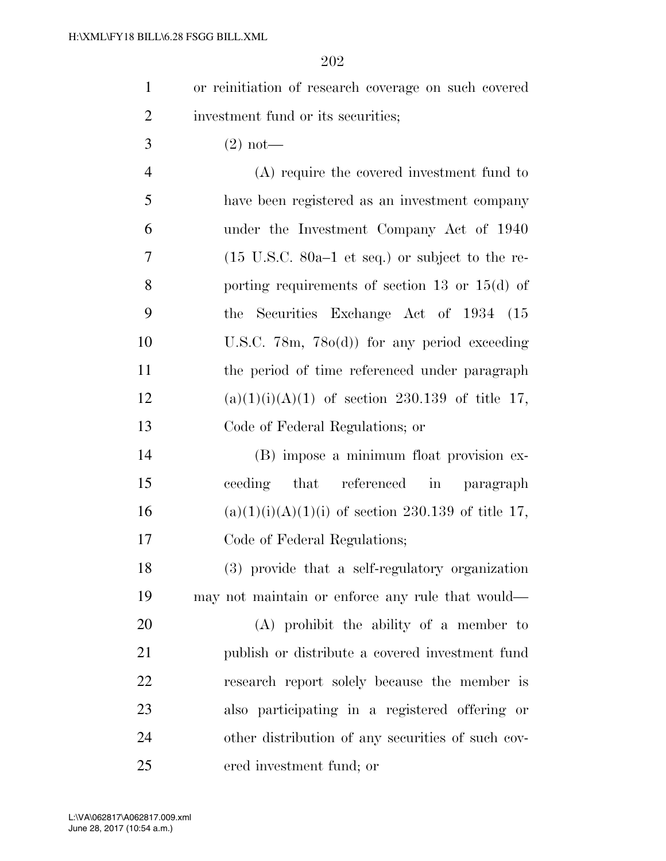- or reinitiation of research coverage on such covered 2 investment fund or its securities;
- 3 (2) not—

 (A) require the covered investment fund to have been registered as an investment company under the Investment Company Act of 1940 (15 U.S.C. 80a–1 et seq.) or subject to the re- porting requirements of section 13 or 15(d) of the Securities Exchange Act of 1934 (15 U.S.C. 78m, 78o(d)) for any period exceeding the period of time referenced under paragraph 12 (a)(1)(i)(A)(1) of section 230.139 of title 17, Code of Federal Regulations; or

 (B) impose a minimum float provision ex- ceeding that referenced in paragraph 16 (a)(1)(i)(A)(1)(i) of section 230.139 of title 17, Code of Federal Regulations;

 (3) provide that a self-regulatory organization may not maintain or enforce any rule that would—

 (A) prohibit the ability of a member to publish or distribute a covered investment fund research report solely because the member is also participating in a registered offering or other distribution of any securities of such cov-ered investment fund; or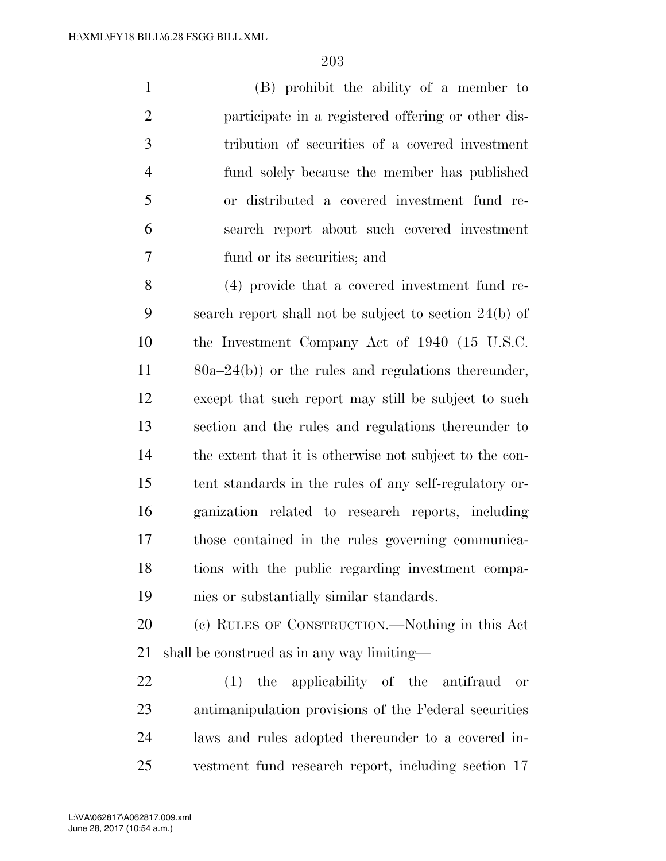(B) prohibit the ability of a member to participate in a registered offering or other dis- tribution of securities of a covered investment fund solely because the member has published or distributed a covered investment fund re- search report about such covered investment fund or its securities; and

 (4) provide that a covered investment fund re- search report shall not be subject to section 24(b) of the Investment Company Act of 1940 (15 U.S.C. 80a–24(b)) or the rules and regulations thereunder, except that such report may still be subject to such section and the rules and regulations thereunder to the extent that it is otherwise not subject to the con- tent standards in the rules of any self-regulatory or- ganization related to research reports, including those contained in the rules governing communica- tions with the public regarding investment compa-nies or substantially similar standards.

 (c) RULES OF CONSTRUCTION.—Nothing in this Act shall be construed as in any way limiting—

 (1) the applicability of the antifraud or antimanipulation provisions of the Federal securities laws and rules adopted thereunder to a covered in-vestment fund research report, including section 17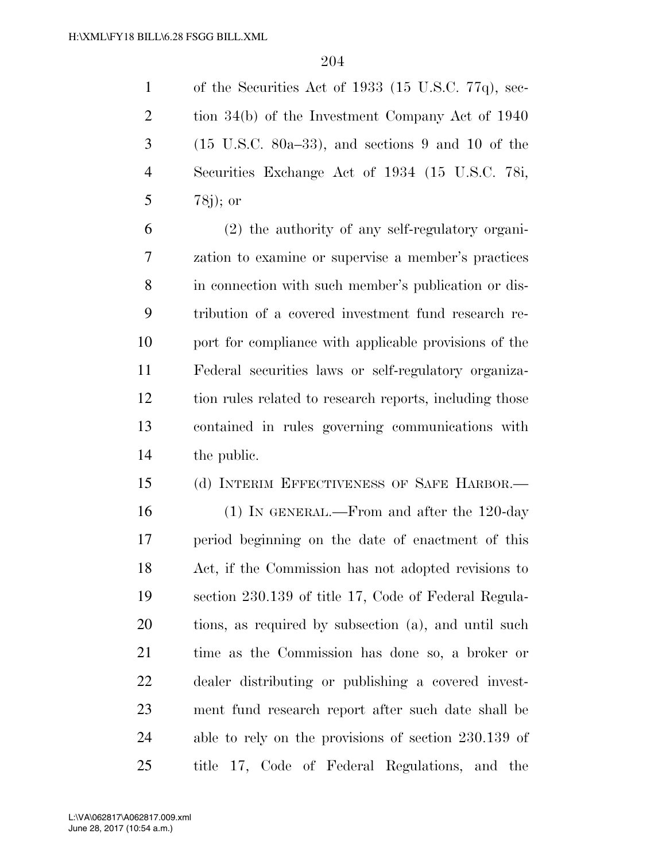of the Securities Act of 1933 (15 U.S.C. 77q), sec- tion 34(b) of the Investment Company Act of 1940 (15 U.S.C. 80a–33), and sections 9 and 10 of the Securities Exchange Act of 1934 (15 U.S.C. 78i, 78j); or

 (2) the authority of any self-regulatory organi- zation to examine or supervise a member's practices in connection with such member's publication or dis- tribution of a covered investment fund research re- port for compliance with applicable provisions of the Federal securities laws or self-regulatory organiza- tion rules related to research reports, including those contained in rules governing communications with the public.

 (d) INTERIM EFFECTIVENESS OF SAFE HARBOR.— (1) IN GENERAL.—From and after the 120-day period beginning on the date of enactment of this Act, if the Commission has not adopted revisions to section 230.139 of title 17, Code of Federal Regula- tions, as required by subsection (a), and until such time as the Commission has done so, a broker or dealer distributing or publishing a covered invest- ment fund research report after such date shall be able to rely on the provisions of section 230.139 of title 17, Code of Federal Regulations, and the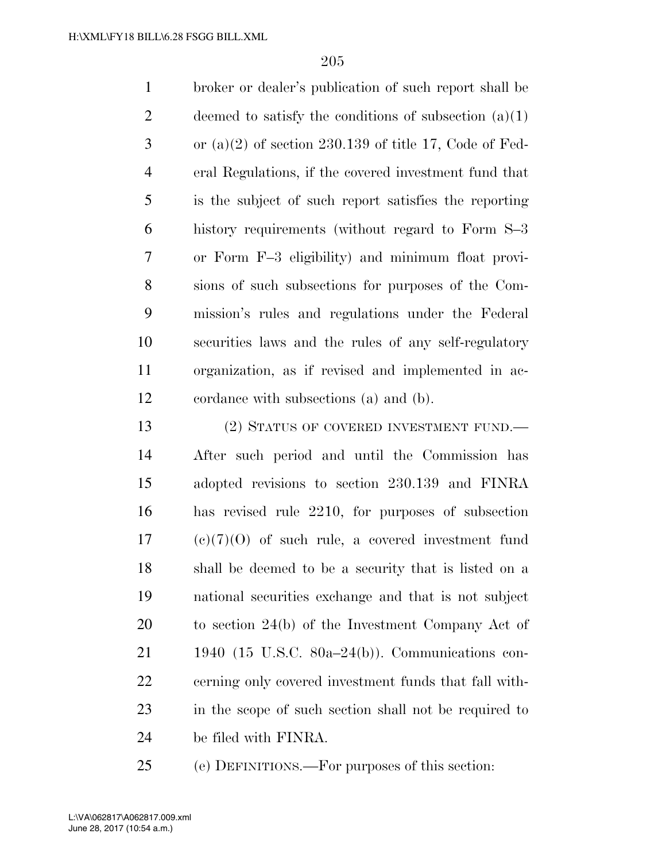broker or dealer's publication of such report shall be 2 deemed to satisfy the conditions of subsection  $(a)(1)$  $3 \text{ or } (a)(2)$  of section 230.139 of title 17, Code of Fed- eral Regulations, if the covered investment fund that is the subject of such report satisfies the reporting history requirements (without regard to Form S–3 or Form F–3 eligibility) and minimum float provi- sions of such subsections for purposes of the Com- mission's rules and regulations under the Federal securities laws and the rules of any self-regulatory organization, as if revised and implemented in ac-cordance with subsections (a) and (b).

13 (2) STATUS OF COVERED INVESTMENT FUND.— After such period and until the Commission has adopted revisions to section 230.139 and FINRA has revised rule 2210, for purposes of subsection (c)(7)(O) of such rule, a covered investment fund shall be deemed to be a security that is listed on a national securities exchange and that is not subject to section 24(b) of the Investment Company Act of 1940 (15 U.S.C. 80a–24(b)). Communications con- cerning only covered investment funds that fall with- in the scope of such section shall not be required to be filed with FINRA.

(e) DEFINITIONS.—For purposes of this section: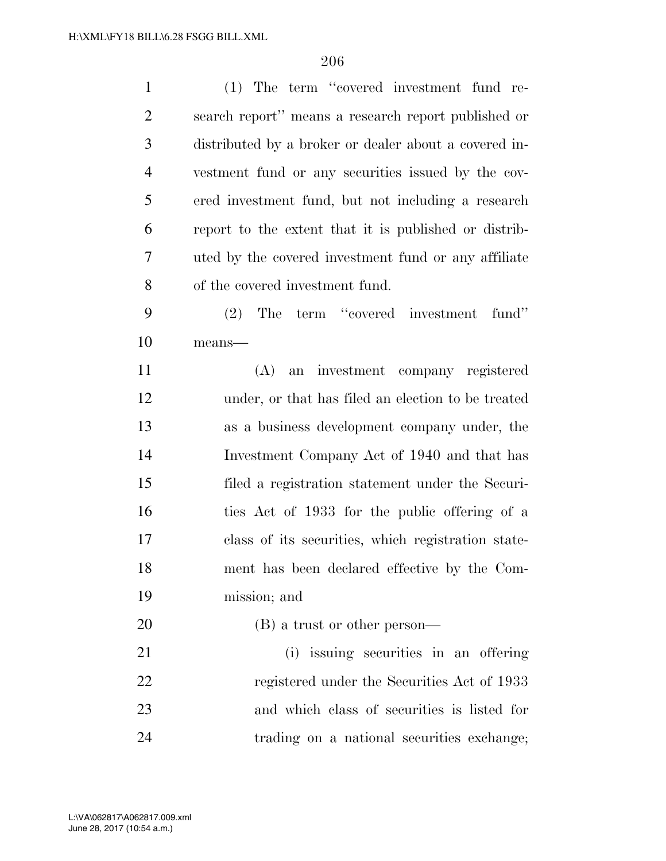| $\mathbf{1}$   | (1) The term "covered investment fund re-             |
|----------------|-------------------------------------------------------|
| $\mathfrak{2}$ | search report" means a research report published or   |
| 3              | distributed by a broker or dealer about a covered in- |
| $\overline{4}$ | vestment fund or any securities issued by the cov-    |
| 5              | ered investment fund, but not including a research    |
| 6              | report to the extent that it is published or distrib- |
| 7              | uted by the covered investment fund or any affiliate  |
| 8              | of the covered investment fund.                       |
| 9              | The term "covered investment"<br>fund"<br>(2)         |
| 10             | $means$ —                                             |
| 11             | (A)<br>an investment company registered               |
| 12             | under, or that has filed an election to be treated    |
| 13             | as a business development company under, the          |
| 14             | Investment Company Act of 1940 and that has           |
| 15             | filed a registration statement under the Securi-      |
| 16             | ties Act of 1933 for the public offering of a         |
| 17             | class of its securities, which registration state-    |
| 18             | ment has been declared effective by the Com-          |
| 19             | mission; and                                          |
| 20             | (B) a trust or other person—                          |
| 21             | (i) issuing securities in an offering                 |
| 22             | registered under the Securities Act of 1933           |
| 23             | and which class of securities is listed for           |
| 24             | trading on a national securities exchange;            |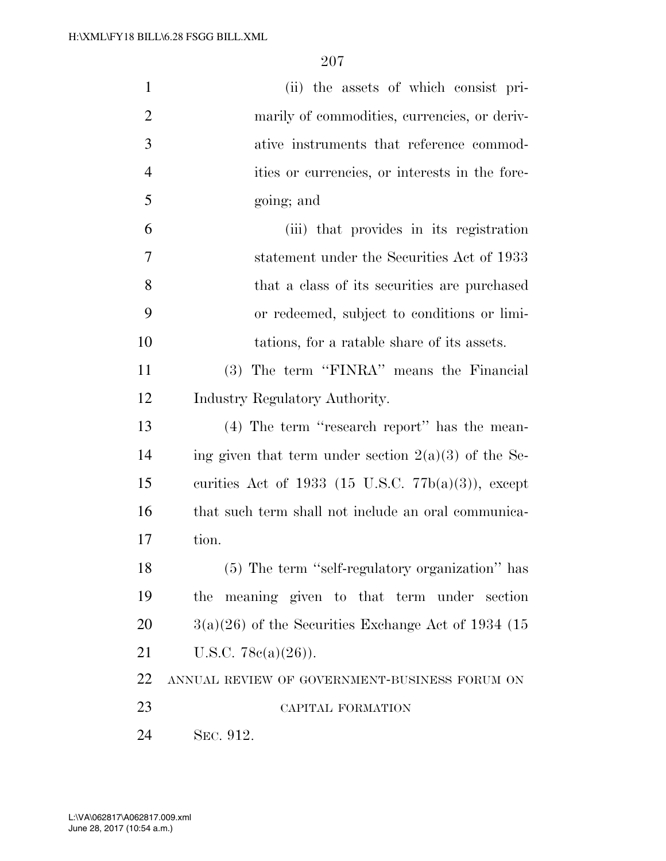| $\mathbf{1}$   | (ii) the assets of which consist pri-                  |
|----------------|--------------------------------------------------------|
| $\overline{2}$ | marily of commodities, currencies, or deriv-           |
| 3              | ative instruments that reference commod-               |
| $\overline{4}$ | ities or currencies, or interests in the fore-         |
| 5              | going; and                                             |
| 6              | (iii) that provides in its registration                |
| 7              | statement under the Securities Act of 1933             |
| 8              | that a class of its securities are purchased           |
| 9              | or redeemed, subject to conditions or limi-            |
| 10             | tations, for a ratable share of its assets.            |
| 11             | (3) The term "FINRA" means the Financial               |
| 12             | Industry Regulatory Authority.                         |
| 13             | $(4)$ The term "research report" has the mean-         |
| 14             | ing given that term under section $2(a)(3)$ of the Se- |
| 15             | curities Act of 1933 (15 U.S.C. $77b(a)(3)$ ), except  |
| 16             | that such term shall not include an oral communica-    |
| 17             | tion.                                                  |
| 18             | (5) The term "self-regulatory organization" has        |
| 19             | meaning given to that term under section<br>the        |
| 20             | $3(a)(26)$ of the Securities Exchange Act of 1934 (15  |
| 21             | U.S.C. $78c(a)(26)$ ).                                 |
| 22             | ANNUAL REVIEW OF GOVERNMENT-BUSINESS FORUM ON          |
| 23             | CAPITAL FORMATION                                      |
| 24             | SEC. 912.                                              |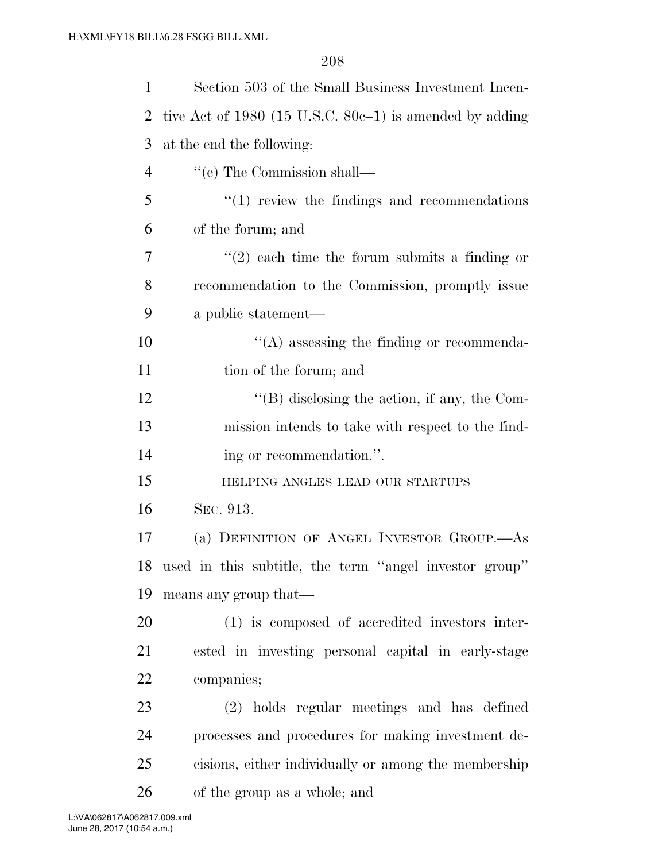| 1  | Section 503 of the Small Business Investment Incen-          |
|----|--------------------------------------------------------------|
| 2  | tive Act of $1980$ (15 U.S.C. $80c-1$ ) is amended by adding |
| 3  | at the end the following:                                    |
| 4  | "(e) The Commission shall—                                   |
| 5  | $\cdot\cdot\cdot(1)$ review the findings and recommendations |
| 6  | of the forum; and                                            |
| 7  | $f'(2)$ each time the forum submits a finding or             |
| 8  | recommendation to the Commission, promptly issue             |
| 9  | a public statement—                                          |
| 10 | $\lq\lq$ assessing the finding or recommenda-                |
| 11 | tion of the forum; and                                       |
| 12 | $\lq\lq$ disclosing the action, if any, the Com-             |
| 13 | mission intends to take with respect to the find-            |
|    |                                                              |
| 14 | ing or recommendation.".                                     |
| 15 | HELPING ANGLES LEAD OUR STARTUPS                             |
| 16 | SEC. 913.                                                    |
| 17 | (a) DEFINITION OF ANGEL INVESTOR GROUP.—AS                   |
|    | 18 used in this subtitle, the term "angel investor group"    |
| 19 | means any group that—                                        |
| 20 | (1) is composed of accredited investors inter-               |
| 21 | ested in investing personal capital in early-stage           |
| 22 | companies;                                                   |
| 23 | (2) holds regular meetings and has defined                   |
| 24 | processes and procedures for making investment de-           |
| 25 | cisions, either individually or among the membership         |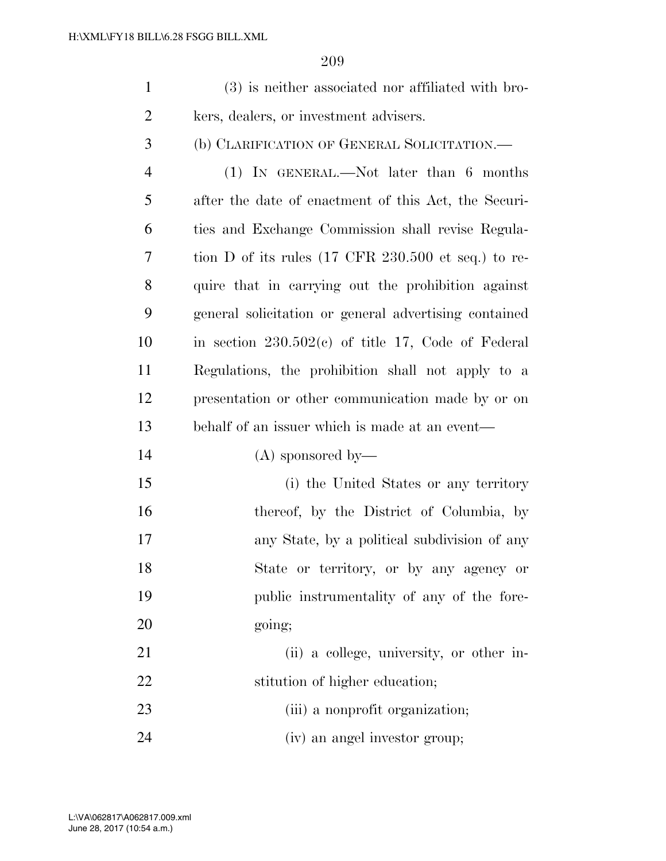| (3) is neither associated nor affiliated with bro- |
|----------------------------------------------------|
| kers, dealers, or investment advisers.             |

(b) CLARIFICATION OF GENERAL SOLICITATION.—

 (1) IN GENERAL.—Not later than 6 months after the date of enactment of this Act, the Securi- ties and Exchange Commission shall revise Regula- tion D of its rules (17 CFR 230.500 et seq.) to re- quire that in carrying out the prohibition against general solicitation or general advertising contained in section  $230.502(c)$  of title 17, Code of Federal Regulations, the prohibition shall not apply to a presentation or other communication made by or on behalf of an issuer which is made at an event—

(A) sponsored by—

 (i) the United States or any territory 16 thereof, by the District of Columbia, by any State, by a political subdivision of any State or territory, or by any agency or public instrumentality of any of the fore-20 going;

21 (ii) a college, university, or other in-22 stitution of higher education;

23 (iii) a nonprofit organization;

(iv) an angel investor group;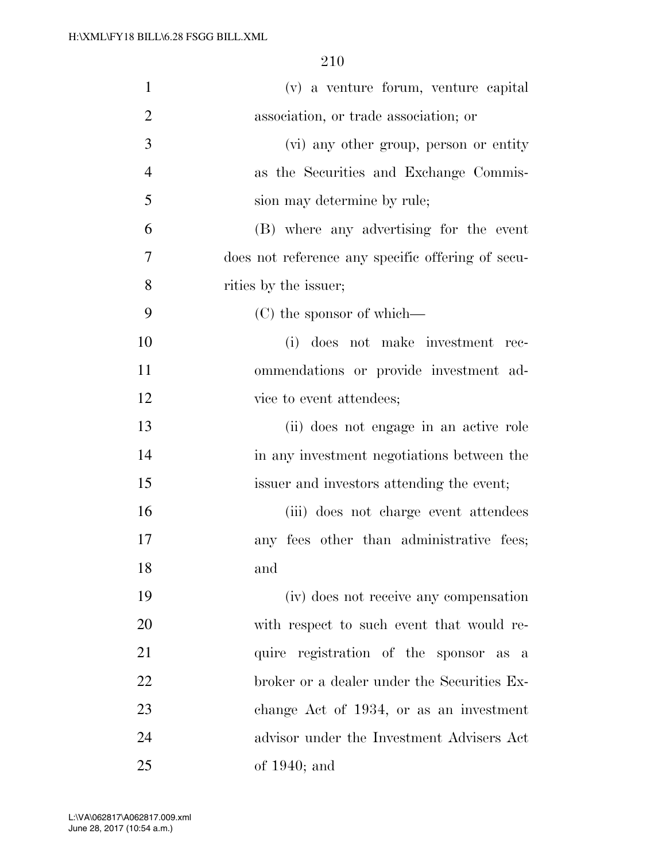| $\mathbf{1}$   | (v) a venture forum, venture capital              |
|----------------|---------------------------------------------------|
| $\overline{2}$ | association, or trade association; or             |
| 3              | (vi) any other group, person or entity            |
| $\overline{4}$ | as the Securities and Exchange Commis-            |
| 5              | sion may determine by rule;                       |
| 6              | (B) where any advertising for the event           |
| 7              | does not reference any specific offering of secu- |
| 8              | rities by the issuer;                             |
| 9              | (C) the sponsor of which—                         |
| 10             | (i) does not make investment rec-                 |
| 11             | ommendations or provide investment ad-            |
| 12             | vice to event attendees;                          |
| 13             | (ii) does not engage in an active role            |
| 14             | in any investment negotiations between the        |
| 15             | issuer and investors attending the event;         |
| 16             | (iii) does not charge event attendees             |
| 17             | any fees other than administrative fees;          |
| 18             | and                                               |
| 19             | (iv) does not receive any compensation            |
| 20             | with respect to such event that would re-         |
| 21             | quire registration of the sponsor as a            |
| 22             | broker or a dealer under the Securities Ex-       |
| 23             | change Act of 1934, or as an investment           |
| 24             | advisor under the Investment Advisers Act         |
| $25\,$         | of $1940$ ; and                                   |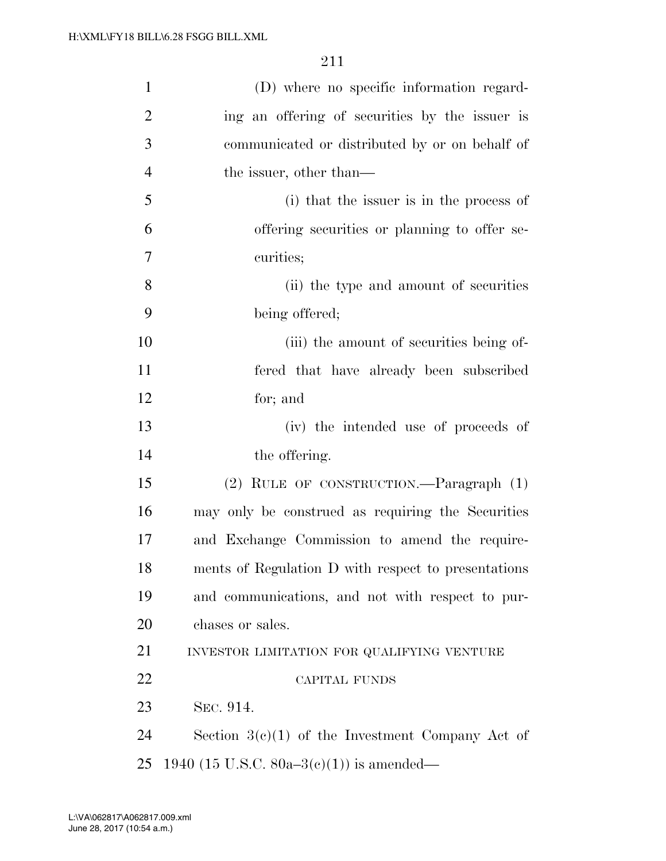| $\mathbf{1}$   | (D) where no specific information regard-           |
|----------------|-----------------------------------------------------|
| $\overline{2}$ | ing an offering of securities by the issuer is      |
| 3              | communicated or distributed by or on behalf of      |
| $\overline{4}$ | the issuer, other than—                             |
| 5              | (i) that the issuer is in the process of            |
| 6              | offering securities or planning to offer se-        |
| 7              | curities;                                           |
| 8              | (ii) the type and amount of securities              |
| 9              | being offered;                                      |
| 10             | (iii) the amount of securities being of-            |
| 11             | fered that have already been subscribed             |
| 12             | for; and                                            |
| 13             | (iv) the intended use of proceeds of                |
| 14             | the offering.                                       |
| 15             | (2) RULE OF CONSTRUCTION.—Paragraph (1)             |
| 16             | may only be construed as requiring the Securities   |
| 17             | and Exchange Commission to amend the require-       |
| 18             | ments of Regulation D with respect to presentations |
| 19             | and communications, and not with respect to pur-    |
| 20             | chases or sales.                                    |
| 21             | INVESTOR LIMITATION FOR QUALIFYING VENTURE          |
| 22             | <b>CAPITAL FUNDS</b>                                |
| 23             | SEC. 914.                                           |
| 24             | Section $3(c)(1)$ of the Investment Company Act of  |
| 25             | 1940 (15 U.S.C. 80a–3 $(e)(1)$ ) is amended—        |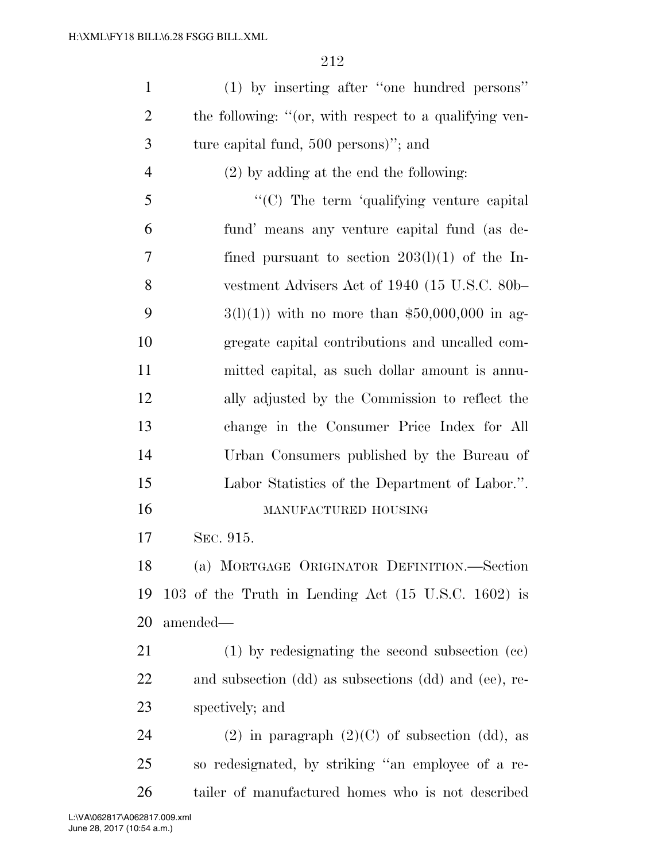| $\mathbf{1}$   | (1) by inserting after "one hundred persons"           |
|----------------|--------------------------------------------------------|
| $\overline{2}$ | the following: "(or, with respect to a qualifying ven- |
| 3              | ture capital fund, 500 persons)"; and                  |
| $\overline{4}$ | $(2)$ by adding at the end the following:              |
| 5              | "(C) The term 'qualifying venture capital              |
| 6              | fund' means any venture capital fund (as de-           |
| 7              | fined pursuant to section $203(1)(1)$ of the In-       |
| 8              | vestment Advisers Act of 1940 (15 U.S.C. 80b-          |
| 9              | $3(1)(1)$ ) with no more than \$50,000,000 in ag-      |
| 10             | gregate capital contributions and uncalled com-        |
| 11             | mitted capital, as such dollar amount is annu-         |
| 12             | ally adjusted by the Commission to reflect the         |
| 13             | change in the Consumer Price Index for All             |
| 14             | Urban Consumers published by the Bureau of             |
| 15             | Labor Statistics of the Department of Labor.".         |
| 16             | MANUFACTURED HOUSING                                   |
| 17             | SEC. 915.                                              |
| 18             | (a) MORTGAGE ORIGINATOR DEFINITION.-Section            |
| 19             | 103 of the Truth in Lending Act (15 U.S.C. 1602) is    |
| 20             | amended—                                               |
| 21             | $(1)$ by redesignating the second subsection $(ce)$    |
| 22             | and subsection (dd) as subsections (dd) and (ee), re-  |
| 23             | spectively; and                                        |
| 24             | $(2)$ in paragraph $(2)(C)$ of subsection (dd), as     |
| 25             | so redesignated, by striking "an employee of a re-     |
| 26             | tailer of manufactured homes who is not described      |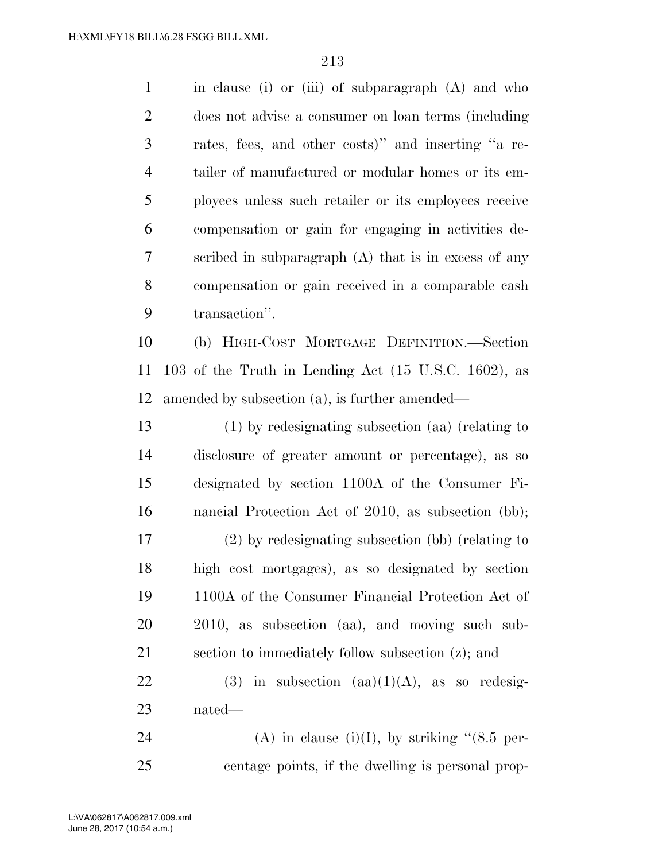in clause (i) or (iii) of subparagraph (A) and who does not advise a consumer on loan terms (including rates, fees, and other costs)'' and inserting ''a re- tailer of manufactured or modular homes or its em- ployees unless such retailer or its employees receive compensation or gain for engaging in activities de- scribed in subparagraph (A) that is in excess of any compensation or gain received in a comparable cash transaction''.

 (b) HIGH-COST MORTGAGE DEFINITION.—Section 103 of the Truth in Lending Act (15 U.S.C. 1602), as amended by subsection (a), is further amended—

 (1) by redesignating subsection (aa) (relating to disclosure of greater amount or percentage), as so designated by section 1100A of the Consumer Fi- nancial Protection Act of 2010, as subsection (bb); (2) by redesignating subsection (bb) (relating to high cost mortgages), as so designated by section 1100A of the Consumer Financial Protection Act of 2010, as subsection (aa), and moving such sub-section to immediately follow subsection (z); and

22 (3) in subsection  $(aa)(1)(A)$ , as so redesig-nated—

24 (A) in clause (i)(I), by striking  $(8.5 \text{ per-})$ centage points, if the dwelling is personal prop-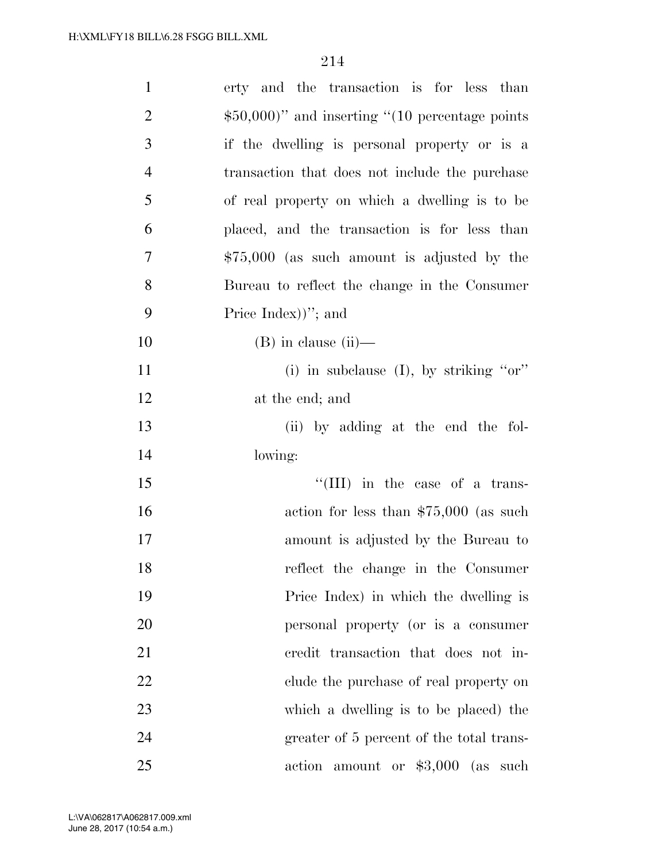| $\mathbf{1}$   | erty and the transaction is for less than         |
|----------------|---------------------------------------------------|
| $\overline{2}$ | $$50,000$ " and inserting "(10 percentage points) |
| 3              | if the dwelling is personal property or is a      |
| $\overline{4}$ | transaction that does not include the purchase    |
| 5              | of real property on which a dwelling is to be     |
| 6              | placed, and the transaction is for less than      |
| 7              | $$75,000$ (as such amount is adjusted by the      |
| 8              | Bureau to reflect the change in the Consumer      |
| 9              | Price Index) $)$ "; and                           |
| 10             | $(B)$ in clause $(ii)$ —                          |
| 11             | (i) in subclause (I), by striking " $or$ "        |
| 12             | at the end; and                                   |
| 13             | (ii) by adding at the end the fol-                |
| 14             | lowing:                                           |
| 15             | $\lq\lq$ (III) in the case of a trans-            |
| 16             | action for less than $$75,000$ (as such           |
| 17             | amount is adjusted by the Bureau to               |
| 18             | reflect the change in the Consumer                |
| 19             | Price Index) in which the dwelling is             |
| 20             | personal property (or is a consumer               |
| 21             | eredit transaction that does not in-              |
| 22             | clude the purchase of real property on            |
| 23             | which a dwelling is to be placed) the             |
| 24             | greater of 5 percent of the total trans-          |
| 25             | action amount or $$3,000$ (as such                |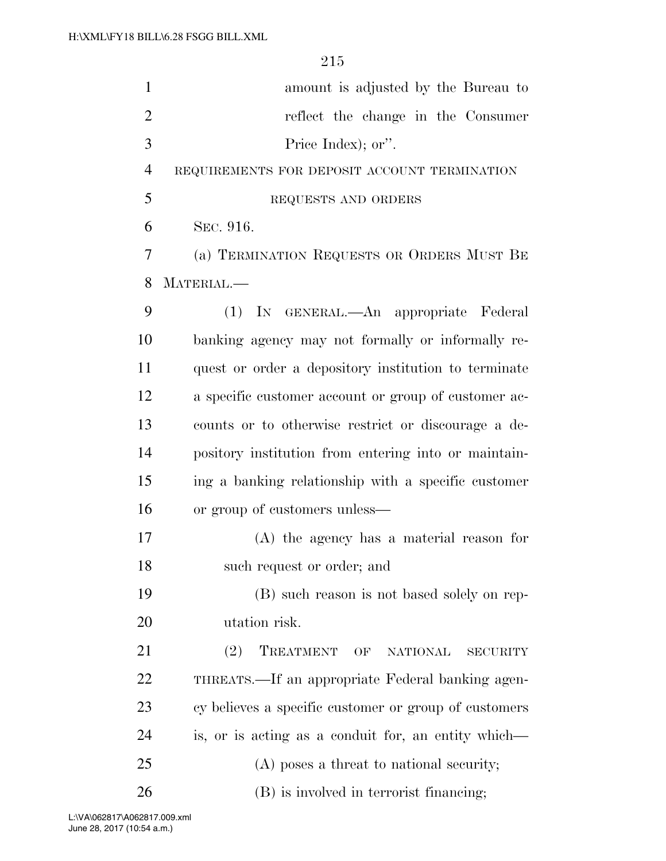| $\mathbf{1}$   | amount is adjusted by the Bureau to                          |
|----------------|--------------------------------------------------------------|
| $\overline{2}$ | reflect the change in the Consumer                           |
| 3              |                                                              |
|                | Price Index); or".                                           |
| $\overline{4}$ | REQUIREMENTS FOR DEPOSIT ACCOUNT TERMINATION                 |
| 5              | REQUESTS AND ORDERS                                          |
| 6              | SEC. 916.                                                    |
| 7              | (a) TERMINATION REQUESTS OR ORDERS MUST BE                   |
| 8              | MATERIAL.                                                    |
| 9              | (1) IN GENERAL.—An appropriate Federal                       |
| 10             | banking agency may not formally or informally re-            |
| 11             | quest or order a depository institution to terminate         |
| 12             | a specific customer account or group of customer ac-         |
| 13             | counts or to otherwise restrict or discourage a de-          |
| 14             | pository institution from entering into or maintain-         |
| 15             | ing a banking relationship with a specific customer          |
| 16             | or group of customers unless—                                |
| 17             | $(A)$ the agency has a material reason for                   |
| 18             | such request or order; and                                   |
| 19             | (B) such reason is not based solely on rep-                  |
| 20             | utation risk.                                                |
| 21             | (2)<br>TREATMENT<br>OF<br><b>NATIONAL</b><br><b>SECURITY</b> |
| 22             | THREATS.—If an appropriate Federal banking agen-             |
| 23             | cy believes a specific customer or group of customers        |
| 24             | is, or is acting as a conduit for, an entity which—          |
| 25             | $(A)$ poses a threat to national security;                   |
| 26             | (B) is involved in terrorist financing;                      |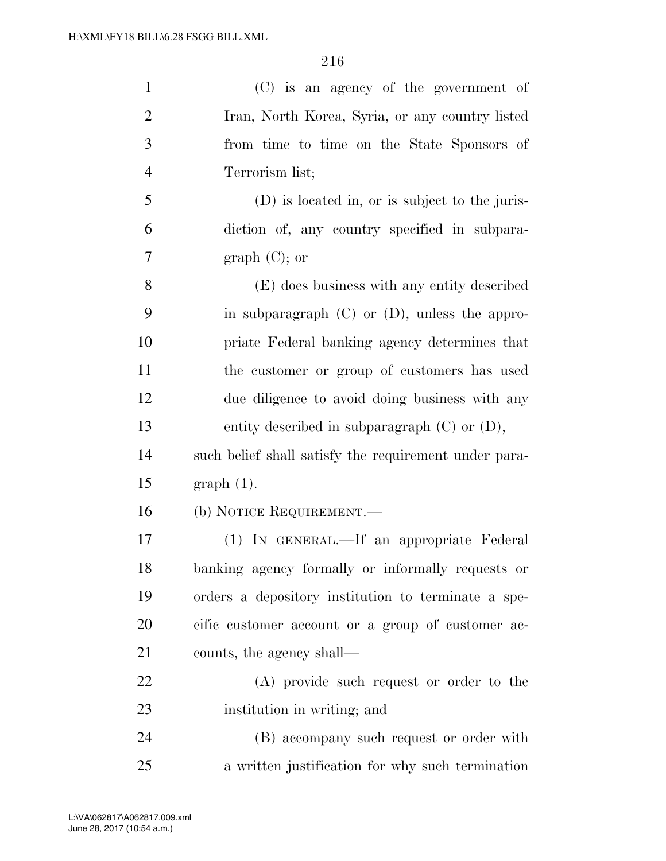| $\mathbf{1}$   | (C) is an agency of the government of                 |
|----------------|-------------------------------------------------------|
| $\overline{2}$ | Iran, North Korea, Syria, or any country listed       |
| 3              | from time to time on the State Sponsors of            |
| $\overline{4}$ | Terrorism list;                                       |
| 5              | (D) is located in, or is subject to the juris-        |
| 6              | diction of, any country specified in subpara-         |
| $\tau$         | graph $(C)$ ; or                                      |
| 8              | (E) does business with any entity described           |
| 9              | in subparagraph $(C)$ or $(D)$ , unless the appro-    |
| 10             | priate Federal banking agency determines that         |
| 11             | the customer or group of customers has used           |
| 12             | due diligence to avoid doing business with any        |
| 13             | entity described in subparagraph $(C)$ or $(D)$ ,     |
| 14             | such belief shall satisfy the requirement under para- |
| 15             | $graph(1)$ .                                          |
| 16             | (b) NOTICE REQUIREMENT.                               |
| 17             | (1) IN GENERAL.—If an appropriate Federal             |
| 18             | banking agency formally or informally requests or     |
| 19             | orders a depository institution to terminate a spe-   |
| 20             | cific customer account or a group of customer ac-     |
| 21             | counts, the agency shall—                             |
| 22             | (A) provide such request or order to the              |
| 23             | institution in writing; and                           |
| 24             | (B) accompany such request or order with              |
| 25             | a written justification for why such termination      |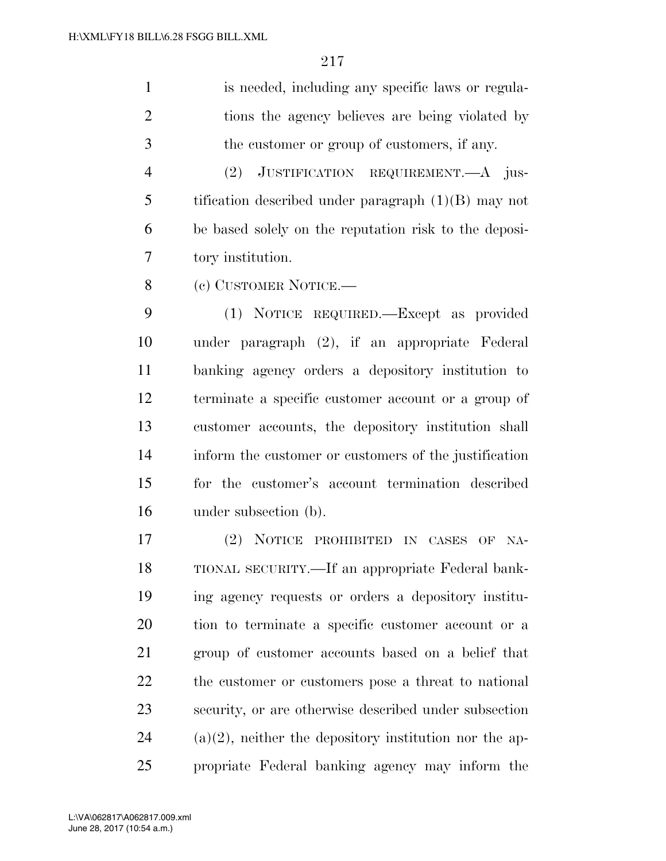is needed, including any specific laws or regula- tions the agency believes are being violated by the customer or group of customers, if any.

 (2) JUSTIFICATION REQUIREMENT.—A jus- tification described under paragraph (1)(B) may not be based solely on the reputation risk to the deposi-tory institution.

8 (c) CUSTOMER NOTICE.—

 (1) NOTICE REQUIRED.—Except as provided under paragraph (2), if an appropriate Federal banking agency orders a depository institution to terminate a specific customer account or a group of customer accounts, the depository institution shall inform the customer or customers of the justification for the customer's account termination described under subsection (b).

 (2) NOTICE PROHIBITED IN CASES OF NA- TIONAL SECURITY.—If an appropriate Federal bank- ing agency requests or orders a depository institu- tion to terminate a specific customer account or a group of customer accounts based on a belief that the customer or customers pose a threat to national security, or are otherwise described under subsection 24 (a)(2), neither the depository institution nor the ap-propriate Federal banking agency may inform the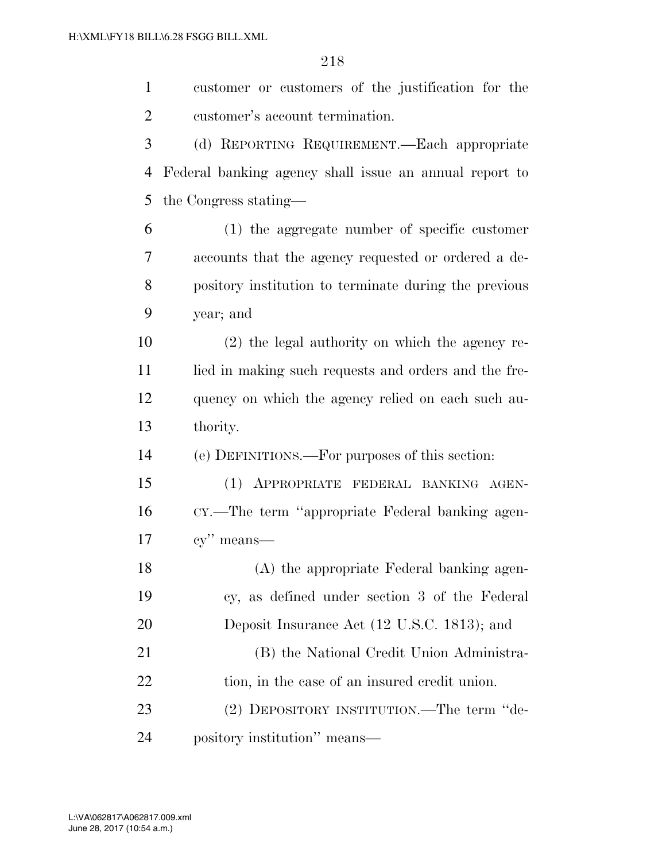customer or customers of the justification for the customer's account termination. (d) REPORTING REQUIREMENT.—Each appropriate Federal banking agency shall issue an annual report to the Congress stating— (1) the aggregate number of specific customer accounts that the agency requested or ordered a de- pository institution to terminate during the previous year; and (2) the legal authority on which the agency re-11 lied in making such requests and orders and the fre- quency on which the agency relied on each such au- thority. (e) DEFINITIONS.—For purposes of this section: (1) APPROPRIATE FEDERAL BANKING AGEN- CY.—The term ''appropriate Federal banking agen- cy'' means— (A) the appropriate Federal banking agen- cy, as defined under section 3 of the Federal Deposit Insurance Act (12 U.S.C. 1813); and (B) the National Credit Union Administra-22 tion, in the case of an insured credit union. (2) DEPOSITORY INSTITUTION.—The term ''de-pository institution'' means—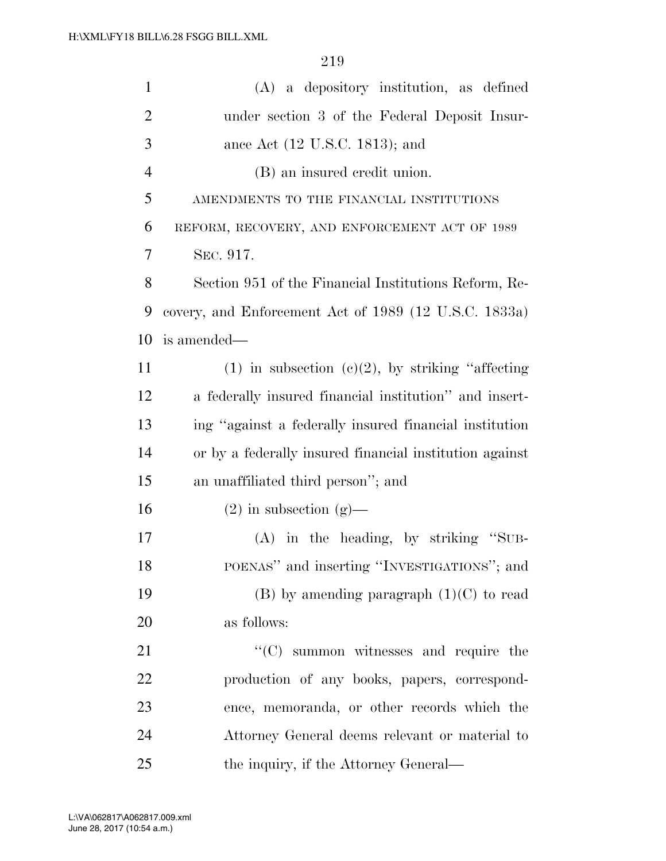| $\mathbf{1}$   | (A) a depository institution, as defined                |
|----------------|---------------------------------------------------------|
| $\overline{2}$ | under section 3 of the Federal Deposit Insur-           |
| 3              | ance Act $(12 \text{ U.S.C. } 1813)$ ; and              |
| $\overline{4}$ | (B) an insured credit union.                            |
| 5              | AMENDMENTS TO THE FINANCIAL INSTITUTIONS                |
| 6              | REFORM, RECOVERY, AND ENFORCEMENT ACT OF 1989           |
| 7              | SEC. 917.                                               |
| 8              | Section 951 of the Financial Institutions Reform, Re-   |
| 9              | covery, and Enforcement Act of 1989 (12 U.S.C. 1833a)   |
| 10             | is amended—                                             |
| 11             | $(1)$ in subsection $(e)(2)$ , by striking "affecting"  |
| 12             | a federally insured financial institution" and insert-  |
| 13             | ing "against a federally insured financial institution  |
| 14             | or by a federally insured financial institution against |
| 15             | an unaffiliated third person"; and                      |
| 16             | $(2)$ in subsection $(g)$ —                             |
| 17             | $(A)$ in the heading, by striking "SUB-                 |
| 18             | POENAS" and inserting "INVESTIGATIONS"; and             |
| 19             | $(B)$ by amending paragraph $(1)(C)$ to read            |
| 20             | as follows:                                             |
| 21             | $\lq\lq$ summon witnesses and require the               |
| 22             | production of any books, papers, correspond-            |
| 23             | ence, memoranda, or other records which the             |
| 24             | Attorney General deems relevant or material to          |
| 25             | the inquiry, if the Attorney General—                   |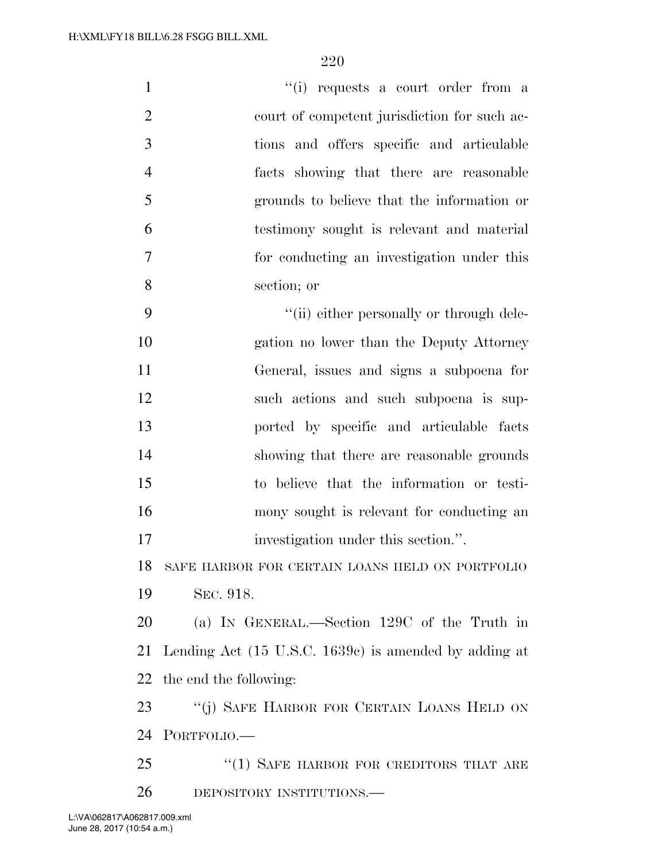| $\mathbf{1}$   | "(i) requests a court order from a                               |
|----------------|------------------------------------------------------------------|
| $\overline{2}$ | court of competent jurisdiction for such ac-                     |
| 3              | tions and offers specific and articulable                        |
| $\overline{4}$ | facts showing that there are reasonable                          |
| 5              | grounds to believe that the information or                       |
| 6              | testimony sought is relevant and material                        |
| $\tau$         | for conducting an investigation under this                       |
| 8              | section; or                                                      |
| 9              | "(ii) either personally or through dele-                         |
| 10             | gation no lower than the Deputy Attorney                         |
| 11             | General, issues and signs a subpoena for                         |
| 12             | such actions and such subpoena is sup-                           |
| 13             | ported by specific and articulable facts                         |
| 14             | showing that there are reasonable grounds                        |
| 15             | to believe that the information or testi-                        |
| 16             | mony sought is relevant for conducting an                        |
| 17             | investigation under this section.".                              |
| 18             | SAFE HARBOR FOR CERTAIN LOANS HELD ON PORTFOLIO                  |
| 19             | SEC. 918.                                                        |
| 20             | (a) IN GENERAL.—Section 129C of the Truth in                     |
| 21             | Lending Act $(15 \text{ U.S.C. } 1639c)$ is amended by adding at |
|                | 22 the end the following:                                        |
| 23             | "(j) SAFE HARBOR FOR CERTAIN LOANS HELD ON                       |
|                | 24 PORTFOLIO.                                                    |
| 25             | $\cdot\cdot(1)$ SAFE HARBOR FOR CREDITORS THAT ARE               |
| 26             | DEPOSITORY INSTITUTIONS.                                         |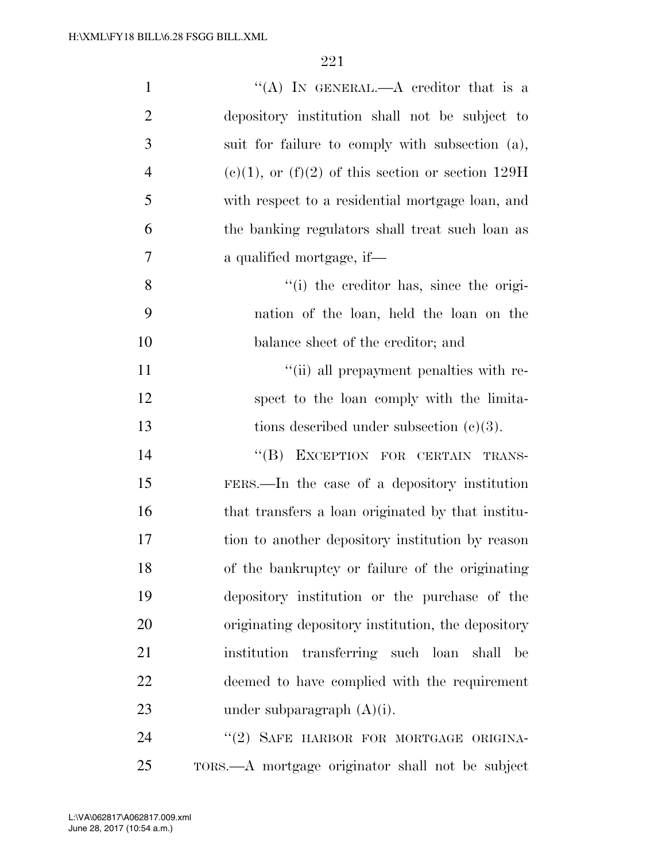| $\mathbf{1}$   | "(A) IN GENERAL.—A creditor that is a                  |
|----------------|--------------------------------------------------------|
| $\overline{2}$ | depository institution shall not be subject to         |
| 3              | suit for failure to comply with subsection (a),        |
| $\overline{4}$ | $(e)(1)$ , or $(f)(2)$ of this section or section 129H |
| 5              | with respect to a residential mortgage loan, and       |
| 6              | the banking regulators shall treat such loan as        |
| 7              | a qualified mortgage, if-                              |
| 8              | "(i) the creditor has, since the origi-                |
| 9              | nation of the loan, held the loan on the               |
| 10             | balance sheet of the creditor; and                     |
| 11             | "(ii) all prepayment penalties with re-                |
| 12             | spect to the loan comply with the limita-              |
| 13             | tions described under subsection $(c)(3)$ .            |
| 14             | "(B) EXCEPTION FOR CERTAIN TRANS-                      |
| 15             | FERS.—In the case of a depository institution          |
| 16             | that transfers a loan originated by that institu-      |
| 17             | tion to another depository institution by reason       |
| 18             | of the bankruptcy or failure of the originating        |
| 19             | depository institution or the purchase of the          |
| 20             | originating depository institution, the depository     |
| 21             | institution transferring such loan shall<br>be         |
| 22             | deemed to have complied with the requirement           |
| 23             | under subparagraph $(A)(i)$ .                          |
| 24             | "(2) SAFE HARBOR FOR MORTGAGE ORIGINA-                 |

TORS.—A mortgage originator shall not be subject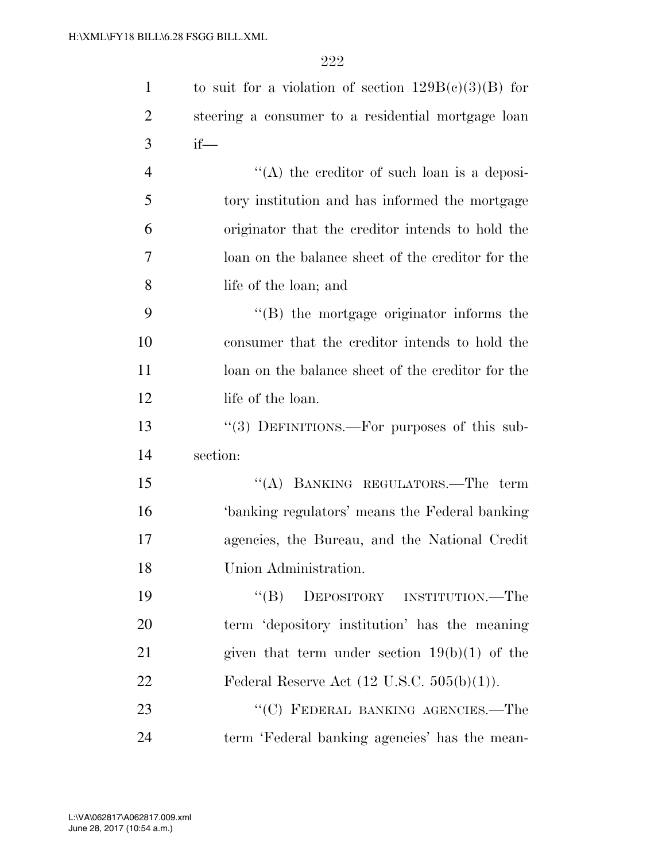| $\mathbf{1}$   | to suit for a violation of section $129B(c)(3)(B)$ for |
|----------------|--------------------------------------------------------|
| $\overline{2}$ | steering a consumer to a residential mortgage loan     |
| 3              | $if$ —                                                 |
| $\overline{4}$ | $\lq\lq$ the creditor of such loan is a deposi-        |
| 5              | tory institution and has informed the mortgage         |
| 6              | originator that the creditor intends to hold the       |
| 7              | loan on the balance sheet of the creditor for the      |
| 8              | life of the loan; and                                  |
| 9              | $\lq\lq$ the mortgage originator informs the           |
| 10             | consumer that the creditor intends to hold the         |
| 11             | loan on the balance sheet of the creditor for the      |
| 12             | life of the loan.                                      |
| 13             | "(3) DEFINITIONS.—For purposes of this sub-            |
| 14             | section:                                               |
| 15             | "(A) BANKING REGULATORS.—The term                      |
| 16             | 'banking regulators' means the Federal banking         |
| 17             | agencies, the Bureau, and the National Credit          |
| 18             | Union Administration.                                  |
| 19             | DEPOSITORY INSTITUTION.—The<br>$\lq\lq (B)$            |
| 20             | term 'depository institution' has the meaning          |
| 21             | given that term under section $19(b)(1)$ of the        |
| 22             | Federal Reserve Act $(12 \text{ U.S.C. } 505(b)(1)).$  |
| 23             | "(C) FEDERAL BANKING AGENCIES.—The                     |
| 24             | term 'Federal banking agencies' has the mean-          |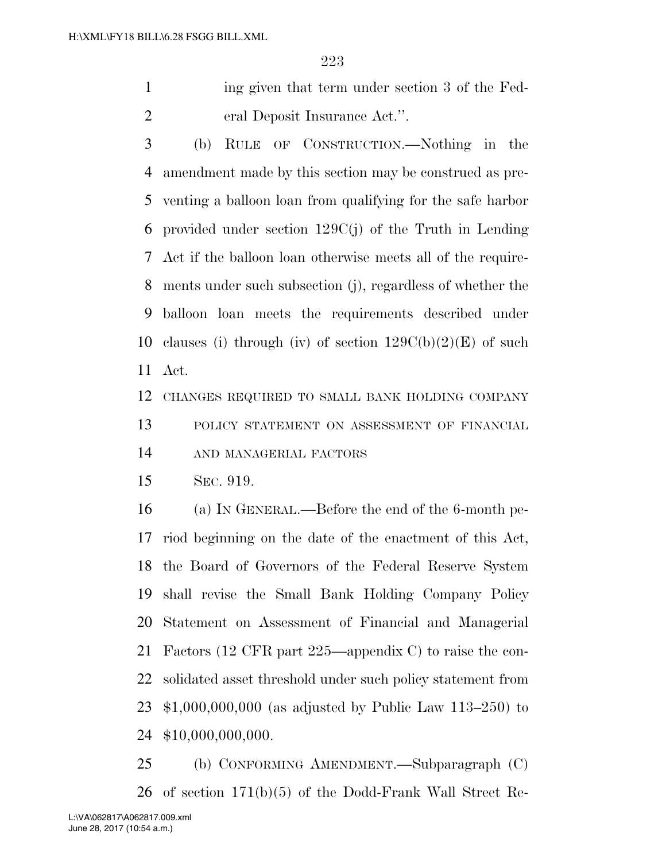ing given that term under section 3 of the Fed-eral Deposit Insurance Act.''.

 (b) RULE OF CONSTRUCTION.—Nothing in the amendment made by this section may be construed as pre- venting a balloon loan from qualifying for the safe harbor provided under section 129C(j) of the Truth in Lending Act if the balloon loan otherwise meets all of the require- ments under such subsection (j), regardless of whether the balloon loan meets the requirements described under 10 clauses (i) through (iv) of section  $129C(b)(2)(E)$  of such Act.

CHANGES REQUIRED TO SMALL BANK HOLDING COMPANY

 POLICY STATEMENT ON ASSESSMENT OF FINANCIAL AND MANAGERIAL FACTORS

SEC. 919.

 (a) IN GENERAL.—Before the end of the 6-month pe- riod beginning on the date of the enactment of this Act, the Board of Governors of the Federal Reserve System shall revise the Small Bank Holding Company Policy Statement on Assessment of Financial and Managerial Factors (12 CFR part 225—appendix C) to raise the con- solidated asset threshold under such policy statement from \$1,000,000,000 (as adjusted by Public Law 113–250) to \$10,000,000,000.

 (b) CONFORMING AMENDMENT.—Subparagraph (C) of section 171(b)(5) of the Dodd-Frank Wall Street Re-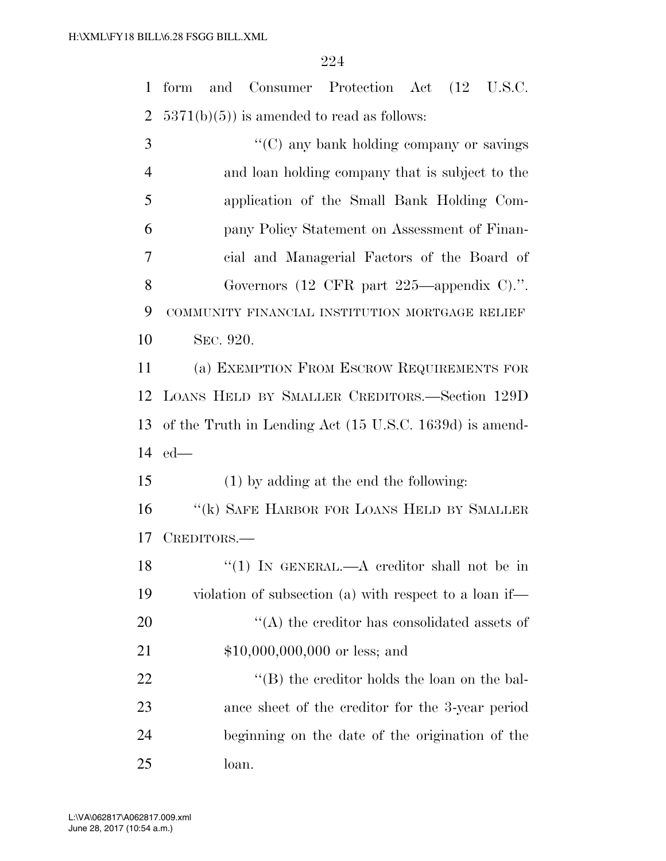form and Consumer Protection Act (12 U.S.C. 2  $5371(b)(5)$  is amended to read as follows: ''(C) any bank holding company or savings

 and loan holding company that is subject to the application of the Small Bank Holding Com- pany Policy Statement on Assessment of Finan- cial and Managerial Factors of the Board of Governors (12 CFR part 225—appendix C).''. COMMUNITY FINANCIAL INSTITUTION MORTGAGE RELIEF SEC. 920. (a) EXEMPTION FROM ESCROW REQUIREMENTS FOR LOANS HELD BY SMALLER CREDITORS.—Section 129D

 of the Truth in Lending Act (15 U.S.C. 1639d) is amend-ed—

(1) by adding at the end the following:

16 "(k) SAFE HARBOR FOR LOANS HELD BY SMALLER CREDITORS.—

18 "(1) IN GENERAL.—A creditor shall not be in violation of subsection (a) with respect to a loan if—  $\langle (A)$  the creditor has consolidated assets of \$10,000,000,000 or less; and 22 ''(B) the creditor holds the loan on the bal- ance sheet of the creditor for the 3-year period beginning on the date of the origination of the

loan.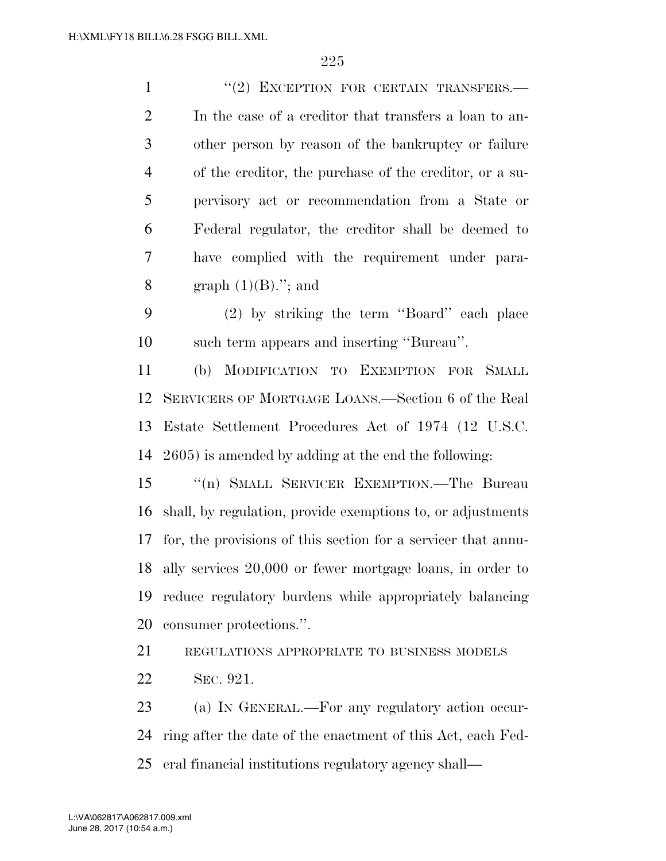1 "(2) EXCEPTION FOR CERTAIN TRANSFERS.— In the case of a creditor that transfers a loan to an- other person by reason of the bankruptcy or failure of the creditor, the purchase of the creditor, or a su- pervisory act or recommendation from a State or Federal regulator, the creditor shall be deemed to have complied with the requirement under para-8 graph  $(1)(B)$ ."; and (2) by striking the term ''Board'' each place such term appears and inserting ''Bureau''. (b) MODIFICATION TO EXEMPTION FOR SMALL SERVICERS OF MORTGAGE LOANS.—Section 6 of the Real Estate Settlement Procedures Act of 1974 (12 U.S.C. 2605) is amended by adding at the end the following: ''(n) SMALL SERVICER EXEMPTION.—The Bureau shall, by regulation, provide exemptions to, or adjustments for, the provisions of this section for a servicer that annu- ally services 20,000 or fewer mortgage loans, in order to reduce regulatory burdens while appropriately balancing consumer protections.''. REGULATIONS APPROPRIATE TO BUSINESS MODELS SEC. 921.

 (a) IN GENERAL.—For any regulatory action occur- ring after the date of the enactment of this Act, each Fed-eral financial institutions regulatory agency shall—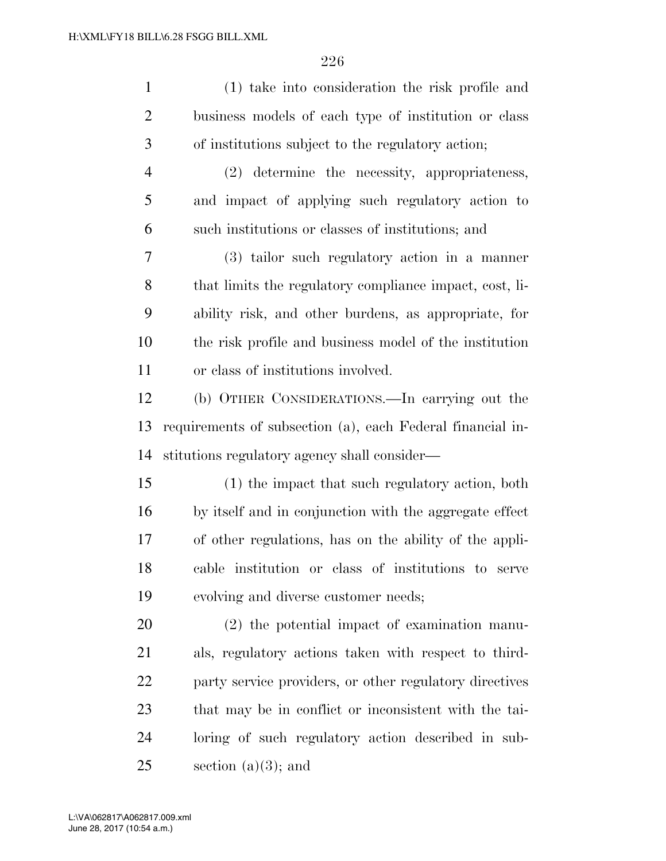| $\mathbf{1}$   | (1) take into consideration the risk profile and           |
|----------------|------------------------------------------------------------|
| $\overline{2}$ | business models of each type of institution or class       |
| 3              | of institutions subject to the regulatory action;          |
| $\overline{4}$ | (2) determine the necessity, appropriateness,              |
| 5              | and impact of applying such regulatory action to           |
| 6              | such institutions or classes of institutions; and          |
| 7              | (3) tailor such regulatory action in a manner              |
| 8              | that limits the regulatory compliance impact, cost, li-    |
| 9              | ability risk, and other burdens, as appropriate, for       |
| 10             | the risk profile and business model of the institution     |
| 11             | or class of institutions involved.                         |
| 12             | (b) OTHER CONSIDERATIONS.—In carrying out the              |
| 13             | requirements of subsection (a), each Federal financial in- |
| 14             | stitutions regulatory agency shall consider—               |
| 15             | (1) the impact that such regulatory action, both           |
| 16             | by itself and in conjunction with the aggregate effect     |
| 17             | of other regulations, has on the ability of the appli-     |
| 18             | cable institution or class of institutions to serve        |
| 19             | evolving and diverse customer needs;                       |
| 20             | $(2)$ the potential impact of examination manu-            |
| 21             | als, regulatory actions taken with respect to third-       |
| 22             | party service providers, or other regulatory directives    |
| 23             | that may be in conflict or inconsistent with the tai-      |
| 24             | loring of such regulatory action described in sub-         |
| 25             | section $(a)(3)$ ; and                                     |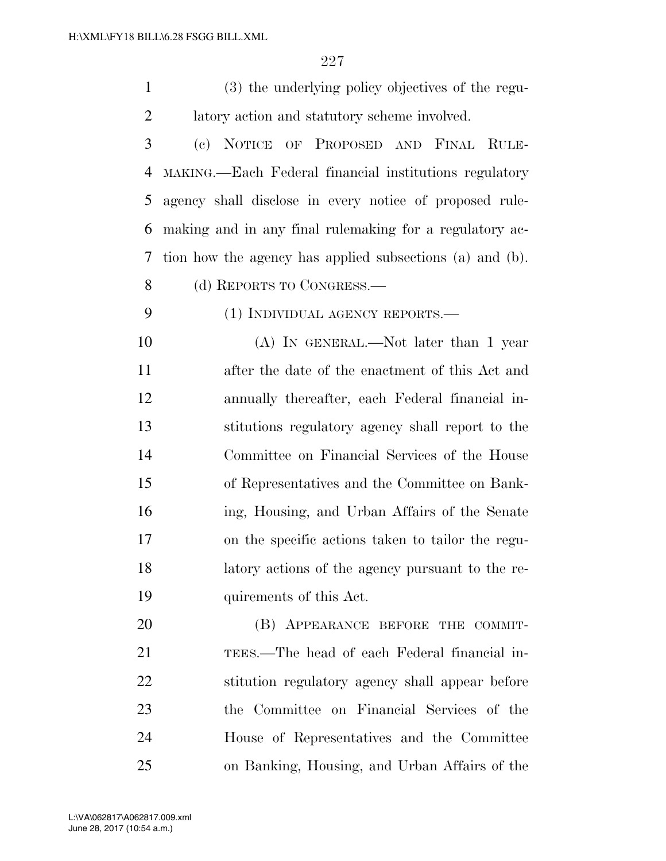| $\mathbf{1}$   | (3) the underlying policy objectives of the regu-        |
|----------------|----------------------------------------------------------|
| $\overline{2}$ | latory action and statutory scheme involved.             |
| 3              | (c) NOTICE OF PROPOSED AND FINAL RULE-                   |
| 4              | MAKING.—Each Federal financial institutions regulatory   |
| 5              | agency shall disclose in every notice of proposed rule-  |
| 6              | making and in any final rulemaking for a regulatory ac-  |
| 7              | tion how the agency has applied subsections (a) and (b). |
| 8              | (d) REPORTS TO CONGRESS.—                                |
| 9              | (1) INDIVIDUAL AGENCY REPORTS.—                          |
| 10             | $(A)$ In GENERAL.—Not later than 1 year                  |
| 11             | after the date of the enactment of this Act and          |
| 12             | annually thereafter, each Federal financial in-          |
| 13             | stitutions regulatory agency shall report to the         |
| 14             | Committee on Financial Services of the House             |
| 15             | of Representatives and the Committee on Bank-            |
| 16             | ing, Housing, and Urban Affairs of the Senate            |
| 17             | on the specific actions taken to tailor the regu-        |
| 18             | latory actions of the agency pursuant to the re-         |
| 19             | quirements of this Act.                                  |
| 20             | (B) APPEARANCE BEFORE THE COMMIT-                        |
| 21             | TEES.—The head of each Federal financial in-             |
| <u>22</u>      | stitution regulatory agency shall appear before          |
| 23             | the Committee on Financial Services of the               |
| 24             | House of Representatives and the Committee               |
| 25             | on Banking, Housing, and Urban Affairs of the            |
|                | 20017 000 vm                                             |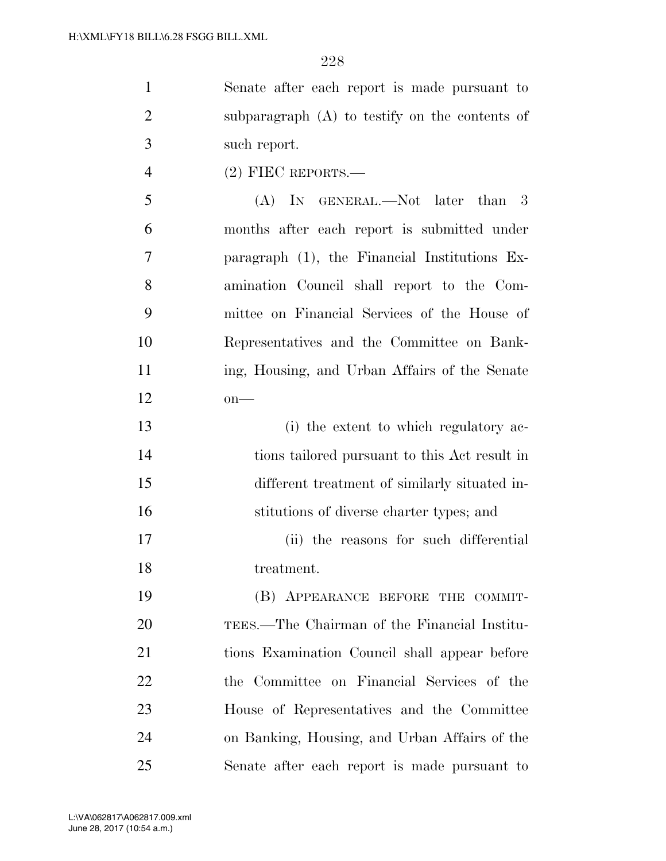| $\mathbf{1}$   | Senate after each report is made pursuant to     |
|----------------|--------------------------------------------------|
| $\overline{2}$ | subparagraph (A) to testify on the contents of   |
| 3              | such report.                                     |
| $\overline{4}$ | $(2)$ FIEC REPORTS.—                             |
| 5              | (A) IN GENERAL.—Not later than 3                 |
| 6              | months after each report is submitted under      |
| 7              | paragraph $(1)$ , the Financial Institutions Ex- |
| 8              | amination Council shall report to the Com-       |
| 9              | mittee on Financial Services of the House of     |
| 10             | Representatives and the Committee on Bank-       |
| 11             | ing, Housing, and Urban Affairs of the Senate    |
| 12             | $on$ —                                           |
| 13             | (i) the extent to which regulatory ac-           |
| 14             | tions tailored pursuant to this Act result in    |
| 15             | different treatment of similarly situated in-    |
| 16             | stitutions of diverse charter types; and         |
| 17             | (ii) the reasons for such differential           |
| 18             | treatment.                                       |
| 19             | (B) APPEARANCE BEFORE THE COMMIT-                |
| 20             | TEES.—The Chairman of the Financial Institu-     |
| 21             | tions Examination Council shall appear before    |
| 22             | the Committee on Financial Services of the       |
| 23             | House of Representatives and the Committee       |
| 24             | on Banking, Housing, and Urban Affairs of the    |

Senate after each report is made pursuant to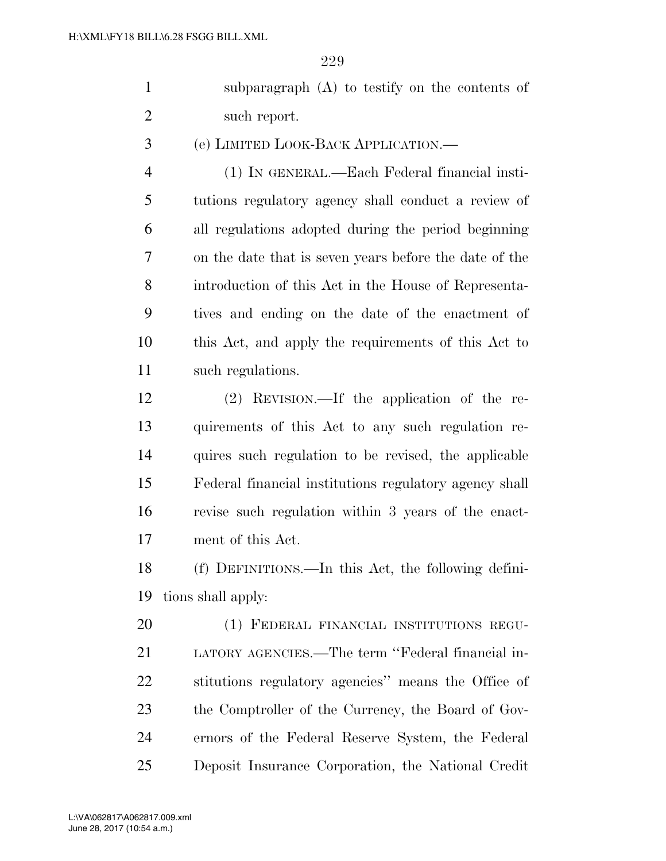subparagraph (A) to testify on the contents of such report.

(e) LIMITED LOOK-BACK APPLICATION.—

 (1) IN GENERAL.—Each Federal financial insti- tutions regulatory agency shall conduct a review of all regulations adopted during the period beginning on the date that is seven years before the date of the introduction of this Act in the House of Representa- tives and ending on the date of the enactment of this Act, and apply the requirements of this Act to such regulations.

 (2) REVISION.—If the application of the re- quirements of this Act to any such regulation re- quires such regulation to be revised, the applicable Federal financial institutions regulatory agency shall revise such regulation within 3 years of the enact-ment of this Act.

 (f) DEFINITIONS.—In this Act, the following defini-tions shall apply:

 (1) FEDERAL FINANCIAL INSTITUTIONS REGU- LATORY AGENCIES.—The term ''Federal financial in- stitutions regulatory agencies'' means the Office of the Comptroller of the Currency, the Board of Gov- ernors of the Federal Reserve System, the Federal Deposit Insurance Corporation, the National Credit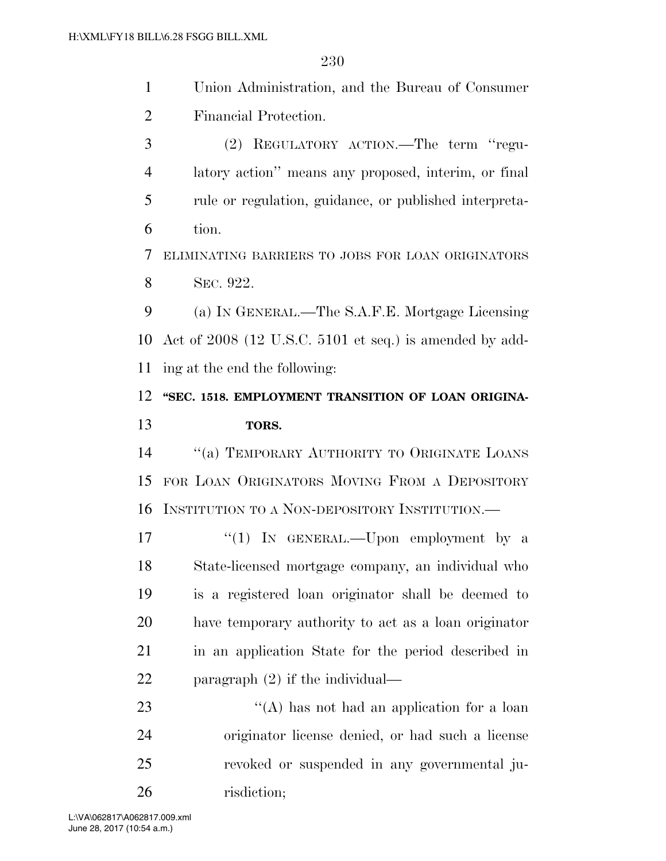- Union Administration, and the Bureau of Consumer Financial Protection.
- (2) REGULATORY ACTION.—The term ''regu- latory action'' means any proposed, interim, or final rule or regulation, guidance, or published interpreta-tion.

 ELIMINATING BARRIERS TO JOBS FOR LOAN ORIGINATORS SEC. 922.

 (a) IN GENERAL.—The S.A.F.E. Mortgage Licensing Act of 2008 (12 U.S.C. 5101 et seq.) is amended by add-ing at the end the following:

## 12 "SEC. 1518. EMPLOYMENT TRANSITION OF LOAN ORIGINA-**TORS.**

 ''(a) TEMPORARY AUTHORITY TO ORIGINATE LOANS FOR LOAN ORIGINATORS MOVING FROM A DEPOSITORY INSTITUTION TO A NON-DEPOSITORY INSTITUTION.—

17 "(1) In GENERAL.—Upon employment by a State-licensed mortgage company, an individual who is a registered loan originator shall be deemed to have temporary authority to act as a loan originator in an application State for the period described in paragraph (2) if the individual—

23 ''(A) has not had an application for a loan originator license denied, or had such a license revoked or suspended in any governmental ju-risdiction;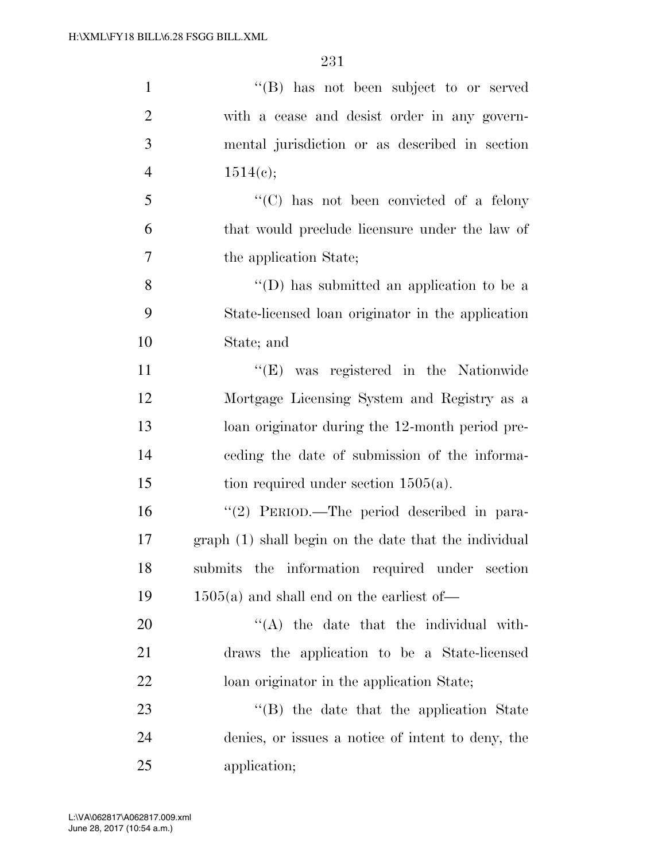| $\mathbf{1}$   | "(B) has not been subject to or served                |
|----------------|-------------------------------------------------------|
| $\overline{2}$ | with a cease and desist order in any govern-          |
| 3              | mental jurisdiction or as described in section        |
| $\overline{4}$ | 1514(c);                                              |
| 5              | $\lq\lq$ (C) has not been convicted of a felony       |
| 6              | that would preclude licensure under the law of        |
| $\overline{7}$ | the application State;                                |
| 8              | $\lq\lq$ (D) has submitted an application to be a     |
| 9              | State-licensed loan originator in the application     |
| 10             | State; and                                            |
| 11             | "(E) was registered in the Nationwide                 |
| 12             | Mortgage Licensing System and Registry as a           |
| 13             | loan originator during the 12-month period pre-       |
| 14             | ceding the date of submission of the informa-         |
| 15             | tion required under section $1505(a)$ .               |
| 16             | "(2) PERIOD.—The period described in para-            |
| 17             | graph (1) shall begin on the date that the individual |
| 18             | submits the information required under section        |
| 19             | $1505(a)$ and shall end on the earliest of-           |
| 20             | "(A) the date that the individual with-               |
| 21             | draws the application to be a State-licensed          |
| 22             | loan originator in the application State;             |
| 23             | $\lq$ (B) the date that the application State         |
| 24             | denies, or issues a notice of intent to deny, the     |
| 25             | application;                                          |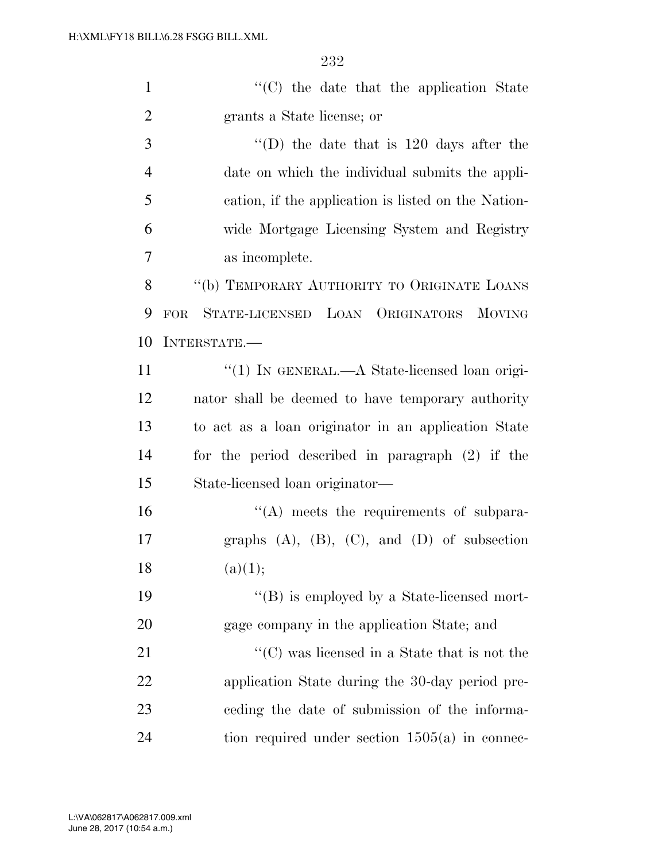| $\mathbf{1}$   | "(C) the date that the application State                |
|----------------|---------------------------------------------------------|
| $\overline{2}$ | grants a State license; or                              |
| 3              | $\lq$ (D) the date that is 120 days after the           |
| $\overline{4}$ | date on which the individual submits the appli-         |
| 5              | cation, if the application is listed on the Nation-     |
| 6              | wide Mortgage Licensing System and Registry             |
| 7              | as incomplete.                                          |
| 8              | "(b) TEMPORARY AUTHORITY TO ORIGINATE LOANS             |
| 9              | STATE-LICENSED LOAN ORIGINATORS<br><b>MOVING</b><br>FOR |
| 10             | INTERSTATE.-                                            |
| 11             | "(1) IN GENERAL.—A State-licensed loan origi-           |
| 12             | nator shall be deemed to have temporary authority       |
| 13             | to act as a loan originator in an application State     |
| 14             | for the period described in paragraph (2) if the        |
| 15             | State-licensed loan originator—                         |
| 16             | $\lq\lq$ meets the requirements of subpara-             |
| 17             | graphs $(A)$ , $(B)$ , $(C)$ , and $(D)$ of subsection  |
| 18             | (a)(1);                                                 |
| 19             | "(B) is employed by a State-licensed mort-              |
| 20             | gage company in the application State; and              |
| 21             | $\lq\lq$ (C) was licensed in a State that is not the    |
| 22             | application State during the 30-day period pre-         |
| 23             | eeding the date of submission of the informa-           |
| 24             | tion required under section $1505(a)$ in connec-        |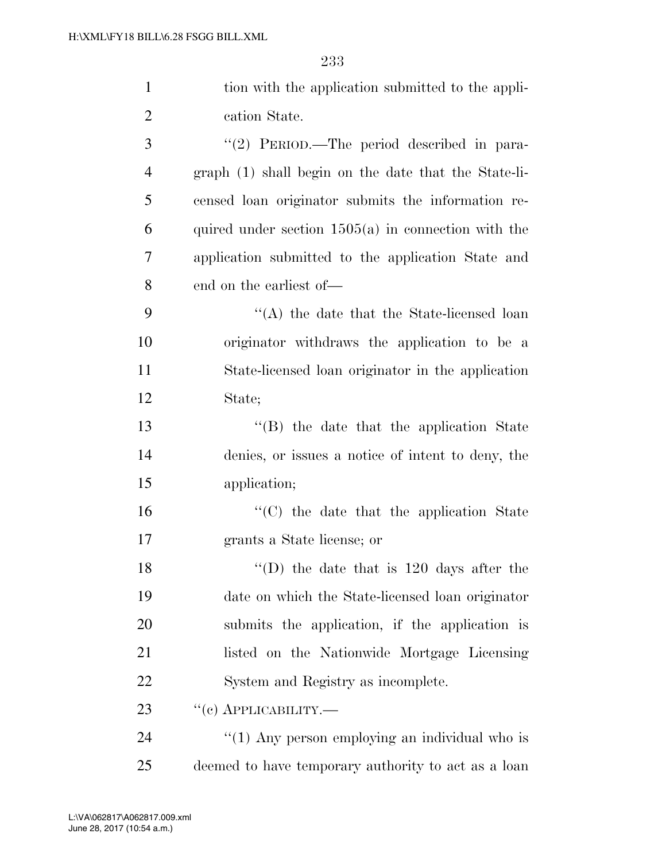| $\mathbf{1}$   | tion with the application submitted to the appli-     |
|----------------|-------------------------------------------------------|
| $\overline{2}$ | cation State.                                         |
| 3              | "(2) PERIOD.—The period described in para-            |
| $\overline{4}$ | graph (1) shall begin on the date that the State-li-  |
| 5              | censed loan originator submits the information re-    |
| 6              | quired under section $1505(a)$ in connection with the |
| $\tau$         | application submitted to the application State and    |
| 8              | end on the earliest of—                               |
| 9              | $\lq\lq$ the date that the State-licensed loan        |
| 10             | originator withdraws the application to be a          |
| 11             | State-licensed loan originator in the application     |
| 12             | State;                                                |
| 13             | "(B) the date that the application State              |
| 14             | denies, or issues a notice of intent to deny, the     |
| 15             | application;                                          |
| 16             | "(C) the date that the application State              |
| 17             | grants a State license; or                            |
| 18             | "(D) the date that is $120$ days after the            |
| 19             | date on which the State-licensed loan originator      |
| 20             | submits the application, if the application is        |
| 21             | listed on the Nationwide Mortgage Licensing           |
| 22             | System and Registry as incomplete.                    |
| 23             | $``(c)$ APPLICABILITY.—                               |
| 24             | " $(1)$ Any person employing an individual who is     |
| 25             | deemed to have temporary authority to act as a loan   |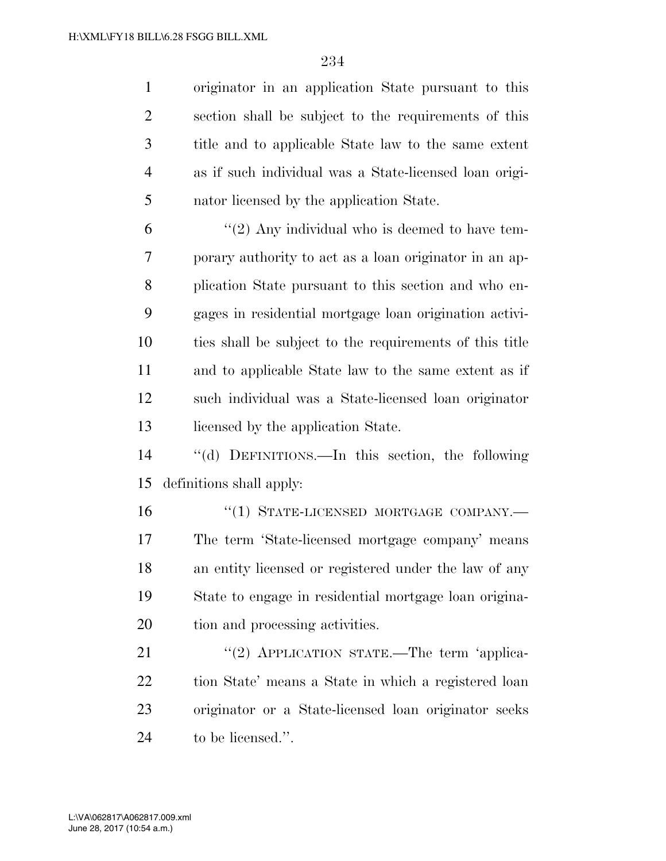originator in an application State pursuant to this section shall be subject to the requirements of this title and to applicable State law to the same extent as if such individual was a State-licensed loan origi-nator licensed by the application State.

 $(2)$  Any individual who is deemed to have tem- porary authority to act as a loan originator in an ap- plication State pursuant to this section and who en- gages in residential mortgage loan origination activi- ties shall be subject to the requirements of this title and to applicable State law to the same extent as if such individual was a State-licensed loan originator 13 licensed by the application State.

 ''(d) DEFINITIONS.—In this section, the following definitions shall apply:

16 "(1) STATE-LICENSED MORTGAGE COMPANY.— The term 'State-licensed mortgage company' means an entity licensed or registered under the law of any State to engage in residential mortgage loan origina-tion and processing activities.

21 "(2) APPLICATION STATE.—The term 'applica- tion State' means a State in which a registered loan originator or a State-licensed loan originator seeks to be licensed.''.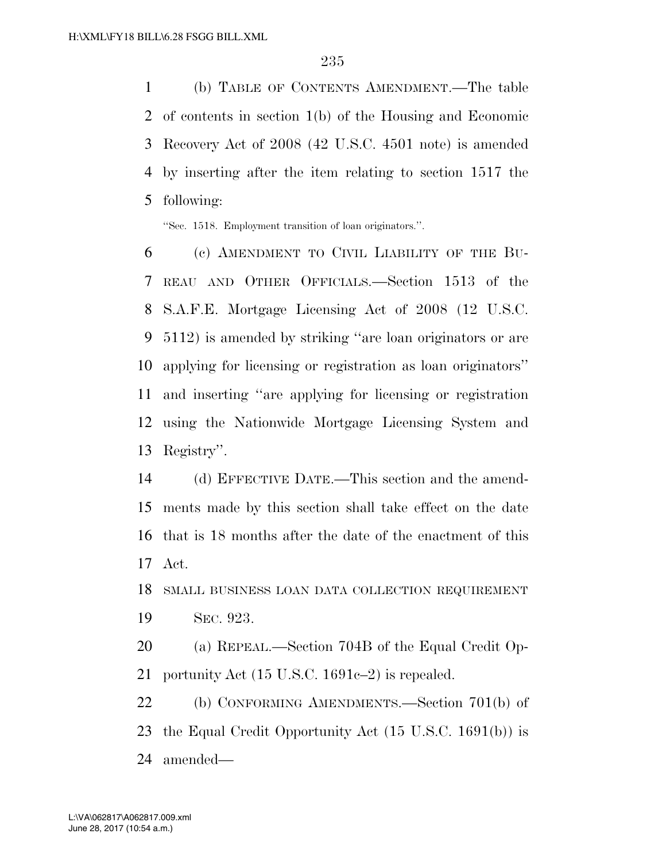(b) TABLE OF CONTENTS AMENDMENT.—The table of contents in section 1(b) of the Housing and Economic Recovery Act of 2008 (42 U.S.C. 4501 note) is amended by inserting after the item relating to section 1517 the following:

''Sec. 1518. Employment transition of loan originators.''.

 (c) AMENDMENT TO CIVIL LIABILITY OF THE BU- REAU AND OTHER OFFICIALS.—Section 1513 of the S.A.F.E. Mortgage Licensing Act of 2008 (12 U.S.C. 5112) is amended by striking ''are loan originators or are applying for licensing or registration as loan originators'' and inserting ''are applying for licensing or registration using the Nationwide Mortgage Licensing System and Registry''.

 (d) EFFECTIVE DATE.—This section and the amend- ments made by this section shall take effect on the date that is 18 months after the date of the enactment of this Act.

 SMALL BUSINESS LOAN DATA COLLECTION REQUIREMENT SEC. 923.

 (a) REPEAL.—Section 704B of the Equal Credit Op-portunity Act (15 U.S.C. 1691c–2) is repealed.

 (b) CONFORMING AMENDMENTS.—Section 701(b) of the Equal Credit Opportunity Act (15 U.S.C. 1691(b)) is amended—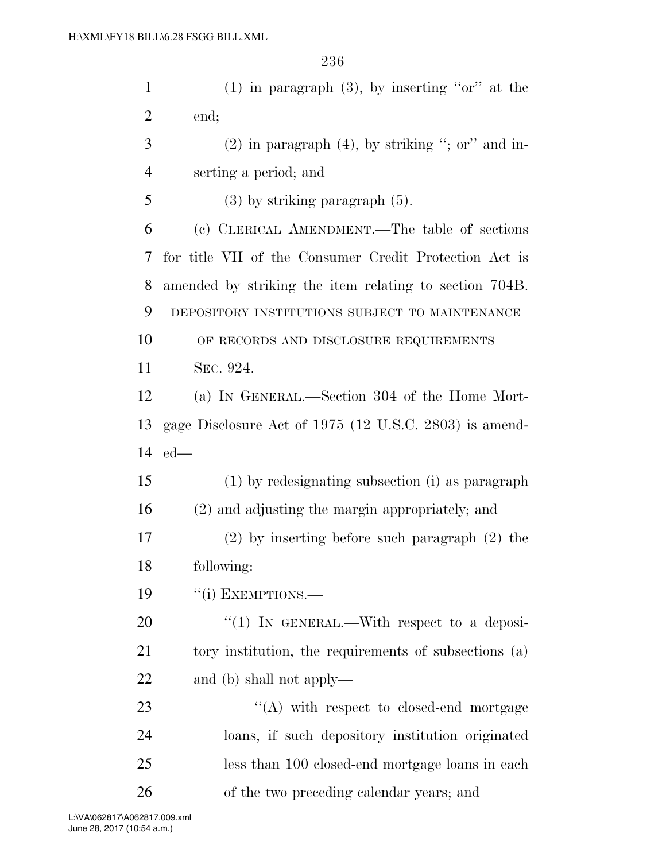(1) in paragraph (3), by inserting ''or'' at the end; (2) in paragraph (4), by striking "; or" and in-

serting a period; and

(3) by striking paragraph (5).

 (c) CLERICAL AMENDMENT.—The table of sections for title VII of the Consumer Credit Protection Act is amended by striking the item relating to section 704B. DEPOSITORY INSTITUTIONS SUBJECT TO MAINTENANCE 10 OF RECORDS AND DISCLOSURE REQUIREMENTS SEC. 924.

 (a) IN GENERAL.—Section 304 of the Home Mort- gage Disclosure Act of 1975 (12 U.S.C. 2803) is amend-ed—

 (1) by redesignating subsection (i) as paragraph (2) and adjusting the margin appropriately; and

 (2) by inserting before such paragraph (2) the following:

19 "(i) EXEMPTIONS.—

20 "(1) IN GENERAL.—With respect to a deposi-21 tory institution, the requirements of subsections (a) and (b) shall not apply—

23 "(A) with respect to closed-end mortgage loans, if such depository institution originated less than 100 closed-end mortgage loans in each of the two preceding calendar years; and

June 28, 2017 (10:54 a.m.) L:\VA\062817\A062817.009.xml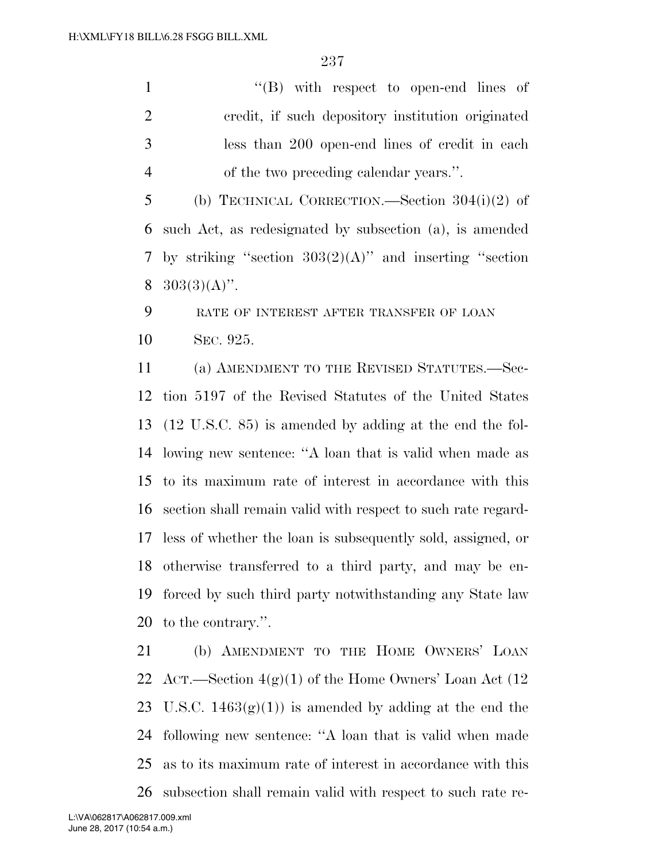''(B) with respect to open-end lines of credit, if such depository institution originated less than 200 open-end lines of credit in each of the two preceding calendar years.''.

 (b) TECHNICAL CORRECTION.—Section 304(i)(2) of such Act, as redesignated by subsection (a), is amended by striking ''section 303(2)(A)'' and inserting ''section  $303(3)(A)$ ".

 RATE OF INTEREST AFTER TRANSFER OF LOAN SEC. 925.

 (a) AMENDMENT TO THE REVISED STATUTES.—Sec- tion 5197 of the Revised Statutes of the United States (12 U.S.C. 85) is amended by adding at the end the fol- lowing new sentence: ''A loan that is valid when made as to its maximum rate of interest in accordance with this section shall remain valid with respect to such rate regard- less of whether the loan is subsequently sold, assigned, or otherwise transferred to a third party, and may be en- forced by such third party notwithstanding any State law to the contrary.''.

 (b) AMENDMENT TO THE HOME OWNERS' LOAN 22 ACT.—Section  $4(g)(1)$  of the Home Owners' Loan Act (12 23 U.S.C.  $1463(g)(1)$  is amended by adding at the end the following new sentence: ''A loan that is valid when made as to its maximum rate of interest in accordance with this subsection shall remain valid with respect to such rate re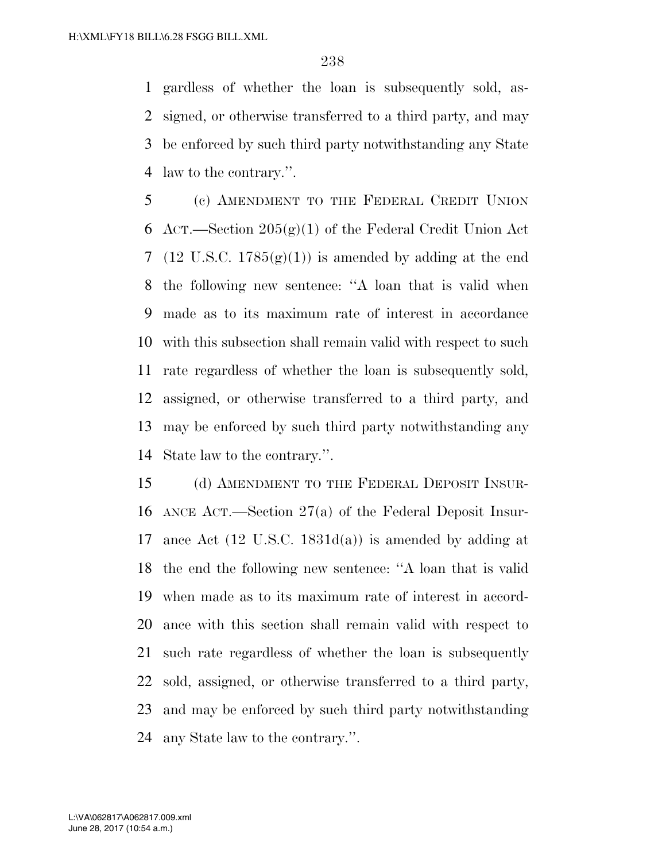gardless of whether the loan is subsequently sold, as- signed, or otherwise transferred to a third party, and may be enforced by such third party notwithstanding any State law to the contrary.''.

 (c) AMENDMENT TO THE FEDERAL CREDIT UNION 6 ACT.—Section  $205(g)(1)$  of the Federal Credit Union Act 7 (12 U.S.C.  $1785(g)(1)$ ) is amended by adding at the end the following new sentence: ''A loan that is valid when made as to its maximum rate of interest in accordance with this subsection shall remain valid with respect to such rate regardless of whether the loan is subsequently sold, assigned, or otherwise transferred to a third party, and may be enforced by such third party notwithstanding any State law to the contrary.''.

 (d) AMENDMENT TO THE FEDERAL DEPOSIT INSUR- ANCE ACT.—Section 27(a) of the Federal Deposit Insur-17 ance Act  $(12 \text{ U.S.C. } 1831d(a))$  is amended by adding at the end the following new sentence: ''A loan that is valid when made as to its maximum rate of interest in accord- ance with this section shall remain valid with respect to such rate regardless of whether the loan is subsequently sold, assigned, or otherwise transferred to a third party, and may be enforced by such third party notwithstanding any State law to the contrary.''.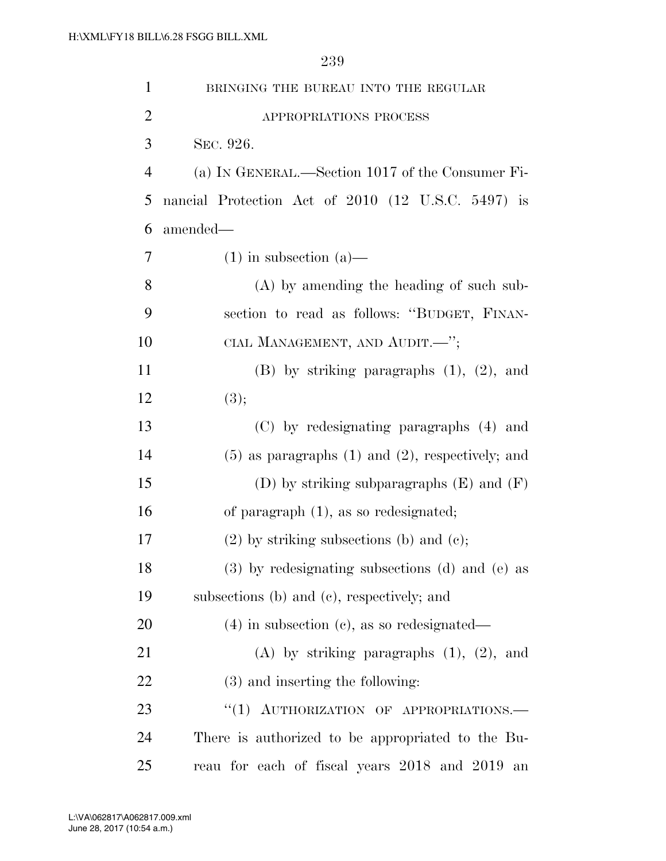1 BRINGING THE BUREAU INTO THE REGULAR 2 APPROPRIATIONS PROCESS SEC. 926. (a) IN GENERAL.—Section 1017 of the Consumer Fi- nancial Protection Act of 2010 (12 U.S.C. 5497) is amended—  $7 \quad (1)$  in subsection (a)— (A) by amending the heading of such sub- section to read as follows: ''BUDGET, FINAN-10 CIAL MANAGEMENT, AND AUDIT.—"; (B) by striking paragraphs (1), (2), and 12  $(3);$  (C) by redesignating paragraphs (4) and (5) as paragraphs (1) and (2), respectively; and 15 (D) by striking subparagraphs  $(E)$  and  $(F)$  of paragraph (1), as so redesignated; (2) by striking subsections (b) and (c); (3) by redesignating subsections (d) and (e) as subsections (b) and (c), respectively; and (4) in subsection (c), as so redesignated— (A) by striking paragraphs (1), (2), and (3) and inserting the following: 23 "(1) AUTHORIZATION OF APPROPRIATIONS. There is authorized to be appropriated to the Bu-reau for each of fiscal years 2018 and 2019 an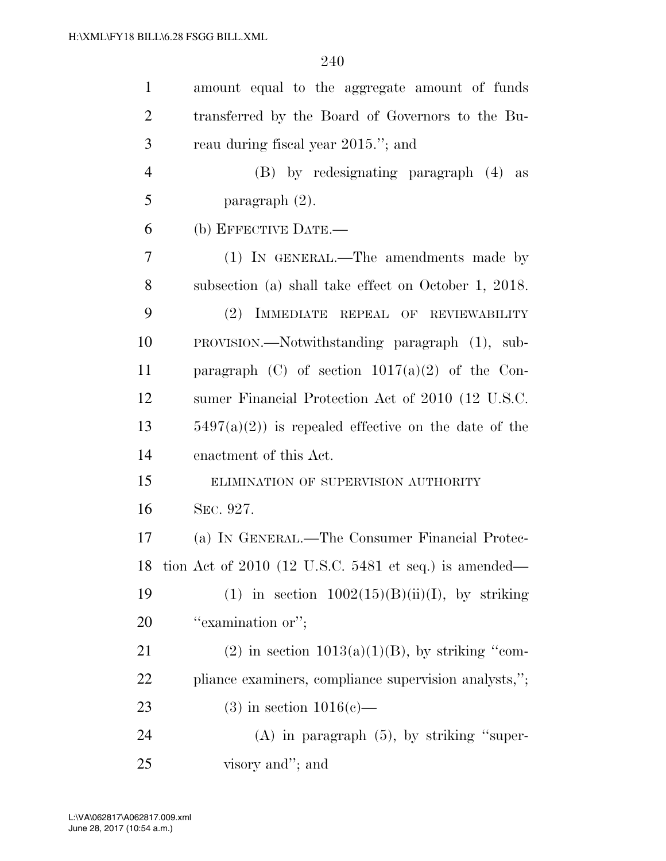| $\mathbf{1}$   | amount equal to the aggregate amount of funds            |
|----------------|----------------------------------------------------------|
| $\overline{2}$ | transferred by the Board of Governors to the Bu-         |
| 3              | reau during fiscal year 2015."; and                      |
| $\overline{4}$ | (B) by redesignating paragraph (4) as                    |
| 5              | paragraph $(2)$ .                                        |
| 6              | (b) EFFECTIVE DATE.-                                     |
| 7              | (1) IN GENERAL.—The amendments made by                   |
| 8              | subsection (a) shall take effect on October 1, 2018.     |
| 9              | (2) IMMEDIATE REPEAL OF REVIEWABILITY                    |
| 10             | PROVISION.—Notwithstanding paragraph (1), sub-           |
| 11             | paragraph (C) of section $1017(a)(2)$ of the Con-        |
| 12             | sumer Financial Protection Act of 2010 (12 U.S.C.        |
| 13             | $5497(a)(2)$ is repealed effective on the date of the    |
| 14             | enactment of this Act.                                   |
| 15             | ELIMINATION OF SUPERVISION AUTHORITY                     |
| 16             | SEC. 927.                                                |
| 17             | (a) IN GENERAL.—The Consumer Financial Protec-           |
|                | 18 tion Act of 2010 (12 U.S.C. 5481 et seq.) is amended— |
| 19             | (1) in section $1002(15)(B)(ii)(I)$ , by striking        |
| <b>20</b>      | "examination or";                                        |
| 21             | $(2)$ in section $1013(a)(1)(B)$ , by striking "com-     |
| 22             | pliance examiners, compliance supervision analysts,";    |
| 23             | $(3)$ in section $1016(e)$ —                             |
| 24             | $(A)$ in paragraph $(5)$ , by striking "super-           |
| 25             | visory and"; and                                         |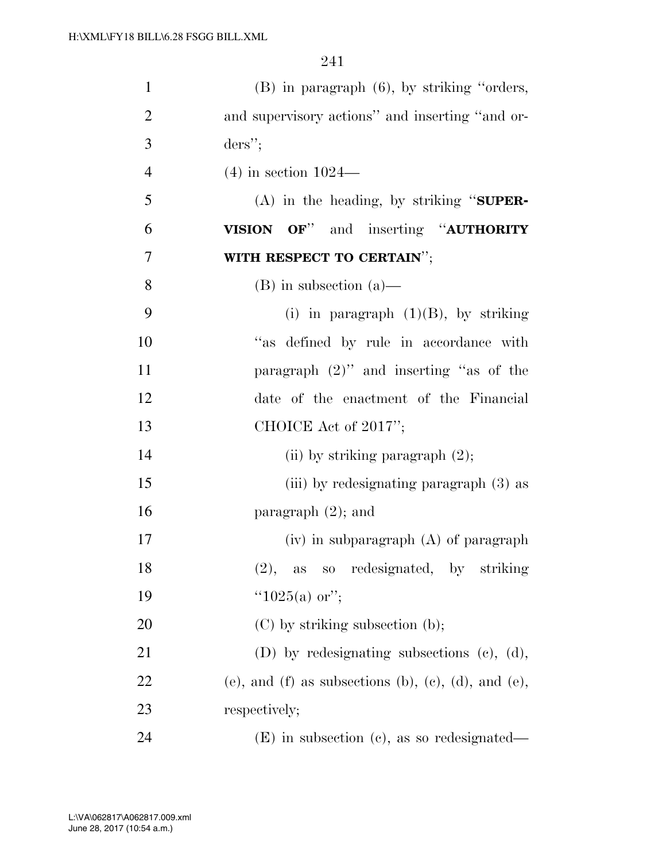| $\mathbf{1}$   | $(B)$ in paragraph $(6)$ , by striking "orders,     |
|----------------|-----------------------------------------------------|
| $\overline{2}$ | and supervisory actions" and inserting "and or-     |
| 3              | $ders$ ";                                           |
| $\overline{4}$ | $(4)$ in section $1024-$                            |
| 5              | $(A)$ in the heading, by striking "SUPER-           |
| 6              | VISION OF" and inserting "AUTHORITY                 |
| 7              | WITH RESPECT TO CERTAIN";                           |
| 8              | $(B)$ in subsection $(a)$ —                         |
| 9              | (i) in paragraph $(1)(B)$ , by striking             |
| 10             | "as defined by rule in accordance with              |
| 11             | paragraph $(2)$ " and inserting "as of the          |
| 12             | date of the enactment of the Financial              |
| 13             | CHOICE Act of 2017";                                |
| 14             | (ii) by striking paragraph $(2)$ ;                  |
| 15             | (iii) by redesignating paragraph (3) as             |
| 16             | paragraph $(2)$ ; and                               |
| 17             | $(iv)$ in subparagraph $(A)$ of paragraph           |
| 18             | (2), as so redesignated, by striking                |
| 19             | " $1025(a)$ or";                                    |
| 20             | $(C)$ by striking subsection (b);                   |
| 21             | (D) by redesignating subsections (c), (d),          |
| 22             | (e), and (f) as subsections (b), (c), (d), and (e), |
| 23             | respectively;                                       |
| 24             | $(E)$ in subsection (c), as so redesignated—        |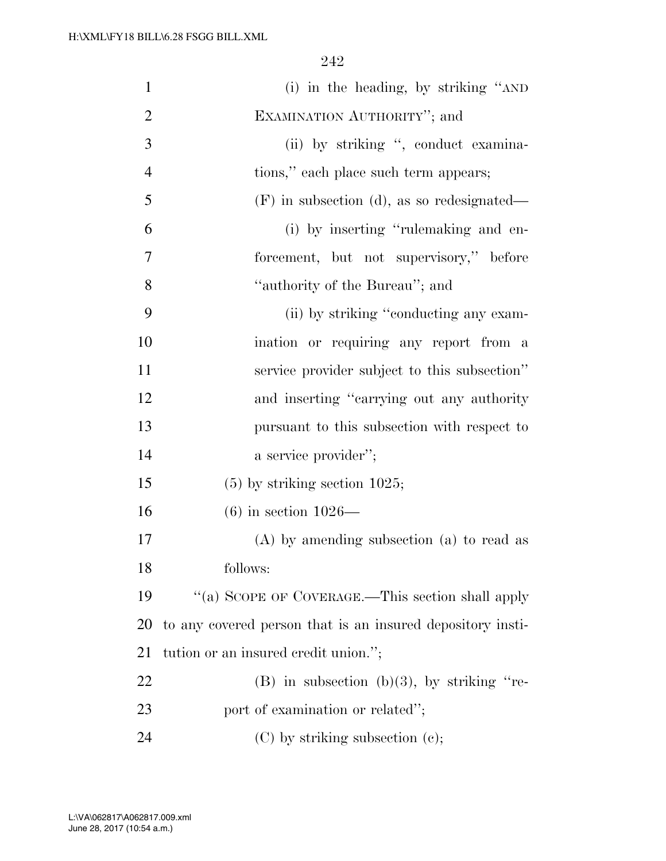| $\mathbf{1}$   | (i) in the heading, by striking "AND                       |
|----------------|------------------------------------------------------------|
| $\overline{2}$ | EXAMINATION AUTHORITY"; and                                |
| 3              | (ii) by striking ", conduct examina-                       |
| $\overline{4}$ | tions," each place such term appears;                      |
| 5              | $(F)$ in subsection (d), as so redesignated—               |
| 6              | (i) by inserting "rulemaking and en-                       |
| 7              | forcement, but not supervisory," before                    |
| 8              | "authority of the Bureau"; and                             |
| 9              | (ii) by striking "conducting any exam-                     |
| 10             | ination or requiring any report from a                     |
| 11             | service provider subject to this subsection"               |
| 12             | and inserting "carrying out any authority                  |
| 13             | pursuant to this subsection with respect to                |
| 14             | a service provider";                                       |
| 15             | $(5)$ by striking section 1025;                            |
| 16             | $(6)$ in section 1026—                                     |
| 17             | $(A)$ by amending subsection $(a)$ to read as              |
| 18             | follows:                                                   |
| 19             | "(a) SCOPE OF COVERAGE.—This section shall apply           |
| 20             | to any covered person that is an insured depository insti- |
| 21             | tution or an insured credit union.";                       |
| 22             | $(B)$ in subsection $(b)(3)$ , by striking "re-            |
| 23             | port of examination or related";                           |
| 24             | $(C)$ by striking subsection $(e)$ ;                       |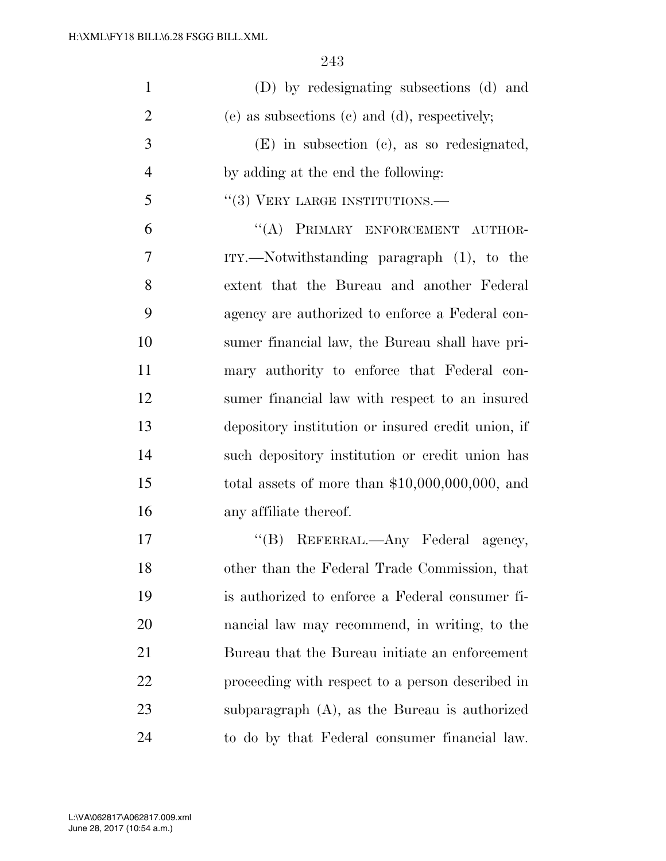| $\mathbf{1}$   | (D) by redesignating subsections (d) and           |
|----------------|----------------------------------------------------|
| $\overline{2}$ | (e) as subsections (c) and (d), respectively;      |
| 3              | $(E)$ in subsection (c), as so redesignated,       |
| $\overline{4}$ | by adding at the end the following:                |
| 5              | $``(3)$ VERY LARGE INSTITUTIONS.—                  |
| 6              | "(A) PRIMARY ENFORCEMENT AUTHOR-                   |
| 7              | $ITY.$ Notwithstanding paragraph $(1)$ , to the    |
| 8              | extent that the Bureau and another Federal         |
| 9              | agency are authorized to enforce a Federal con-    |
| 10             | sumer financial law, the Bureau shall have pri-    |
| 11             | mary authority to enforce that Federal con-        |
| 12             | sumer financial law with respect to an insured     |
| 13             | depository institution or insured credit union, if |
| 14             | such depository institution or credit union has    |
| 15             | total assets of more than $$10,000,000,000$ , and  |
| 16             | any affiliate thereof.                             |
| 17             | "(B) REFERRAL.—Any Federal agency,                 |
| 18             | other than the Federal Trade Commission, that      |
| 19             | is authorized to enforce a Federal consumer fi-    |
| 20             | nancial law may recommend, in writing, to the      |
| 21             | Bureau that the Bureau initiate an enforcement     |
| 22             | proceeding with respect to a person described in   |
| 23             | subparagraph $(A)$ , as the Bureau is authorized   |
| 24             | to do by that Federal consumer financial law.      |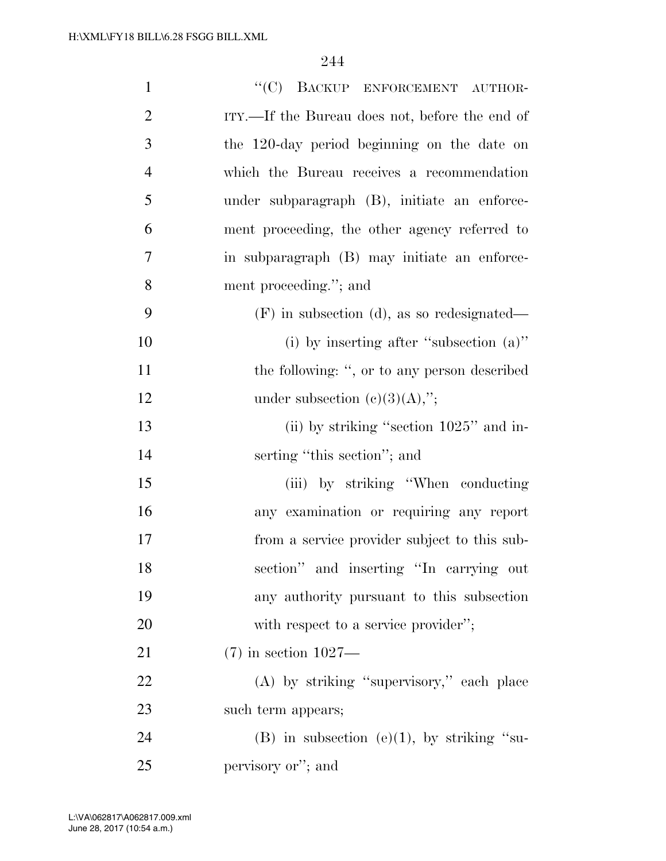| $\mathbf{1}$   | "(C) BACKUP ENFORCEMENT AUTHOR-                |
|----------------|------------------------------------------------|
| $\overline{2}$ | ITY.—If the Bureau does not, before the end of |
| 3              | the 120-day period beginning on the date on    |
| $\overline{4}$ | which the Bureau receives a recommendation     |
| 5              | under subparagraph (B), initiate an enforce-   |
| 6              | ment proceeding, the other agency referred to  |
| 7              | in subparagraph (B) may initiate an enforce-   |
| 8              | ment proceeding."; and                         |
| 9              | $(F)$ in subsection (d), as so redesignated—   |
| 10             | (i) by inserting after "subsection $(a)$ "     |
| 11             | the following: ", or to any person described   |
| 12             | under subsection $(c)(3)(A),$ ";               |
| 13             | (ii) by striking "section $1025$ " and in-     |
| 14             | serting "this section"; and                    |
| 15             | (iii) by striking "When conducting"            |
| 16             | any examination or requiring any report        |
| 17             | from a service provider subject to this sub-   |
| 18             | section" and inserting "In carrying out        |
| 19             | any authority pursuant to this subsection      |
| 20             | with respect to a service provider";           |
| 21             | $(7)$ in section $1027$ —                      |
| 22             | (A) by striking "supervisory," each place      |
| 23             | such term appears;                             |
| 24             | (B) in subsection (e)(1), by striking "su-     |
| 25             | pervisory or"; and                             |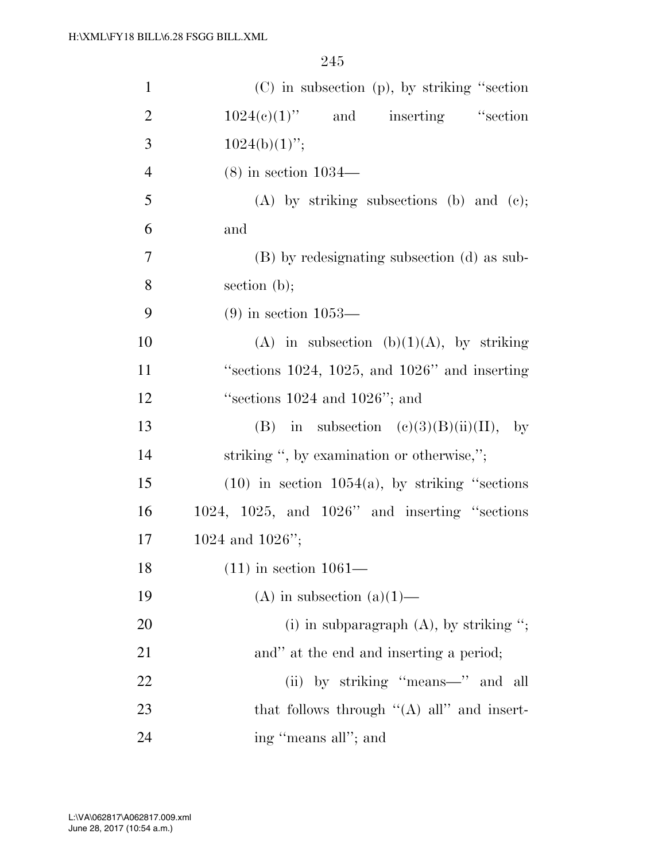| $\mathbf{1}$   | $(C)$ in subsection $(p)$ , by striking "section"      |
|----------------|--------------------------------------------------------|
| $\overline{2}$ | $1024(e)(1)$ " and inserting "section                  |
| 3              | $1024(b)(1)$ ";                                        |
| $\overline{4}$ | $(8)$ in section $1034-$                               |
| 5              | $(A)$ by striking subsections (b) and (c);             |
| 6              | and                                                    |
| $\overline{7}$ | (B) by redesignating subsection (d) as sub-            |
| 8              | section $(b)$ ;                                        |
| 9              | $(9)$ in section $1053$ —                              |
| 10             | (A) in subsection (b)(1)(A), by striking               |
| 11             | "sections $1024$ , $1025$ , and $1026$ " and inserting |
| 12             | "sections $1024$ and $1026$ "; and                     |
| 13             | (B) in subsection $(e)(3)(B)(ii)(II)$ , by             |
| 14             | striking ", by examination or otherwise,";             |
| 15             | $(10)$ in section $1054(a)$ , by striking "sections"   |
| 16             | $1024, 1025,$ and $1026"$ and inserting "sections"     |
| 17             | 1024 and $1026$ ";                                     |
| 18             | $(11)$ in section $1061$ —                             |
| 19             |                                                        |
|                | (A) in subsection (a)(1)—                              |
| 20             | (i) in subparagraph $(A)$ , by striking ";             |
| 21             | and" at the end and inserting a period;                |
| 22             | (ii) by striking "means—" and all                      |
| 23             | that follows through " $(A)$ all" and insert-          |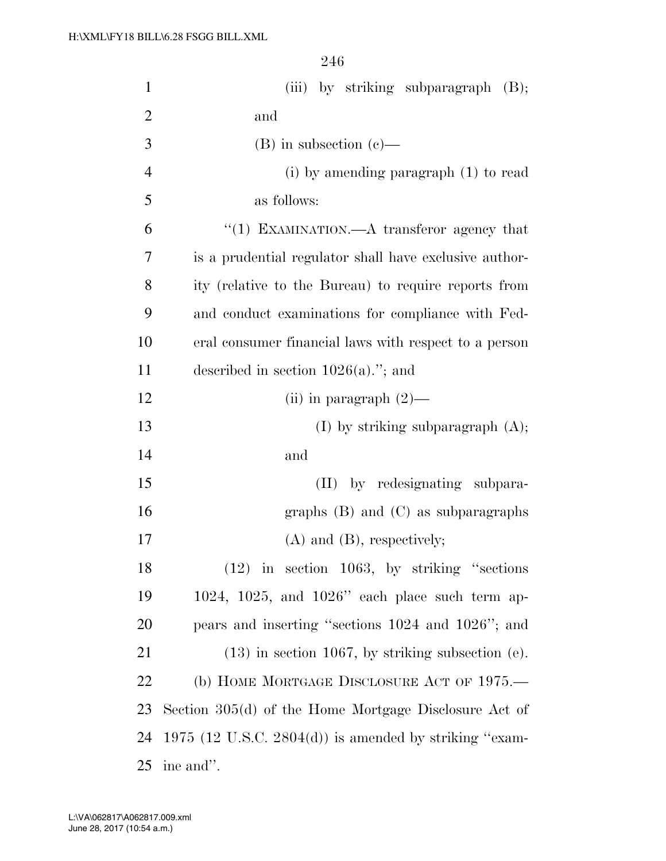| $\mathbf{1}$   | (iii) by striking subparagraph $(B)$ ;                  |
|----------------|---------------------------------------------------------|
| $\overline{2}$ | and                                                     |
| 3              | $(B)$ in subsection $(c)$ —                             |
| $\overline{4}$ | (i) by amending paragraph (1) to read                   |
| 5              | as follows:                                             |
| 6              | "(1) EXAMINATION.—A transferor agency that              |
| 7              | is a prudential regulator shall have exclusive author-  |
| 8              | ity (relative to the Bureau) to require reports from    |
| 9              | and conduct examinations for compliance with Fed-       |
| 10             | eral consumer financial laws with respect to a person   |
| 11             | described in section $1026(a)$ ."; and                  |
| 12             | (ii) in paragraph $(2)$ —                               |
| 13             | (I) by striking subparagraph $(A)$ ;                    |
| 14             | and                                                     |
| 15             | (II) by redesignating subpara-                          |
| 16             | graphs $(B)$ and $(C)$ as subparagraphs                 |
| 17             | $(A)$ and $(B)$ , respectively;                         |
| 18             | $(12)$ in section 1063, by striking "sections"          |
| 19             | $1024$ , $1025$ , and $1026$ " each place such term ap- |
| 20             | pears and inserting "sections 1024 and 1026"; and       |
| 21             | $(13)$ in section 1067, by striking subsection (e).     |
| 22             | (b) HOME MORTGAGE DISCLOSURE ACT OF 1975.—              |
| 23             | Section 305(d) of the Home Mortgage Disclosure Act of   |
| 24             | 1975 (12 U.S.C. 2804(d)) is amended by striking "exam-  |
| 25             | ine and".                                               |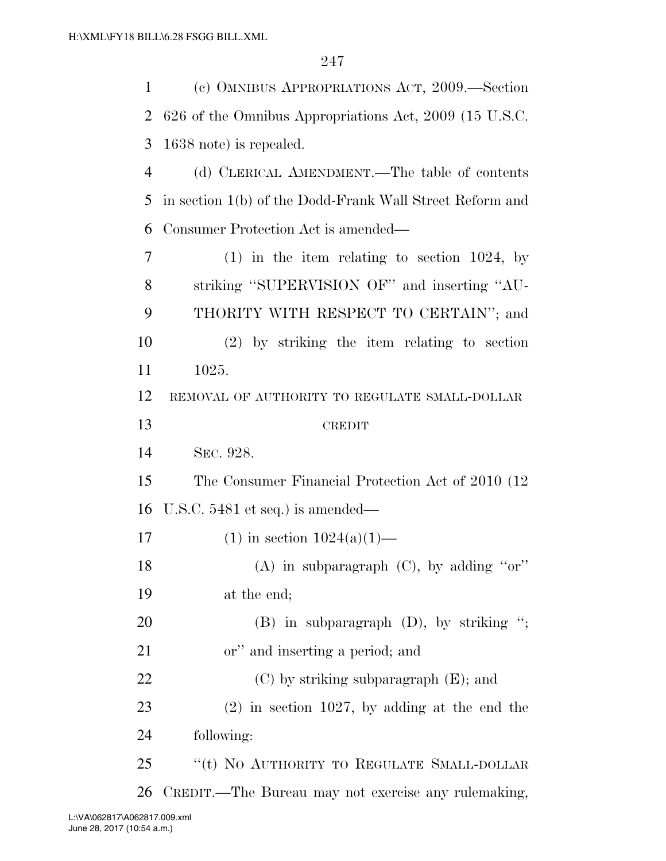| $\mathbf{1}$ | (c) OMNIBUS APPROPRIATIONS ACT, 2009.—Section            |
|--------------|----------------------------------------------------------|
| 2            | 626 of the Omnibus Appropriations Act, 2009 (15 U.S.C.   |
| 3            | 1638 note) is repealed.                                  |
| 4            | (d) CLERICAL AMENDMENT.—The table of contents            |
| 5            | in section 1(b) of the Dodd-Frank Wall Street Reform and |
| 6            | Consumer Protection Act is amended—                      |
| 7            | $(1)$ in the item relating to section 1024, by           |
| 8            | striking "SUPERVISION OF" and inserting "AU-             |
| 9            | THORITY WITH RESPECT TO CERTAIN"; and                    |
| 10           | $(2)$ by striking the item relating to section           |
| 11           | 1025.                                                    |
| 12           | REMOVAL OF AUTHORITY TO REGULATE SMALL-DOLLAR            |
| 13           | <b>CREDIT</b>                                            |
|              |                                                          |
| 14           | SEC. 928.                                                |
| 15           | The Consumer Financial Protection Act of 2010 (12)       |
| 16           | U.S.C. 5481 et seq.) is amended—                         |
| 17           | $(1)$ in section $1024(a)(1)$ —                          |
| 18           | (A) in subparagraph (C), by adding "or"                  |
| 19           | at the end;                                              |
| 20           | $(B)$ in subparagraph $(D)$ , by striking ";             |
| 21           | or" and inserting a period; and                          |
| 22           | $(C)$ by striking subparagraph $(E)$ ; and               |
| 23           | $(2)$ in section 1027, by adding at the end the          |
| 24           | following:                                               |
| 25           | "(t) NO AUTHORITY TO REGULATE SMALL-DOLLAR               |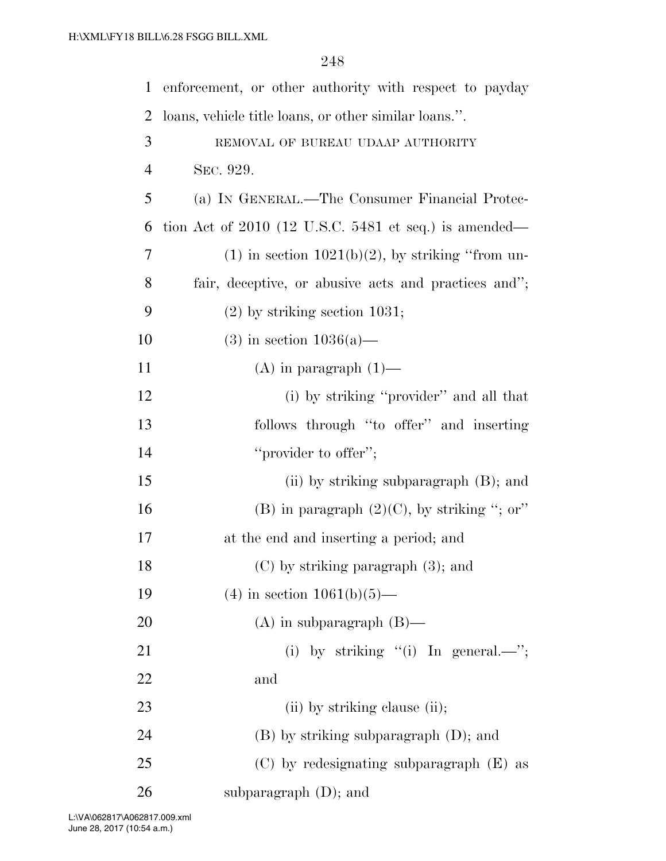| $\mathbf{1}$   | enforcement, or other authority with respect to payday  |
|----------------|---------------------------------------------------------|
| $\overline{2}$ | loans, vehicle title loans, or other similar loans.".   |
| 3              | REMOVAL OF BUREAU UDAAP AUTHORITY                       |
| $\overline{4}$ | SEC. 929.                                               |
| 5              | (a) IN GENERAL.—The Consumer Financial Protec-          |
| 6              | tion Act of $2010$ (12 U.S.C. 5481 et seq.) is amended— |
| 7              | $(1)$ in section $1021(b)(2)$ , by striking "from un-   |
| 8              | fair, deceptive, or abusive acts and practices and";    |
| 9              | $(2)$ by striking section 1031;                         |
| 10             | $(3)$ in section $1036(a)$ —                            |
| 11             | $(A)$ in paragraph $(1)$ —                              |
| 12             | (i) by striking "provider" and all that                 |
| 13             | follows through "to offer" and inserting                |
| 14             | "provider to offer";                                    |
| 15             | (ii) by striking subparagraph (B); and                  |
| 16             | (B) in paragraph $(2)(C)$ , by striking "; or"          |
| 17             | at the end and inserting a period; and                  |
| 18             | $(C)$ by striking paragraph $(3)$ ; and                 |
| 19             | $(4)$ in section $1061(b)(5)$ —                         |
| 20             | $(A)$ in subparagraph $(B)$ —                           |
| 21             | (i) by striking "(i) In general.—";                     |
| 22             | and                                                     |
| 23             | (ii) by striking clause (ii);                           |
| 24             | $(B)$ by striking subparagraph $(D)$ ; and              |
| 25             | $(C)$ by redesignating subparagraph $(E)$ as            |
| 26             | subparagraph $(D)$ ; and                                |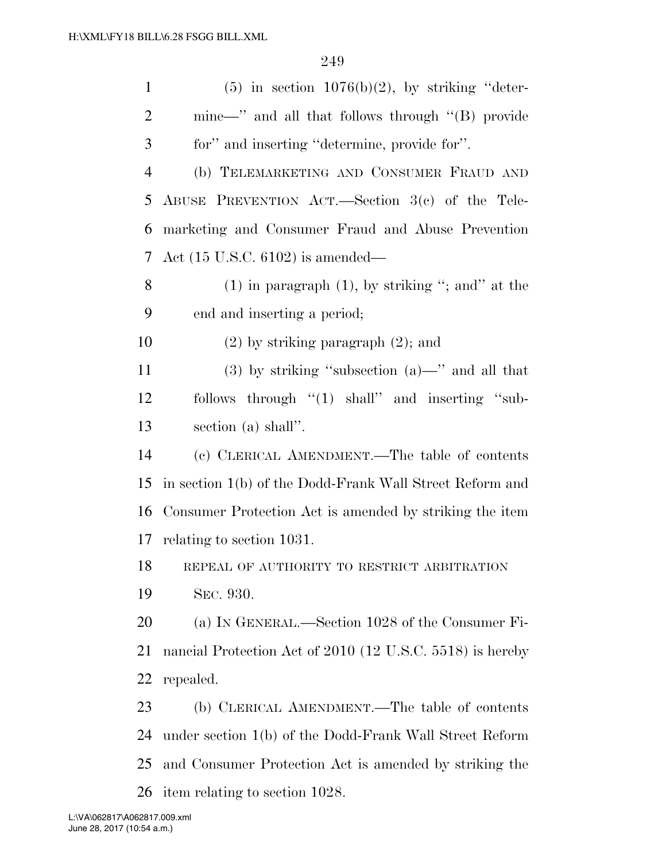| $\mathbf{1}$   | $(5)$ in section 1076(b)(2), by striking "deter-          |
|----------------|-----------------------------------------------------------|
| $\overline{2}$ | mine—" and all that follows through "(B) provide          |
| 3              | for" and inserting "determine, provide for".              |
| $\overline{4}$ | (b) TELEMARKETING AND CONSUMER FRAUD AND                  |
| 5              | ABUSE PREVENTION ACT.—Section $3(e)$ of the Tele-         |
| 6              | marketing and Consumer Fraud and Abuse Prevention         |
| 7              | Act $(15 \text{ U.S.C. } 6102)$ is amended—               |
| 8              | $(1)$ in paragraph $(1)$ , by striking "; and" at the     |
| 9              | end and inserting a period;                               |
| 10             | $(2)$ by striking paragraph $(2)$ ; and                   |
| 11             | $(3)$ by striking "subsection $(a)$ —" and all that       |
| 12             | follows through "(1) shall" and inserting "sub-           |
| 13             | section (a) shall".                                       |
| 14             | (c) CLERICAL AMENDMENT.—The table of contents             |
| 15             | in section 1(b) of the Dodd-Frank Wall Street Reform and  |
| 16             | Consumer Protection Act is amended by striking the item   |
| 17             | relating to section 1031.                                 |
| 18             | REPEAL OF AUTHORITY TO RESTRICT ARBITRATION               |
| 19             | SEC. 930.                                                 |
| 20             | (a) IN GENERAL.—Section 1028 of the Consumer Fi-          |
| 21             | nancial Protection Act of 2010 (12 U.S.C. 5518) is hereby |
| 22             | repealed.                                                 |
| 23             | (b) CLERICAL AMENDMENT.—The table of contents             |
| 24             | under section 1(b) of the Dodd-Frank Wall Street Reform   |
| 25             | and Consumer Protection Act is amended by striking the    |
| 26             | item relating to section 1028.                            |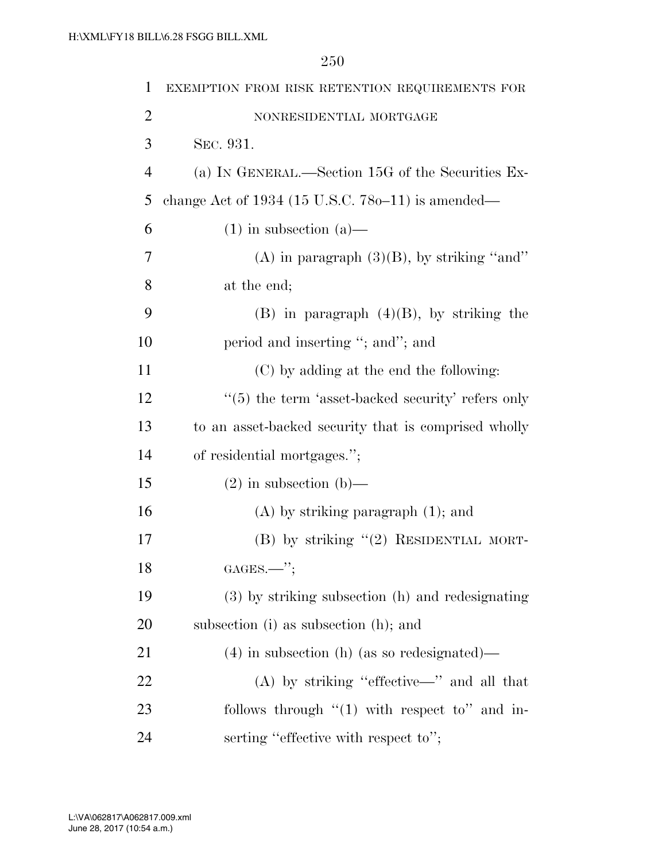| $\mathbf{1}$   | EXEMPTION FROM RISK RETENTION REQUIREMENTS FOR                |
|----------------|---------------------------------------------------------------|
| $\overline{2}$ | NONRESIDENTIAL MORTGAGE                                       |
| 3              | SEC. 931.                                                     |
| $\overline{4}$ | (a) IN GENERAL.—Section 15G of the Securities Ex-             |
| 5              | change Act of $1934$ (15 U.S.C. 780–11) is amended—           |
| 6              | $(1)$ in subsection $(a)$ —                                   |
| 7              | (A) in paragraph $(3)(B)$ , by striking "and"                 |
| 8              | at the end;                                                   |
| 9              | $(B)$ in paragraph $(4)(B)$ , by striking the                 |
| 10             | period and inserting "; and"; and                             |
| 11             | (C) by adding at the end the following:                       |
| 12             | $\cdot\cdot$ (5) the term 'asset-backed security' refers only |
| 13             | to an asset-backed security that is comprised wholly          |
| 14             | of residential mortgages.";                                   |
| 15             | $(2)$ in subsection (b)—                                      |
| 16             | $(A)$ by striking paragraph $(1)$ ; and                       |
| 17             | $(B)$ by striking " $(2)$ RESIDENTIAL MORT-                   |
| 18             | $GAGES.$ ";                                                   |
| 19             | (3) by striking subsection (h) and redesignating              |
| <b>20</b>      | subsection (i) as subsection (h); and                         |
| 21             | $(4)$ in subsection (h) (as so redesignated)—                 |
| 22             | $(A)$ by striking "effective—" and all that                   |
| 23             | follows through $\lq(1)$ with respect to" and in-             |
| 24             | serting "effective with respect to";                          |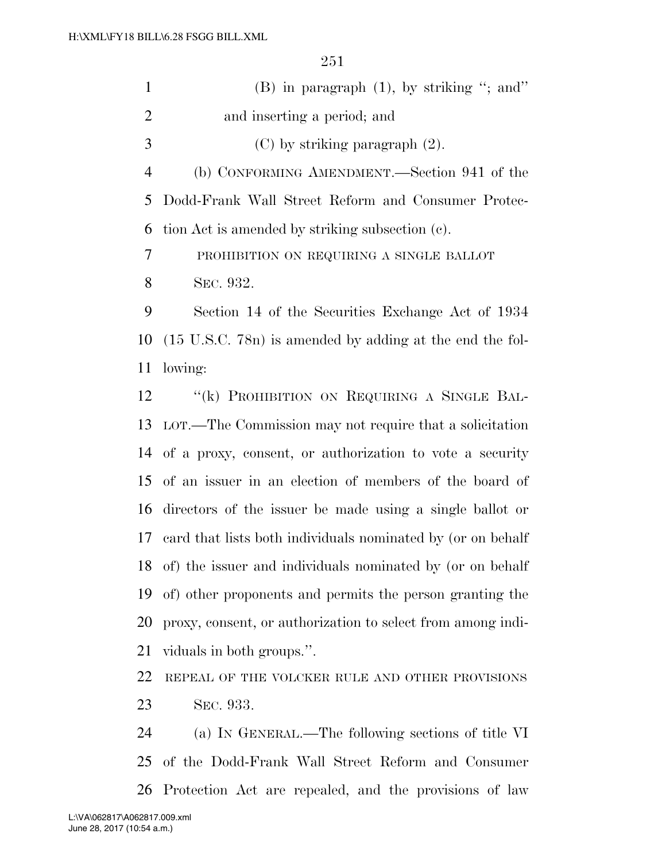| $\mathbf{1}$   | $(B)$ in paragraph $(1)$ , by striking "; and"                                                                                                                                                                                            |
|----------------|-------------------------------------------------------------------------------------------------------------------------------------------------------------------------------------------------------------------------------------------|
| $\overline{2}$ | and inserting a period; and                                                                                                                                                                                                               |
| 3              | $(C)$ by striking paragraph $(2)$ .                                                                                                                                                                                                       |
| $\overline{4}$ | (b) CONFORMING AMENDMENT.—Section 941 of the                                                                                                                                                                                              |
| 5              | Dodd-Frank Wall Street Reform and Consumer Protec-                                                                                                                                                                                        |
| 6              | tion Act is amended by striking subsection (c).                                                                                                                                                                                           |
| 7              | PROHIBITION ON REQUIRING A SINGLE BALLOT                                                                                                                                                                                                  |
| 8              | SEC. 932.                                                                                                                                                                                                                                 |
| 9              | Section 14 of the Securities Exchange Act of 1934                                                                                                                                                                                         |
| 10             | $(15 \text{ U.S.C. } 78n)$ is amended by adding at the end the fol-                                                                                                                                                                       |
| 11             | lowing:                                                                                                                                                                                                                                   |
| 12             | "(k) PROHIBITION ON REQUIRING A SINGLE BAL-                                                                                                                                                                                               |
| 13             | LOT.—The Commission may not require that a solicitation                                                                                                                                                                                   |
|                | 14 of a proxy, consent, or authorization to vote a security                                                                                                                                                                               |
|                | 15 of an issuer in an election of members of the board of                                                                                                                                                                                 |
| 1 <sup>2</sup> | $\mathbf{R}^*$ and a subset of the state of the state of the state $\mathbf{R}^*$ and $\mathbf{R}^*$ are stated in the state of the state of the state of the state of the state of the state of the state of the state of the state of t |

 directors of the issuer be made using a single ballot or card that lists both individuals nominated by (or on behalf of) the issuer and individuals nominated by (or on behalf of) other proponents and permits the person granting the proxy, consent, or authorization to select from among indi-viduals in both groups.''.

 REPEAL OF THE VOLCKER RULE AND OTHER PROVISIONS SEC. 933.

 (a) IN GENERAL.—The following sections of title VI of the Dodd-Frank Wall Street Reform and Consumer Protection Act are repealed, and the provisions of law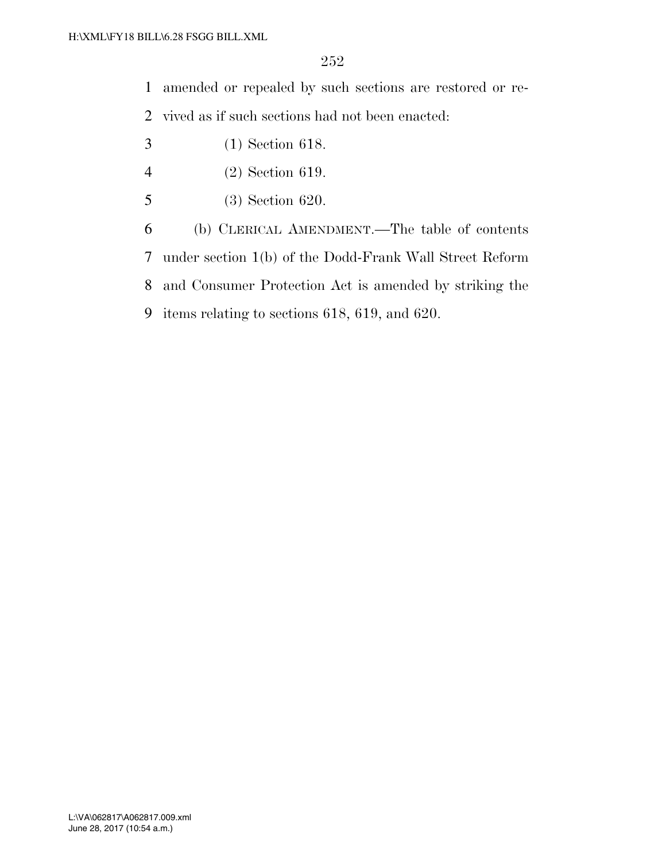amended or repealed by such sections are restored or re-

vived as if such sections had not been enacted:

- (1) Section 618.
- (2) Section 619.
- (3) Section 620.

 (b) CLERICAL AMENDMENT.—The table of contents under section 1(b) of the Dodd-Frank Wall Street Reform and Consumer Protection Act is amended by striking the items relating to sections 618, 619, and 620.